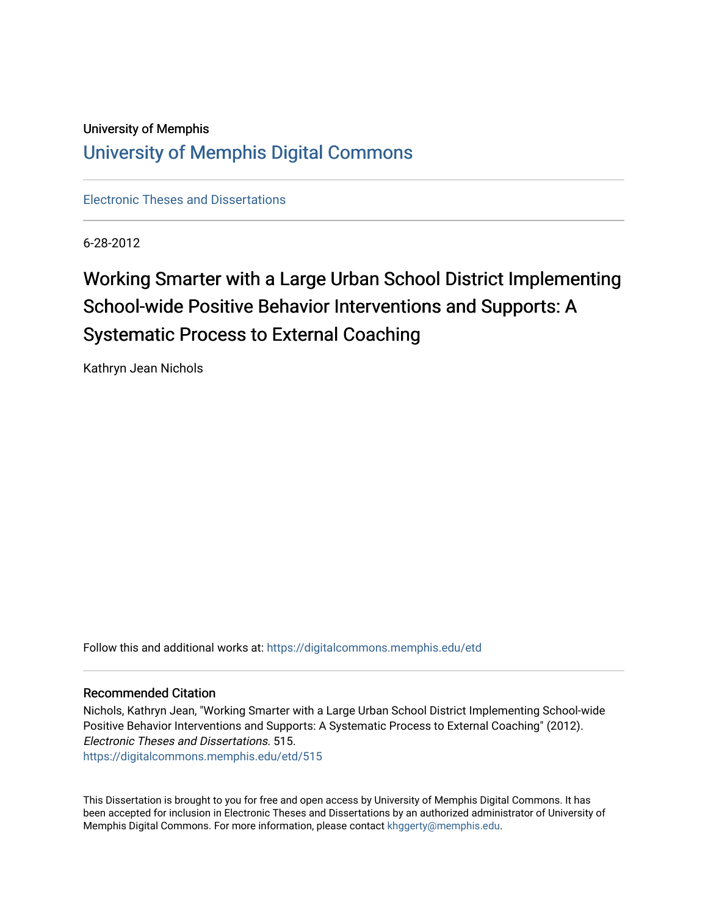# University of Memphis [University of Memphis Digital Commons](https://digitalcommons.memphis.edu/)

[Electronic Theses and Dissertations](https://digitalcommons.memphis.edu/etd)

6-28-2012

# Working Smarter with a Large Urban School District Implementing School-wide Positive Behavior Interventions and Supports: A Systematic Process to External Coaching

Kathryn Jean Nichols

Follow this and additional works at: [https://digitalcommons.memphis.edu/etd](https://digitalcommons.memphis.edu/etd?utm_source=digitalcommons.memphis.edu%2Fetd%2F515&utm_medium=PDF&utm_campaign=PDFCoverPages) 

#### Recommended Citation

Nichols, Kathryn Jean, "Working Smarter with a Large Urban School District Implementing School-wide Positive Behavior Interventions and Supports: A Systematic Process to External Coaching" (2012). Electronic Theses and Dissertations. 515. [https://digitalcommons.memphis.edu/etd/515](https://digitalcommons.memphis.edu/etd/515?utm_source=digitalcommons.memphis.edu%2Fetd%2F515&utm_medium=PDF&utm_campaign=PDFCoverPages) 

This Dissertation is brought to you for free and open access by University of Memphis Digital Commons. It has been accepted for inclusion in Electronic Theses and Dissertations by an authorized administrator of University of Memphis Digital Commons. For more information, please contact [khggerty@memphis.edu.](mailto:khggerty@memphis.edu)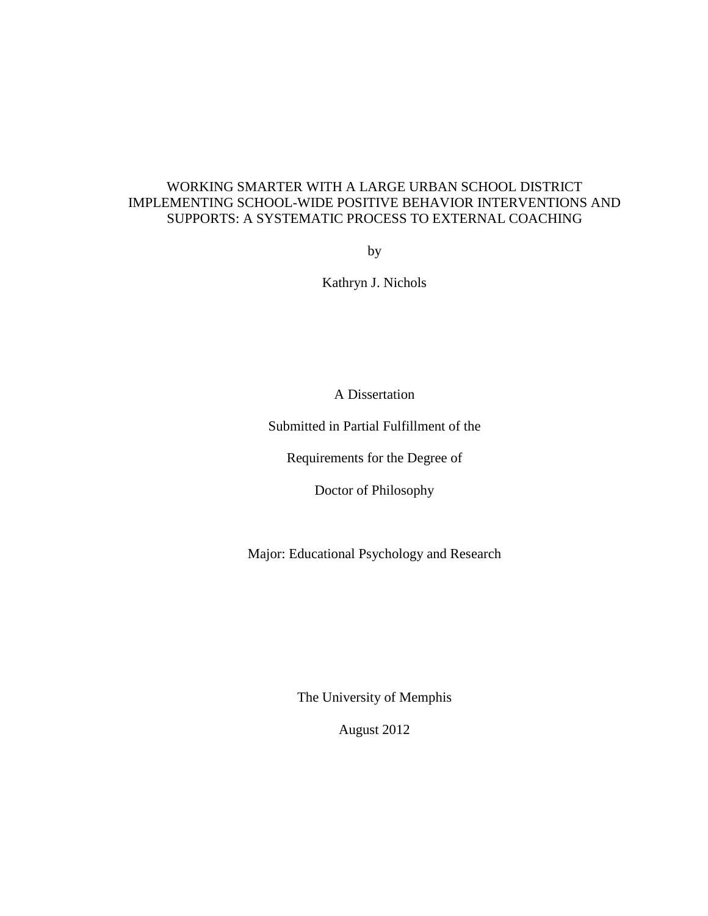### WORKING SMARTER WITH A LARGE URBAN SCHOOL DISTRICT IMPLEMENTING SCHOOL-WIDE POSITIVE BEHAVIOR INTERVENTIONS AND SUPPORTS: A SYSTEMATIC PROCESS TO EXTERNAL COACHING

by

Kathryn J. Nichols

A Dissertation

Submitted in Partial Fulfillment of the

Requirements for the Degree of

Doctor of Philosophy

Major: Educational Psychology and Research

The University of Memphis

August 2012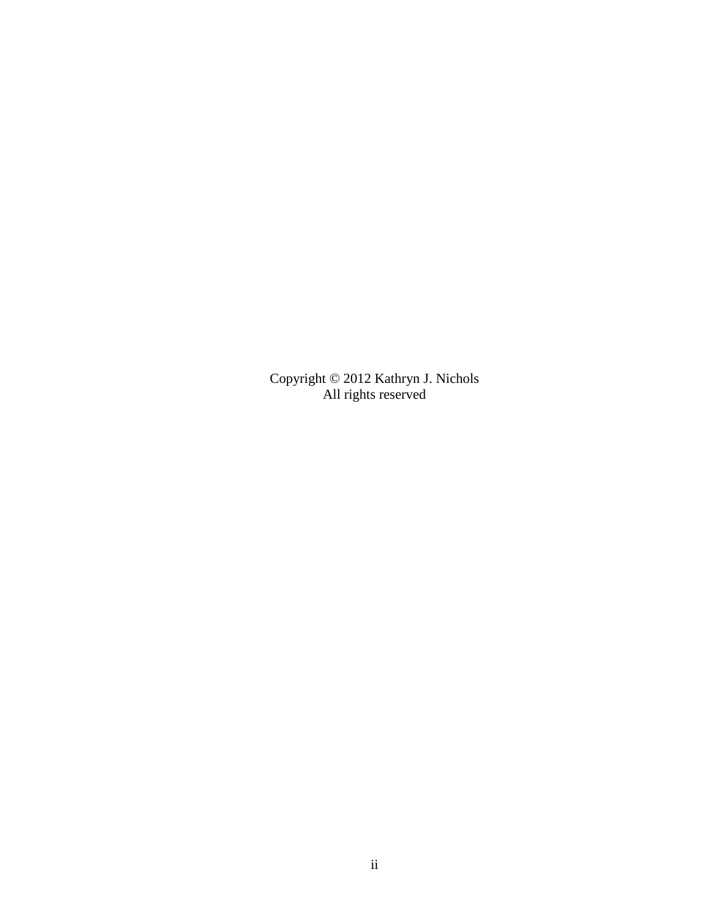Copyright © 2012 Kathryn J. Nichols All rights reserved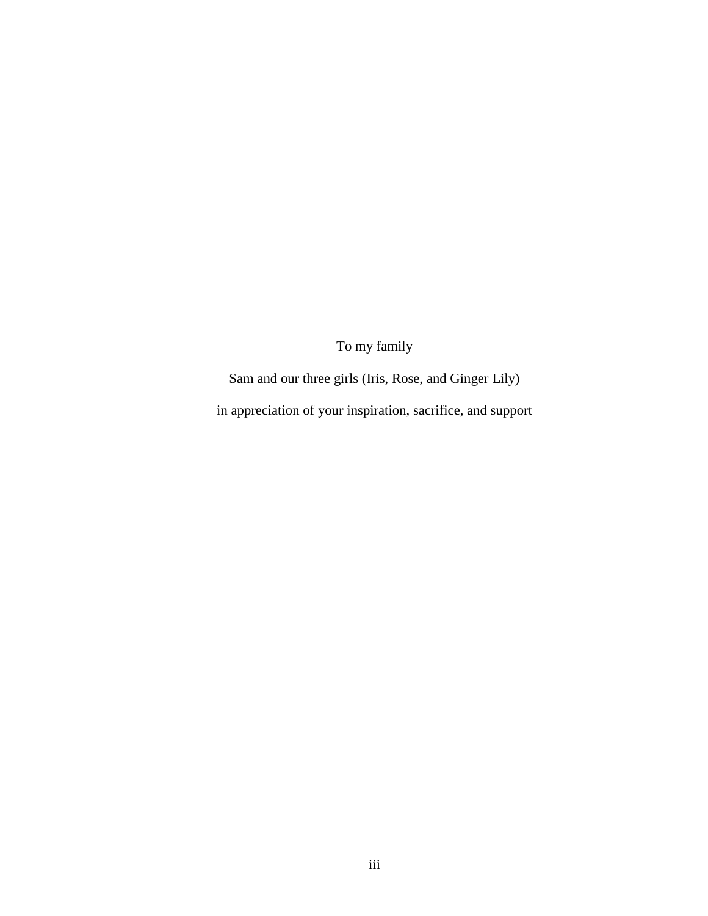To my family

Sam and our three girls (Iris, Rose, and Ginger Lily) in appreciation of your inspiration, sacrifice, and support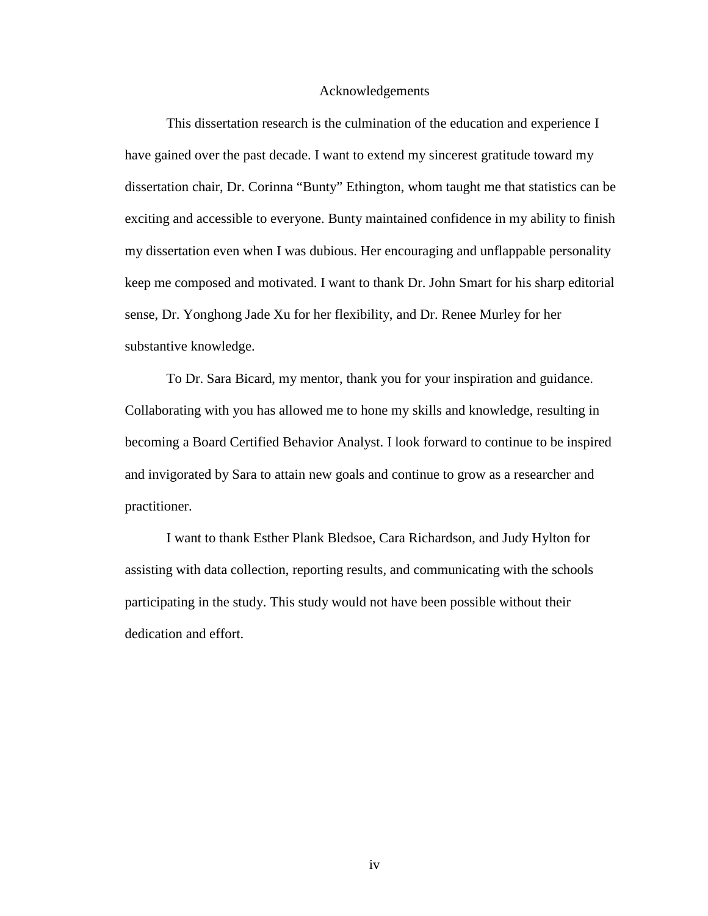#### Acknowledgements

This dissertation research is the culmination of the education and experience I have gained over the past decade. I want to extend my sincerest gratitude toward my dissertation chair, Dr. Corinna "Bunty" Ethington, whom taught me that statistics can be exciting and accessible to everyone. Bunty maintained confidence in my ability to finish my dissertation even when I was dubious. Her encouraging and unflappable personality keep me composed and motivated. I want to thank Dr. John Smart for his sharp editorial sense, Dr. Yonghong Jade Xu for her flexibility, and Dr. Renee Murley for her substantive knowledge.

To Dr. Sara Bicard, my mentor, thank you for your inspiration and guidance. Collaborating with you has allowed me to hone my skills and knowledge, resulting in becoming a Board Certified Behavior Analyst. I look forward to continue to be inspired and invigorated by Sara to attain new goals and continue to grow as a researcher and practitioner.

I want to thank Esther Plank Bledsoe, Cara Richardson, and Judy Hylton for assisting with data collection, reporting results, and communicating with the schools participating in the study. This study would not have been possible without their dedication and effort.

iv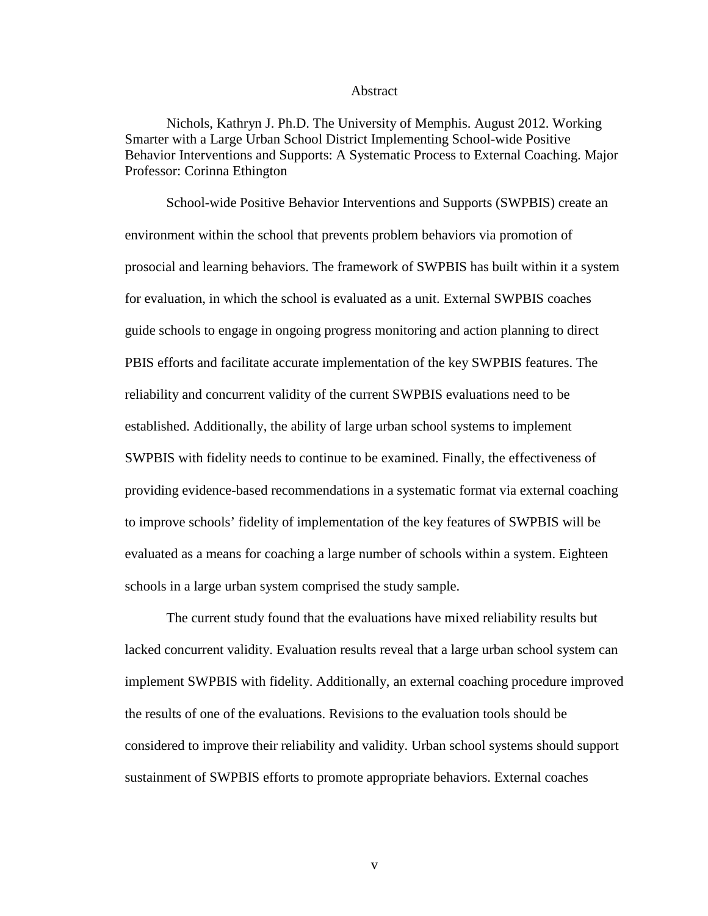#### Abstract

Nichols, Kathryn J. Ph.D. The University of Memphis. August 2012. Working Smarter with a Large Urban School District Implementing School-wide Positive Behavior Interventions and Supports: A Systematic Process to External Coaching. Major Professor: Corinna Ethington

School-wide Positive Behavior Interventions and Supports (SWPBIS) create an environment within the school that prevents problem behaviors via promotion of prosocial and learning behaviors. The framework of SWPBIS has built within it a system for evaluation, in which the school is evaluated as a unit. External SWPBIS coaches guide schools to engage in ongoing progress monitoring and action planning to direct PBIS efforts and facilitate accurate implementation of the key SWPBIS features. The reliability and concurrent validity of the current SWPBIS evaluations need to be established. Additionally, the ability of large urban school systems to implement SWPBIS with fidelity needs to continue to be examined. Finally, the effectiveness of providing evidence-based recommendations in a systematic format via external coaching to improve schools' fidelity of implementation of the key features of SWPBIS will be evaluated as a means for coaching a large number of schools within a system. Eighteen schools in a large urban system comprised the study sample.

The current study found that the evaluations have mixed reliability results but lacked concurrent validity. Evaluation results reveal that a large urban school system can implement SWPBIS with fidelity. Additionally, an external coaching procedure improved the results of one of the evaluations. Revisions to the evaluation tools should be considered to improve their reliability and validity. Urban school systems should support sustainment of SWPBIS efforts to promote appropriate behaviors. External coaches

v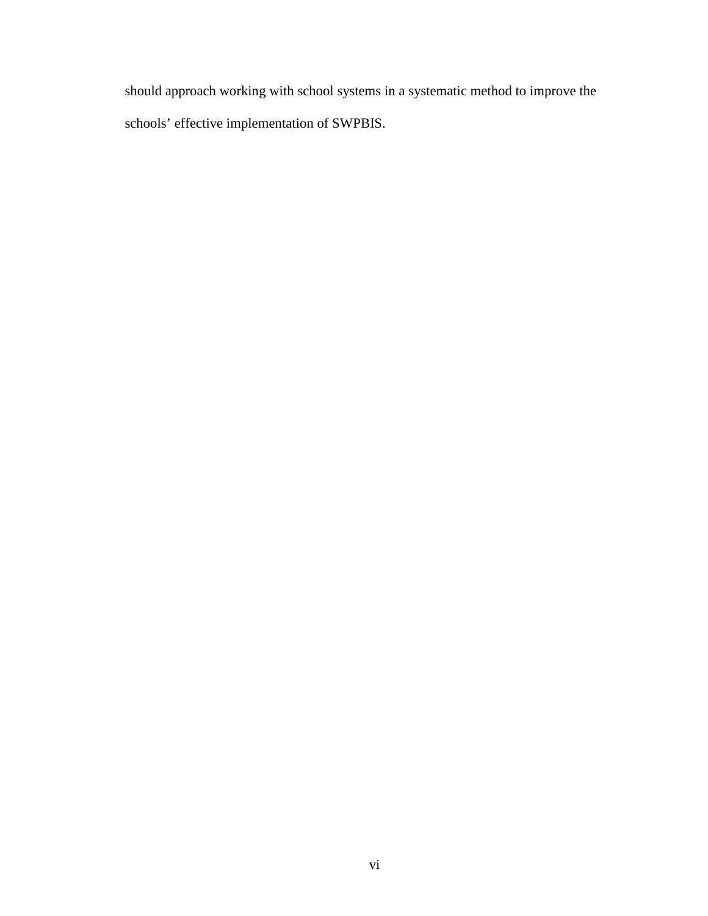should approach working with school systems in a systematic method to improve the schools' effective implementation of SWPBIS.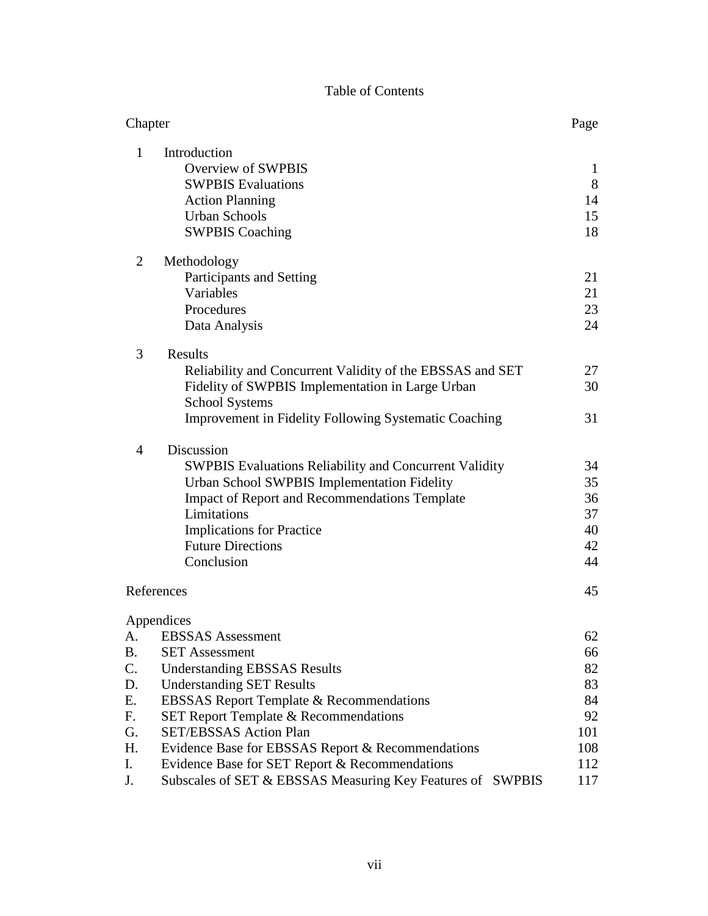### Table of Contents

| Chapter         |                                                                                                                                                                                                                                                                                 |                                        |  |  |  |  |
|-----------------|---------------------------------------------------------------------------------------------------------------------------------------------------------------------------------------------------------------------------------------------------------------------------------|----------------------------------------|--|--|--|--|
| 1               | Introduction<br><b>Overview of SWPBIS</b><br><b>SWPBIS Evaluations</b><br><b>Action Planning</b><br><b>Urban Schools</b><br><b>SWPBIS Coaching</b>                                                                                                                              | $\mathbf{1}$<br>8<br>14<br>15<br>18    |  |  |  |  |
| $\overline{2}$  | Methodology<br>Participants and Setting<br>Variables<br>Procedures<br>Data Analysis                                                                                                                                                                                             | 21<br>21<br>23<br>24                   |  |  |  |  |
| 3               | Results<br>Reliability and Concurrent Validity of the EBSSAS and SET<br>Fidelity of SWPBIS Implementation in Large Urban<br><b>School Systems</b><br><b>Improvement in Fidelity Following Systematic Coaching</b>                                                               | 27<br>30<br>31                         |  |  |  |  |
| 4               | Discussion<br><b>SWPBIS Evaluations Reliability and Concurrent Validity</b><br>Urban School SWPBIS Implementation Fidelity<br><b>Impact of Report and Recommendations Template</b><br>Limitations<br><b>Implications for Practice</b><br><b>Future Directions</b><br>Conclusion | 34<br>35<br>36<br>37<br>40<br>42<br>44 |  |  |  |  |
|                 | References                                                                                                                                                                                                                                                                      | 45                                     |  |  |  |  |
|                 | Appendices                                                                                                                                                                                                                                                                      |                                        |  |  |  |  |
| A.<br><b>B.</b> | <b>EBSSAS</b> Assessment<br><b>SET Assessment</b>                                                                                                                                                                                                                               | 62<br>66                               |  |  |  |  |
| $\mathsf{C}$ .  | <b>Understanding EBSSAS Results</b>                                                                                                                                                                                                                                             | 82                                     |  |  |  |  |
| D.              | <b>Understanding SET Results</b>                                                                                                                                                                                                                                                | 83                                     |  |  |  |  |
| Ε.              | <b>EBSSAS Report Template &amp; Recommendations</b>                                                                                                                                                                                                                             | 84                                     |  |  |  |  |
| F.              | <b>SET Report Template &amp; Recommendations</b>                                                                                                                                                                                                                                | 92<br>101                              |  |  |  |  |
| G.              | <b>SET/EBSSAS Action Plan</b>                                                                                                                                                                                                                                                   |                                        |  |  |  |  |
| Η.              | Evidence Base for EBSSAS Report & Recommendations                                                                                                                                                                                                                               | 108                                    |  |  |  |  |
| I.              | Evidence Base for SET Report & Recommendations                                                                                                                                                                                                                                  | 112                                    |  |  |  |  |
| J.              | Subscales of SET & EBSSAS Measuring Key Features of SWPBIS                                                                                                                                                                                                                      | 117                                    |  |  |  |  |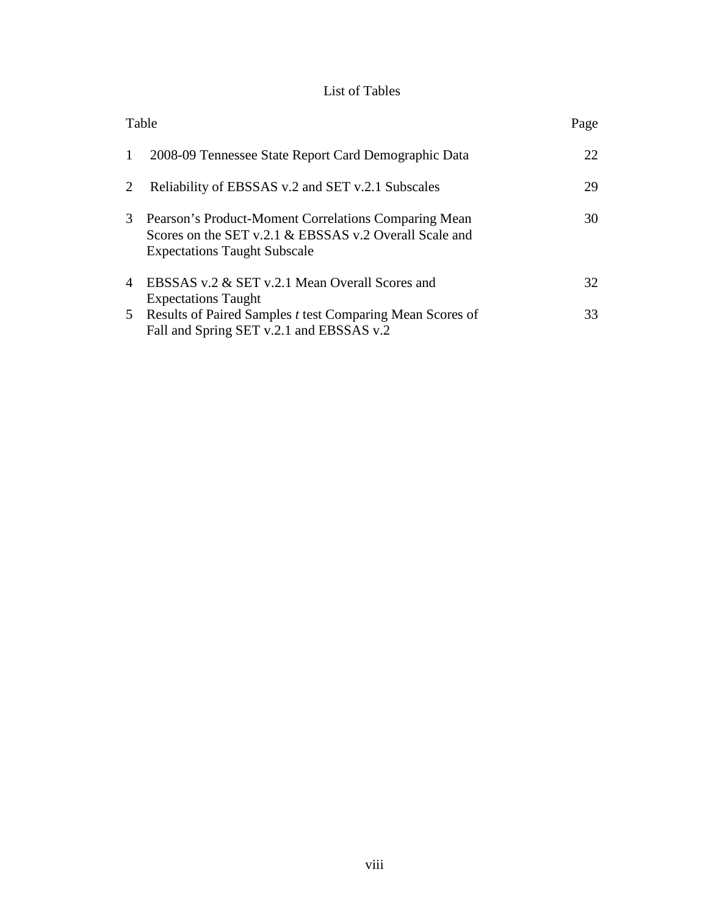### List of Tables

| Table          |                                                                                                                                                       | Page |
|----------------|-------------------------------------------------------------------------------------------------------------------------------------------------------|------|
| 1              | 2008-09 Tennessee State Report Card Demographic Data                                                                                                  | 22   |
| 2              | Reliability of EBSSAS v.2 and SET v.2.1 Subscales                                                                                                     | 29   |
| 3              | Pearson's Product-Moment Correlations Comparing Mean<br>Scores on the SET v.2.1 & EBSSAS v.2 Overall Scale and<br><b>Expectations Taught Subscale</b> | 30   |
| $\overline{4}$ | EBSSAS v.2 & SET v.2.1 Mean Overall Scores and<br><b>Expectations Taught</b>                                                                          | 32   |
|                | 5 Results of Paired Samples t test Comparing Mean Scores of<br>Fall and Spring SET v.2.1 and EBSSAS v.2                                               | 33   |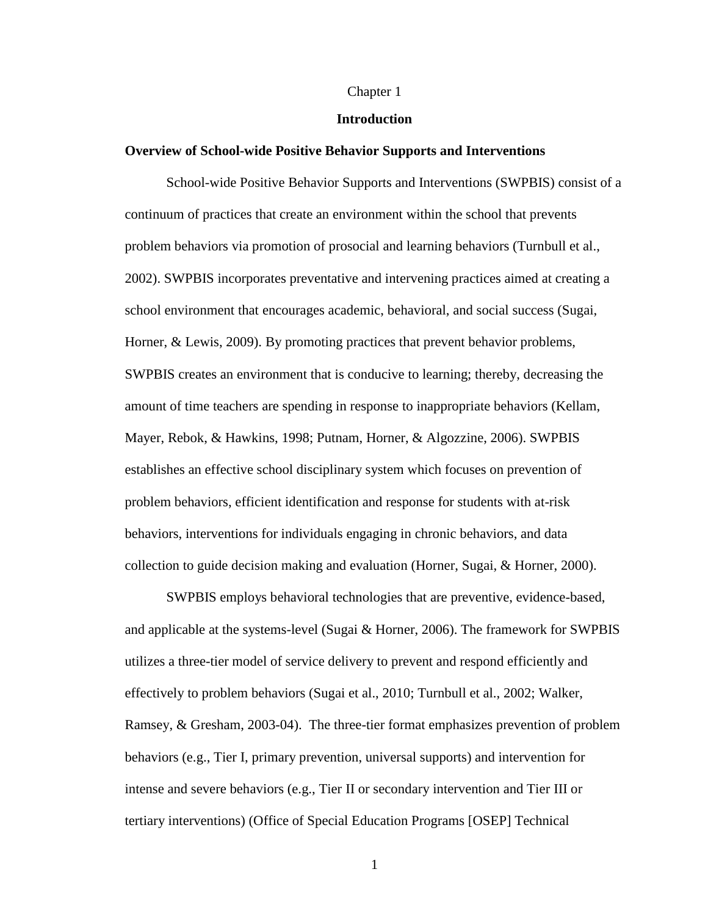#### Chapter 1

#### **Introduction**

#### **Overview of School-wide Positive Behavior Supports and Interventions**

School-wide Positive Behavior Supports and Interventions (SWPBIS) consist of a continuum of practices that create an environment within the school that prevents problem behaviors via promotion of prosocial and learning behaviors (Turnbull et al., 2002). SWPBIS incorporates preventative and intervening practices aimed at creating a school environment that encourages academic, behavioral, and social success (Sugai, Horner, & Lewis, 2009). By promoting practices that prevent behavior problems, SWPBIS creates an environment that is conducive to learning; thereby, decreasing the amount of time teachers are spending in response to inappropriate behaviors (Kellam, Mayer, Rebok, & Hawkins, 1998; Putnam, Horner, & Algozzine, 2006). SWPBIS establishes an effective school disciplinary system which focuses on prevention of problem behaviors, efficient identification and response for students with at-risk behaviors, interventions for individuals engaging in chronic behaviors, and data collection to guide decision making and evaluation (Horner, Sugai, & Horner, 2000).

SWPBIS employs behavioral technologies that are preventive, evidence-based, and applicable at the systems-level (Sugai & Horner, 2006). The framework for SWPBIS utilizes a three-tier model of service delivery to prevent and respond efficiently and effectively to problem behaviors (Sugai et al., 2010; Turnbull et al., 2002; Walker, Ramsey, & Gresham, 2003-04). The three-tier format emphasizes prevention of problem behaviors (e.g., Tier I, primary prevention, universal supports) and intervention for intense and severe behaviors (e.g., Tier II or secondary intervention and Tier III or tertiary interventions) (Office of Special Education Programs [OSEP] Technical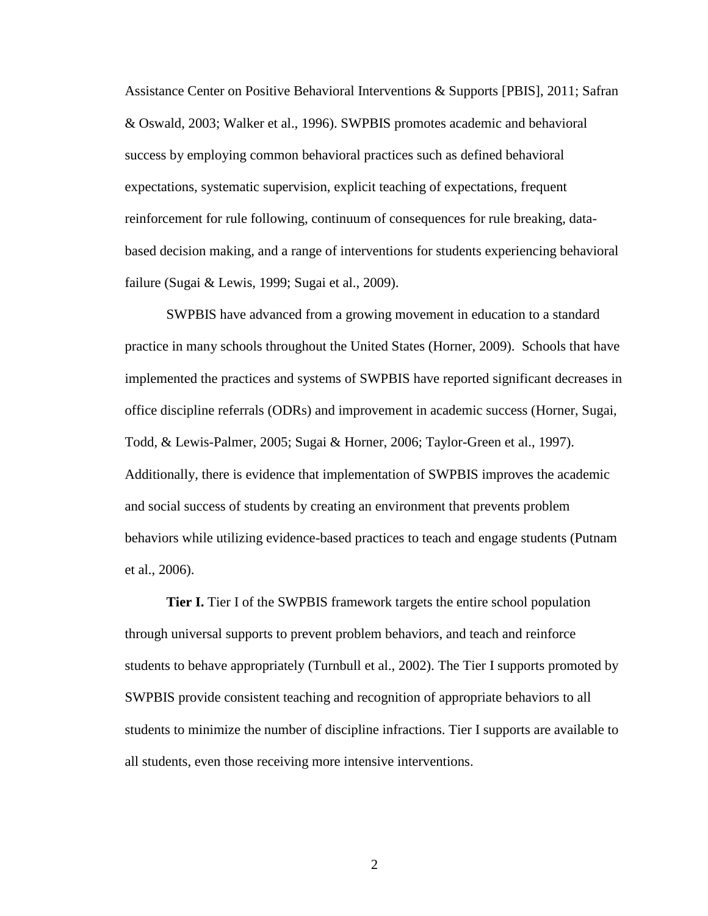Assistance Center on Positive Behavioral Interventions & Supports [PBIS], 2011; Safran & Oswald, 2003; Walker et al., 1996). SWPBIS promotes academic and behavioral success by employing common behavioral practices such as defined behavioral expectations, systematic supervision, explicit teaching of expectations, frequent reinforcement for rule following, continuum of consequences for rule breaking, databased decision making, and a range of interventions for students experiencing behavioral failure (Sugai & Lewis, 1999; Sugai et al., 2009).

SWPBIS have advanced from a growing movement in education to a standard practice in many schools throughout the United States (Horner, 2009). Schools that have implemented the practices and systems of SWPBIS have reported significant decreases in office discipline referrals (ODRs) and improvement in academic success (Horner, Sugai, Todd, & Lewis-Palmer, 2005; Sugai & Horner, 2006; Taylor-Green et al., 1997). Additionally, there is evidence that implementation of SWPBIS improves the academic and social success of students by creating an environment that prevents problem behaviors while utilizing evidence-based practices to teach and engage students (Putnam et al., 2006).

**Tier I.** Tier I of the SWPBIS framework targets the entire school population through universal supports to prevent problem behaviors, and teach and reinforce students to behave appropriately (Turnbull et al., 2002). The Tier I supports promoted by SWPBIS provide consistent teaching and recognition of appropriate behaviors to all students to minimize the number of discipline infractions. Tier I supports are available to all students, even those receiving more intensive interventions.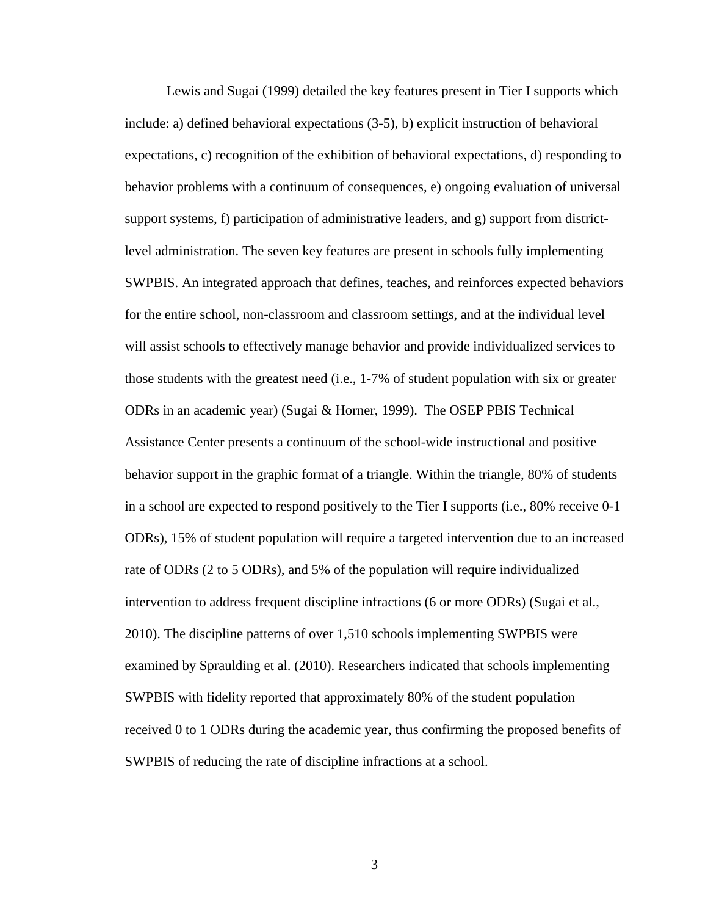Lewis and Sugai (1999) detailed the key features present in Tier I supports which include: a) defined behavioral expectations (3-5), b) explicit instruction of behavioral expectations, c) recognition of the exhibition of behavioral expectations, d) responding to behavior problems with a continuum of consequences, e) ongoing evaluation of universal support systems, f) participation of administrative leaders, and g) support from districtlevel administration. The seven key features are present in schools fully implementing SWPBIS. An integrated approach that defines, teaches, and reinforces expected behaviors for the entire school, non-classroom and classroom settings, and at the individual level will assist schools to effectively manage behavior and provide individualized services to those students with the greatest need (i.e., 1-7% of student population with six or greater ODRs in an academic year) (Sugai & Horner, 1999). The OSEP PBIS Technical Assistance Center presents a continuum of the school-wide instructional and positive behavior support in the graphic format of a triangle. Within the triangle, 80% of students in a school are expected to respond positively to the Tier I supports (i.e., 80% receive 0-1 ODRs), 15% of student population will require a targeted intervention due to an increased rate of ODRs (2 to 5 ODRs), and 5% of the population will require individualized intervention to address frequent discipline infractions (6 or more ODRs) (Sugai et al., 2010). The discipline patterns of over 1,510 schools implementing SWPBIS were examined by Spraulding et al. (2010). Researchers indicated that schools implementing SWPBIS with fidelity reported that approximately 80% of the student population received 0 to 1 ODRs during the academic year, thus confirming the proposed benefits of SWPBIS of reducing the rate of discipline infractions at a school.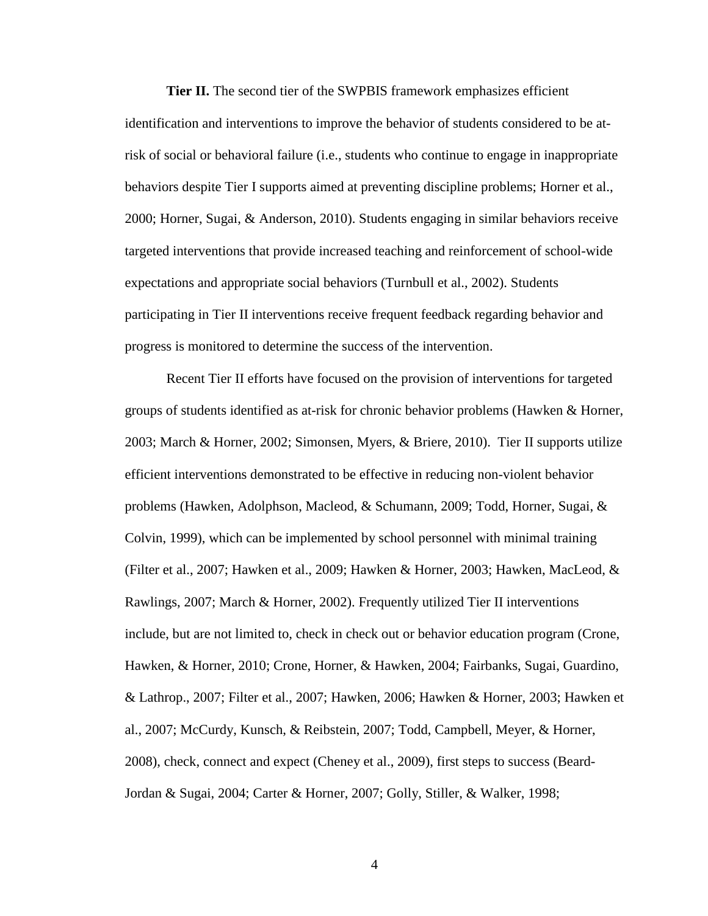**Tier II.** The second tier of the SWPBIS framework emphasizes efficient identification and interventions to improve the behavior of students considered to be atrisk of social or behavioral failure (i.e., students who continue to engage in inappropriate behaviors despite Tier I supports aimed at preventing discipline problems; Horner et al., 2000; Horner, Sugai, & Anderson, 2010). Students engaging in similar behaviors receive targeted interventions that provide increased teaching and reinforcement of school-wide expectations and appropriate social behaviors (Turnbull et al., 2002). Students participating in Tier II interventions receive frequent feedback regarding behavior and progress is monitored to determine the success of the intervention.

Recent Tier II efforts have focused on the provision of interventions for targeted groups of students identified as at-risk for chronic behavior problems (Hawken & Horner, 2003; March & Horner, 2002; Simonsen, Myers, & Briere, 2010). Tier II supports utilize efficient interventions demonstrated to be effective in reducing non-violent behavior problems (Hawken, Adolphson, Macleod, & Schumann, 2009; Todd, Horner, Sugai, & Colvin, 1999), which can be implemented by school personnel with minimal training (Filter et al., 2007; Hawken et al., 2009; Hawken & Horner, 2003; Hawken, MacLeod, & Rawlings, 2007; March & Horner, 2002). Frequently utilized Tier II interventions include, but are not limited to, check in check out or behavior education program (Crone, Hawken, & Horner, 2010; Crone, Horner, & Hawken, 2004; Fairbanks, Sugai, Guardino, & Lathrop., 2007; Filter et al., 2007; Hawken, 2006; Hawken & Horner, 2003; Hawken et al., 2007; McCurdy, Kunsch, & Reibstein, 2007; Todd, Campbell, Meyer, & Horner, 2008), check, connect and expect (Cheney et al., 2009), first steps to success (Beard-Jordan & Sugai, 2004; Carter & Horner, 2007; Golly, Stiller, & Walker, 1998;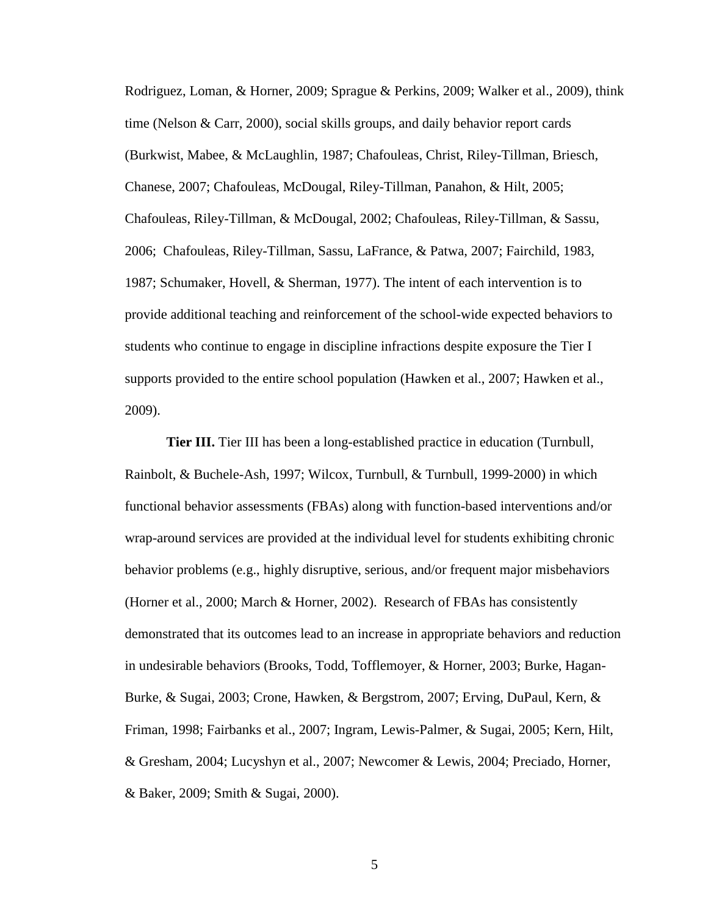Rodriguez, Loman, & Horner, 2009; Sprague & Perkins, 2009; Walker et al., 2009), think time (Nelson & Carr, 2000), social skills groups, and daily behavior report cards (Burkwist, Mabee, & McLaughlin, 1987; Chafouleas, Christ, Riley-Tillman, Briesch, Chanese, 2007; Chafouleas, McDougal, Riley-Tillman, Panahon, & Hilt, 2005; Chafouleas, Riley-Tillman, & McDougal, 2002; Chafouleas, Riley-Tillman, & Sassu, 2006; Chafouleas, Riley-Tillman, Sassu, LaFrance, & Patwa, 2007; Fairchild, 1983, 1987; Schumaker, Hovell, & Sherman, 1977). The intent of each intervention is to provide additional teaching and reinforcement of the school-wide expected behaviors to students who continue to engage in discipline infractions despite exposure the Tier I supports provided to the entire school population (Hawken et al., 2007; Hawken et al., 2009).

**Tier III.** Tier III has been a long-established practice in education (Turnbull, Rainbolt, & Buchele-Ash, 1997; Wilcox, Turnbull, & Turnbull, 1999-2000) in which functional behavior assessments (FBAs) along with function-based interventions and/or wrap-around services are provided at the individual level for students exhibiting chronic behavior problems (e.g., highly disruptive, serious, and/or frequent major misbehaviors (Horner et al., 2000; March & Horner, 2002). Research of FBAs has consistently demonstrated that its outcomes lead to an increase in appropriate behaviors and reduction in undesirable behaviors (Brooks, Todd, Tofflemoyer, & Horner, 2003; Burke, Hagan-Burke, & Sugai, 2003; Crone, Hawken, & Bergstrom, 2007; Erving, DuPaul, Kern, & Friman, 1998; Fairbanks et al., 2007; Ingram, Lewis-Palmer, & Sugai, 2005; Kern, Hilt, & Gresham, 2004; Lucyshyn et al., 2007; Newcomer & Lewis, 2004; Preciado, Horner, & Baker, 2009; Smith & Sugai, 2000).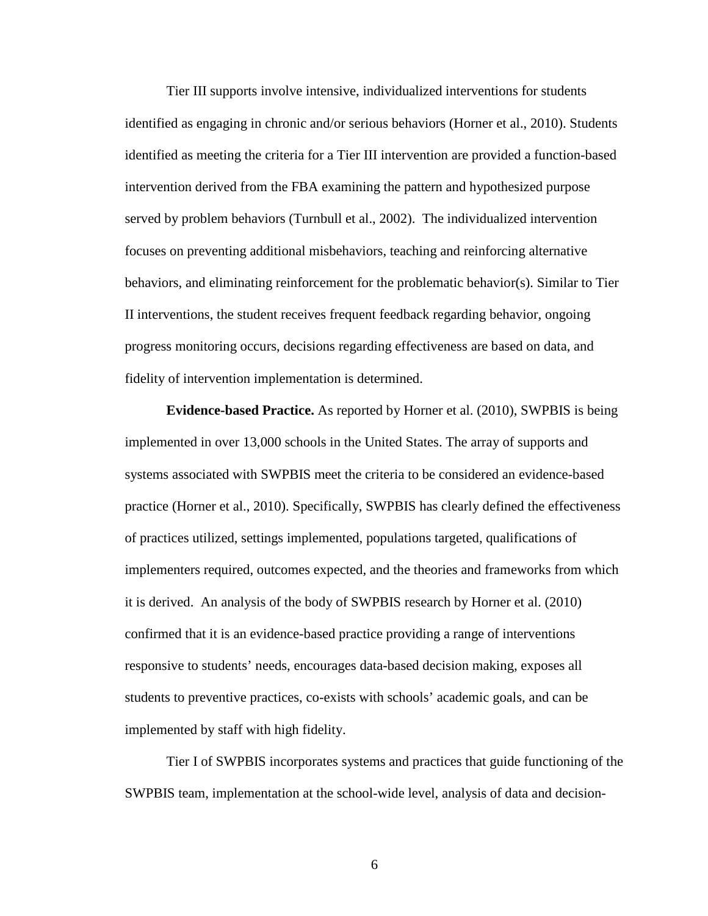Tier III supports involve intensive, individualized interventions for students identified as engaging in chronic and/or serious behaviors (Horner et al., 2010). Students identified as meeting the criteria for a Tier III intervention are provided a function-based intervention derived from the FBA examining the pattern and hypothesized purpose served by problem behaviors (Turnbull et al., 2002). The individualized intervention focuses on preventing additional misbehaviors, teaching and reinforcing alternative behaviors, and eliminating reinforcement for the problematic behavior(s). Similar to Tier II interventions, the student receives frequent feedback regarding behavior, ongoing progress monitoring occurs, decisions regarding effectiveness are based on data, and fidelity of intervention implementation is determined.

**Evidence-based Practice.** As reported by Horner et al. (2010), SWPBIS is being implemented in over 13,000 schools in the United States. The array of supports and systems associated with SWPBIS meet the criteria to be considered an evidence-based practice (Horner et al., 2010). Specifically, SWPBIS has clearly defined the effectiveness of practices utilized, settings implemented, populations targeted, qualifications of implementers required, outcomes expected, and the theories and frameworks from which it is derived. An analysis of the body of SWPBIS research by Horner et al. (2010) confirmed that it is an evidence-based practice providing a range of interventions responsive to students' needs, encourages data-based decision making, exposes all students to preventive practices, co-exists with schools' academic goals, and can be implemented by staff with high fidelity.

Tier I of SWPBIS incorporates systems and practices that guide functioning of the SWPBIS team, implementation at the school-wide level, analysis of data and decision-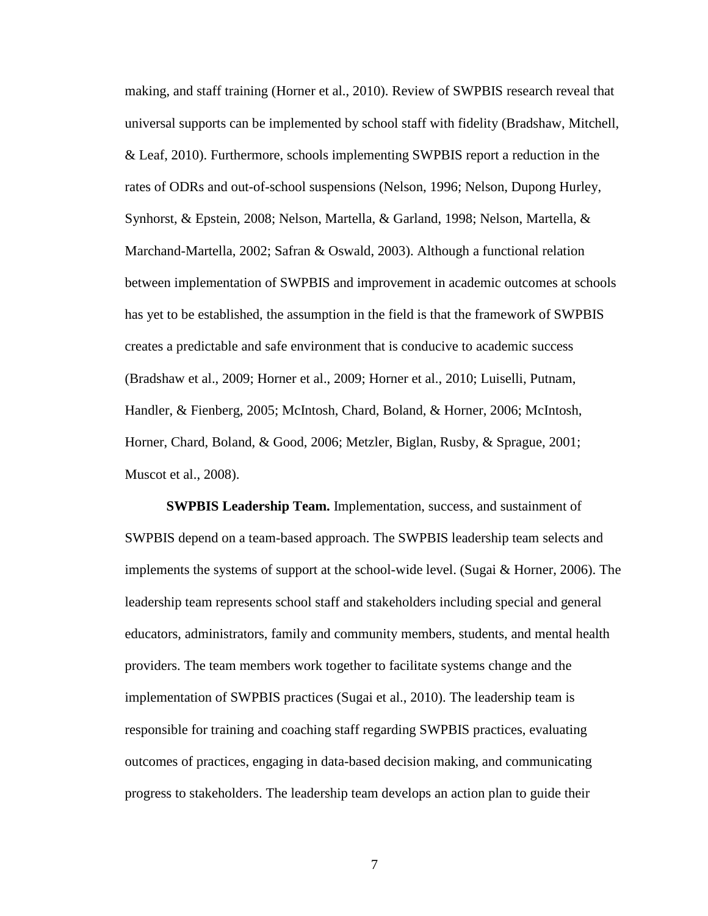making, and staff training (Horner et al., 2010). Review of SWPBIS research reveal that universal supports can be implemented by school staff with fidelity (Bradshaw, Mitchell, & Leaf, 2010). Furthermore, schools implementing SWPBIS report a reduction in the rates of ODRs and out-of-school suspensions (Nelson, 1996; Nelson, Dupong Hurley, Synhorst, & Epstein, 2008; Nelson, Martella, & Garland, 1998; Nelson, Martella, & Marchand-Martella, 2002; Safran & Oswald, 2003). Although a functional relation between implementation of SWPBIS and improvement in academic outcomes at schools has yet to be established, the assumption in the field is that the framework of SWPBIS creates a predictable and safe environment that is conducive to academic success (Bradshaw et al., 2009; Horner et al., 2009; Horner et al., 2010; Luiselli, Putnam, Handler, & Fienberg, 2005; McIntosh, Chard, Boland, & Horner, 2006; McIntosh, Horner, Chard, Boland, & Good, 2006; Metzler, Biglan, Rusby, & Sprague, 2001; Muscot et al., 2008).

**SWPBIS Leadership Team.** Implementation, success, and sustainment of SWPBIS depend on a team-based approach. The SWPBIS leadership team selects and implements the systems of support at the school-wide level. (Sugai & Horner, 2006). The leadership team represents school staff and stakeholders including special and general educators, administrators, family and community members, students, and mental health providers. The team members work together to facilitate systems change and the implementation of SWPBIS practices (Sugai et al., 2010). The leadership team is responsible for training and coaching staff regarding SWPBIS practices, evaluating outcomes of practices, engaging in data-based decision making, and communicating progress to stakeholders. The leadership team develops an action plan to guide their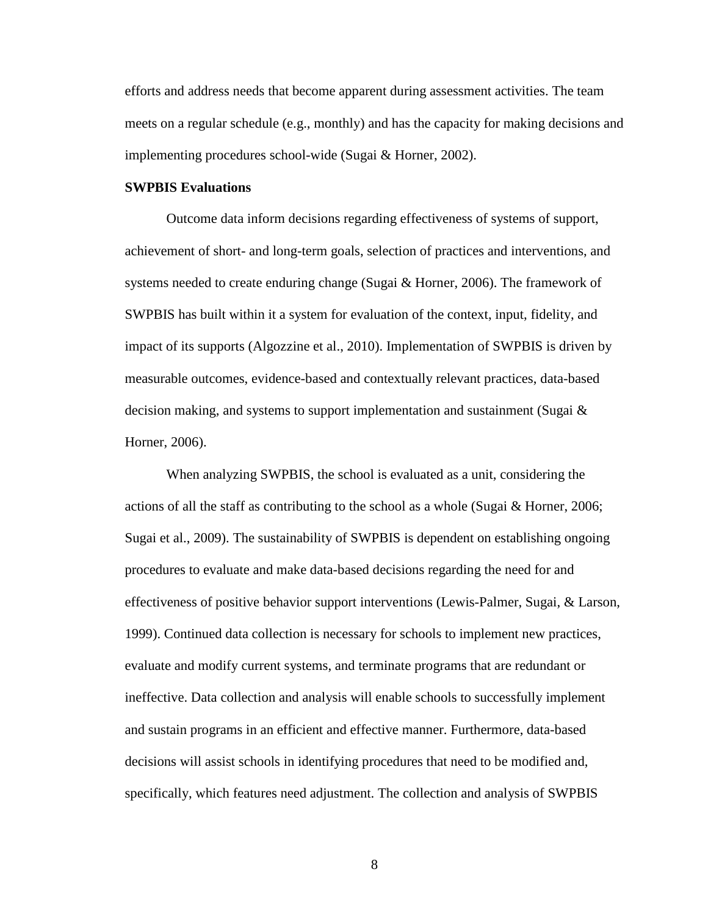efforts and address needs that become apparent during assessment activities. The team meets on a regular schedule (e.g., monthly) and has the capacity for making decisions and implementing procedures school-wide (Sugai & Horner, 2002).

#### **SWPBIS Evaluations**

Outcome data inform decisions regarding effectiveness of systems of support, achievement of short- and long-term goals, selection of practices and interventions, and systems needed to create enduring change (Sugai & Horner, 2006). The framework of SWPBIS has built within it a system for evaluation of the context, input, fidelity, and impact of its supports (Algozzine et al., 2010). Implementation of SWPBIS is driven by measurable outcomes, evidence-based and contextually relevant practices, data-based decision making, and systems to support implementation and sustainment (Sugai & Horner, 2006).

When analyzing SWPBIS, the school is evaluated as a unit, considering the actions of all the staff as contributing to the school as a whole (Sugai & Horner, 2006; Sugai et al., 2009). The sustainability of SWPBIS is dependent on establishing ongoing procedures to evaluate and make data-based decisions regarding the need for and effectiveness of positive behavior support interventions (Lewis-Palmer, Sugai, & Larson, 1999). Continued data collection is necessary for schools to implement new practices, evaluate and modify current systems, and terminate programs that are redundant or ineffective. Data collection and analysis will enable schools to successfully implement and sustain programs in an efficient and effective manner. Furthermore, data-based decisions will assist schools in identifying procedures that need to be modified and, specifically, which features need adjustment. The collection and analysis of SWPBIS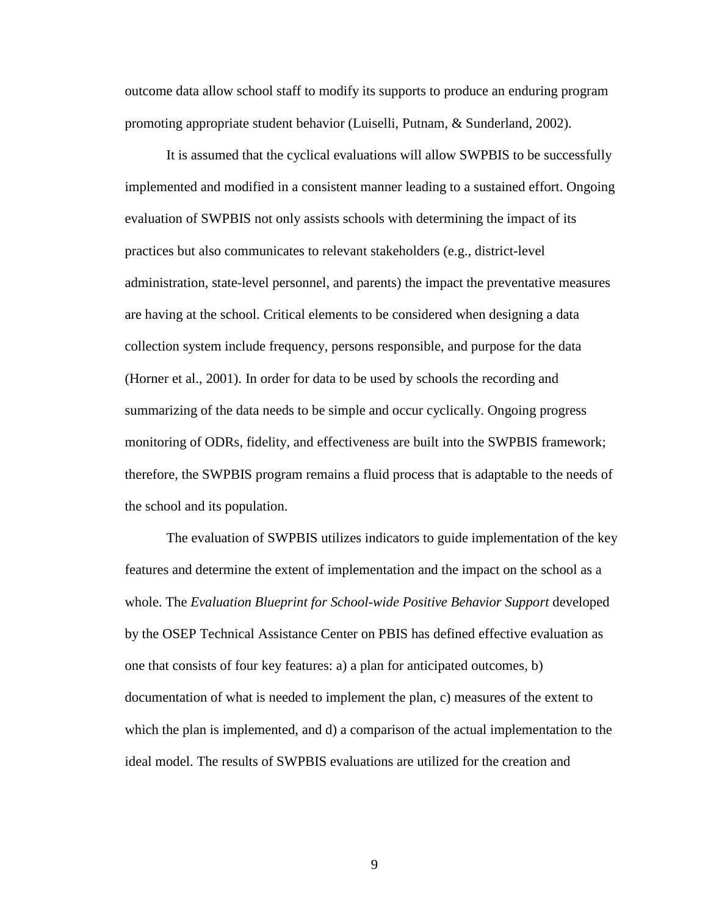outcome data allow school staff to modify its supports to produce an enduring program promoting appropriate student behavior (Luiselli, Putnam, & Sunderland, 2002).

It is assumed that the cyclical evaluations will allow SWPBIS to be successfully implemented and modified in a consistent manner leading to a sustained effort. Ongoing evaluation of SWPBIS not only assists schools with determining the impact of its practices but also communicates to relevant stakeholders (e.g., district-level administration, state-level personnel, and parents) the impact the preventative measures are having at the school. Critical elements to be considered when designing a data collection system include frequency, persons responsible, and purpose for the data (Horner et al., 2001). In order for data to be used by schools the recording and summarizing of the data needs to be simple and occur cyclically. Ongoing progress monitoring of ODRs, fidelity, and effectiveness are built into the SWPBIS framework; therefore, the SWPBIS program remains a fluid process that is adaptable to the needs of the school and its population.

The evaluation of SWPBIS utilizes indicators to guide implementation of the key features and determine the extent of implementation and the impact on the school as a whole. The *Evaluation Blueprint for School-wide Positive Behavior Support* developed by the OSEP Technical Assistance Center on PBIS has defined effective evaluation as one that consists of four key features: a) a plan for anticipated outcomes, b) documentation of what is needed to implement the plan, c) measures of the extent to which the plan is implemented, and d) a comparison of the actual implementation to the ideal model. The results of SWPBIS evaluations are utilized for the creation and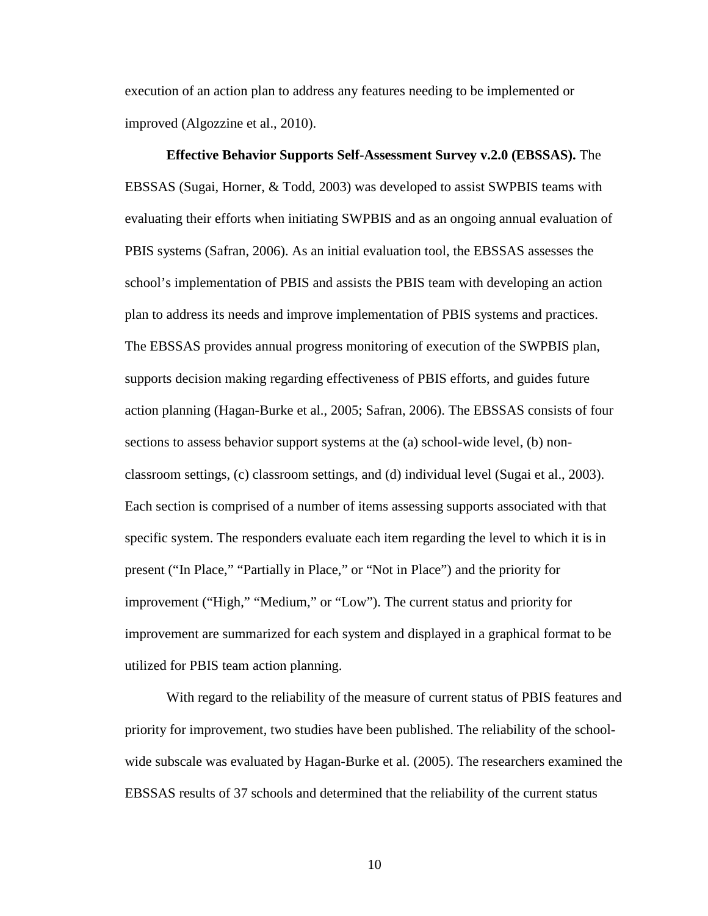execution of an action plan to address any features needing to be implemented or improved (Algozzine et al., 2010).

**Effective Behavior Supports Self-Assessment Survey v.2.0 (EBSSAS).** The EBSSAS (Sugai, Horner, & Todd, 2003) was developed to assist SWPBIS teams with evaluating their efforts when initiating SWPBIS and as an ongoing annual evaluation of PBIS systems (Safran, 2006). As an initial evaluation tool, the EBSSAS assesses the school's implementation of PBIS and assists the PBIS team with developing an action plan to address its needs and improve implementation of PBIS systems and practices. The EBSSAS provides annual progress monitoring of execution of the SWPBIS plan, supports decision making regarding effectiveness of PBIS efforts, and guides future action planning (Hagan-Burke et al., 2005; Safran, 2006). The EBSSAS consists of four sections to assess behavior support systems at the (a) school-wide level, (b) nonclassroom settings, (c) classroom settings, and (d) individual level (Sugai et al., 2003). Each section is comprised of a number of items assessing supports associated with that specific system. The responders evaluate each item regarding the level to which it is in present ("In Place," "Partially in Place," or "Not in Place") and the priority for improvement ("High," "Medium," or "Low"). The current status and priority for improvement are summarized for each system and displayed in a graphical format to be utilized for PBIS team action planning.

With regard to the reliability of the measure of current status of PBIS features and priority for improvement, two studies have been published. The reliability of the schoolwide subscale was evaluated by Hagan-Burke et al. (2005). The researchers examined the EBSSAS results of 37 schools and determined that the reliability of the current status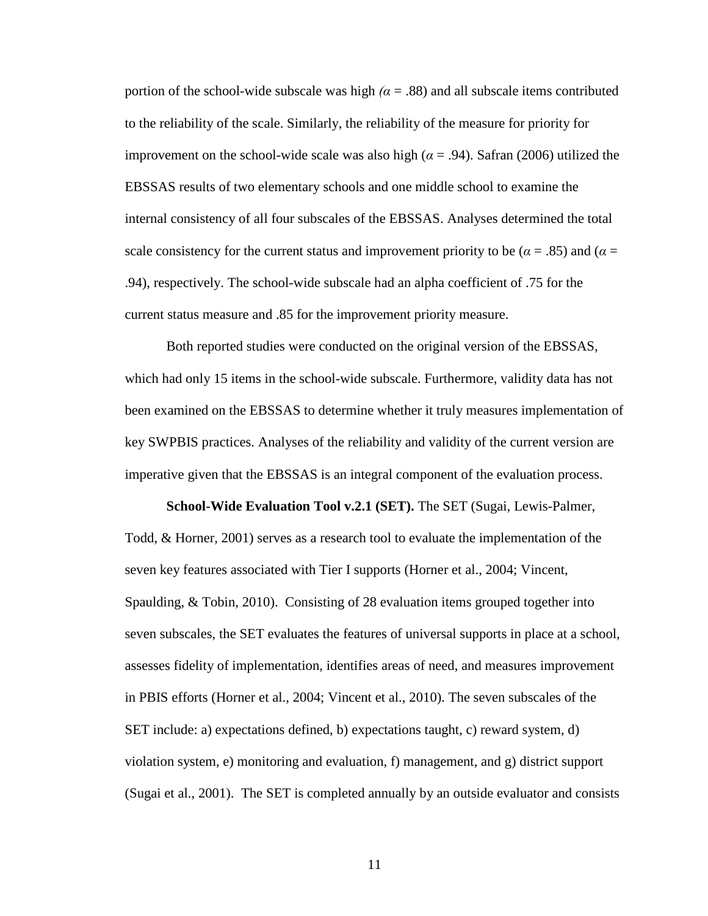portion of the school-wide subscale was high  $(α = .88)$  and all subscale items contributed to the reliability of the scale. Similarly, the reliability of the measure for priority for improvement on the school-wide scale was also high ( $\alpha$  = .94). Safran (2006) utilized the EBSSAS results of two elementary schools and one middle school to examine the internal consistency of all four subscales of the EBSSAS. Analyses determined the total scale consistency for the current status and improvement priority to be ( $\alpha$  = .85) and ( $\alpha$  = .94), respectively. The school-wide subscale had an alpha coefficient of .75 for the current status measure and .85 for the improvement priority measure.

Both reported studies were conducted on the original version of the EBSSAS, which had only 15 items in the school-wide subscale. Furthermore, validity data has not been examined on the EBSSAS to determine whether it truly measures implementation of key SWPBIS practices. Analyses of the reliability and validity of the current version are imperative given that the EBSSAS is an integral component of the evaluation process.

**School-Wide Evaluation Tool v.2.1 (SET).** The SET (Sugai, Lewis-Palmer, Todd, & Horner, 2001) serves as a research tool to evaluate the implementation of the seven key features associated with Tier I supports (Horner et al., 2004; Vincent, Spaulding, & Tobin, 2010). Consisting of 28 evaluation items grouped together into seven subscales, the SET evaluates the features of universal supports in place at a school, assesses fidelity of implementation, identifies areas of need, and measures improvement in PBIS efforts (Horner et al., 2004; Vincent et al., 2010). The seven subscales of the SET include: a) expectations defined, b) expectations taught, c) reward system, d) violation system, e) monitoring and evaluation, f) management, and g) district support (Sugai et al., 2001). The SET is completed annually by an outside evaluator and consists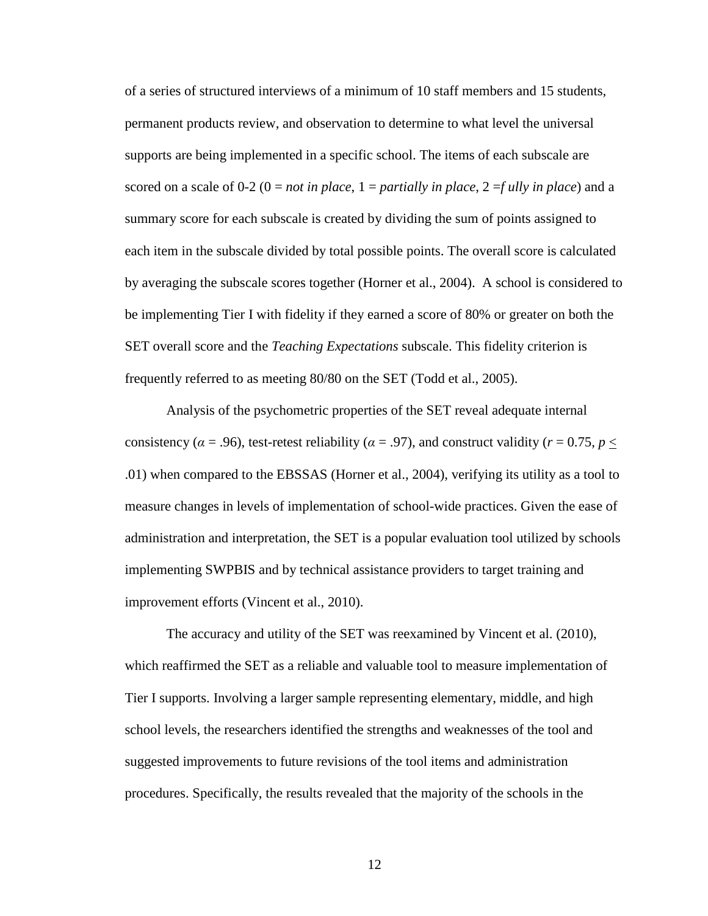of a series of structured interviews of a minimum of 10 staff members and 15 students, permanent products review, and observation to determine to what level the universal supports are being implemented in a specific school. The items of each subscale are scored on a scale of  $0-2$  ( $0 = not$  *in place*,  $1 =$  *partially in place*,  $2 =$  *fully in place*) and a summary score for each subscale is created by dividing the sum of points assigned to each item in the subscale divided by total possible points. The overall score is calculated by averaging the subscale scores together (Horner et al., 2004). A school is considered to be implementing Tier I with fidelity if they earned a score of 80% or greater on both the SET overall score and the *Teaching Expectations* subscale. This fidelity criterion is frequently referred to as meeting 80/80 on the SET (Todd et al., 2005).

Analysis of the psychometric properties of the SET reveal adequate internal consistency ( $\alpha$  = .96), test-retest reliability ( $\alpha$  = .97), and construct validity ( $r$  = 0.75,  $p$  < .01) when compared to the EBSSAS (Horner et al., 2004), verifying its utility as a tool to measure changes in levels of implementation of school-wide practices. Given the ease of administration and interpretation, the SET is a popular evaluation tool utilized by schools implementing SWPBIS and by technical assistance providers to target training and improvement efforts (Vincent et al., 2010).

The accuracy and utility of the SET was reexamined by Vincent et al. (2010), which reaffirmed the SET as a reliable and valuable tool to measure implementation of Tier I supports. Involving a larger sample representing elementary, middle, and high school levels, the researchers identified the strengths and weaknesses of the tool and suggested improvements to future revisions of the tool items and administration procedures. Specifically, the results revealed that the majority of the schools in the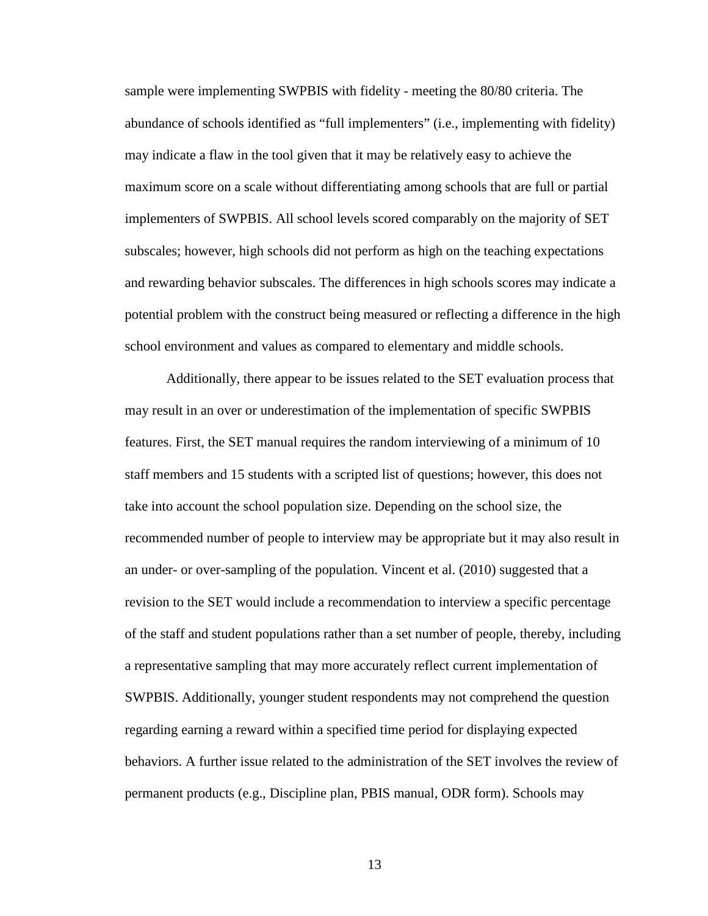sample were implementing SWPBIS with fidelity - meeting the 80/80 criteria. The abundance of schools identified as "full implementers" (i.e., implementing with fidelity) may indicate a flaw in the tool given that it may be relatively easy to achieve the maximum score on a scale without differentiating among schools that are full or partial implementers of SWPBIS. All school levels scored comparably on the majority of SET subscales; however, high schools did not perform as high on the teaching expectations and rewarding behavior subscales. The differences in high schools scores may indicate a potential problem with the construct being measured or reflecting a difference in the high school environment and values as compared to elementary and middle schools.

Additionally, there appear to be issues related to the SET evaluation process that may result in an over or underestimation of the implementation of specific SWPBIS features. First, the SET manual requires the random interviewing of a minimum of 10 staff members and 15 students with a scripted list of questions; however, this does not take into account the school population size. Depending on the school size, the recommended number of people to interview may be appropriate but it may also result in an under- or over-sampling of the population. Vincent et al. (2010) suggested that a revision to the SET would include a recommendation to interview a specific percentage of the staff and student populations rather than a set number of people, thereby, including a representative sampling that may more accurately reflect current implementation of SWPBIS. Additionally, younger student respondents may not comprehend the question regarding earning a reward within a specified time period for displaying expected behaviors. A further issue related to the administration of the SET involves the review of permanent products (e.g., Discipline plan, PBIS manual, ODR form). Schools may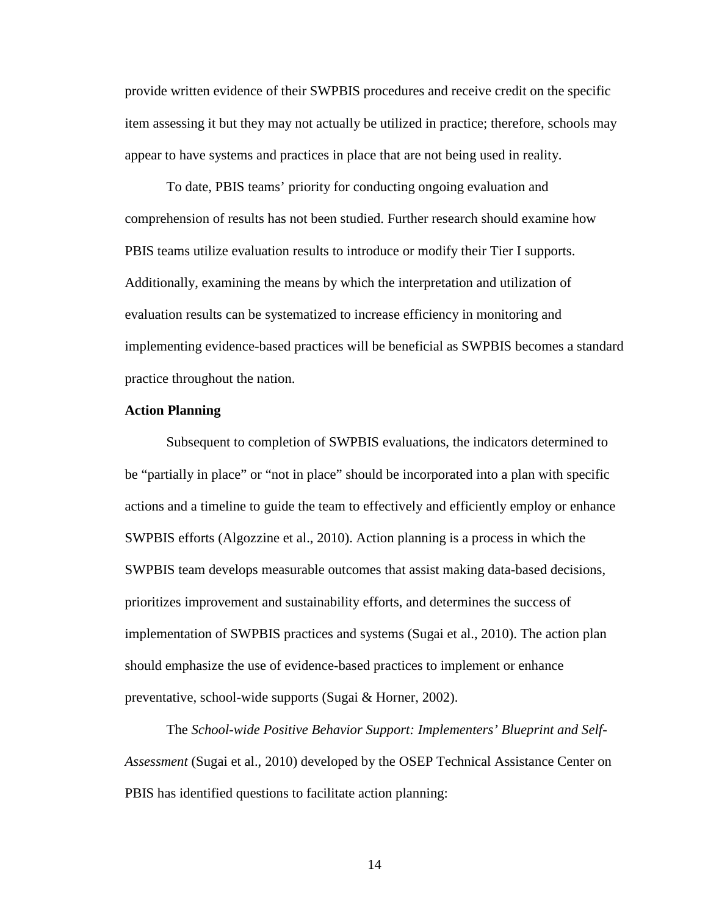provide written evidence of their SWPBIS procedures and receive credit on the specific item assessing it but they may not actually be utilized in practice; therefore, schools may appear to have systems and practices in place that are not being used in reality.

To date, PBIS teams' priority for conducting ongoing evaluation and comprehension of results has not been studied. Further research should examine how PBIS teams utilize evaluation results to introduce or modify their Tier I supports. Additionally, examining the means by which the interpretation and utilization of evaluation results can be systematized to increase efficiency in monitoring and implementing evidence-based practices will be beneficial as SWPBIS becomes a standard practice throughout the nation.

#### **Action Planning**

Subsequent to completion of SWPBIS evaluations, the indicators determined to be "partially in place" or "not in place" should be incorporated into a plan with specific actions and a timeline to guide the team to effectively and efficiently employ or enhance SWPBIS efforts (Algozzine et al., 2010). Action planning is a process in which the SWPBIS team develops measurable outcomes that assist making data-based decisions, prioritizes improvement and sustainability efforts, and determines the success of implementation of SWPBIS practices and systems (Sugai et al., 2010). The action plan should emphasize the use of evidence-based practices to implement or enhance preventative, school-wide supports (Sugai & Horner, 2002).

The *School-wide Positive Behavior Support: Implementers' Blueprint and Self-Assessment* (Sugai et al., 2010) developed by the OSEP Technical Assistance Center on PBIS has identified questions to facilitate action planning: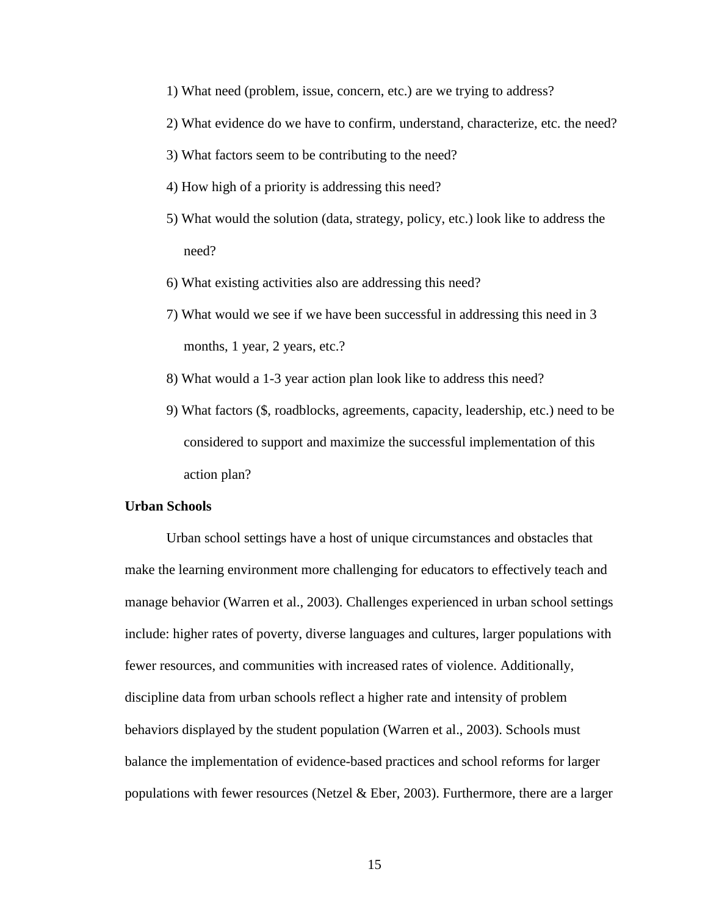- 1) What need (problem, issue, concern, etc.) are we trying to address?
- 2) What evidence do we have to confirm, understand, characterize, etc. the need?
- 3) What factors seem to be contributing to the need?
- 4) How high of a priority is addressing this need?
- 5) What would the solution (data, strategy, policy, etc.) look like to address the need?
- 6) What existing activities also are addressing this need?
- 7) What would we see if we have been successful in addressing this need in 3 months, 1 year, 2 years, etc.?
- 8) What would a 1-3 year action plan look like to address this need?
- 9) What factors (\$, roadblocks, agreements, capacity, leadership, etc.) need to be considered to support and maximize the successful implementation of this action plan?

#### **Urban Schools**

Urban school settings have a host of unique circumstances and obstacles that make the learning environment more challenging for educators to effectively teach and manage behavior (Warren et al., 2003). Challenges experienced in urban school settings include: higher rates of poverty, diverse languages and cultures, larger populations with fewer resources, and communities with increased rates of violence. Additionally, discipline data from urban schools reflect a higher rate and intensity of problem behaviors displayed by the student population (Warren et al., 2003). Schools must balance the implementation of evidence-based practices and school reforms for larger populations with fewer resources (Netzel & Eber, 2003). Furthermore, there are a larger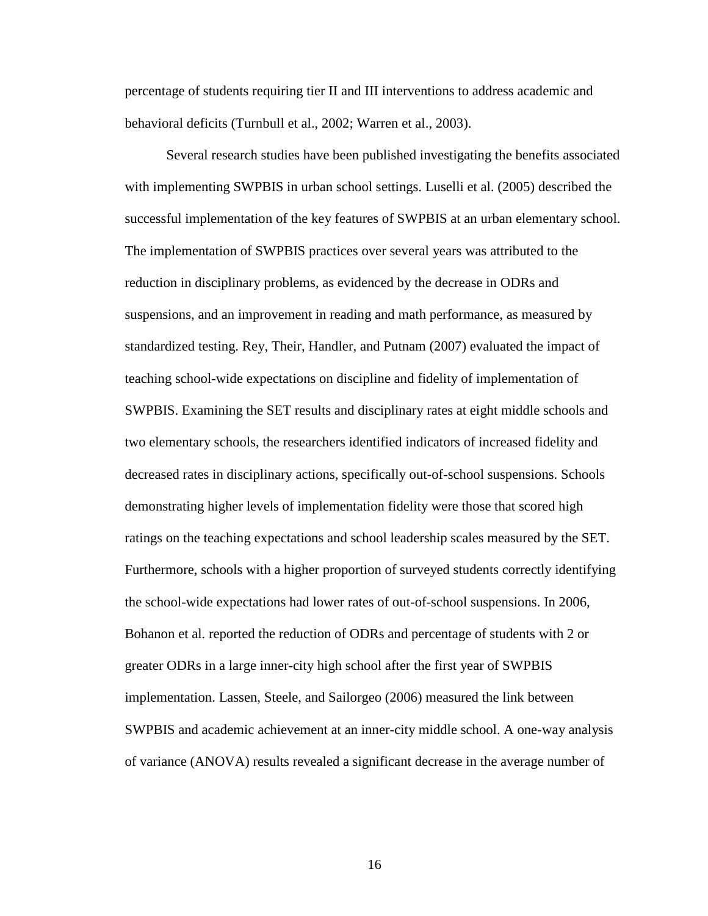percentage of students requiring tier II and III interventions to address academic and behavioral deficits (Turnbull et al., 2002; Warren et al., 2003).

Several research studies have been published investigating the benefits associated with implementing SWPBIS in urban school settings. Luselli et al. (2005) described the successful implementation of the key features of SWPBIS at an urban elementary school. The implementation of SWPBIS practices over several years was attributed to the reduction in disciplinary problems, as evidenced by the decrease in ODRs and suspensions, and an improvement in reading and math performance, as measured by standardized testing. Rey, Their, Handler, and Putnam (2007) evaluated the impact of teaching school-wide expectations on discipline and fidelity of implementation of SWPBIS. Examining the SET results and disciplinary rates at eight middle schools and two elementary schools, the researchers identified indicators of increased fidelity and decreased rates in disciplinary actions, specifically out-of-school suspensions. Schools demonstrating higher levels of implementation fidelity were those that scored high ratings on the teaching expectations and school leadership scales measured by the SET. Furthermore, schools with a higher proportion of surveyed students correctly identifying the school-wide expectations had lower rates of out-of-school suspensions. In 2006, Bohanon et al. reported the reduction of ODRs and percentage of students with 2 or greater ODRs in a large inner-city high school after the first year of SWPBIS implementation. Lassen, Steele, and Sailorgeo (2006) measured the link between SWPBIS and academic achievement at an inner-city middle school. A one-way analysis of variance (ANOVA) results revealed a significant decrease in the average number of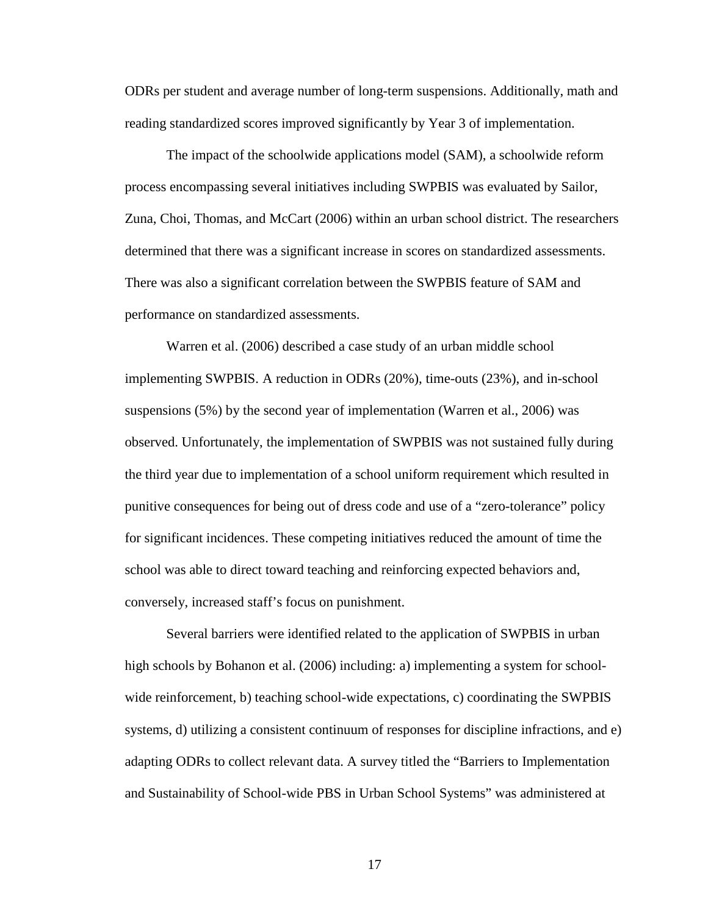ODRs per student and average number of long-term suspensions. Additionally, math and reading standardized scores improved significantly by Year 3 of implementation.

The impact of the schoolwide applications model (SAM), a schoolwide reform process encompassing several initiatives including SWPBIS was evaluated by Sailor, Zuna, Choi, Thomas, and McCart (2006) within an urban school district. The researchers determined that there was a significant increase in scores on standardized assessments. There was also a significant correlation between the SWPBIS feature of SAM and performance on standardized assessments.

Warren et al. (2006) described a case study of an urban middle school implementing SWPBIS. A reduction in ODRs (20%), time-outs (23%), and in-school suspensions (5%) by the second year of implementation (Warren et al., 2006) was observed. Unfortunately, the implementation of SWPBIS was not sustained fully during the third year due to implementation of a school uniform requirement which resulted in punitive consequences for being out of dress code and use of a "zero-tolerance" policy for significant incidences. These competing initiatives reduced the amount of time the school was able to direct toward teaching and reinforcing expected behaviors and, conversely, increased staff's focus on punishment.

Several barriers were identified related to the application of SWPBIS in urban high schools by Bohanon et al. (2006) including: a) implementing a system for schoolwide reinforcement, b) teaching school-wide expectations, c) coordinating the SWPBIS systems, d) utilizing a consistent continuum of responses for discipline infractions, and e) adapting ODRs to collect relevant data. A survey titled the "Barriers to Implementation and Sustainability of School-wide PBS in Urban School Systems" was administered at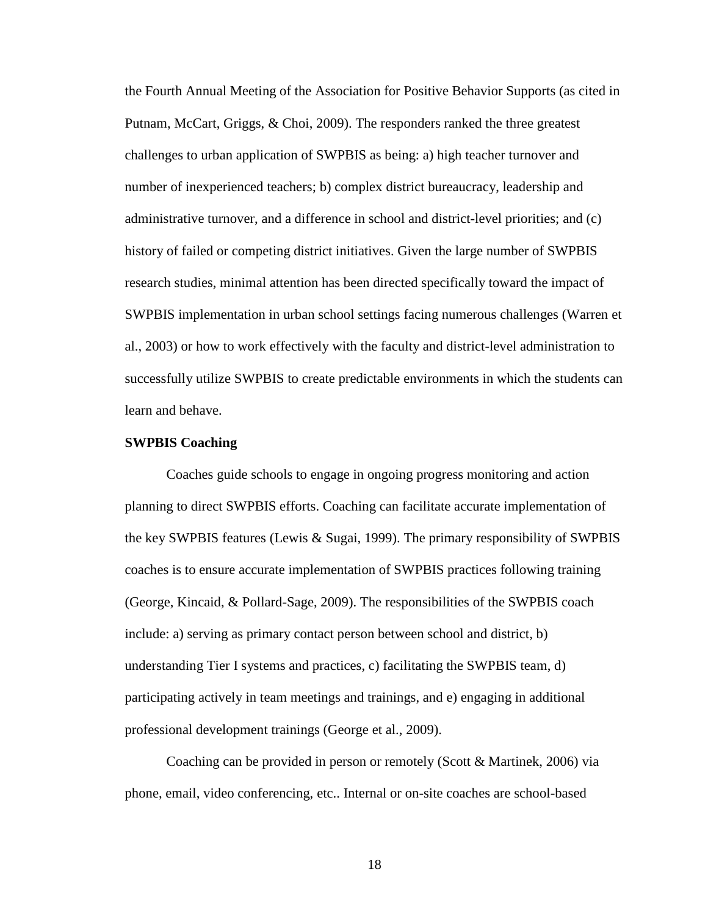the Fourth Annual Meeting of the Association for Positive Behavior Supports (as cited in Putnam, McCart, Griggs, & Choi, 2009). The responders ranked the three greatest challenges to urban application of SWPBIS as being: a) high teacher turnover and number of inexperienced teachers; b) complex district bureaucracy, leadership and administrative turnover, and a difference in school and district-level priorities; and (c) history of failed or competing district initiatives. Given the large number of SWPBIS research studies, minimal attention has been directed specifically toward the impact of SWPBIS implementation in urban school settings facing numerous challenges (Warren et al., 2003) or how to work effectively with the faculty and district-level administration to successfully utilize SWPBIS to create predictable environments in which the students can learn and behave.

#### **SWPBIS Coaching**

Coaches guide schools to engage in ongoing progress monitoring and action planning to direct SWPBIS efforts. Coaching can facilitate accurate implementation of the key SWPBIS features (Lewis & Sugai, 1999). The primary responsibility of SWPBIS coaches is to ensure accurate implementation of SWPBIS practices following training (George, Kincaid, & Pollard-Sage, 2009). The responsibilities of the SWPBIS coach include: a) serving as primary contact person between school and district, b) understanding Tier I systems and practices, c) facilitating the SWPBIS team, d) participating actively in team meetings and trainings, and e) engaging in additional professional development trainings (George et al., 2009).

Coaching can be provided in person or remotely (Scott & Martinek, 2006) via phone, email, video conferencing, etc.. Internal or on-site coaches are school-based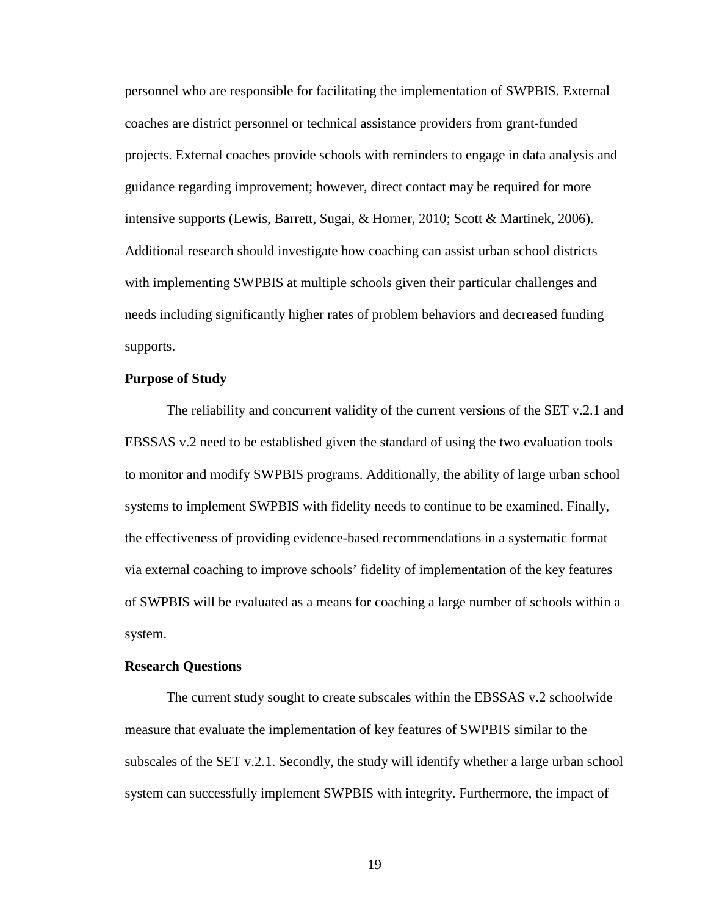personnel who are responsible for facilitating the implementation of SWPBIS. External coaches are district personnel or technical assistance providers from grant-funded projects. External coaches provide schools with reminders to engage in data analysis and guidance regarding improvement; however, direct contact may be required for more intensive supports (Lewis, Barrett, Sugai, & Horner, 2010; Scott & Martinek, 2006). Additional research should investigate how coaching can assist urban school districts with implementing SWPBIS at multiple schools given their particular challenges and needs including significantly higher rates of problem behaviors and decreased funding supports.

#### **Purpose of Study**

The reliability and concurrent validity of the current versions of the SET v.2.1 and EBSSAS v.2 need to be established given the standard of using the two evaluation tools to monitor and modify SWPBIS programs. Additionally, the ability of large urban school systems to implement SWPBIS with fidelity needs to continue to be examined. Finally, the effectiveness of providing evidence-based recommendations in a systematic format via external coaching to improve schools' fidelity of implementation of the key features of SWPBIS will be evaluated as a means for coaching a large number of schools within a system.

#### **Research Questions**

The current study sought to create subscales within the EBSSAS v.2 schoolwide measure that evaluate the implementation of key features of SWPBIS similar to the subscales of the SET v.2.1. Secondly, the study will identify whether a large urban school system can successfully implement SWPBIS with integrity. Furthermore, the impact of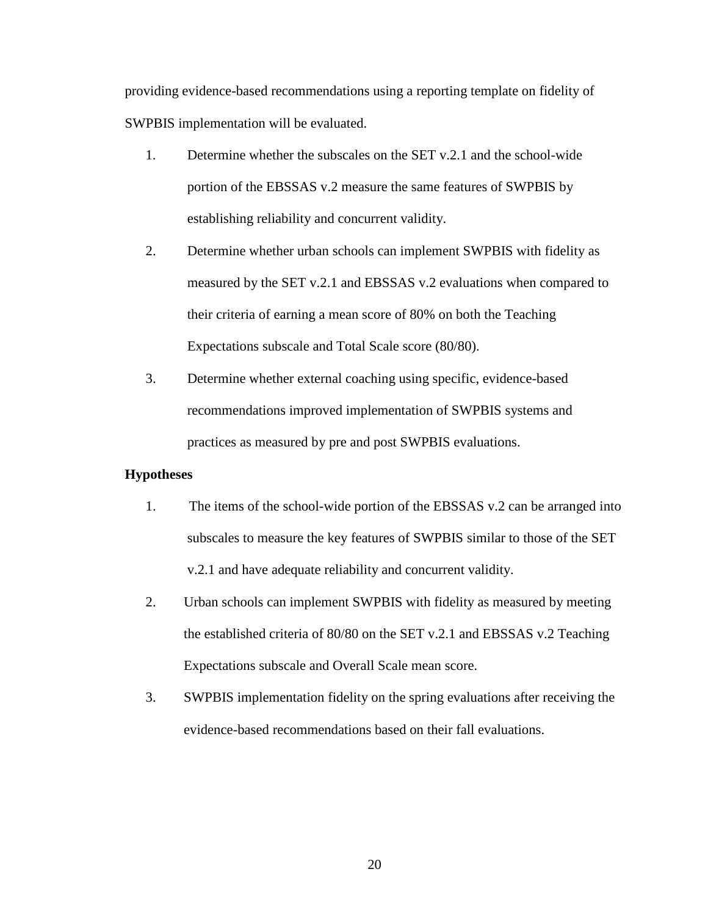providing evidence-based recommendations using a reporting template on fidelity of SWPBIS implementation will be evaluated.

- 1. Determine whether the subscales on the SET v.2.1 and the school-wide portion of the EBSSAS v.2 measure the same features of SWPBIS by establishing reliability and concurrent validity.
- 2. Determine whether urban schools can implement SWPBIS with fidelity as measured by the SET v.2.1 and EBSSAS v.2 evaluations when compared to their criteria of earning a mean score of 80% on both the Teaching Expectations subscale and Total Scale score (80/80).
- 3. Determine whether external coaching using specific, evidence-based recommendations improved implementation of SWPBIS systems and practices as measured by pre and post SWPBIS evaluations.

#### **Hypotheses**

- 1. The items of the school-wide portion of the EBSSAS v.2 can be arranged into subscales to measure the key features of SWPBIS similar to those of the SET v.2.1 and have adequate reliability and concurrent validity.
- 2. Urban schools can implement SWPBIS with fidelity as measured by meeting the established criteria of 80/80 on the SET v.2.1 and EBSSAS v.2 Teaching Expectations subscale and Overall Scale mean score.
- 3. SWPBIS implementation fidelity on the spring evaluations after receiving the evidence-based recommendations based on their fall evaluations.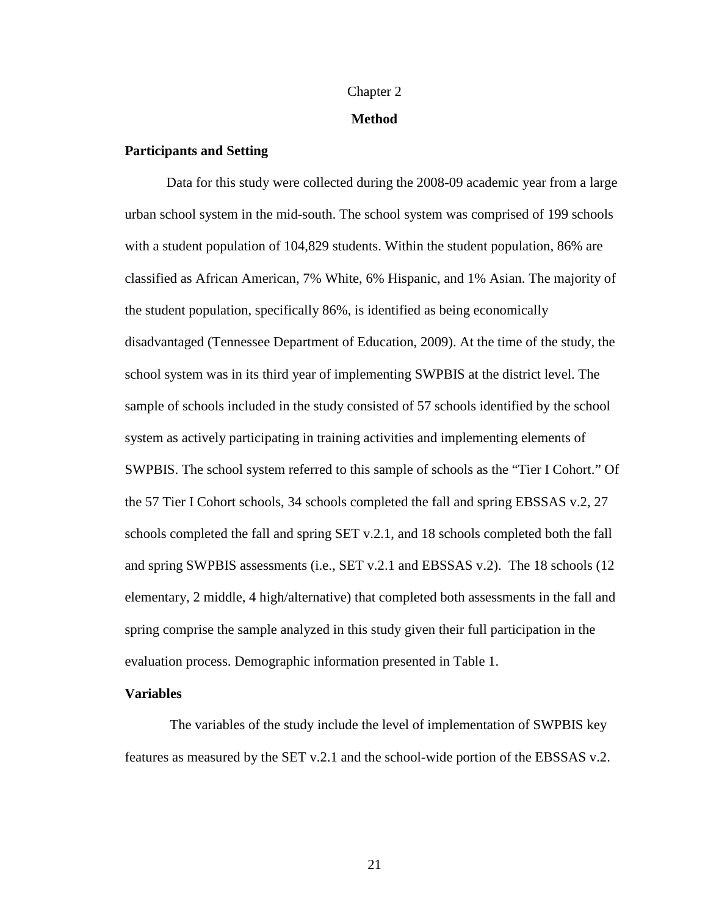# Chapter 2 **Method**

#### **Participants and Setting**

Data for this study were collected during the 2008-09 academic year from a large urban school system in the mid-south. The school system was comprised of 199 schools with a student population of 104,829 students. Within the student population, 86% are classified as African American, 7% White, 6% Hispanic, and 1% Asian. The majority of the student population, specifically 86%, is identified as being economically disadvantaged (Tennessee Department of Education, 2009). At the time of the study, the school system was in its third year of implementing SWPBIS at the district level. The sample of schools included in the study consisted of 57 schools identified by the school system as actively participating in training activities and implementing elements of SWPBIS. The school system referred to this sample of schools as the "Tier I Cohort." Of the 57 Tier I Cohort schools, 34 schools completed the fall and spring EBSSAS v.2, 27 schools completed the fall and spring SET v.2.1, and 18 schools completed both the fall and spring SWPBIS assessments (i.e., SET v.2.1 and EBSSAS v.2). The 18 schools (12 elementary, 2 middle, 4 high/alternative) that completed both assessments in the fall and spring comprise the sample analyzed in this study given their full participation in the evaluation process. Demographic information presented in Table 1.

#### **Variables**

The variables of the study include the level of implementation of SWPBIS key features as measured by the SET v.2.1 and the school-wide portion of the EBSSAS v.2.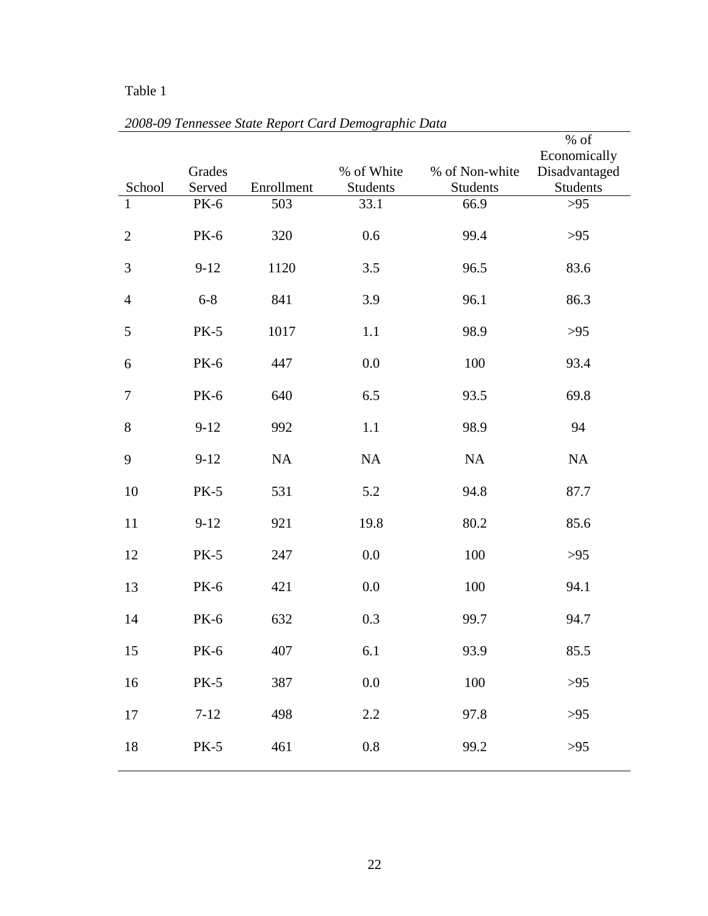## Table 1

|                |             |            |                 |                 | % of            |
|----------------|-------------|------------|-----------------|-----------------|-----------------|
|                |             |            |                 |                 | Economically    |
|                | Grades      |            | % of White      | % of Non-white  | Disadvantaged   |
| School         | Served      | Enrollment | <b>Students</b> | <b>Students</b> | <b>Students</b> |
| 1              | PK-6        | 503        | 33.1            | 66.9            | $>95$           |
| $\mathbf{2}$   | <b>PK-6</b> | 320        | 0.6             | 99.4            | $>95$           |
| $\mathfrak{Z}$ | $9 - 12$    | 1120       | 3.5             | 96.5            | 83.6            |
| $\overline{4}$ | $6 - 8$     | 841        | 3.9             | 96.1            | 86.3            |
| 5              | $PK-5$      | 1017       | 1.1             | 98.9            | $>95$           |
| 6              | <b>PK-6</b> | 447        | 0.0             | 100             | 93.4            |
| $\tau$         | <b>PK-6</b> | 640        | 6.5             | 93.5            | 69.8            |
| 8              | $9 - 12$    | 992        | 1.1             | 98.9            | 94              |
| 9              | $9 - 12$    | NA         | NA              | NA              | NA              |
| 10             | <b>PK-5</b> | 531        | 5.2             | 94.8            | 87.7            |
| 11             | $9 - 12$    | 921        | 19.8            | 80.2            | 85.6            |
| 12             | <b>PK-5</b> | 247        | 0.0             | 100             | $>95$           |
| 13             | <b>PK-6</b> | 421        | 0.0             | 100             | 94.1            |
| 14             | <b>PK-6</b> | 632        | 0.3             | 99.7            | 94.7            |
| 15             | <b>PK-6</b> | 407        | 6.1             | 93.9            | 85.5            |
| 16             | <b>PK-5</b> | 387        | $0.0\,$         | 100             | $>95$           |
| $17\,$         | $7 - 12$    | 498        | 2.2             | 97.8            | $>95$           |
| 18             | $PK-5$      | 461        | $0.8\,$         | 99.2            | $>95$           |

*2008-09 Tennessee State Report Card Demographic Data*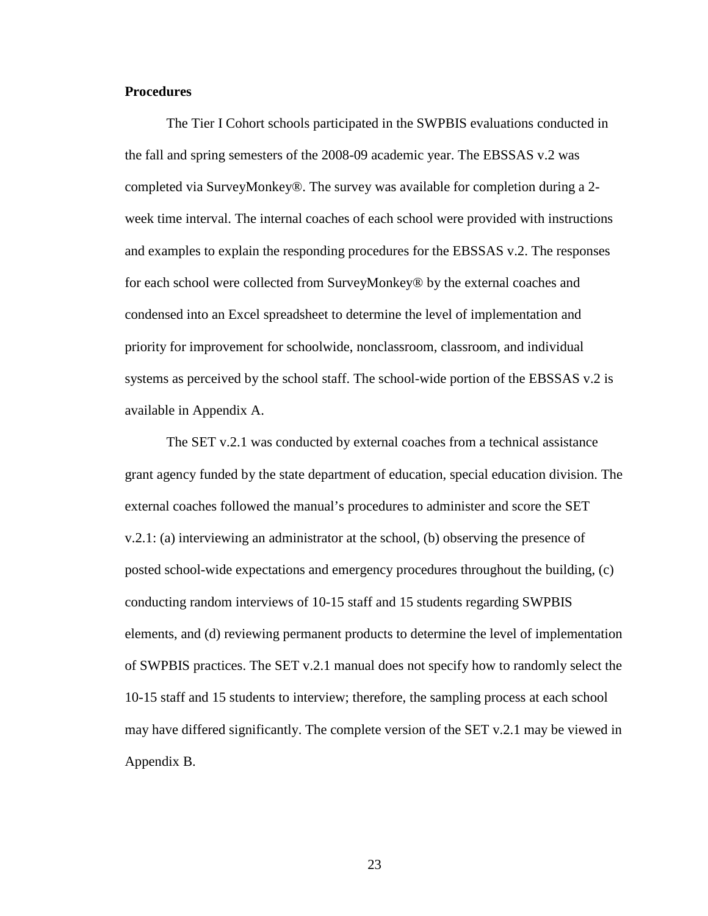#### **Procedures**

The Tier I Cohort schools participated in the SWPBIS evaluations conducted in the fall and spring semesters of the 2008-09 academic year. The EBSSAS v.2 was completed via SurveyMonkey®. The survey was available for completion during a 2 week time interval. The internal coaches of each school were provided with instructions and examples to explain the responding procedures for the EBSSAS v.2. The responses for each school were collected from SurveyMonkey® by the external coaches and condensed into an Excel spreadsheet to determine the level of implementation and priority for improvement for schoolwide, nonclassroom, classroom, and individual systems as perceived by the school staff. The school-wide portion of the EBSSAS v.2 is available in Appendix A.

The SET v.2.1 was conducted by external coaches from a technical assistance grant agency funded by the state department of education, special education division. The external coaches followed the manual's procedures to administer and score the SET v.2.1: (a) interviewing an administrator at the school, (b) observing the presence of posted school-wide expectations and emergency procedures throughout the building, (c) conducting random interviews of 10-15 staff and 15 students regarding SWPBIS elements, and (d) reviewing permanent products to determine the level of implementation of SWPBIS practices. The SET v.2.1 manual does not specify how to randomly select the 10-15 staff and 15 students to interview; therefore, the sampling process at each school may have differed significantly. The complete version of the SET v.2.1 may be viewed in Appendix B.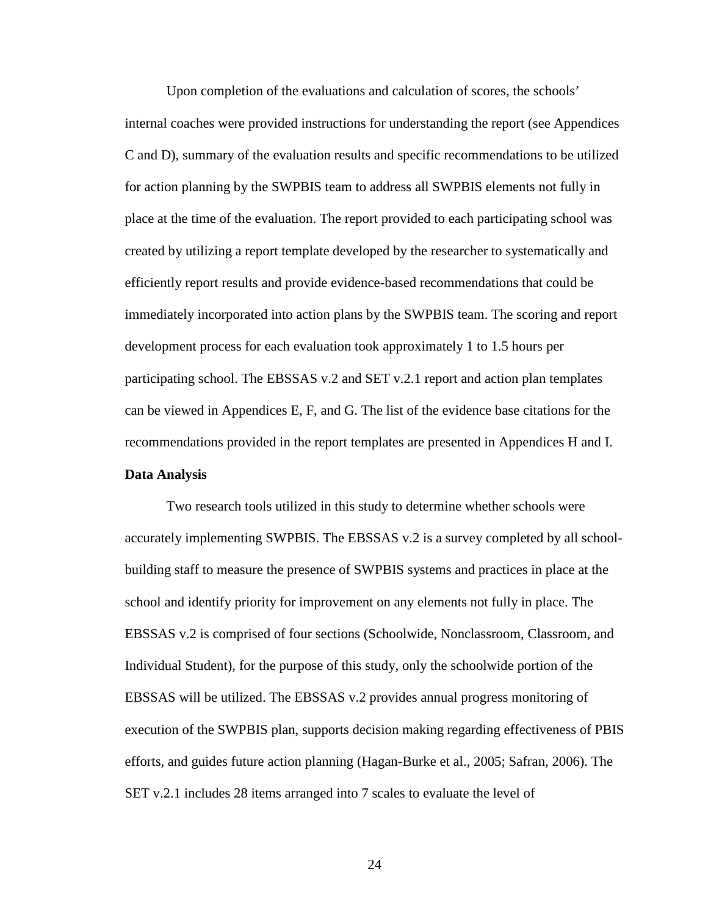Upon completion of the evaluations and calculation of scores, the schools' internal coaches were provided instructions for understanding the report (see Appendices C and D), summary of the evaluation results and specific recommendations to be utilized for action planning by the SWPBIS team to address all SWPBIS elements not fully in place at the time of the evaluation. The report provided to each participating school was created by utilizing a report template developed by the researcher to systematically and efficiently report results and provide evidence-based recommendations that could be immediately incorporated into action plans by the SWPBIS team. The scoring and report development process for each evaluation took approximately 1 to 1.5 hours per participating school. The EBSSAS v.2 and SET v.2.1 report and action plan templates can be viewed in Appendices E, F, and G. The list of the evidence base citations for the recommendations provided in the report templates are presented in Appendices H and I. **Data Analysis**

Two research tools utilized in this study to determine whether schools were accurately implementing SWPBIS. The EBSSAS v.2 is a survey completed by all schoolbuilding staff to measure the presence of SWPBIS systems and practices in place at the school and identify priority for improvement on any elements not fully in place. The EBSSAS v.2 is comprised of four sections (Schoolwide, Nonclassroom, Classroom, and Individual Student), for the purpose of this study, only the schoolwide portion of the EBSSAS will be utilized. The EBSSAS v.2 provides annual progress monitoring of execution of the SWPBIS plan, supports decision making regarding effectiveness of PBIS efforts, and guides future action planning (Hagan-Burke et al., 2005; Safran, 2006). The SET v.2.1 includes 28 items arranged into 7 scales to evaluate the level of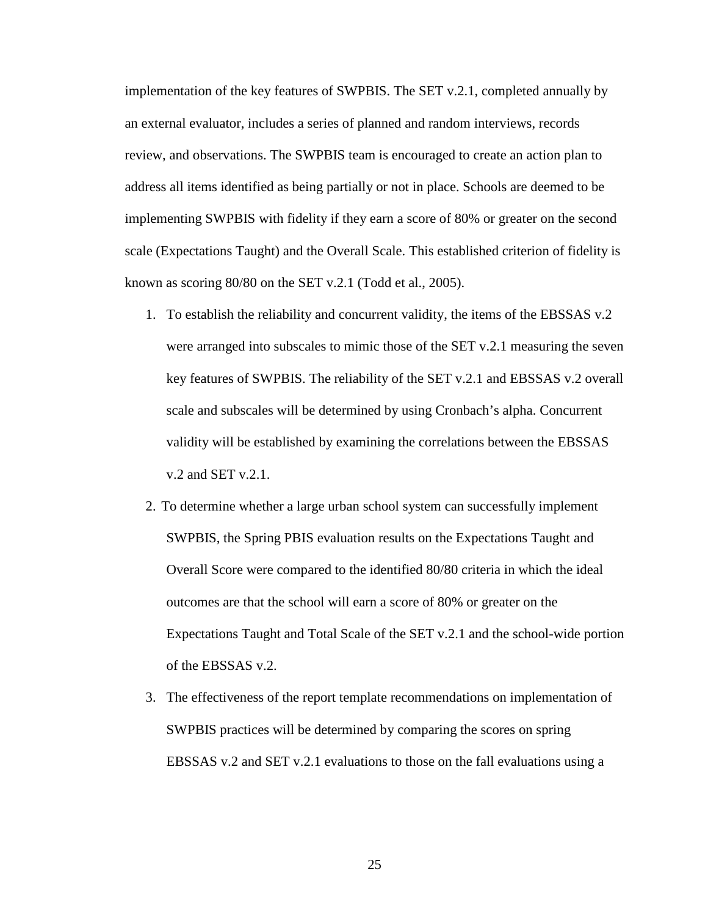implementation of the key features of SWPBIS. The SET v.2.1, completed annually by an external evaluator, includes a series of planned and random interviews, records review, and observations. The SWPBIS team is encouraged to create an action plan to address all items identified as being partially or not in place. Schools are deemed to be implementing SWPBIS with fidelity if they earn a score of 80% or greater on the second scale (Expectations Taught) and the Overall Scale. This established criterion of fidelity is known as scoring 80/80 on the SET v.2.1 (Todd et al., 2005).

- 1. To establish the reliability and concurrent validity, the items of the EBSSAS v.2 were arranged into subscales to mimic those of the SET v.2.1 measuring the seven key features of SWPBIS. The reliability of the SET v.2.1 and EBSSAS v.2 overall scale and subscales will be determined by using Cronbach's alpha. Concurrent validity will be established by examining the correlations between the EBSSAS v.2 and SET v.2.1.
- 2. To determine whether a large urban school system can successfully implement SWPBIS, the Spring PBIS evaluation results on the Expectations Taught and Overall Score were compared to the identified 80/80 criteria in which the ideal outcomes are that the school will earn a score of 80% or greater on the Expectations Taught and Total Scale of the SET v.2.1 and the school-wide portion of the EBSSAS v.2.
- 3. The effectiveness of the report template recommendations on implementation of SWPBIS practices will be determined by comparing the scores on spring EBSSAS v.2 and SET v.2.1 evaluations to those on the fall evaluations using a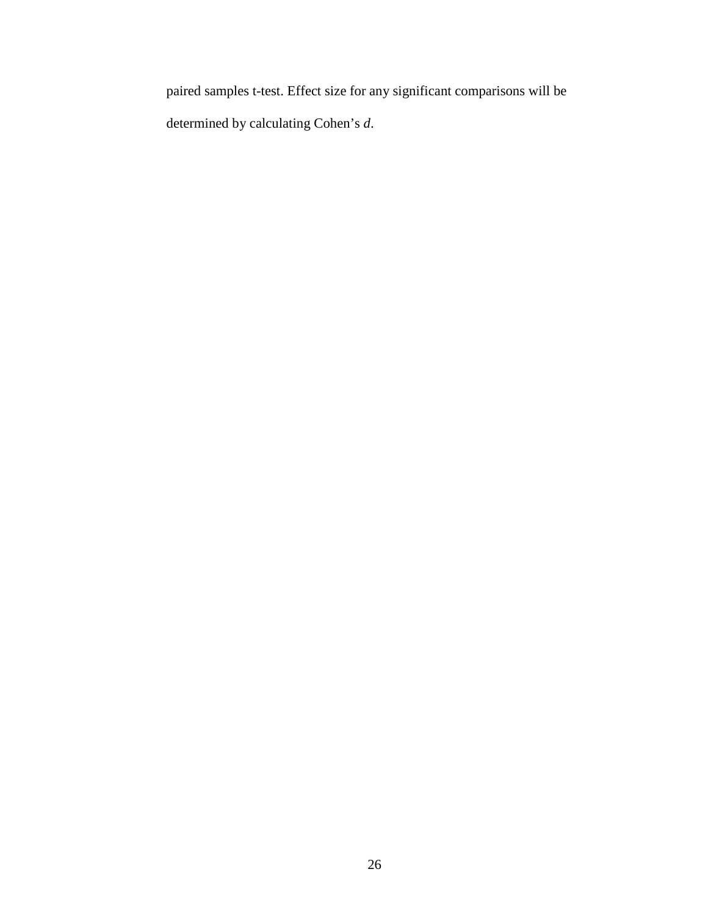paired samples t-test. Effect size for any significant comparisons will be determined by calculating Cohen's *d*.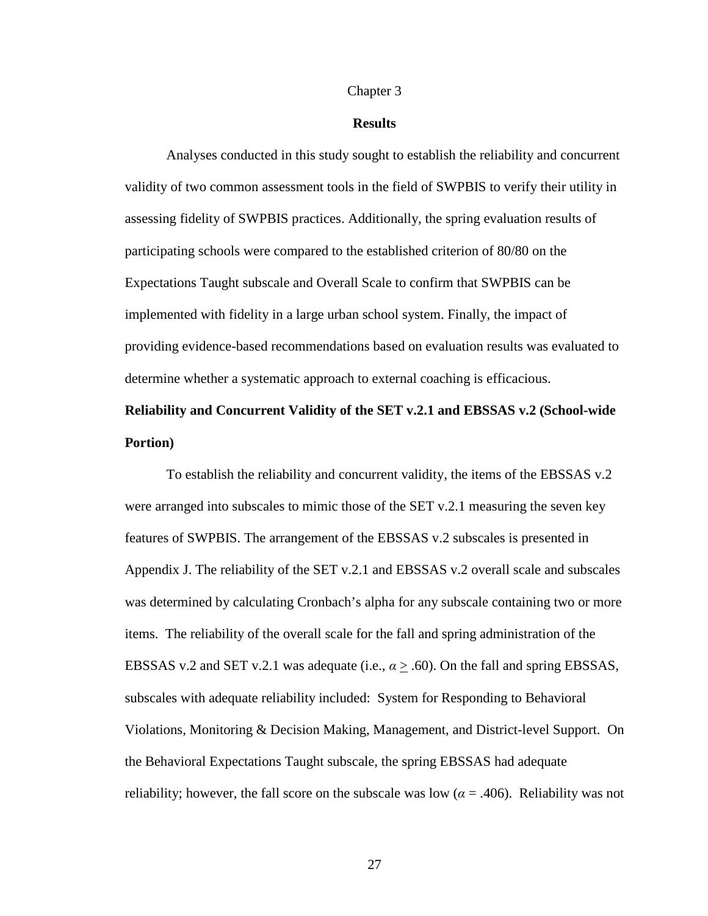#### Chapter 3

#### **Results**

Analyses conducted in this study sought to establish the reliability and concurrent validity of two common assessment tools in the field of SWPBIS to verify their utility in assessing fidelity of SWPBIS practices. Additionally, the spring evaluation results of participating schools were compared to the established criterion of 80/80 on the Expectations Taught subscale and Overall Scale to confirm that SWPBIS can be implemented with fidelity in a large urban school system. Finally, the impact of providing evidence-based recommendations based on evaluation results was evaluated to determine whether a systematic approach to external coaching is efficacious.

# **Reliability and Concurrent Validity of the SET v.2.1 and EBSSAS v.2 (School-wide Portion)**

To establish the reliability and concurrent validity, the items of the EBSSAS v.2 were arranged into subscales to mimic those of the SET v.2.1 measuring the seven key features of SWPBIS. The arrangement of the EBSSAS v.2 subscales is presented in Appendix J. The reliability of the SET v.2.1 and EBSSAS v.2 overall scale and subscales was determined by calculating Cronbach's alpha for any subscale containing two or more items. The reliability of the overall scale for the fall and spring administration of the EBSSAS v.2 and SET v.2.1 was adequate (i.e.,  $\alpha \geq .60$ ). On the fall and spring EBSSAS, subscales with adequate reliability included: System for Responding to Behavioral Violations, Monitoring & Decision Making, Management, and District-level Support. On the Behavioral Expectations Taught subscale, the spring EBSSAS had adequate reliability; however, the fall score on the subscale was low ( $\alpha$  = .406). Reliability was not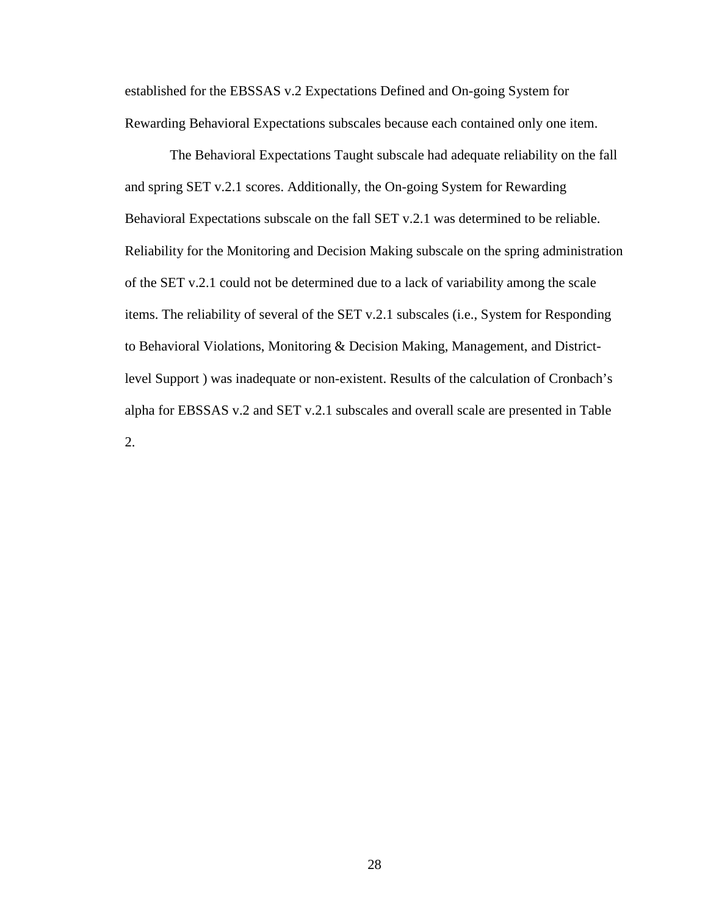established for the EBSSAS v.2 Expectations Defined and On-going System for Rewarding Behavioral Expectations subscales because each contained only one item.

The Behavioral Expectations Taught subscale had adequate reliability on the fall and spring SET v.2.1 scores. Additionally, the On-going System for Rewarding Behavioral Expectations subscale on the fall SET v.2.1 was determined to be reliable. Reliability for the Monitoring and Decision Making subscale on the spring administration of the SET v.2.1 could not be determined due to a lack of variability among the scale items. The reliability of several of the SET v.2.1 subscales (i.e., System for Responding to Behavioral Violations, Monitoring & Decision Making, Management, and Districtlevel Support ) was inadequate or non-existent. Results of the calculation of Cronbach's alpha for EBSSAS v.2 and SET v.2.1 subscales and overall scale are presented in Table 2.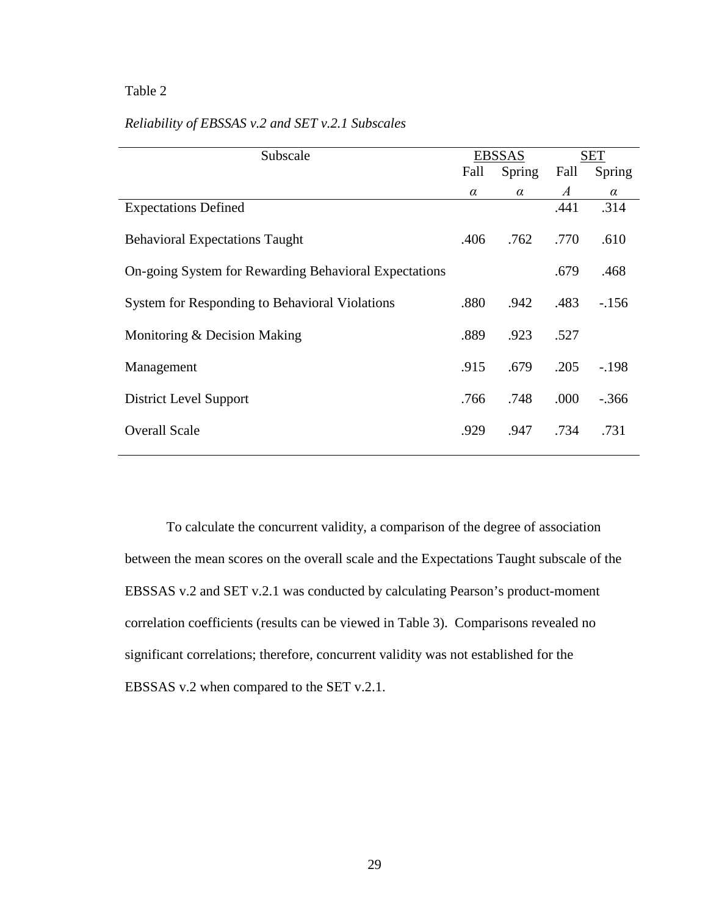### Table 2

| Subscale                                              |          | <b>EBSSAS</b> |                  | SET      |  |
|-------------------------------------------------------|----------|---------------|------------------|----------|--|
|                                                       | Fall     | Spring        | Fall             | Spring   |  |
|                                                       | $\alpha$ | $\alpha$      | $\boldsymbol{A}$ | $\alpha$ |  |
| <b>Expectations Defined</b>                           |          |               | .441             | .314     |  |
| <b>Behavioral Expectations Taught</b>                 | .406     | .762          | .770             | .610     |  |
| On-going System for Rewarding Behavioral Expectations |          |               | .679             | .468     |  |
| <b>System for Responding to Behavioral Violations</b> | .880     | .942          | .483             | $-156$   |  |
| Monitoring & Decision Making                          | .889     | .923          | .527             |          |  |
| Management                                            | .915     | .679          | .205             | $-.198$  |  |
| <b>District Level Support</b>                         | .766     | .748          | .000             | $-.366$  |  |
| <b>Overall Scale</b>                                  | .929     | .947          | .734             | .731     |  |

### *Reliability of EBSSAS v.2 and SET v.2.1 Subscales*

To calculate the concurrent validity, a comparison of the degree of association between the mean scores on the overall scale and the Expectations Taught subscale of the EBSSAS v.2 and SET v.2.1 was conducted by calculating Pearson's product-moment correlation coefficients (results can be viewed in Table 3). Comparisons revealed no significant correlations; therefore, concurrent validity was not established for the EBSSAS v.2 when compared to the SET v.2.1.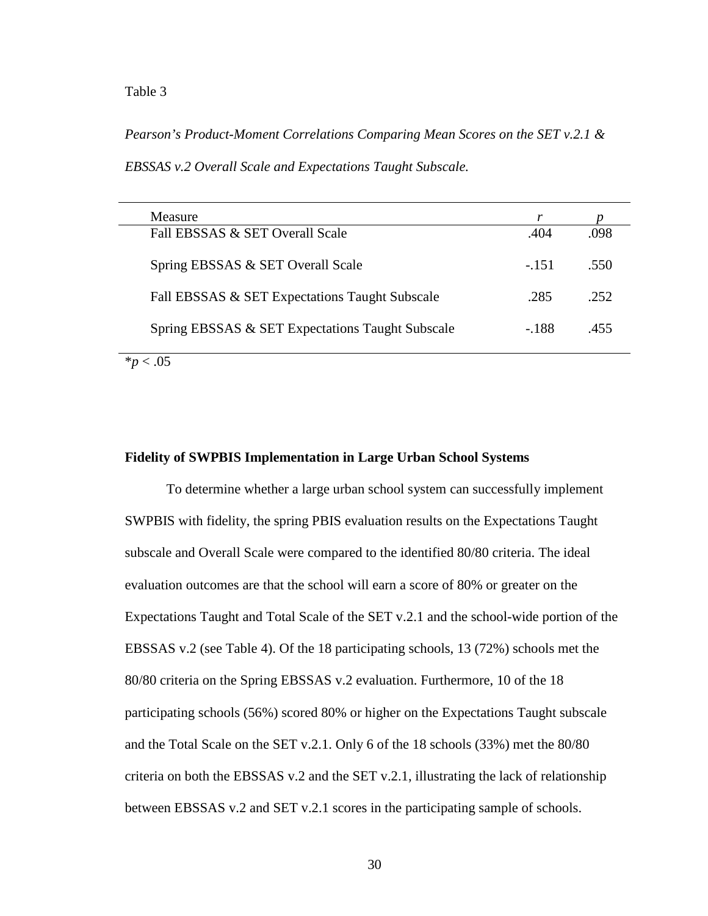#### Table 3

*Pearson's Product-Moment Correlations Comparing Mean Scores on the SET v.2.1 &* 

*EBSSAS v.2 Overall Scale and Expectations Taught Subscale.*

| <b>Measure</b>                                   |        |      |
|--------------------------------------------------|--------|------|
| Fall EBSSAS & SET Overall Scale                  | .404   | .098 |
| Spring EBSSAS & SET Overall Scale                | $-151$ | .550 |
| Fall EBSSAS & SET Expectations Taught Subscale   | .285   | 252  |
| Spring EBSSAS & SET Expectations Taught Subscale | - 188  | .455 |

 $*p < .05$ 

#### **Fidelity of SWPBIS Implementation in Large Urban School Systems**

To determine whether a large urban school system can successfully implement SWPBIS with fidelity, the spring PBIS evaluation results on the Expectations Taught subscale and Overall Scale were compared to the identified 80/80 criteria. The ideal evaluation outcomes are that the school will earn a score of 80% or greater on the Expectations Taught and Total Scale of the SET v.2.1 and the school-wide portion of the EBSSAS v.2 (see Table 4). Of the 18 participating schools, 13 (72%) schools met the 80/80 criteria on the Spring EBSSAS v.2 evaluation. Furthermore, 10 of the 18 participating schools (56%) scored 80% or higher on the Expectations Taught subscale and the Total Scale on the SET v.2.1. Only 6 of the 18 schools (33%) met the 80/80 criteria on both the EBSSAS v.2 and the SET v.2.1, illustrating the lack of relationship between EBSSAS v.2 and SET v.2.1 scores in the participating sample of schools.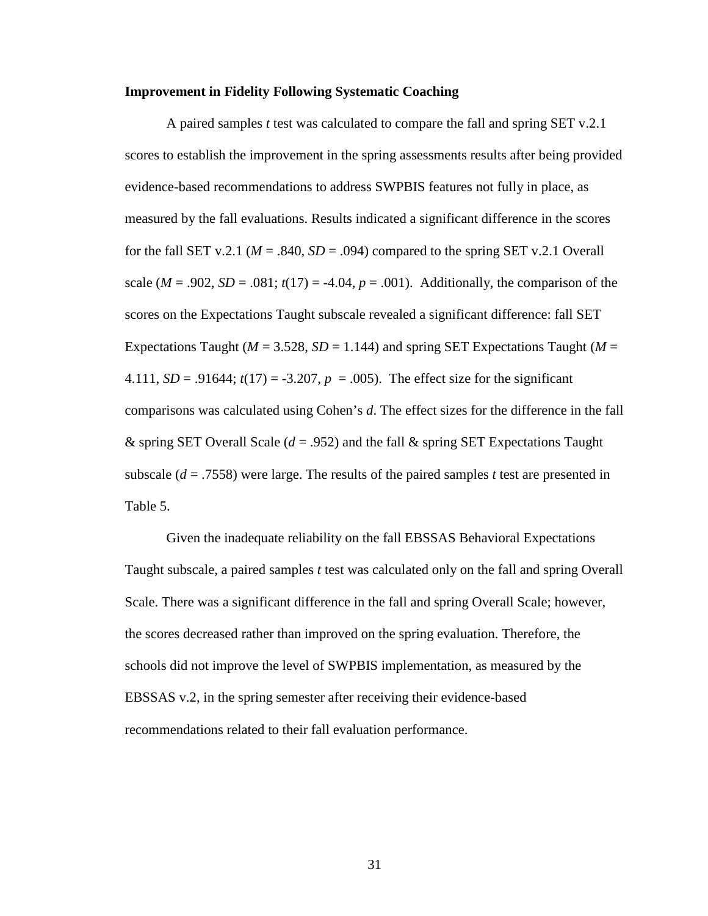#### **Improvement in Fidelity Following Systematic Coaching**

A paired samples *t* test was calculated to compare the fall and spring SET v.2.1 scores to establish the improvement in the spring assessments results after being provided evidence-based recommendations to address SWPBIS features not fully in place, as measured by the fall evaluations. Results indicated a significant difference in the scores for the fall SET v.2.1 ( $M = .840$ ,  $SD = .094$ ) compared to the spring SET v.2.1 Overall scale ( $M = .902$ ,  $SD = .081$ ;  $t(17) = -4.04$ ,  $p = .001$ ). Additionally, the comparison of the scores on the Expectations Taught subscale revealed a significant difference: fall SET Expectations Taught ( $M = 3.528$ ,  $SD = 1.144$ ) and spring SET Expectations Taught ( $M =$ 4.111,  $SD = .91644$ ;  $t(17) = -3.207$ ,  $p = .005$ ). The effect size for the significant comparisons was calculated using Cohen's *d*. The effect sizes for the difference in the fall & spring SET Overall Scale (*d* = .952) and the fall & spring SET Expectations Taught subscale (*d* = .7558) were large. The results of the paired samples *t* test are presented in Table 5.

Given the inadequate reliability on the fall EBSSAS Behavioral Expectations Taught subscale, a paired samples *t* test was calculated only on the fall and spring Overall Scale. There was a significant difference in the fall and spring Overall Scale; however, the scores decreased rather than improved on the spring evaluation. Therefore, the schools did not improve the level of SWPBIS implementation, as measured by the EBSSAS v.2, in the spring semester after receiving their evidence-based recommendations related to their fall evaluation performance.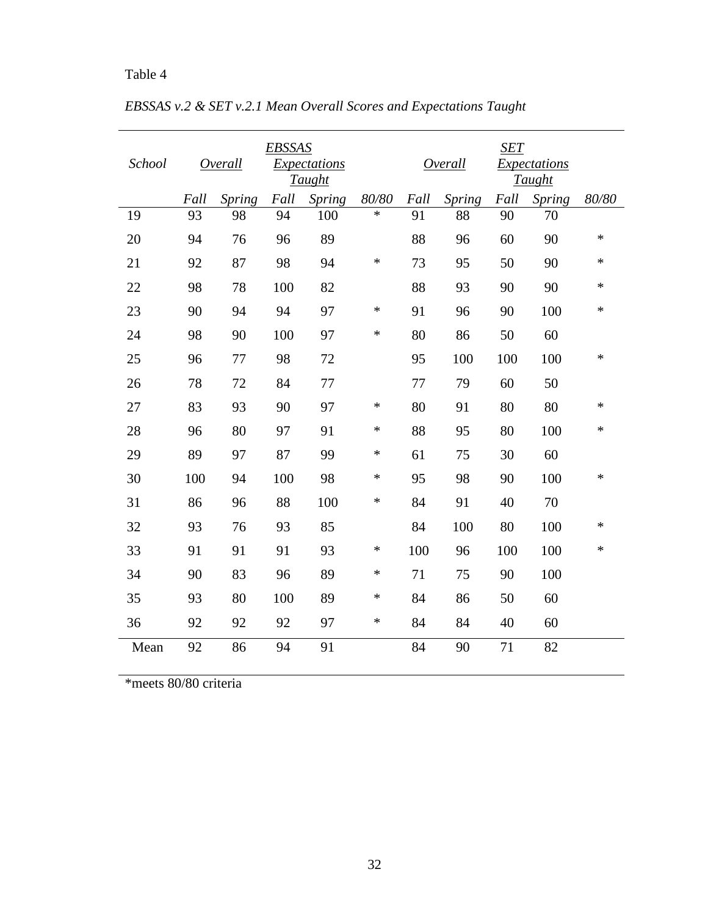# Table 4

| School |      | Overall       | <b>EBSSAS</b> | <i>Expectations</i><br><b>Taught</b> |        |      | Overall       | SET  | Expectations<br><b>Taught</b> |        |
|--------|------|---------------|---------------|--------------------------------------|--------|------|---------------|------|-------------------------------|--------|
|        | Fall | <b>Spring</b> | Fall          | <b>Spring</b>                        | 80/80  | Fall | <b>Spring</b> | Fall | Spring                        | 80/80  |
| 19     | 93   | 98            | 94            | 100                                  | $\ast$ | 91   | 88            | 90   | 70                            |        |
| 20     | 94   | 76            | 96            | 89                                   |        | 88   | 96            | 60   | 90                            | ∗      |
| 21     | 92   | 87            | 98            | 94                                   | $\ast$ | 73   | 95            | 50   | 90                            | *      |
| 22     | 98   | 78            | 100           | 82                                   |        | 88   | 93            | 90   | 90                            | *      |
| 23     | 90   | 94            | 94            | 97                                   | ∗      | 91   | 96            | 90   | 100                           | *      |
| 24     | 98   | 90            | 100           | 97                                   | $\ast$ | 80   | 86            | 50   | 60                            |        |
| 25     | 96   | 77            | 98            | 72                                   |        | 95   | 100           | 100  | 100                           | $\ast$ |
| 26     | 78   | 72            | 84            | 77                                   |        | 77   | 79            | 60   | 50                            |        |
| 27     | 83   | 93            | 90            | 97                                   | $\ast$ | 80   | 91            | 80   | 80                            | *      |
| 28     | 96   | 80            | 97            | 91                                   | ∗      | 88   | 95            | 80   | 100                           | $\ast$ |
| 29     | 89   | 97            | 87            | 99                                   | $\ast$ | 61   | 75            | 30   | 60                            |        |
| 30     | 100  | 94            | 100           | 98                                   | ∗      | 95   | 98            | 90   | 100                           | *      |
| 31     | 86   | 96            | 88            | 100                                  | $\ast$ | 84   | 91            | 40   | 70                            |        |
| 32     | 93   | 76            | 93            | 85                                   |        | 84   | 100           | 80   | 100                           | *      |
| 33     | 91   | 91            | 91            | 93                                   | $\ast$ | 100  | 96            | 100  | 100                           | $\ast$ |
| 34     | 90   | 83            | 96            | 89                                   | $\ast$ | 71   | 75            | 90   | 100                           |        |
| 35     | 93   | 80            | 100           | 89                                   | ∗      | 84   | 86            | 50   | 60                            |        |
| 36     | 92   | 92            | 92            | 97                                   | ∗      | 84   | 84            | 40   | 60                            |        |
| Mean   | 92   | 86            | 94            | 91                                   |        | 84   | 90            | 71   | 82                            |        |

*EBSSAS v.2 & SET v.2.1 Mean Overall Scores and Expectations Taught*

\*meets 80/80 criteria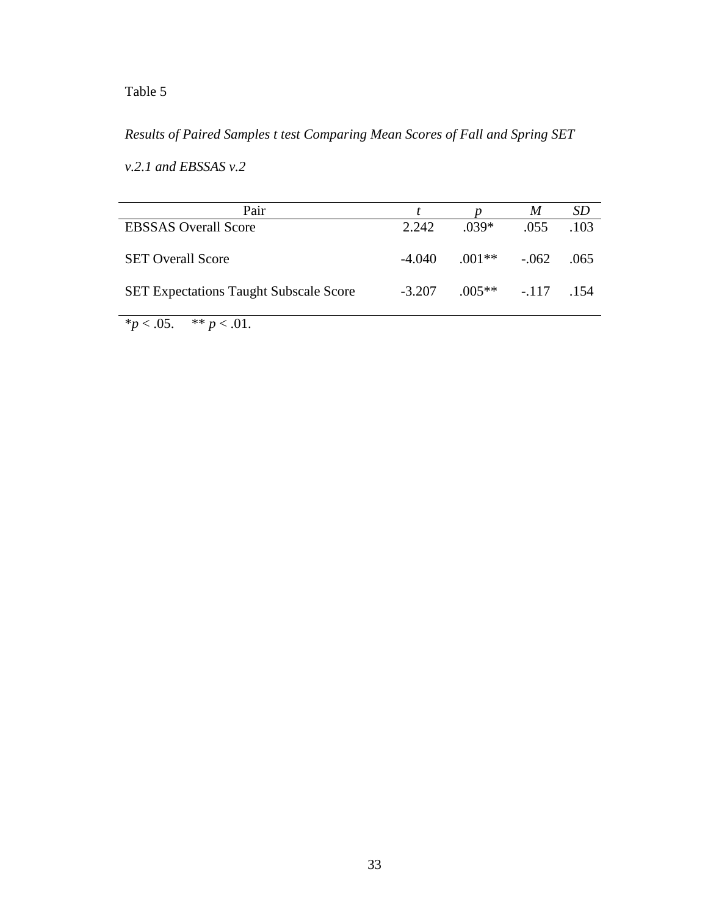## Table 5

## *Results of Paired Samples t test Comparing Mean Scores of Fall and Spring SET*

*v.2.1 and EBSSAS v.2*

| Pair                                          |          |                   | M    | SD     |
|-----------------------------------------------|----------|-------------------|------|--------|
| <b>EBSSAS</b> Overall Score                   | 2.242    | $.039*$           | .055 | 103    |
| <b>SET Overall Score</b>                      | -4.040   | $.001**-.062$     |      | .065   |
| <b>SET Expectations Taught Subscale Score</b> | $-3.207$ | $.005***$ $-.117$ |      | $-154$ |

 $**p* < .05.$  \*\* *p* < .01.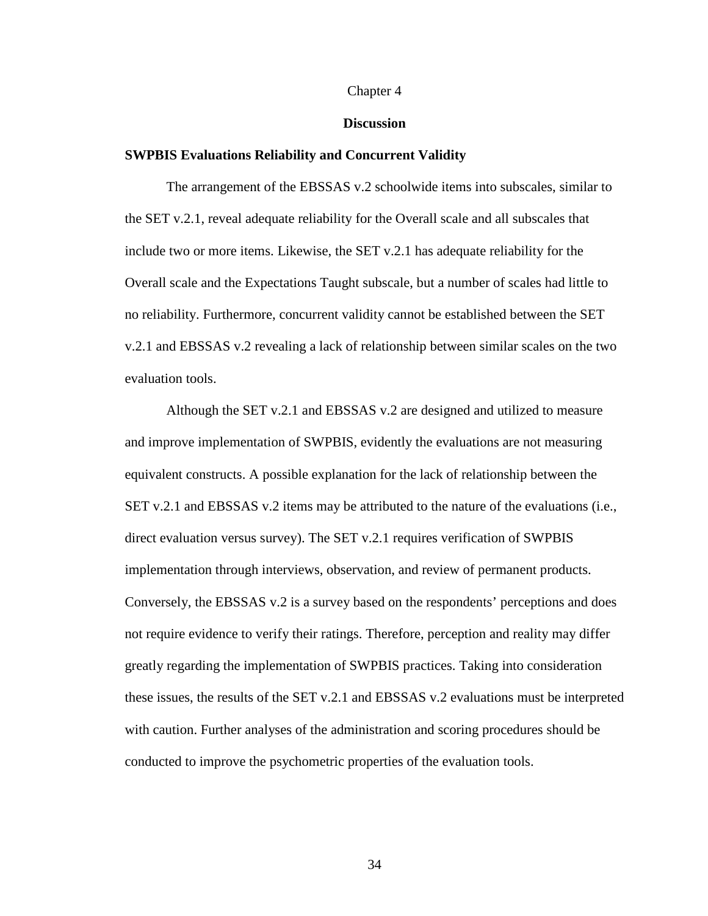#### Chapter 4

#### **Discussion**

#### **SWPBIS Evaluations Reliability and Concurrent Validity**

The arrangement of the EBSSAS v.2 schoolwide items into subscales, similar to the SET v.2.1, reveal adequate reliability for the Overall scale and all subscales that include two or more items. Likewise, the SET v.2.1 has adequate reliability for the Overall scale and the Expectations Taught subscale, but a number of scales had little to no reliability. Furthermore, concurrent validity cannot be established between the SET v.2.1 and EBSSAS v.2 revealing a lack of relationship between similar scales on the two evaluation tools.

Although the SET v.2.1 and EBSSAS v.2 are designed and utilized to measure and improve implementation of SWPBIS, evidently the evaluations are not measuring equivalent constructs. A possible explanation for the lack of relationship between the SET v.2.1 and EBSSAS v.2 items may be attributed to the nature of the evaluations (i.e., direct evaluation versus survey). The SET v.2.1 requires verification of SWPBIS implementation through interviews, observation, and review of permanent products. Conversely, the EBSSAS v.2 is a survey based on the respondents' perceptions and does not require evidence to verify their ratings. Therefore, perception and reality may differ greatly regarding the implementation of SWPBIS practices. Taking into consideration these issues, the results of the SET v.2.1 and EBSSAS v.2 evaluations must be interpreted with caution. Further analyses of the administration and scoring procedures should be conducted to improve the psychometric properties of the evaluation tools.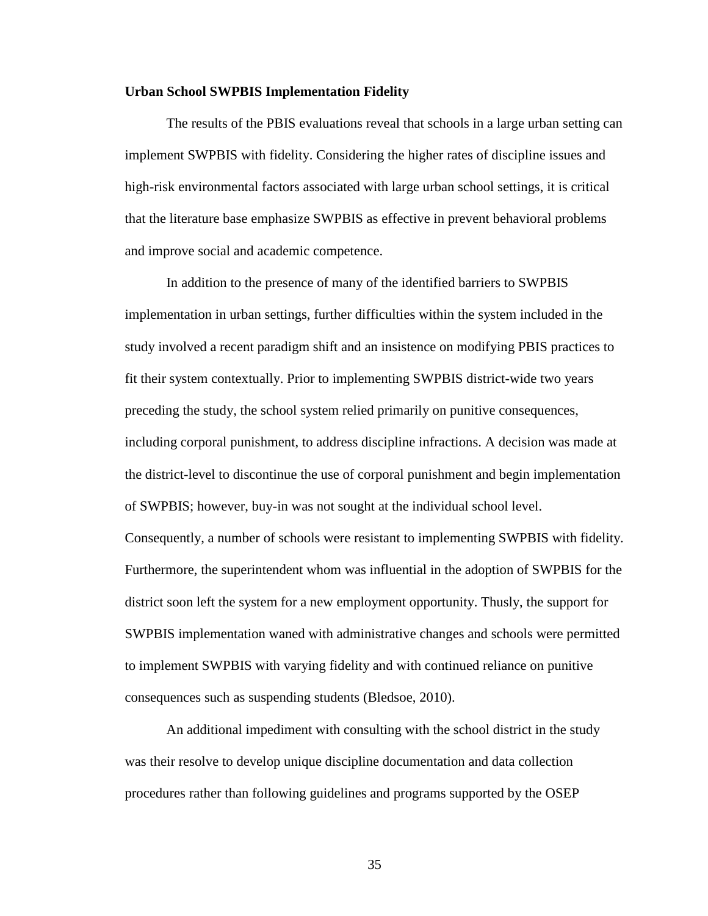#### **Urban School SWPBIS Implementation Fidelity**

The results of the PBIS evaluations reveal that schools in a large urban setting can implement SWPBIS with fidelity. Considering the higher rates of discipline issues and high-risk environmental factors associated with large urban school settings, it is critical that the literature base emphasize SWPBIS as effective in prevent behavioral problems and improve social and academic competence.

In addition to the presence of many of the identified barriers to SWPBIS implementation in urban settings, further difficulties within the system included in the study involved a recent paradigm shift and an insistence on modifying PBIS practices to fit their system contextually. Prior to implementing SWPBIS district-wide two years preceding the study, the school system relied primarily on punitive consequences, including corporal punishment, to address discipline infractions. A decision was made at the district-level to discontinue the use of corporal punishment and begin implementation of SWPBIS; however, buy-in was not sought at the individual school level. Consequently, a number of schools were resistant to implementing SWPBIS with fidelity. Furthermore, the superintendent whom was influential in the adoption of SWPBIS for the district soon left the system for a new employment opportunity. Thusly, the support for SWPBIS implementation waned with administrative changes and schools were permitted to implement SWPBIS with varying fidelity and with continued reliance on punitive consequences such as suspending students (Bledsoe, 2010).

An additional impediment with consulting with the school district in the study was their resolve to develop unique discipline documentation and data collection procedures rather than following guidelines and programs supported by the OSEP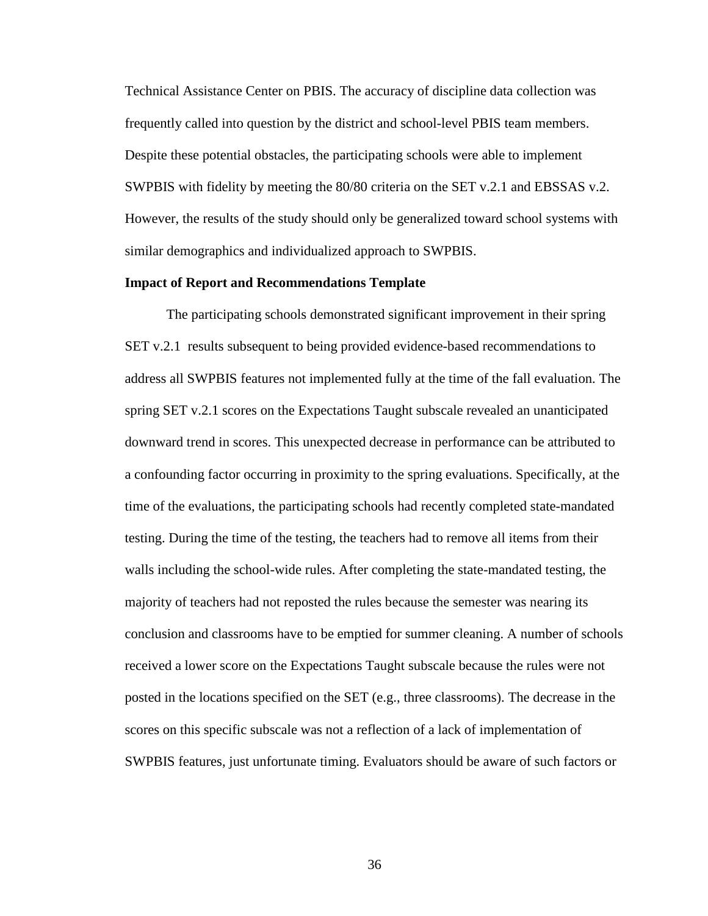Technical Assistance Center on PBIS. The accuracy of discipline data collection was frequently called into question by the district and school-level PBIS team members. Despite these potential obstacles, the participating schools were able to implement SWPBIS with fidelity by meeting the 80/80 criteria on the SET v.2.1 and EBSSAS v.2. However, the results of the study should only be generalized toward school systems with similar demographics and individualized approach to SWPBIS.

#### **Impact of Report and Recommendations Template**

The participating schools demonstrated significant improvement in their spring SET v.2.1 results subsequent to being provided evidence-based recommendations to address all SWPBIS features not implemented fully at the time of the fall evaluation. The spring SET v.2.1 scores on the Expectations Taught subscale revealed an unanticipated downward trend in scores. This unexpected decrease in performance can be attributed to a confounding factor occurring in proximity to the spring evaluations. Specifically, at the time of the evaluations, the participating schools had recently completed state-mandated testing. During the time of the testing, the teachers had to remove all items from their walls including the school-wide rules. After completing the state-mandated testing, the majority of teachers had not reposted the rules because the semester was nearing its conclusion and classrooms have to be emptied for summer cleaning. A number of schools received a lower score on the Expectations Taught subscale because the rules were not posted in the locations specified on the SET (e.g., three classrooms). The decrease in the scores on this specific subscale was not a reflection of a lack of implementation of SWPBIS features, just unfortunate timing. Evaluators should be aware of such factors or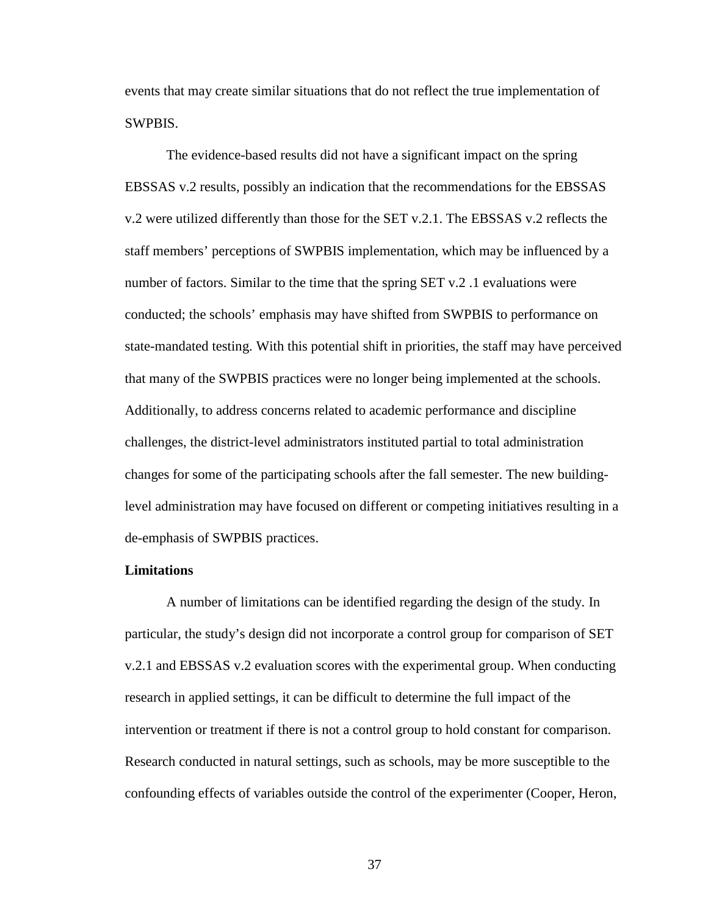events that may create similar situations that do not reflect the true implementation of SWPBIS.

The evidence-based results did not have a significant impact on the spring EBSSAS v.2 results, possibly an indication that the recommendations for the EBSSAS v.2 were utilized differently than those for the SET v.2.1. The EBSSAS v.2 reflects the staff members' perceptions of SWPBIS implementation, which may be influenced by a number of factors. Similar to the time that the spring SET v.2 .1 evaluations were conducted; the schools' emphasis may have shifted from SWPBIS to performance on state-mandated testing. With this potential shift in priorities, the staff may have perceived that many of the SWPBIS practices were no longer being implemented at the schools. Additionally, to address concerns related to academic performance and discipline challenges, the district-level administrators instituted partial to total administration changes for some of the participating schools after the fall semester. The new buildinglevel administration may have focused on different or competing initiatives resulting in a de-emphasis of SWPBIS practices.

#### **Limitations**

A number of limitations can be identified regarding the design of the study. In particular, the study's design did not incorporate a control group for comparison of SET v.2.1 and EBSSAS v.2 evaluation scores with the experimental group. When conducting research in applied settings, it can be difficult to determine the full impact of the intervention or treatment if there is not a control group to hold constant for comparison. Research conducted in natural settings, such as schools, may be more susceptible to the confounding effects of variables outside the control of the experimenter (Cooper, Heron,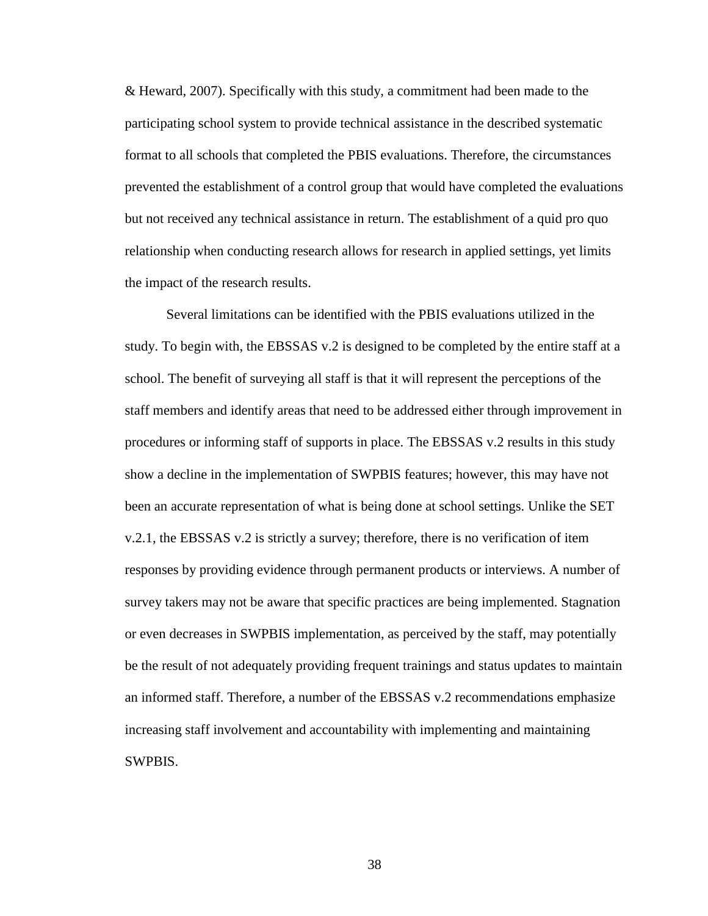& Heward, 2007). Specifically with this study, a commitment had been made to the participating school system to provide technical assistance in the described systematic format to all schools that completed the PBIS evaluations. Therefore, the circumstances prevented the establishment of a control group that would have completed the evaluations but not received any technical assistance in return. The establishment of a quid pro quo relationship when conducting research allows for research in applied settings, yet limits the impact of the research results.

Several limitations can be identified with the PBIS evaluations utilized in the study. To begin with, the EBSSAS v.2 is designed to be completed by the entire staff at a school. The benefit of surveying all staff is that it will represent the perceptions of the staff members and identify areas that need to be addressed either through improvement in procedures or informing staff of supports in place. The EBSSAS v.2 results in this study show a decline in the implementation of SWPBIS features; however, this may have not been an accurate representation of what is being done at school settings. Unlike the SET v.2.1, the EBSSAS v.2 is strictly a survey; therefore, there is no verification of item responses by providing evidence through permanent products or interviews. A number of survey takers may not be aware that specific practices are being implemented. Stagnation or even decreases in SWPBIS implementation, as perceived by the staff, may potentially be the result of not adequately providing frequent trainings and status updates to maintain an informed staff. Therefore, a number of the EBSSAS v.2 recommendations emphasize increasing staff involvement and accountability with implementing and maintaining SWPBIS.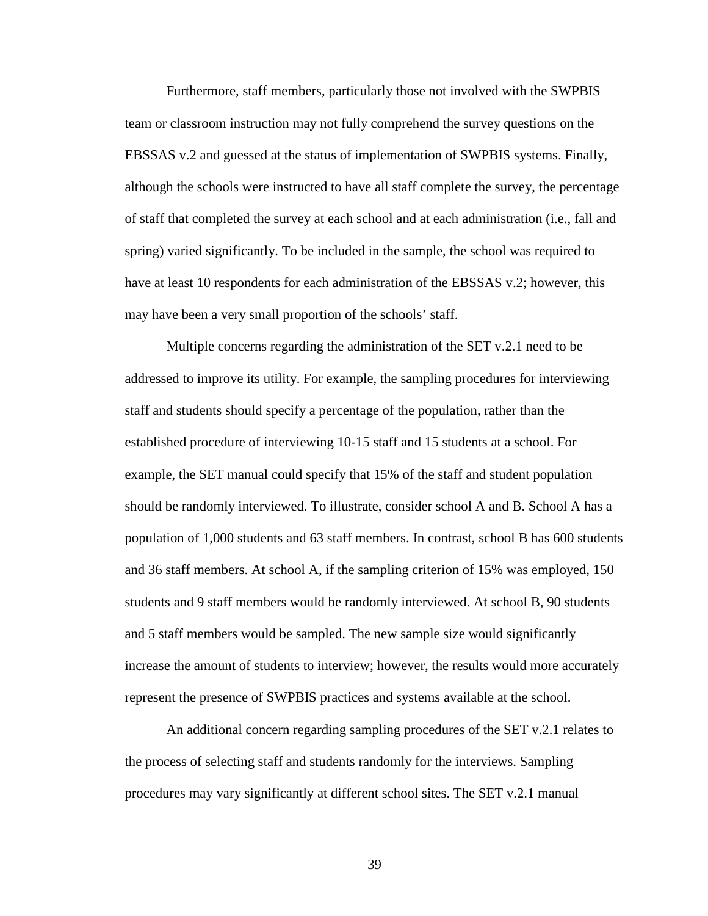Furthermore, staff members, particularly those not involved with the SWPBIS team or classroom instruction may not fully comprehend the survey questions on the EBSSAS v.2 and guessed at the status of implementation of SWPBIS systems. Finally, although the schools were instructed to have all staff complete the survey, the percentage of staff that completed the survey at each school and at each administration (i.e., fall and spring) varied significantly. To be included in the sample, the school was required to have at least 10 respondents for each administration of the EBSSAS v.2; however, this may have been a very small proportion of the schools' staff.

Multiple concerns regarding the administration of the SET v.2.1 need to be addressed to improve its utility. For example, the sampling procedures for interviewing staff and students should specify a percentage of the population, rather than the established procedure of interviewing 10-15 staff and 15 students at a school. For example, the SET manual could specify that 15% of the staff and student population should be randomly interviewed. To illustrate, consider school A and B. School A has a population of 1,000 students and 63 staff members. In contrast, school B has 600 students and 36 staff members. At school A, if the sampling criterion of 15% was employed, 150 students and 9 staff members would be randomly interviewed. At school B, 90 students and 5 staff members would be sampled. The new sample size would significantly increase the amount of students to interview; however, the results would more accurately represent the presence of SWPBIS practices and systems available at the school.

An additional concern regarding sampling procedures of the SET v.2.1 relates to the process of selecting staff and students randomly for the interviews. Sampling procedures may vary significantly at different school sites. The SET v.2.1 manual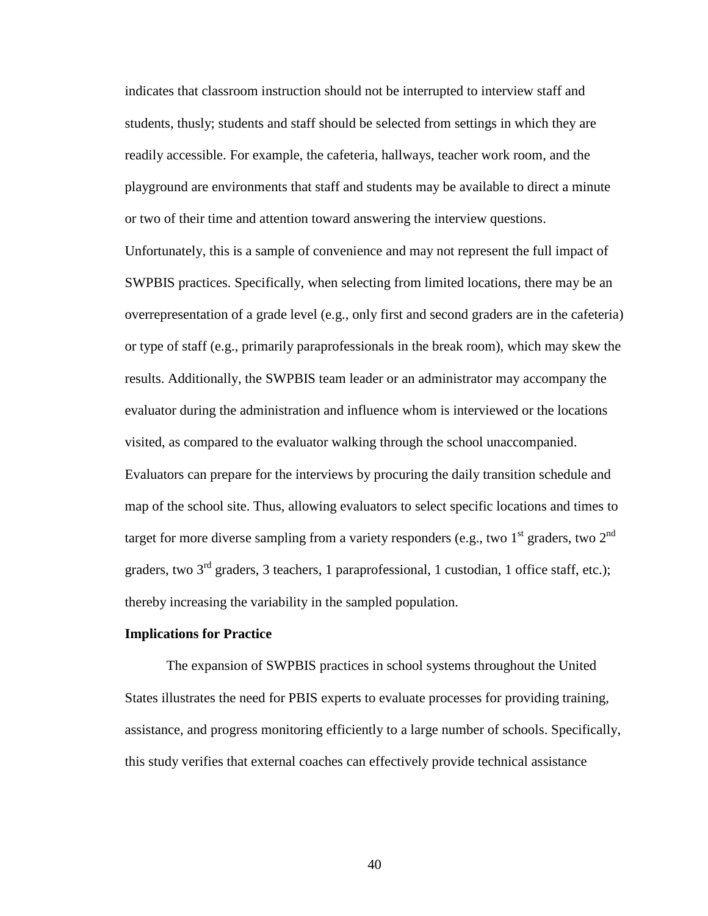indicates that classroom instruction should not be interrupted to interview staff and students, thusly; students and staff should be selected from settings in which they are readily accessible. For example, the cafeteria, hallways, teacher work room, and the playground are environments that staff and students may be available to direct a minute or two of their time and attention toward answering the interview questions. Unfortunately, this is a sample of convenience and may not represent the full impact of SWPBIS practices. Specifically, when selecting from limited locations, there may be an overrepresentation of a grade level (e.g., only first and second graders are in the cafeteria) or type of staff (e.g., primarily paraprofessionals in the break room), which may skew the results. Additionally, the SWPBIS team leader or an administrator may accompany the evaluator during the administration and influence whom is interviewed or the locations visited, as compared to the evaluator walking through the school unaccompanied. Evaluators can prepare for the interviews by procuring the daily transition schedule and map of the school site. Thus, allowing evaluators to select specific locations and times to target for more diverse sampling from a variety responders (e.g., two  $1<sup>st</sup>$  graders, two  $2<sup>nd</sup>$ graders, two  $3<sup>rd</sup>$  graders, 3 teachers, 1 paraprofessional, 1 custodian, 1 office staff, etc.); thereby increasing the variability in the sampled population.

#### **Implications for Practice**

The expansion of SWPBIS practices in school systems throughout the United States illustrates the need for PBIS experts to evaluate processes for providing training, assistance, and progress monitoring efficiently to a large number of schools. Specifically, this study verifies that external coaches can effectively provide technical assistance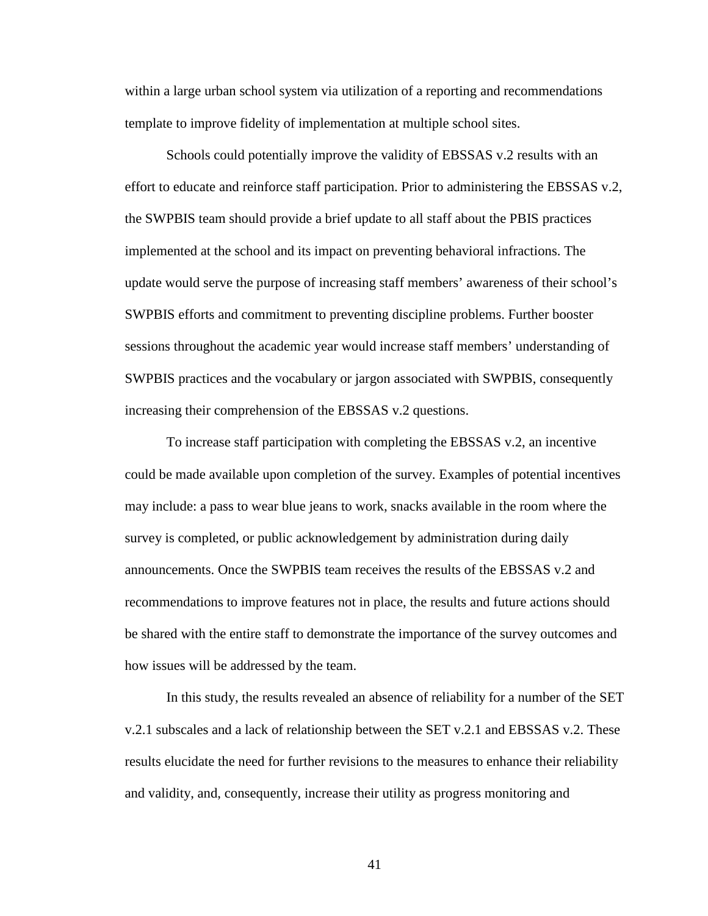within a large urban school system via utilization of a reporting and recommendations template to improve fidelity of implementation at multiple school sites.

Schools could potentially improve the validity of EBSSAS v.2 results with an effort to educate and reinforce staff participation. Prior to administering the EBSSAS v.2, the SWPBIS team should provide a brief update to all staff about the PBIS practices implemented at the school and its impact on preventing behavioral infractions. The update would serve the purpose of increasing staff members' awareness of their school's SWPBIS efforts and commitment to preventing discipline problems. Further booster sessions throughout the academic year would increase staff members' understanding of SWPBIS practices and the vocabulary or jargon associated with SWPBIS, consequently increasing their comprehension of the EBSSAS v.2 questions.

To increase staff participation with completing the EBSSAS v.2, an incentive could be made available upon completion of the survey. Examples of potential incentives may include: a pass to wear blue jeans to work, snacks available in the room where the survey is completed, or public acknowledgement by administration during daily announcements. Once the SWPBIS team receives the results of the EBSSAS v.2 and recommendations to improve features not in place, the results and future actions should be shared with the entire staff to demonstrate the importance of the survey outcomes and how issues will be addressed by the team.

In this study, the results revealed an absence of reliability for a number of the SET v.2.1 subscales and a lack of relationship between the SET v.2.1 and EBSSAS v.2. These results elucidate the need for further revisions to the measures to enhance their reliability and validity, and, consequently, increase their utility as progress monitoring and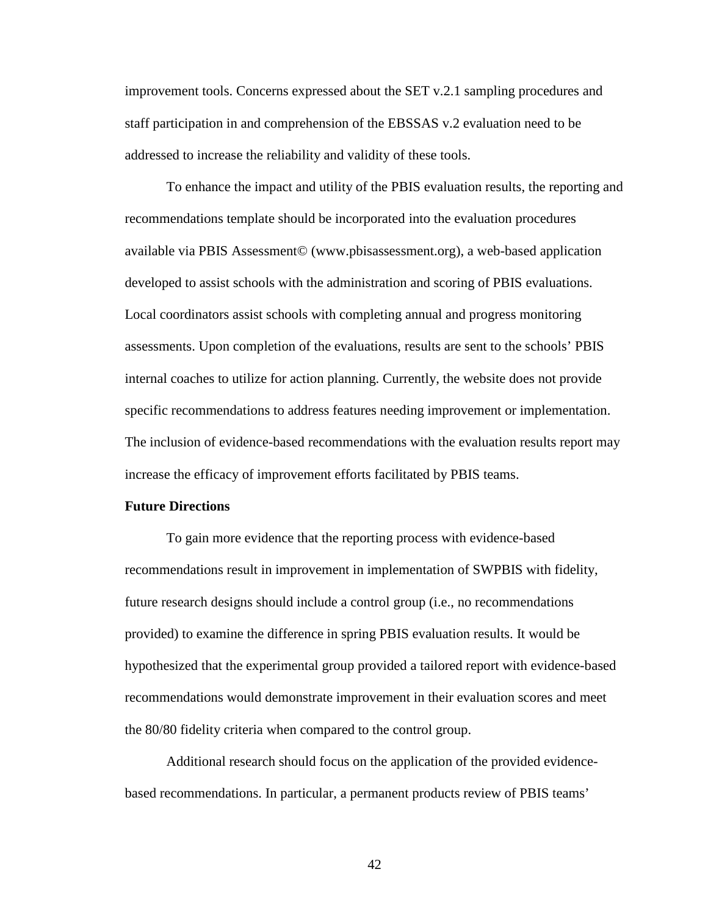improvement tools. Concerns expressed about the SET v.2.1 sampling procedures and staff participation in and comprehension of the EBSSAS v.2 evaluation need to be addressed to increase the reliability and validity of these tools.

To enhance the impact and utility of the PBIS evaluation results, the reporting and recommendations template should be incorporated into the evaluation procedures available via PBIS Assessment© (www.pbisassessment.org), a web-based application developed to assist schools with the administration and scoring of PBIS evaluations. Local coordinators assist schools with completing annual and progress monitoring assessments. Upon completion of the evaluations, results are sent to the schools' PBIS internal coaches to utilize for action planning. Currently, the website does not provide specific recommendations to address features needing improvement or implementation. The inclusion of evidence-based recommendations with the evaluation results report may increase the efficacy of improvement efforts facilitated by PBIS teams.

#### **Future Directions**

To gain more evidence that the reporting process with evidence-based recommendations result in improvement in implementation of SWPBIS with fidelity, future research designs should include a control group (i.e., no recommendations provided) to examine the difference in spring PBIS evaluation results. It would be hypothesized that the experimental group provided a tailored report with evidence-based recommendations would demonstrate improvement in their evaluation scores and meet the 80/80 fidelity criteria when compared to the control group.

Additional research should focus on the application of the provided evidencebased recommendations. In particular, a permanent products review of PBIS teams'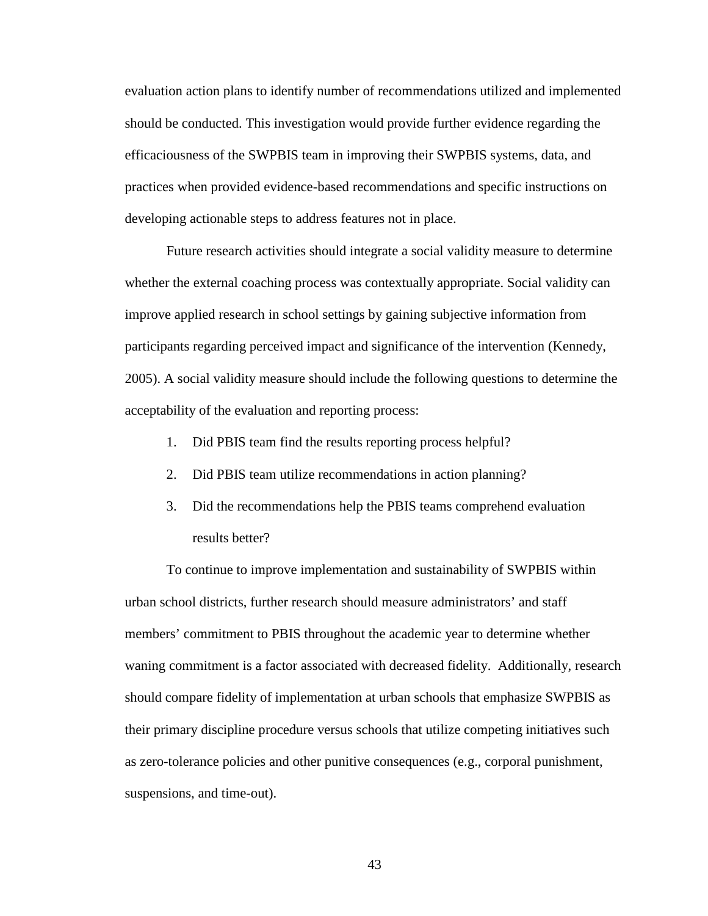evaluation action plans to identify number of recommendations utilized and implemented should be conducted. This investigation would provide further evidence regarding the efficaciousness of the SWPBIS team in improving their SWPBIS systems, data, and practices when provided evidence-based recommendations and specific instructions on developing actionable steps to address features not in place.

Future research activities should integrate a social validity measure to determine whether the external coaching process was contextually appropriate. Social validity can improve applied research in school settings by gaining subjective information from participants regarding perceived impact and significance of the intervention (Kennedy, 2005). A social validity measure should include the following questions to determine the acceptability of the evaluation and reporting process:

- 1. Did PBIS team find the results reporting process helpful?
- 2. Did PBIS team utilize recommendations in action planning?
- 3. Did the recommendations help the PBIS teams comprehend evaluation results better?

To continue to improve implementation and sustainability of SWPBIS within urban school districts, further research should measure administrators' and staff members' commitment to PBIS throughout the academic year to determine whether waning commitment is a factor associated with decreased fidelity. Additionally, research should compare fidelity of implementation at urban schools that emphasize SWPBIS as their primary discipline procedure versus schools that utilize competing initiatives such as zero-tolerance policies and other punitive consequences (e.g., corporal punishment, suspensions, and time-out).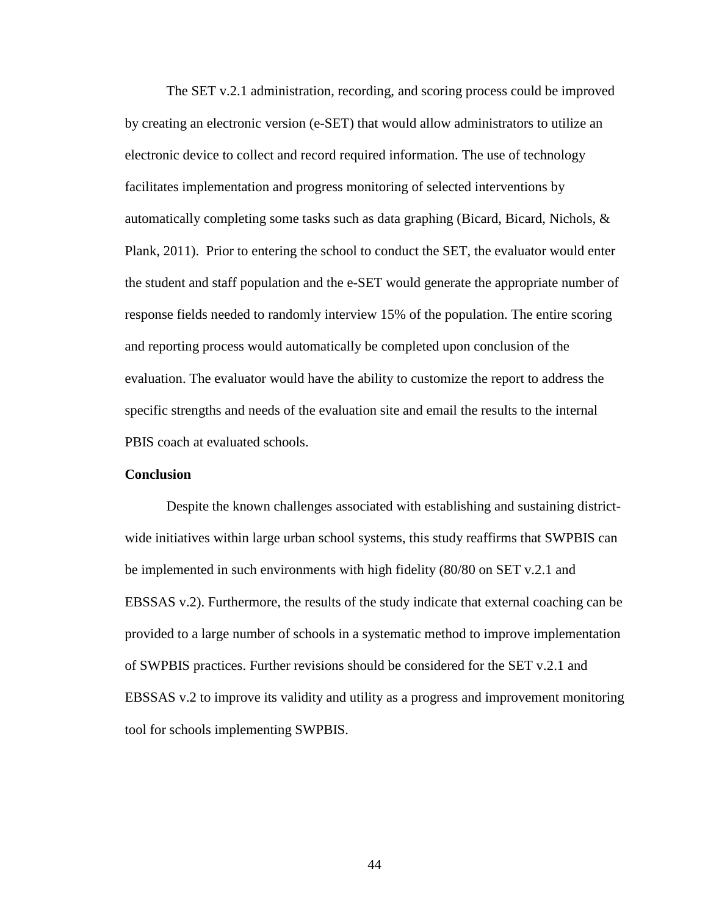The SET v.2.1 administration, recording, and scoring process could be improved by creating an electronic version (e-SET) that would allow administrators to utilize an electronic device to collect and record required information. The use of technology facilitates implementation and progress monitoring of selected interventions by automatically completing some tasks such as data graphing (Bicard, Bicard, Nichols,  $\&$ Plank, 2011). Prior to entering the school to conduct the SET, the evaluator would enter the student and staff population and the e-SET would generate the appropriate number of response fields needed to randomly interview 15% of the population. The entire scoring and reporting process would automatically be completed upon conclusion of the evaluation. The evaluator would have the ability to customize the report to address the specific strengths and needs of the evaluation site and email the results to the internal PBIS coach at evaluated schools.

#### **Conclusion**

Despite the known challenges associated with establishing and sustaining districtwide initiatives within large urban school systems, this study reaffirms that SWPBIS can be implemented in such environments with high fidelity (80/80 on SET v.2.1 and EBSSAS v.2). Furthermore, the results of the study indicate that external coaching can be provided to a large number of schools in a systematic method to improve implementation of SWPBIS practices. Further revisions should be considered for the SET v.2.1 and EBSSAS v.2 to improve its validity and utility as a progress and improvement monitoring tool for schools implementing SWPBIS.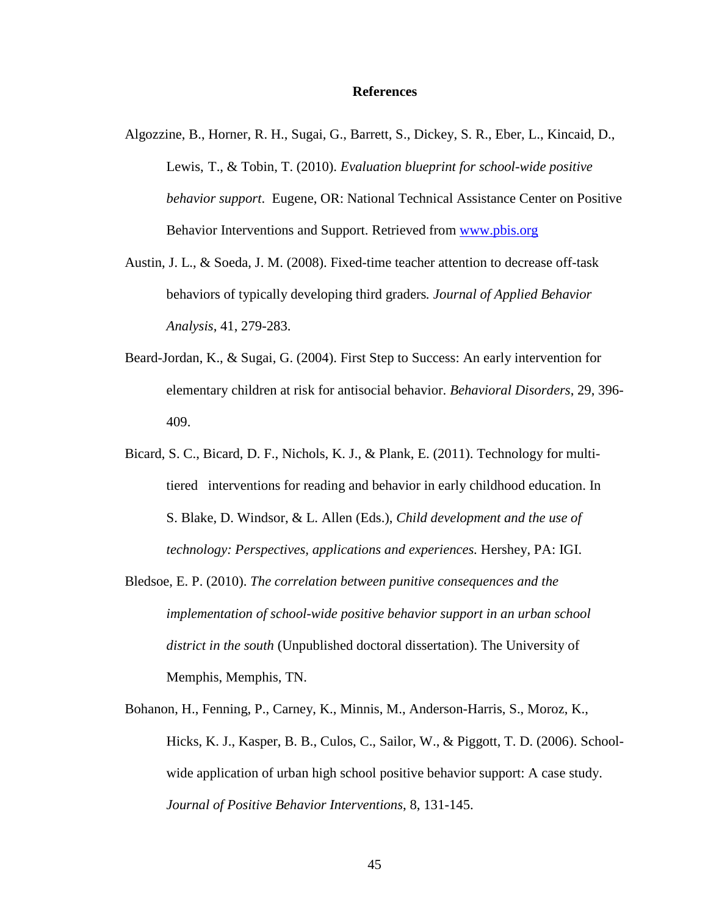#### **References**

- Algozzine, B., Horner, R. H., Sugai, G., Barrett, S., Dickey, S. R., Eber, L., Kincaid, D., Lewis, T., & Tobin, T. (2010). *Evaluation blueprint for school-wide positive behavior support*. Eugene, OR: National Technical Assistance Center on Positive Behavior Interventions and Support. Retrieved from [www.pbis.org](http://www.pbis.org/)
- Austin, J. L., & Soeda, J. M. (2008). Fixed-time teacher attention to decrease off-task behaviors of typically developing third graders*. Journal of Applied Behavior Analysis*, 41, 279-283.
- Beard-Jordan, K., & Sugai, G. (2004). First Step to Success: An early intervention for elementary children at risk for antisocial behavior. *Behavioral Disorders*, 29, 396- 409.
- Bicard, S. C., Bicard, D. F., Nichols, K. J., & Plank, E. (2011). Technology for multitiered interventions for reading and behavior in early childhood education. In S. Blake, D. Windsor, & L. Allen (Eds.), *Child development and the use of technology: Perspectives, applications and experiences.* Hershey, PA: IGI.
- Bledsoe, E. P. (2010). *The correlation between punitive consequences and the implementation of school-wide positive behavior support in an urban school district in the south* (Unpublished doctoral dissertation). The University of Memphis, Memphis, TN.
- Bohanon, H., Fenning, P., Carney, K., Minnis, M., Anderson-Harris, S., Moroz, K., Hicks, K. J., Kasper, B. B., Culos, C., Sailor, W., & Piggott, T. D. (2006). Schoolwide application of urban high school positive behavior support: A case study. *Journal of Positive Behavior Interventions*, 8, 131-145.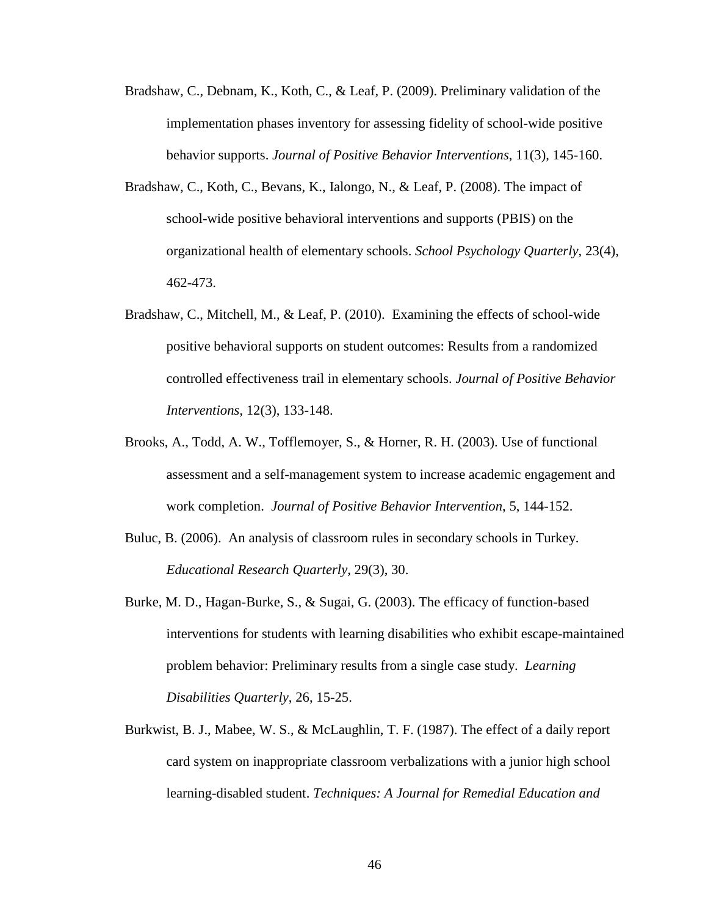- Bradshaw, C., Debnam, K., Koth, C., & Leaf, P. (2009). Preliminary validation of the implementation phases inventory for assessing fidelity of school-wide positive behavior supports. *Journal of Positive Behavior Interventions*, 11(3), 145-160.
- Bradshaw, C., Koth, C., Bevans, K., Ialongo, N., & Leaf, P. (2008). The impact of school-wide positive behavioral interventions and supports (PBIS) on the organizational health of elementary schools. *School Psychology Quarterly*, 23(4), 462-473.
- Bradshaw, C., Mitchell, M., & Leaf, P. (2010). Examining the effects of school-wide positive behavioral supports on student outcomes: Results from a randomized controlled effectiveness trail in elementary schools. *Journal of Positive Behavior Interventions,* 12(3), 133-148.
- Brooks, A., Todd, A. W., Tofflemoyer, S., & Horner, R. H. (2003). Use of functional assessment and a self-management system to increase academic engagement and work completion. *Journal of Positive Behavior Intervention*, 5, 144-152.
- Buluc, B. (2006). An analysis of classroom rules in secondary schools in Turkey. *Educational Research Quarterly*, 29(3), 30.
- Burke, M. D., Hagan-Burke, S., & Sugai, G. (2003). The efficacy of function-based interventions for students with learning disabilities who exhibit escape-maintained problem behavior: Preliminary results from a single case study. *Learning Disabilities Quarterly*, 26, 15-25.
- Burkwist, B. J., Mabee, W. S., & McLaughlin, T. F. (1987). The effect of a daily report card system on inappropriate classroom verbalizations with a junior high school learning-disabled student. *Techniques: A Journal for Remedial Education and*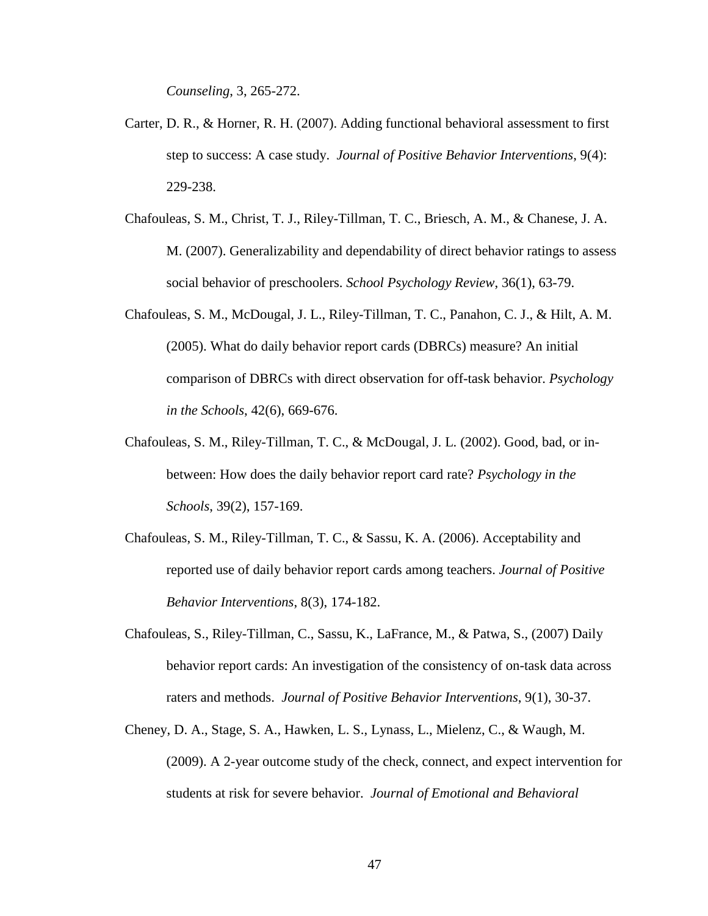*Counseling*, 3, 265-272.

- Carter, D. R., & Horner, R. H. (2007). Adding functional behavioral assessment to first step to success: A case study. *Journal of Positive Behavior Interventions*, 9(4): 229-238.
- Chafouleas, S. M., Christ, T. J., Riley-Tillman, T. C., Briesch, A. M., & Chanese, J. A. M. (2007). Generalizability and dependability of direct behavior ratings to assess social behavior of preschoolers. *School Psychology Review*, 36(1), 63-79.
- Chafouleas, S. M., McDougal, J. L., Riley-Tillman, T. C., Panahon, C. J., & Hilt, A. M. (2005). What do daily behavior report cards (DBRCs) measure? An initial comparison of DBRCs with direct observation for off-task behavior. *Psychology in the Schools*, 42(6), 669-676.
- Chafouleas, S. M., Riley-Tillman, T. C., & McDougal, J. L. (2002). Good, bad, or inbetween: How does the daily behavior report card rate? *Psychology in the Schools*, 39(2), 157-169.
- Chafouleas, S. M., Riley-Tillman, T. C., & Sassu, K. A. (2006). Acceptability and reported use of daily behavior report cards among teachers. *Journal of Positive Behavior Interventions*, 8(3), 174-182.
- Chafouleas, S., Riley-Tillman, C., Sassu, K., LaFrance, M., & Patwa, S., (2007) Daily behavior report cards: An investigation of the consistency of on-task data across raters and methods. *Journal of Positive Behavior Interventions*, 9(1), 30-37.
- Cheney, D. A., Stage, S. A., Hawken, L. S., Lynass, L., Mielenz, C., & Waugh, M. (2009). A 2-year outcome study of the check, connect, and expect intervention for students at risk for severe behavior. *Journal of Emotional and Behavioral*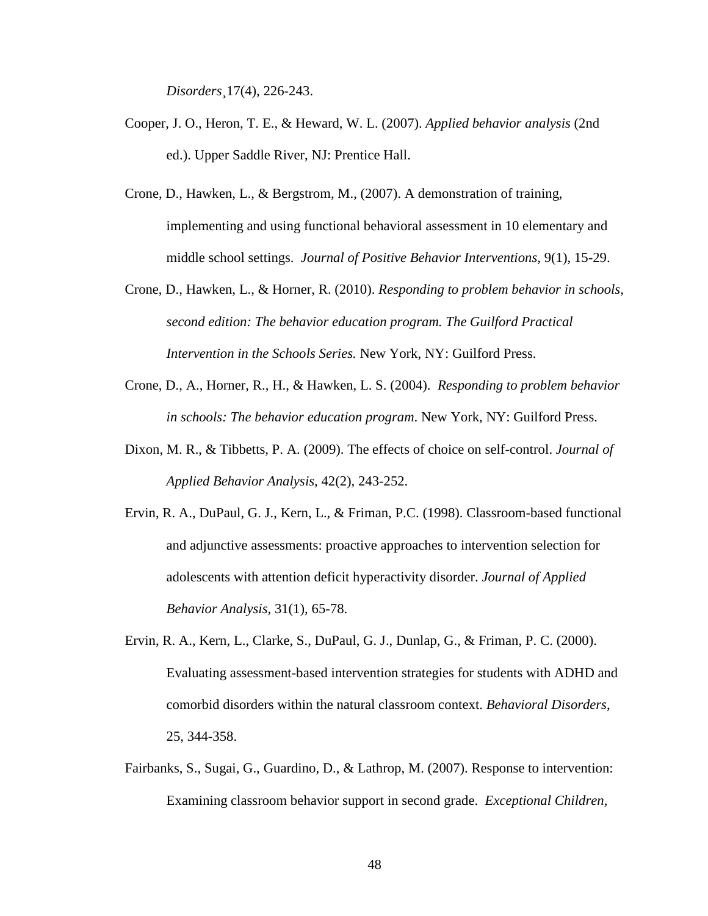*Disorders¸*17(4), 226-243.

- Cooper, J. O., Heron, T. E., & Heward, W. L. (2007). *Applied behavior analysis* (2nd ed.). Upper Saddle River, NJ: Prentice Hall.
- Crone, D., Hawken, L., & Bergstrom, M., (2007). A demonstration of training, implementing and using functional behavioral assessment in 10 elementary and middle school settings. *Journal of Positive Behavior Interventions,* 9(1), 15-29.
- Crone, D., Hawken, L., & Horner, R. (2010). *Responding to problem behavior in schools, second edition: The behavior education program. The Guilford Practical Intervention in the Schools Series.* New York, NY: Guilford Press.
- Crone, D., A., Horner, R., H., & Hawken, L. S. (2004). *Responding to problem behavior in schools: The behavior education program*. New York, NY: Guilford Press.
- Dixon, M. R., & Tibbetts, P. A. (2009). The effects of choice on self-control. *Journal of Applied Behavior Analysis,* 42(2), 243-252.
- Ervin, R. A., DuPaul, G. J., Kern, L., & Friman, P.C. (1998). Classroom-based functional and adjunctive assessments: proactive approaches to intervention selection for adolescents with attention deficit hyperactivity disorder. *Journal of Applied Behavior Analysis,* 31(1), 65-78.
- Ervin, R. A., Kern, L., Clarke, S., DuPaul, G. J., Dunlap, G., & Friman, P. C. (2000). Evaluating assessment-based intervention strategies for students with ADHD and comorbid disorders within the natural classroom context. *Behavioral Disorders*, 25, 344-358.
- Fairbanks, S., Sugai, G., Guardino, D., & Lathrop, M. (2007). Response to intervention: Examining classroom behavior support in second grade. *Exceptional Children,*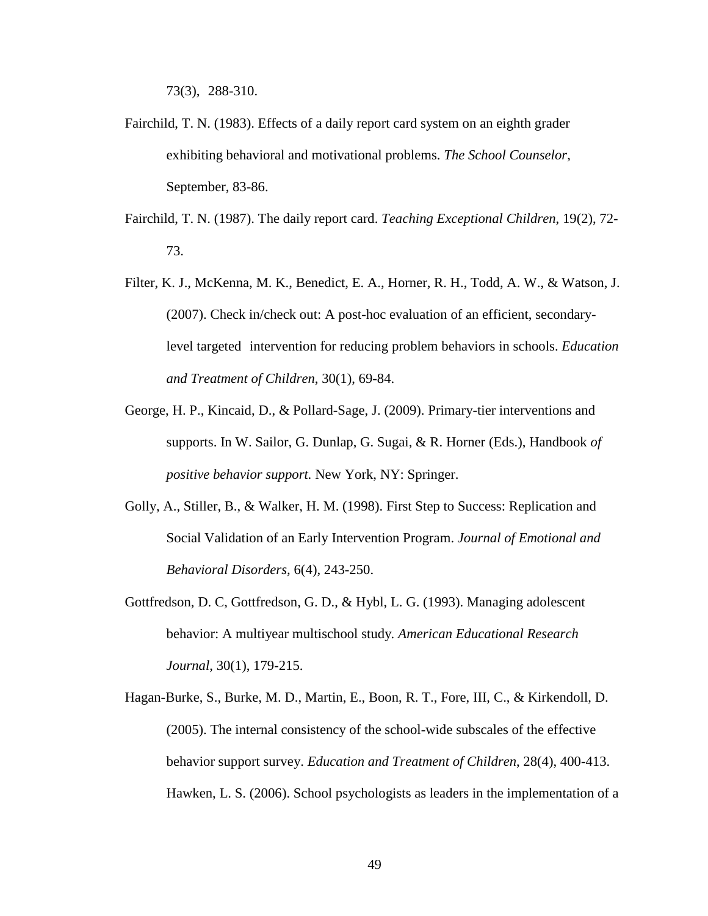73(3), 288-310.

- Fairchild, T. N. (1983). Effects of a daily report card system on an eighth grader exhibiting behavioral and motivational problems. *The School Counselor*, September, 83-86.
- Fairchild, T. N. (1987). The daily report card. *Teaching Exceptional Children*, 19(2), 72- 73.
- Filter, K. J., McKenna, M. K., Benedict, E. A., Horner, R. H., Todd, A. W., & Watson, J. (2007). Check in/check out: A post-hoc evaluation of an efficient, secondarylevel targeted intervention for reducing problem behaviors in schools. *Education and Treatment of Children*, 30(1), 69-84.
- George, H. P., Kincaid, D., & Pollard-Sage, J. (2009). Primary-tier interventions and supports. In W. Sailor, G. Dunlap, G. Sugai, & R. Horner (Eds.), Handbook *of positive behavior support.* New York, NY: Springer.
- Golly, A., Stiller, B., & Walker, H. M. (1998). First Step to Success: Replication and Social Validation of an Early Intervention Program. *Journal of Emotional and Behavioral Disorders,* 6(4), 243-250.
- Gottfredson, D. C, Gottfredson, G. D., & Hybl, L. G. (1993). Managing adolescent behavior: A multiyear multischool study*. American Educational Research Journal*, 30(1), 179-215.
- Hagan-Burke, S., Burke, M. D., Martin, E., Boon, R. T., Fore, III, C., & Kirkendoll, D. (2005). The internal consistency of the school-wide subscales of the effective behavior support survey. *Education and Treatment of Children*, 28(4), 400-413. Hawken, L. S. (2006). School psychologists as leaders in the implementation of a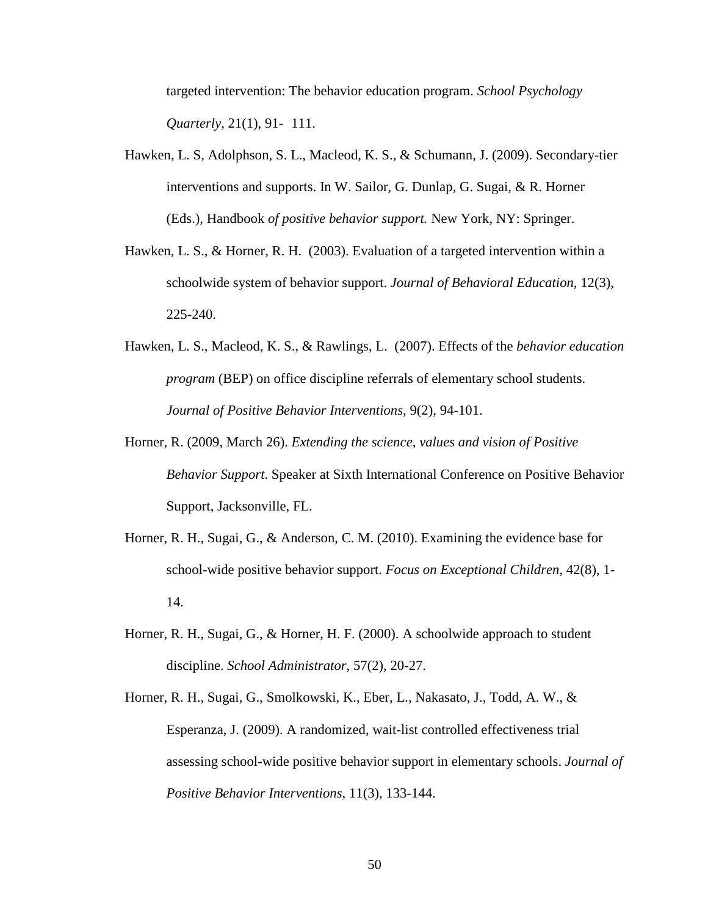targeted intervention: The behavior education program. *School Psychology Quarterly*, 21(1), 91- 111.

- Hawken, L. S, Adolphson, S. L., Macleod, K. S., & Schumann, J. (2009). Secondary-tier interventions and supports. In W. Sailor, G. Dunlap, G. Sugai, & R. Horner (Eds.), Handbook *of positive behavior support.* New York, NY: Springer.
- Hawken, L. S., & Horner, R. H. (2003). Evaluation of a targeted intervention within a schoolwide system of behavior support. *Journal of Behavioral Education*, 12(3), 225-240.
- Hawken, L. S., Macleod, K. S., & Rawlings, L. (2007). Effects of the *behavior education program* (BEP) on office discipline referrals of elementary school students. *Journal of Positive Behavior Interventions*, 9(2), 94-101.
- Horner, R. (2009, March 26). *Extending the science, values and vision of Positive Behavior Support*. Speaker at Sixth International Conference on Positive Behavior Support, Jacksonville, FL.
- Horner, R. H., Sugai, G., & Anderson, C. M. (2010). Examining the evidence base for school-wide positive behavior support. *Focus on Exceptional Children*, 42(8), 1- 14.
- Horner, R. H., Sugai, G., & Horner, H. F. (2000). A schoolwide approach to student discipline. *School Administrator*, 57(2), 20-27.
- Horner, R. H., Sugai, G., Smolkowski, K., Eber, L., Nakasato, J., Todd, A. W., & Esperanza, J. (2009). A randomized, wait-list controlled effectiveness trial assessing school-wide positive behavior support in elementary schools. *Journal of Positive Behavior Interventions*, 11(3), 133-144.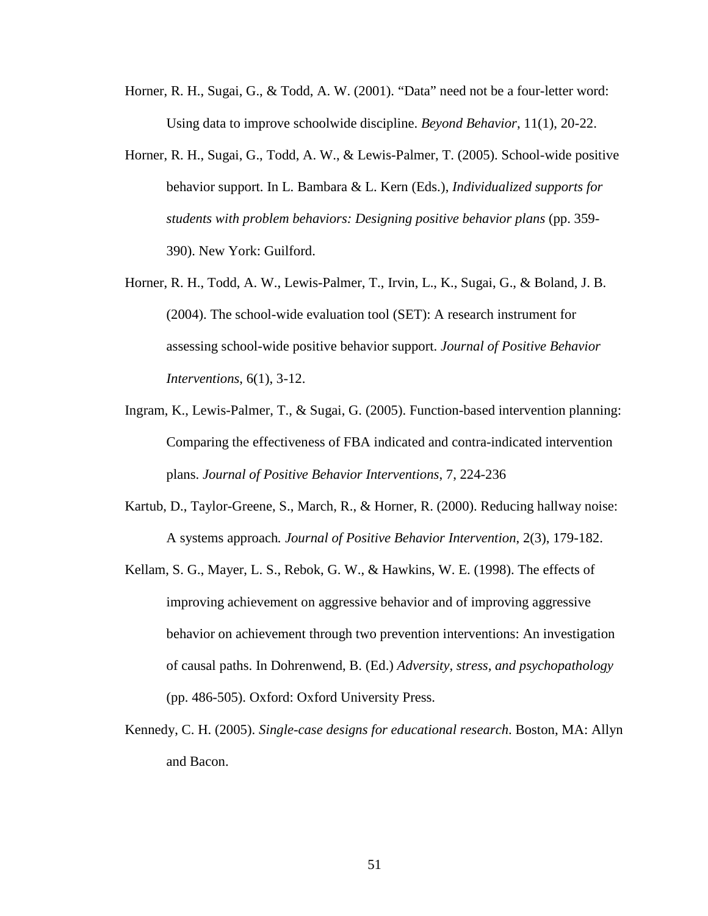- Horner, R. H., Sugai, G., & Todd, A. W. (2001). "Data" need not be a four-letter word: Using data to improve schoolwide discipline. *Beyond Behavior*, 11(1), 20-22.
- Horner, R. H., Sugai, G., Todd, A. W., & Lewis-Palmer, T. (2005). School-wide positive behavior support. In L. Bambara & L. Kern (Eds.), *Individualized supports for students with problem behaviors: Designing positive behavior plans* (pp. 359- 390). New York: Guilford.
- Horner, R. H., Todd, A. W., Lewis-Palmer, T., Irvin, L., K., Sugai, G., & Boland, J. B. (2004). The school-wide evaluation tool (SET): A research instrument for assessing school-wide positive behavior support. *Journal of Positive Behavior Interventions*, 6(1), 3-12.
- Ingram, K., Lewis-Palmer, T., & Sugai, G. (2005). Function-based intervention planning: Comparing the effectiveness of FBA indicated and contra-indicated intervention plans. *Journal of Positive Behavior Interventions*, 7, 224-236
- Kartub, D., Taylor-Greene, S., March, R., & Horner, R. (2000). Reducing hallway noise: A systems approach*. Journal of Positive Behavior Intervention*, 2(3), 179-182.
- Kellam, S. G., Mayer, L. S., Rebok, G. W., & Hawkins, W. E. (1998). The effects of improving achievement on aggressive behavior and of improving aggressive behavior on achievement through two prevention interventions: An investigation of causal paths. In Dohrenwend, B. (Ed.) *Adversity, stress, and psychopathology*  (pp. 486-505). Oxford: Oxford University Press.
- Kennedy, C. H. (2005). *Single-case designs for educational research*. Boston, MA: Allyn and Bacon.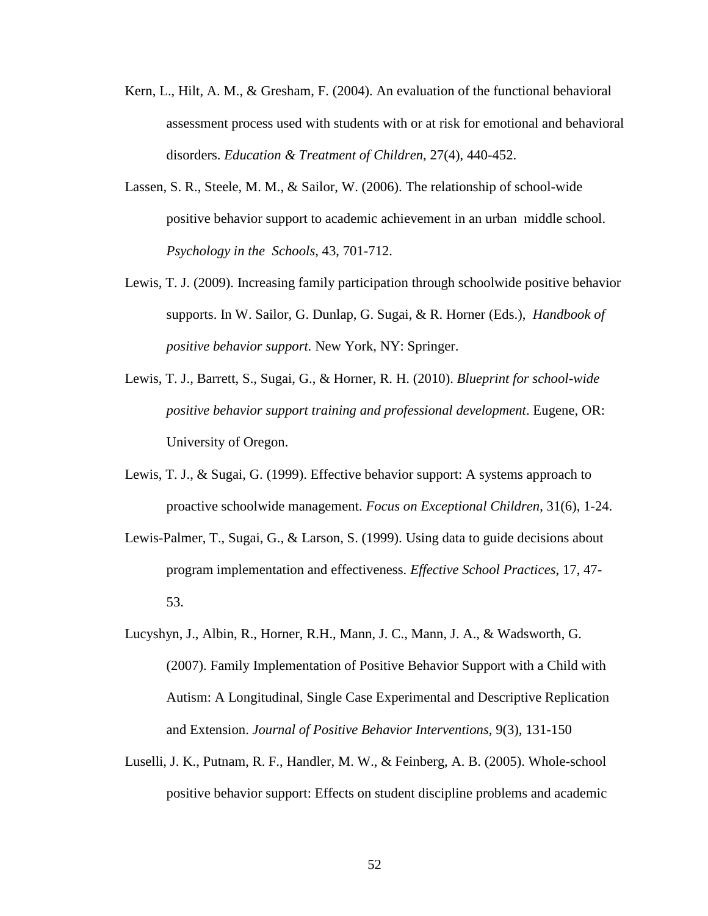- Kern, L., Hilt, A. M., & Gresham, F. (2004). An evaluation of the functional behavioral assessment process used with students with or at risk for emotional and behavioral disorders. *Education & Treatment of Children*, 27(4), 440-452.
- Lassen, S. R., Steele, M. M., & Sailor, W. (2006). The relationship of school-wide positive behavior support to academic achievement in an urban middle school. *Psychology in the Schools*, 43, 701-712.
- Lewis, T. J. (2009). Increasing family participation through schoolwide positive behavior supports. In W. Sailor, G. Dunlap, G. Sugai, & R. Horner (Eds.), *Handbook of positive behavior support.* New York, NY: Springer.
- Lewis, T. J., Barrett, S., Sugai, G., & Horner, R. H. (2010). *Blueprint for school-wide positive behavior support training and professional development*. Eugene, OR: University of Oregon.
- Lewis, T. J., & Sugai, G. (1999). Effective behavior support: A systems approach to proactive schoolwide management. *Focus on Exceptional Children*, 31(6), 1-24.
- Lewis-Palmer, T., Sugai, G., & Larson, S. (1999). Using data to guide decisions about program implementation and effectiveness. *Effective School Practices*, 17, 47- 53.
- Lucyshyn, J., Albin, R., Horner, R.H., Mann, J. C., Mann, J. A., & Wadsworth, G. (2007). Family Implementation of Positive Behavior Support with a Child with Autism: A Longitudinal, Single Case Experimental and Descriptive Replication and Extension. *Journal of Positive Behavior Interventions*, 9(3), 131-150
- Luselli, J. K., Putnam, R. F., Handler, M. W., & Feinberg, A. B. (2005). Whole-school positive behavior support: Effects on student discipline problems and academic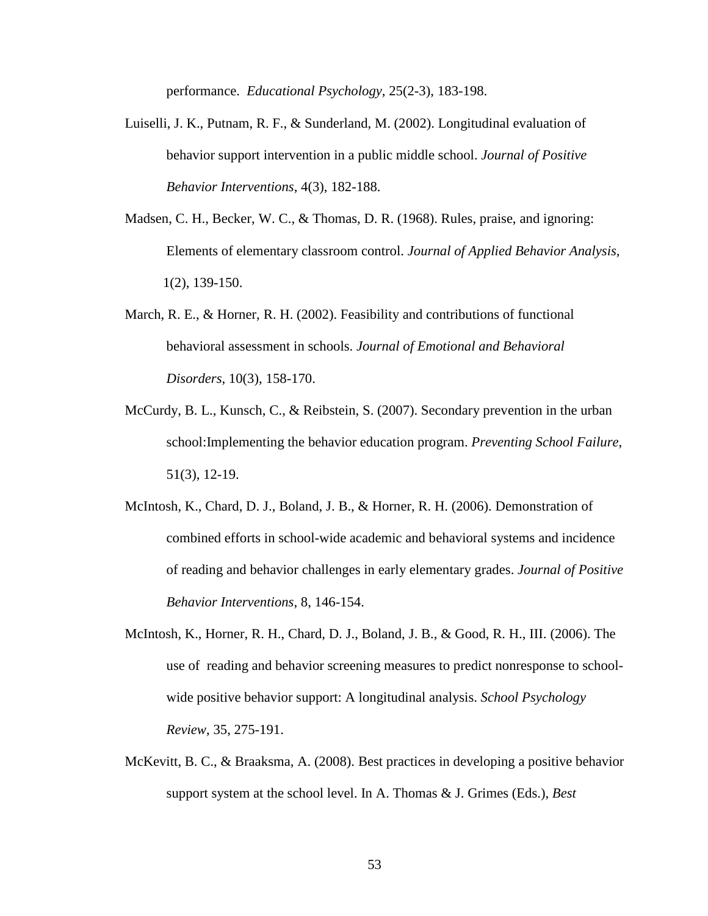performance. *Educational Psychology*, 25(2-3), 183-198.

- Luiselli, J. K., Putnam, R. F., & Sunderland, M. (2002). Longitudinal evaluation of behavior support intervention in a public middle school. *Journal of Positive Behavior Interventions*, 4(3), 182-188.
- Madsen, C. H., Becker, W. C., & Thomas, D. R. (1968). Rules, praise, and ignoring: Elements of elementary classroom control. *Journal of Applied Behavior Analysis,* 1(2), 139-150.
- March, R. E., & Horner, R. H. (2002). Feasibility and contributions of functional behavioral assessment in schools. *Journal of Emotional and Behavioral Disorders*, 10(3), 158-170.
- McCurdy, B. L., Kunsch, C., & Reibstein, S. (2007). Secondary prevention in the urban school:Implementing the behavior education program. *Preventing School Failure*, 51(3), 12-19.
- McIntosh, K., Chard, D. J., Boland, J. B., & Horner, R. H. (2006). Demonstration of combined efforts in school-wide academic and behavioral systems and incidence of reading and behavior challenges in early elementary grades. *Journal of Positive Behavior Interventions*, 8, 146-154.
- McIntosh, K., Horner, R. H., Chard, D. J., Boland, J. B., & Good, R. H., III. (2006). The use of reading and behavior screening measures to predict nonresponse to schoolwide positive behavior support: A longitudinal analysis. *School Psychology Review*, 35, 275-191.
- McKevitt, B. C., & Braaksma, A. (2008). Best practices in developing a positive behavior support system at the school level. In A. Thomas & J. Grimes (Eds.), *Best*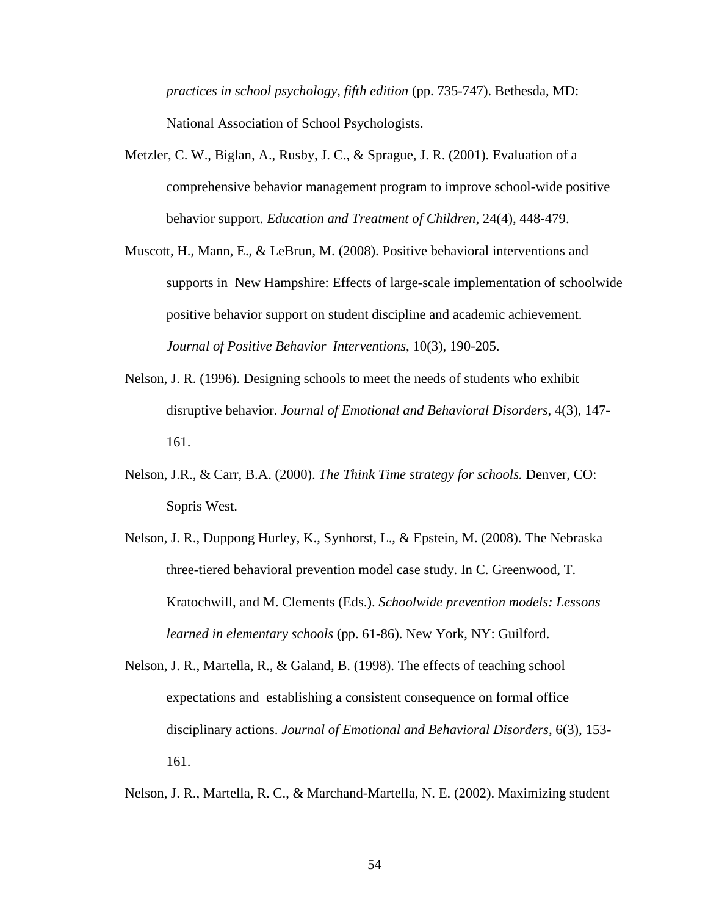*practices in school psychology, fifth edition* (pp. 735-747). Bethesda, MD: National Association of School Psychologists.

- Metzler, C. W., Biglan, A., Rusby, J. C., & Sprague, J. R. (2001). Evaluation of a comprehensive behavior management program to improve school-wide positive behavior support. *Education and Treatment of Children*, 24(4), 448-479.
- Muscott, H., Mann, E., & LeBrun, M. (2008). Positive behavioral interventions and supports in New Hampshire: Effects of large-scale implementation of schoolwide positive behavior support on student discipline and academic achievement. *Journal of Positive Behavior Interventions*, 10(3), 190-205.
- Nelson, J. R. (1996). Designing schools to meet the needs of students who exhibit disruptive behavior. *Journal of Emotional and Behavioral Disorders*, 4(3), 147- 161.
- Nelson, J.R., & Carr, B.A. (2000). *The Think Time strategy for schools.* Denver, CO: Sopris West.
- Nelson, J. R., Duppong Hurley, K., Synhorst, L., & Epstein, M. (2008). The Nebraska three-tiered behavioral prevention model case study. In C. Greenwood, T. Kratochwill, and M. Clements (Eds.). *Schoolwide prevention models: Lessons learned in elementary schools* (pp. 61-86). New York, NY: Guilford.
- Nelson, J. R., Martella, R., & Galand, B. (1998). The effects of teaching school expectations and establishing a consistent consequence on formal office disciplinary actions. *Journal of Emotional and Behavioral Disorders*, 6(3), 153- 161.

Nelson, J. R., Martella, R. C., & Marchand-Martella, N. E. (2002). Maximizing student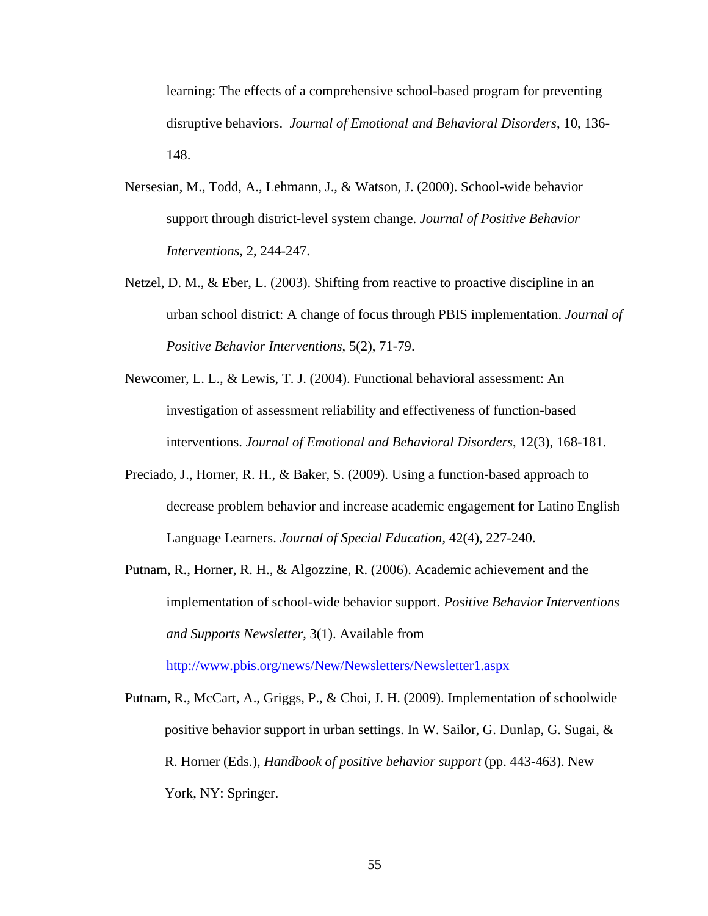learning: The effects of a comprehensive school-based program for preventing disruptive behaviors. *Journal of Emotional and Behavioral Disorders*, 10, 136- 148.

- Nersesian, M., Todd, A., Lehmann, J., & Watson, J. (2000). School-wide behavior support through district-level system change. *Journal of Positive Behavior Interventions*, 2, 244-247.
- Netzel, D. M., & Eber, L. (2003). Shifting from reactive to proactive discipline in an urban school district: A change of focus through PBIS implementation. *Journal of Positive Behavior Interventions*, 5(2), 71-79.
- Newcomer, L. L., & Lewis, T. J. (2004). Functional behavioral assessment: An investigation of assessment reliability and effectiveness of function-based interventions. *Journal of Emotional and Behavioral Disorders*, 12(3), 168-181.
- Preciado, J., Horner, R. H., & Baker, S. (2009). Using a function-based approach to decrease problem behavior and increase academic engagement for Latino English Language Learners. *Journal of Special Education*, 42(4), 227-240.
- Putnam, R., Horner, R. H., & Algozzine, R. (2006). Academic achievement and the implementation of school-wide behavior support. *Positive Behavior Interventions and Supports Newsletter*, 3(1). Available from

<http://www.pbis.org/news/New/Newsletters/Newsletter1.aspx>

Putnam, R., McCart, A., Griggs, P., & Choi, J. H. (2009). Implementation of schoolwide positive behavior support in urban settings. In W. Sailor, G. Dunlap, G. Sugai, & R. Horner (Eds.), *Handbook of positive behavior support* (pp. 443-463). New York, NY: Springer.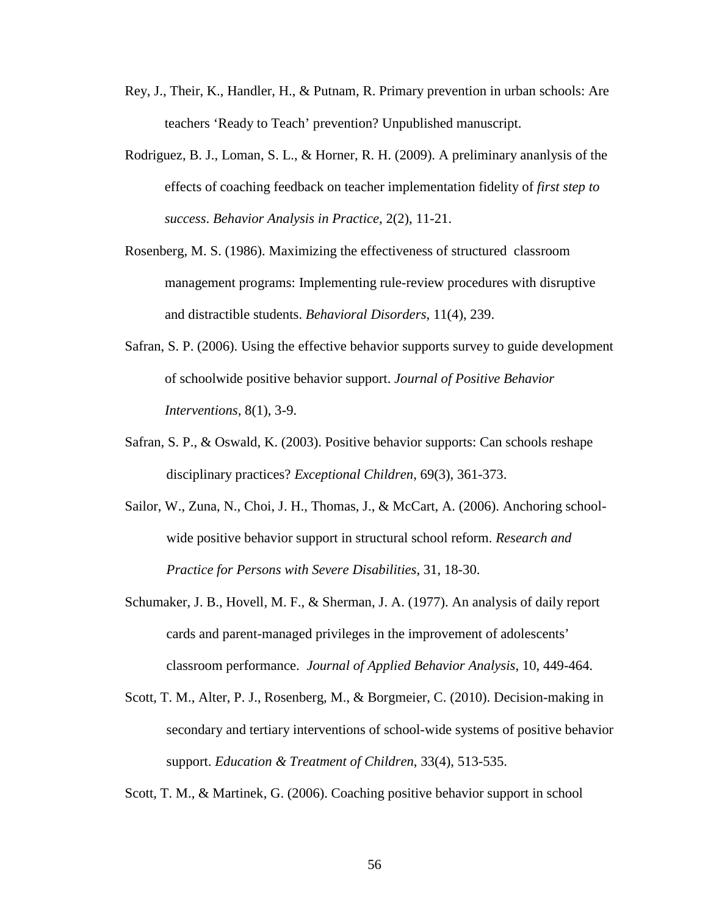- Rey, J., Their, K., Handler, H., & Putnam, R. Primary prevention in urban schools: Are teachers 'Ready to Teach' prevention? Unpublished manuscript.
- Rodriguez, B. J., Loman, S. L., & Horner, R. H. (2009). A preliminary ananlysis of the effects of coaching feedback on teacher implementation fidelity of *first step to success*. *Behavior Analysis in Practice*, 2(2), 11-21.
- Rosenberg, M. S. (1986). Maximizing the effectiveness of structured classroom management programs: Implementing rule-review procedures with disruptive and distractible students. *Behavioral Disorders*, 11(4), 239.
- Safran, S. P. (2006). Using the effective behavior supports survey to guide development of schoolwide positive behavior support. *Journal of Positive Behavior Interventions,* 8(1), 3-9.
- Safran, S. P., & Oswald, K. (2003). Positive behavior supports: Can schools reshape disciplinary practices? *Exceptional Children*, 69(3), 361-373.
- Sailor, W., Zuna, N., Choi, J. H., Thomas, J., & McCart, A. (2006). Anchoring schoolwide positive behavior support in structural school reform. *Research and Practice for Persons with Severe Disabilities*, 31, 18-30.
- Schumaker, J. B., Hovell, M. F., & Sherman, J. A. (1977). An analysis of daily report cards and parent-managed privileges in the improvement of adolescents' classroom performance. *Journal of Applied Behavior Analysis*, 10, 449-464.
- Scott, T. M., Alter, P. J., Rosenberg, M., & Borgmeier, C. (2010). Decision-making in secondary and tertiary interventions of school-wide systems of positive behavior support. *Education & Treatment of Children*, 33(4), 513-535.

Scott, T. M., & Martinek, G. (2006). Coaching positive behavior support in school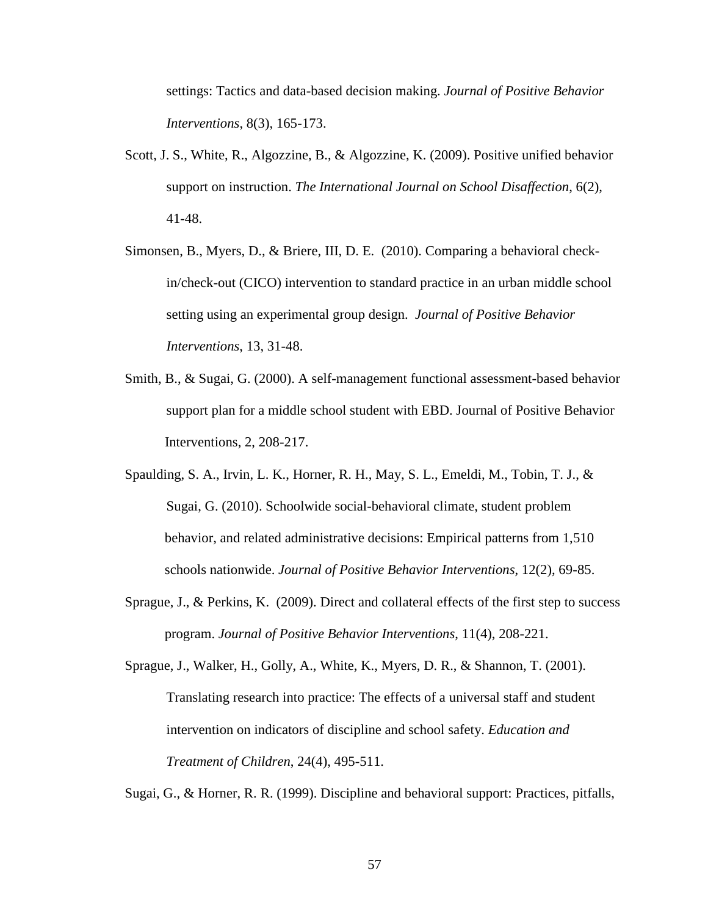settings: Tactics and data-based decision making. *Journal of Positive Behavior Interventions*, 8(3), 165-173.

- Scott, J. S., White, R., Algozzine, B., & Algozzine, K. (2009). Positive unified behavior support on instruction. *The International Journal on School Disaffection*, 6(2), 41-48.
- Simonsen, B., Myers, D., & Briere, III, D. E. (2010). Comparing a behavioral checkin/check-out (CICO) intervention to standard practice in an urban middle school setting using an experimental group design. *Journal of Positive Behavior Interventions*, 13, 31-48.
- Smith, B., & Sugai, G. (2000). A self-management functional assessment-based behavior support plan for a middle school student with EBD. Journal of Positive Behavior Interventions, 2, 208-217.
- Spaulding, S. A., Irvin, L. K., Horner, R. H., May, S. L., Emeldi, M., Tobin, T. J., & Sugai, G. (2010). Schoolwide social-behavioral climate, student problem behavior, and related administrative decisions: Empirical patterns from 1,510 schools nationwide. *Journal of Positive Behavior Interventions*, 12(2), 69-85.
- Sprague, J., & Perkins, K. (2009). Direct and collateral effects of the first step to success program. *Journal of Positive Behavior Interventions*, 11(4), 208-221.

Sprague, J., Walker, H., Golly, A., White, K., Myers, D. R., & Shannon, T. (2001). Translating research into practice: The effects of a universal staff and student intervention on indicators of discipline and school safety. *Education and Treatment of Children*, 24(4), 495-511.

Sugai, G., & Horner, R. R. (1999). Discipline and behavioral support: Practices, pitfalls,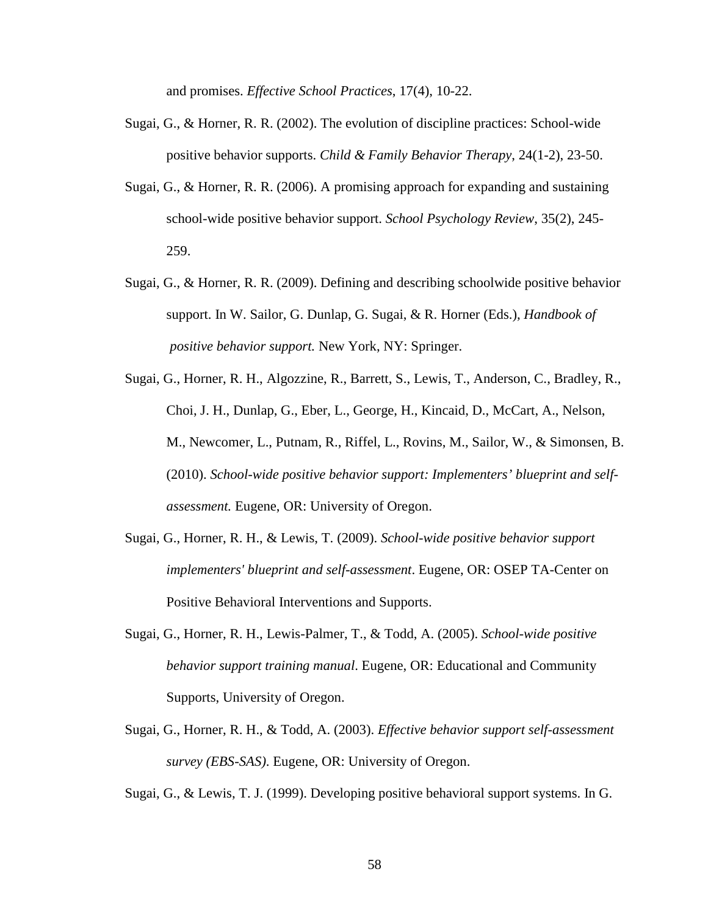and promises. *Effective School Practices*, 17(4), 10-22.

- Sugai, G., & Horner, R. R. (2002). The evolution of discipline practices: School-wide positive behavior supports. *Child & Family Behavior Therapy*, 24(1-2), 23-50.
- Sugai, G., & Horner, R. R. (2006). A promising approach for expanding and sustaining school-wide positive behavior support. *School Psychology Review*, 35(2), 245- 259.
- Sugai, G., & Horner, R. R. (2009). Defining and describing schoolwide positive behavior support. In W. Sailor, G. Dunlap, G. Sugai, & R. Horner (Eds.), *Handbook of positive behavior support.* New York, NY: Springer.
- Sugai, G., Horner, R. H., Algozzine, R., Barrett, S., Lewis, T., Anderson, C., Bradley, R., Choi, J. H., Dunlap, G., Eber, L., George, H., Kincaid, D., McCart, A., Nelson, M., Newcomer, L., Putnam, R., Riffel, L., Rovins, M., Sailor, W., & Simonsen, B. (2010). *School-wide positive behavior support: Implementers' blueprint and selfassessment.* Eugene, OR: University of Oregon.
- Sugai, G., Horner, R. H., & Lewis, T. (2009). *School-wide positive behavior support implementers' blueprint and self-assessment*. Eugene, OR: OSEP TA-Center on Positive Behavioral Interventions and Supports.
- Sugai, G., Horner, R. H., Lewis-Palmer, T., & Todd, A. (2005). *School-wide positive behavior support training manual*. Eugene, OR: Educational and Community Supports, University of Oregon.
- Sugai, G., Horner, R. H., & Todd, A. (2003). *Effective behavior support self-assessment survey (EBS-SAS)*. Eugene, OR: University of Oregon.

Sugai, G., & Lewis, T. J. (1999). Developing positive behavioral support systems. In G.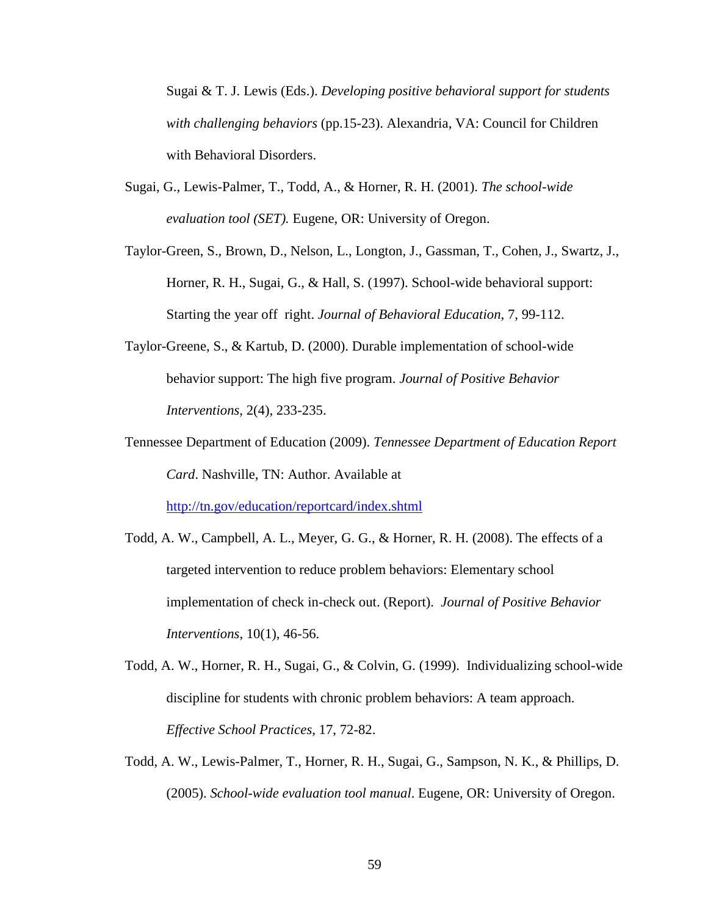Sugai & T. J. Lewis (Eds.). *Developing positive behavioral support for students with challenging behaviors* (pp.15-23). Alexandria, VA: Council for Children with Behavioral Disorders.

- Sugai, G., Lewis-Palmer, T., Todd, A., & Horner, R. H. (2001). *The school-wide evaluation tool (SET).* Eugene, OR: University of Oregon.
- Taylor-Green, S., Brown, D., Nelson, L., Longton, J., Gassman, T., Cohen, J., Swartz, J., Horner, R. H., Sugai, G., & Hall, S. (1997). School-wide behavioral support: Starting the year off right. *Journal of Behavioral Education*, 7, 99-112.
- Taylor-Greene, S., & Kartub, D. (2000). Durable implementation of school-wide behavior support: The high five program. *Journal of Positive Behavior Interventions*, 2(4), 233-235.
- Tennessee Department of Education (2009). *Tennessee Department of Education Report Card*. Nashville, TN: Author. Available at

<http://tn.gov/education/reportcard/index.shtml>

- Todd, A. W., Campbell, A. L., Meyer, G. G., & Horner, R. H. (2008). The effects of a targeted intervention to reduce problem behaviors: Elementary school implementation of check in-check out. (Report). *Journal of Positive Behavior Interventions*, 10(1), 46-56.
- Todd, A. W., Horner, R. H., Sugai, G., & Colvin, G. (1999). Individualizing school-wide discipline for students with chronic problem behaviors: A team approach. *Effective School Practices*, 17, 72-82.
- Todd, A. W., Lewis-Palmer, T., Horner, R. H., Sugai, G., Sampson, N. K., & Phillips, D. (2005). *School-wide evaluation tool manual*. Eugene, OR: University of Oregon.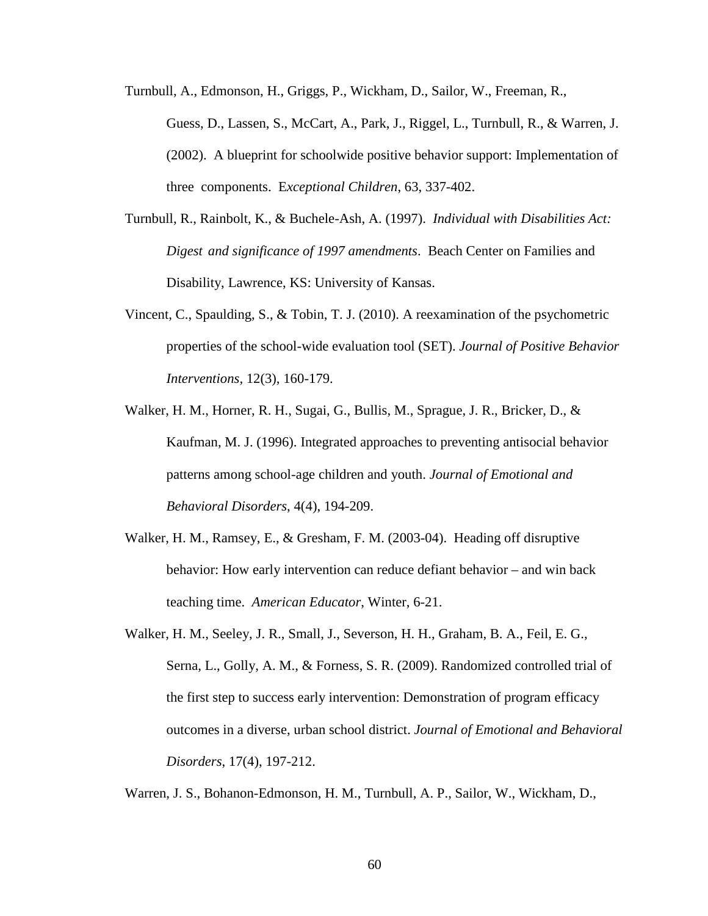- Turnbull, A., Edmonson, H., Griggs, P., Wickham, D., Sailor, W., Freeman, R., Guess, D., Lassen, S., McCart, A., Park, J., Riggel, L., Turnbull, R., & Warren, J. (2002). A blueprint for schoolwide positive behavior support: Implementation of three components. E*xceptional Children*, 63, 337-402.
- Turnbull, R., Rainbolt, K., & Buchele-Ash, A. (1997). *Individual with Disabilities Act: Digest and significance of 1997 amendments*. Beach Center on Families and Disability, Lawrence, KS: University of Kansas.
- Vincent, C., Spaulding, S., & Tobin, T. J. (2010). A reexamination of the psychometric properties of the school-wide evaluation tool (SET). *Journal of Positive Behavior Interventions,* 12(3), 160-179.
- Walker, H. M., Horner, R. H., Sugai, G., Bullis, M., Sprague, J. R., Bricker, D., & Kaufman, M. J. (1996). Integrated approaches to preventing antisocial behavior patterns among school-age children and youth. *Journal of Emotional and Behavioral Disorders*, 4(4), 194-209.
- Walker, H. M., Ramsey, E., & Gresham, F. M. (2003-04). Heading off disruptive behavior: How early intervention can reduce defiant behavior – and win back teaching time. *American Educator*, Winter, 6-21.
- Walker, H. M., Seeley, J. R., Small, J., Severson, H. H., Graham, B. A., Feil, E. G., Serna, L., Golly, A. M., & Forness, S. R. (2009). Randomized controlled trial of the first step to success early intervention: Demonstration of program efficacy outcomes in a diverse, urban school district. *Journal of Emotional and Behavioral Disorders*, 17(4), 197-212.

Warren, J. S., Bohanon-Edmonson, H. M., Turnbull, A. P., Sailor, W., Wickham, D.,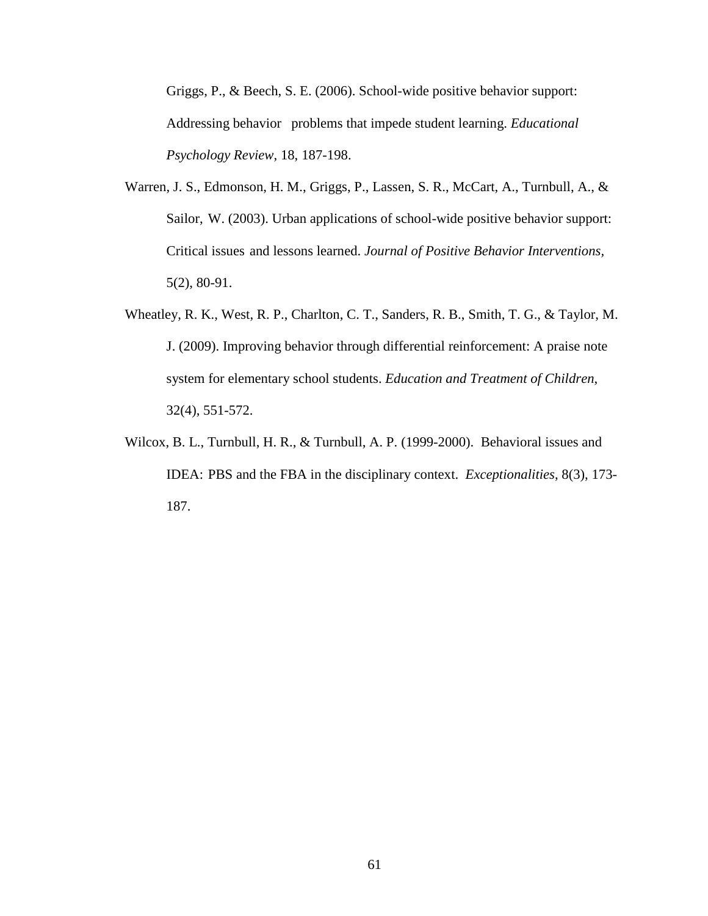Griggs, P., & Beech, S. E. (2006). School-wide positive behavior support: Addressing behavior problems that impede student learning. *Educational Psychology Review*, 18, 187-198.

- Warren, J. S., Edmonson, H. M., Griggs, P., Lassen, S. R., McCart, A., Turnbull, A., & Sailor, W. (2003). Urban applications of school-wide positive behavior support: Critical issues and lessons learned. *Journal of Positive Behavior Interventions,*  5(2), 80-91.
- Wheatley, R. K., West, R. P., Charlton, C. T., Sanders, R. B., Smith, T. G., & Taylor, M. J. (2009). Improving behavior through differential reinforcement: A praise note system for elementary school students. *Education and Treatment of Children*, 32(4), 551-572.
- Wilcox, B. L., Turnbull, H. R., & Turnbull, A. P. (1999-2000). Behavioral issues and IDEA: PBS and the FBA in the disciplinary context. *Exceptionalities*, 8(3), 173- 187.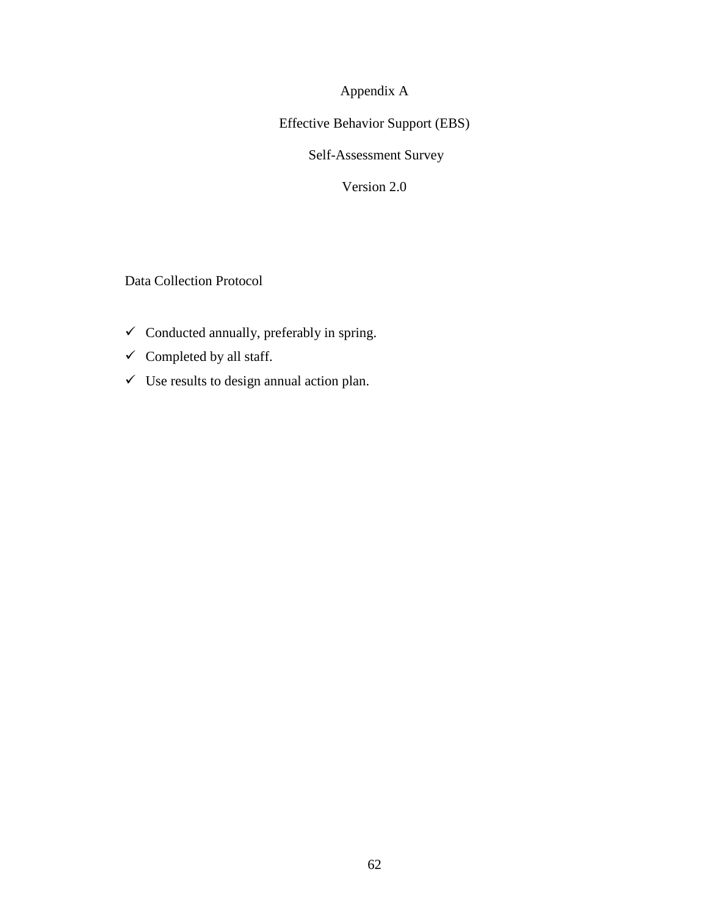Appendix A

Effective Behavior Support (EBS)

Self-Assessment Survey

Version 2.0

Data Collection Protocol

- $\checkmark$  Conducted annually, preferably in spring.
- $\checkmark$  Completed by all staff.
- $\checkmark$  Use results to design annual action plan.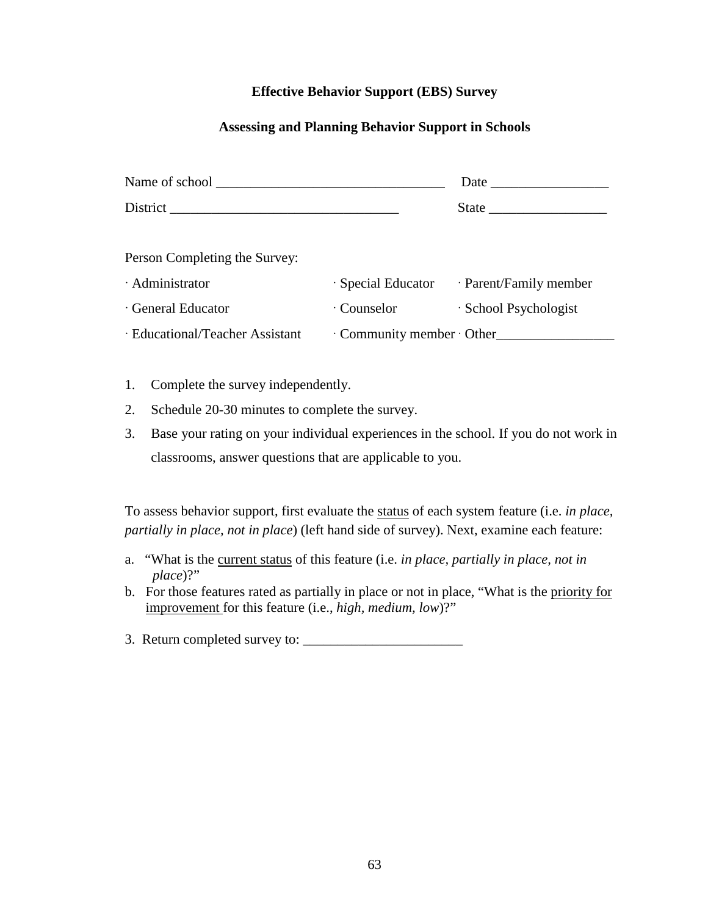### **Effective Behavior Support (EBS) Survey**

### **Assessing and Planning Behavior Support in Schools**

| Person Completing the Survey:   |                        |                                           |  |  |
|---------------------------------|------------------------|-------------------------------------------|--|--|
| · Administrator                 |                        | · Special Educator · Parent/Family member |  |  |
| · General Educator              | · Counselor            | · School Psychologist                     |  |  |
| · Educational/Teacher Assistant | Community member Other |                                           |  |  |

- 1. Complete the survey independently.
- 2. Schedule 20-30 minutes to complete the survey.
- 3. Base your rating on your individual experiences in the school. If you do not work in classrooms, answer questions that are applicable to you.

To assess behavior support, first evaluate the status of each system feature (i.e. *in place, partially in place, not in place*) (left hand side of survey). Next, examine each feature:

- a. "What is the current status of this feature (i.e. *in place, partially in place, not in place*)?"
- b. For those features rated as partially in place or not in place, "What is the priority for improvement for this feature (i.e., *high, medium, low*)?"
- 3. Return completed survey to: \_\_\_\_\_\_\_\_\_\_\_\_\_\_\_\_\_\_\_\_\_\_\_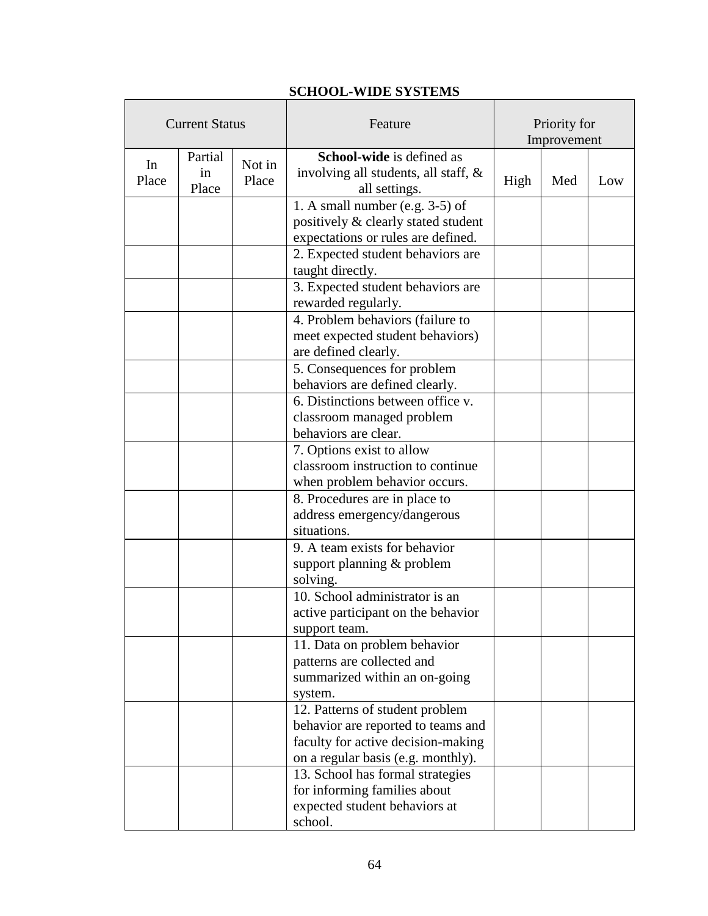# **SCHOOL-WIDE SYSTEMS**

| <b>Current Status</b> |                                           |  | Feature                                                                            | Priority for<br>Improvement |     |     |  |
|-----------------------|-------------------------------------------|--|------------------------------------------------------------------------------------|-----------------------------|-----|-----|--|
| In<br>Place           | Partial<br>Not in<br>1n<br>Place<br>Place |  | School-wide is defined as<br>involving all students, all staff, &<br>all settings. | High                        | Med | Low |  |
|                       |                                           |  | 1. A small number (e.g. $3-5$ ) of                                                 |                             |     |     |  |
|                       |                                           |  | positively & clearly stated student                                                |                             |     |     |  |
|                       |                                           |  | expectations or rules are defined.                                                 |                             |     |     |  |
|                       |                                           |  | 2. Expected student behaviors are                                                  |                             |     |     |  |
|                       |                                           |  | taught directly.                                                                   |                             |     |     |  |
|                       |                                           |  | 3. Expected student behaviors are                                                  |                             |     |     |  |
|                       |                                           |  | rewarded regularly.                                                                |                             |     |     |  |
|                       |                                           |  | 4. Problem behaviors (failure to                                                   |                             |     |     |  |
|                       |                                           |  | meet expected student behaviors)                                                   |                             |     |     |  |
|                       |                                           |  | are defined clearly.                                                               |                             |     |     |  |
|                       |                                           |  | 5. Consequences for problem                                                        |                             |     |     |  |
|                       |                                           |  | behaviors are defined clearly.                                                     |                             |     |     |  |
|                       |                                           |  | 6. Distinctions between office v.                                                  |                             |     |     |  |
|                       |                                           |  | classroom managed problem                                                          |                             |     |     |  |
|                       |                                           |  | behaviors are clear.                                                               |                             |     |     |  |
|                       |                                           |  |                                                                                    |                             |     |     |  |
|                       |                                           |  | 7. Options exist to allow<br>classroom instruction to continue                     |                             |     |     |  |
|                       |                                           |  |                                                                                    |                             |     |     |  |
|                       |                                           |  | when problem behavior occurs.                                                      |                             |     |     |  |
|                       |                                           |  | 8. Procedures are in place to<br>address emergency/dangerous                       |                             |     |     |  |
|                       |                                           |  | situations.                                                                        |                             |     |     |  |
|                       |                                           |  | 9. A team exists for behavior                                                      |                             |     |     |  |
|                       |                                           |  | support planning & problem                                                         |                             |     |     |  |
|                       |                                           |  | solving.                                                                           |                             |     |     |  |
|                       |                                           |  | 10. School administrator is an                                                     |                             |     |     |  |
|                       |                                           |  | active participant on the behavior                                                 |                             |     |     |  |
|                       |                                           |  |                                                                                    |                             |     |     |  |
|                       |                                           |  | support team.<br>11. Data on problem behavior                                      |                             |     |     |  |
|                       |                                           |  | patterns are collected and                                                         |                             |     |     |  |
|                       |                                           |  | summarized within an on-going                                                      |                             |     |     |  |
|                       |                                           |  | system.                                                                            |                             |     |     |  |
|                       |                                           |  | 12. Patterns of student problem                                                    |                             |     |     |  |
|                       |                                           |  | behavior are reported to teams and                                                 |                             |     |     |  |
|                       |                                           |  | faculty for active decision-making                                                 |                             |     |     |  |
|                       |                                           |  | on a regular basis (e.g. monthly).                                                 |                             |     |     |  |
|                       |                                           |  | 13. School has formal strategies                                                   |                             |     |     |  |
|                       |                                           |  | for informing families about                                                       |                             |     |     |  |
|                       |                                           |  | expected student behaviors at                                                      |                             |     |     |  |
|                       |                                           |  | school.                                                                            |                             |     |     |  |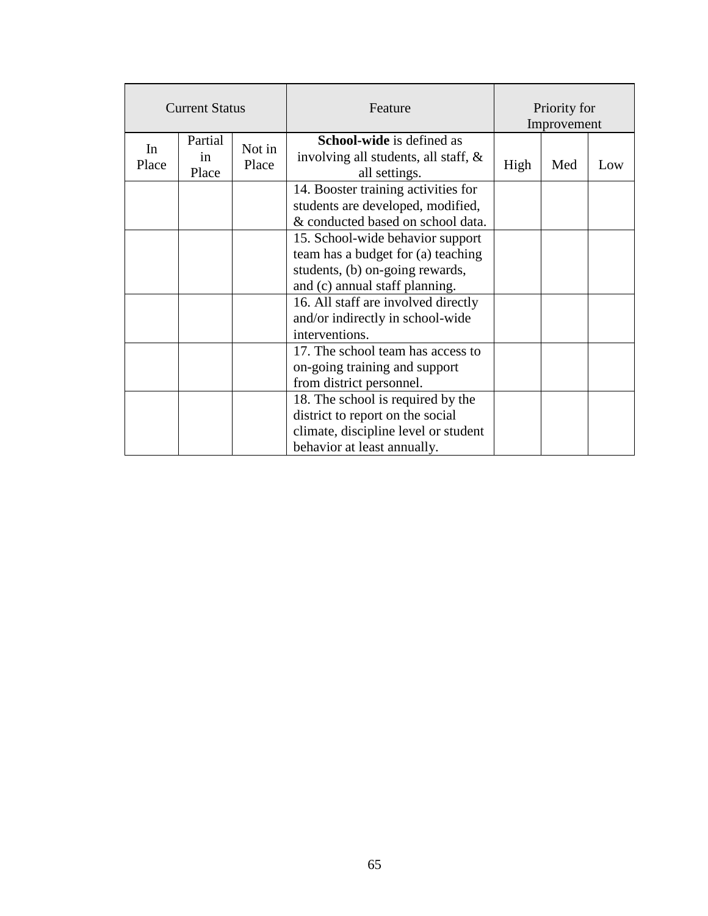| <b>Current Status</b> |                        |                 | Feature                                                                                                                                      | Priority for<br>Improvement |     |     |  |
|-----------------------|------------------------|-----------------|----------------------------------------------------------------------------------------------------------------------------------------------|-----------------------------|-----|-----|--|
| In<br>Place           | Partial<br>in<br>Place | Not in<br>Place | <b>School-wide</b> is defined as<br>involving all students, all staff, &<br>all settings.                                                    | High                        | Med | Low |  |
|                       |                        |                 | 14. Booster training activities for<br>students are developed, modified,<br>& conducted based on school data.                                |                             |     |     |  |
|                       |                        |                 | 15. School-wide behavior support<br>team has a budget for (a) teaching<br>students, (b) on-going rewards,<br>and (c) annual staff planning.  |                             |     |     |  |
|                       |                        |                 | 16. All staff are involved directly<br>and/or indirectly in school-wide<br>interventions.                                                    |                             |     |     |  |
|                       |                        |                 | 17. The school team has access to<br>on-going training and support<br>from district personnel.                                               |                             |     |     |  |
|                       |                        |                 | 18. The school is required by the<br>district to report on the social<br>climate, discipline level or student<br>behavior at least annually. |                             |     |     |  |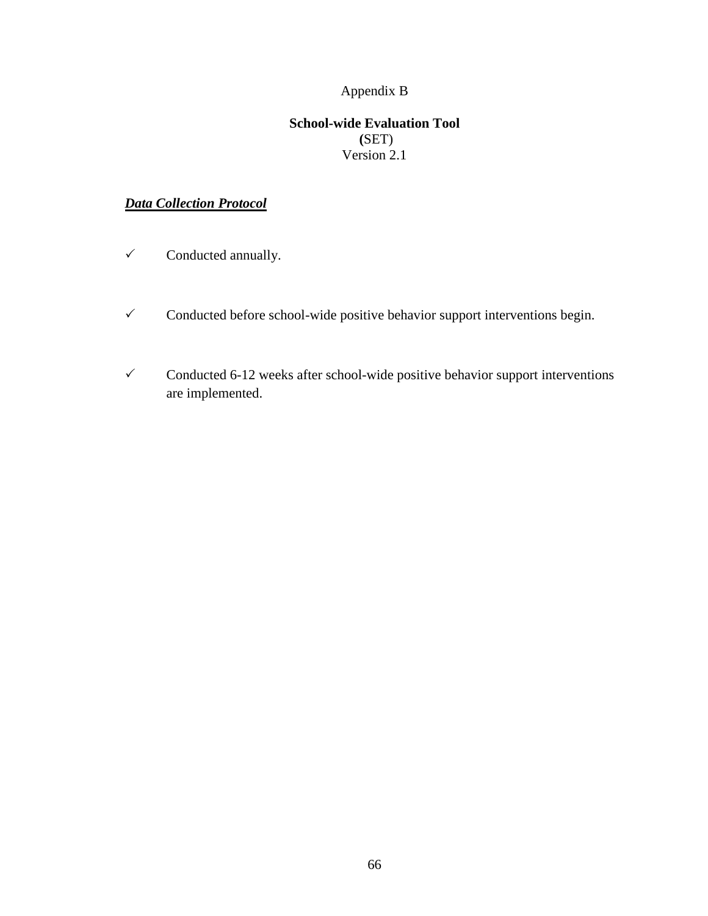# Appendix B

## **School-wide Evaluation Tool (**SET) Version 2.1

# *Data Collection Protocol*

- $\checkmark$  Conducted annually.
- $\checkmark$  Conducted before school-wide positive behavior support interventions begin.
- $\checkmark$  Conducted 6-12 weeks after school-wide positive behavior support interventions are implemented.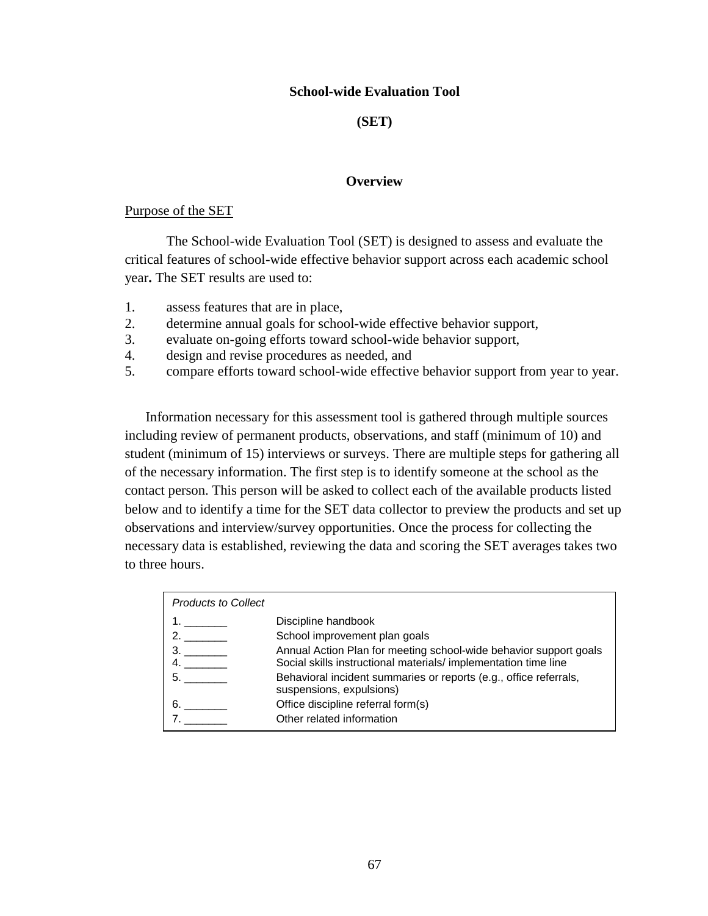### **School-wide Evaluation Tool**

### **(SET)**

#### **Overview**

#### Purpose of the SET

The School-wide Evaluation Tool (SET) is designed to assess and evaluate the critical features of school-wide effective behavior support across each academic school year**.** The SET results are used to:

- 1. assess features that are in place,
- 2. determine annual goals for school-wide effective behavior support,
- 3. evaluate on-going efforts toward school-wide behavior support,
- 4. design and revise procedures as needed, and
- 5. compare efforts toward school-wide effective behavior support from year to year.

Information necessary for this assessment tool is gathered through multiple sources including review of permanent products, observations, and staff (minimum of 10) and student (minimum of 15) interviews or surveys. There are multiple steps for gathering all of the necessary information. The first step is to identify someone at the school as the contact person. This person will be asked to collect each of the available products listed below and to identify a time for the SET data collector to preview the products and set up observations and interview/survey opportunities. Once the process for collecting the necessary data is established, reviewing the data and scoring the SET averages takes two to three hours.

| <b>Products to Collect</b> |                                                                                               |
|----------------------------|-----------------------------------------------------------------------------------------------|
|                            | Discipline handbook                                                                           |
| 2.7                        | School improvement plan goals                                                                 |
| 3.                         | Annual Action Plan for meeting school-wide behavior support goals                             |
|                            | Social skills instructional materials/ implementation time line                               |
| 5.                         | Behavioral incident summaries or reports (e.g., office referrals,<br>suspensions, expulsions) |
| 6.                         | Office discipline referral form(s)                                                            |
|                            | Other related information                                                                     |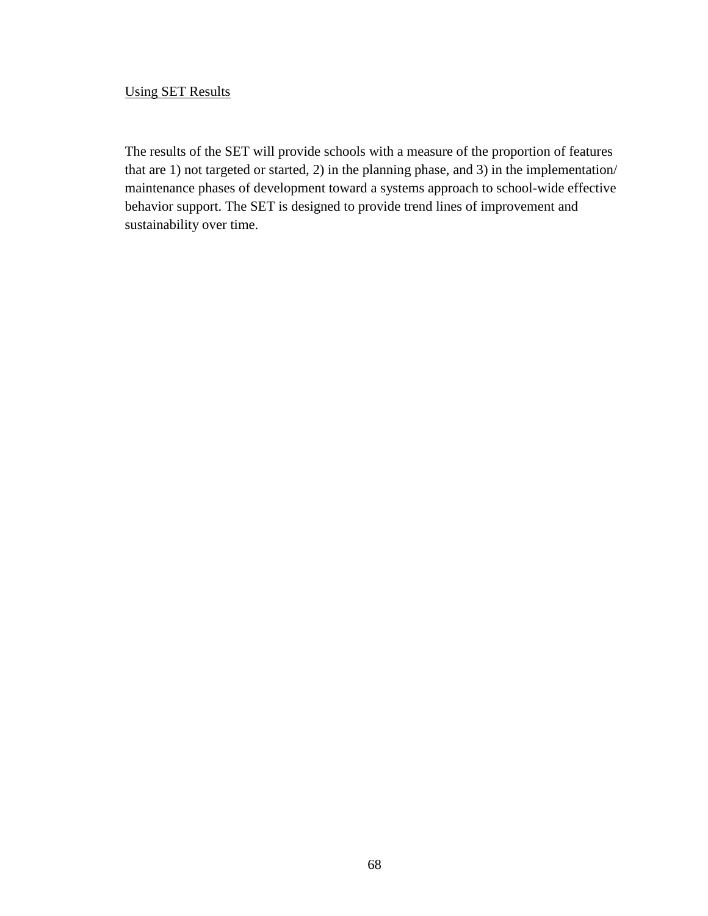# Using SET Results

The results of the SET will provide schools with a measure of the proportion of features that are 1) not targeted or started, 2) in the planning phase, and 3) in the implementation/ maintenance phases of development toward a systems approach to school-wide effective behavior support. The SET is designed to provide trend lines of improvement and sustainability over time.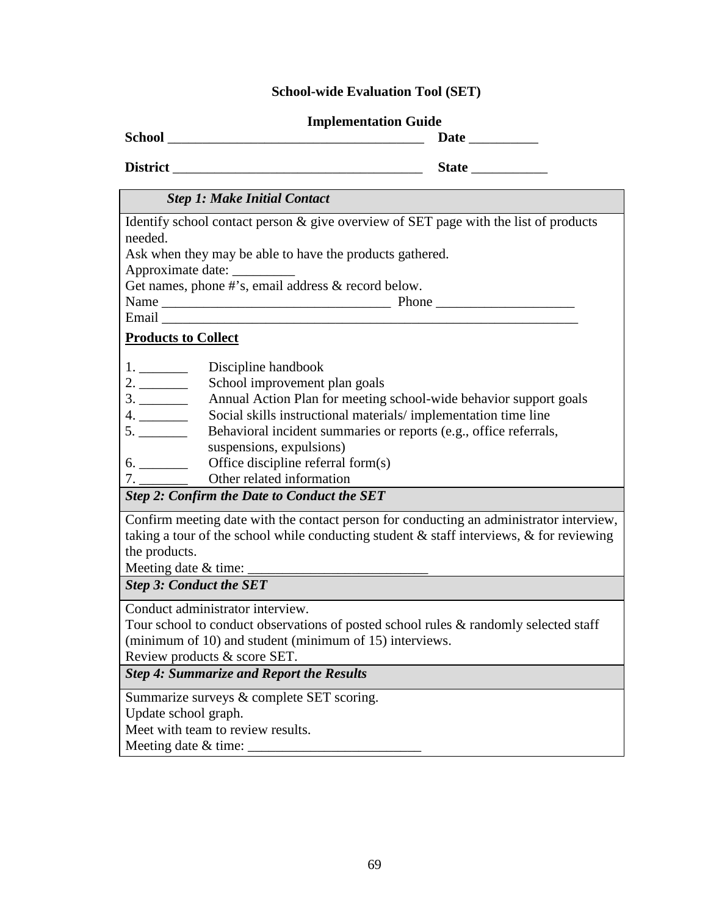## **School-wide Evaluation Tool (SET)**

#### **Implementation Guide**

**School** \_\_\_\_\_\_\_\_\_\_\_\_\_\_\_\_\_\_\_\_\_\_\_\_\_\_\_\_\_\_\_\_\_\_\_\_\_ **Date** \_\_\_\_\_\_\_\_\_\_

**District** \_\_\_\_\_\_\_\_\_\_\_\_\_\_\_\_\_\_\_\_\_\_\_\_\_\_\_\_\_\_\_\_\_\_\_\_ **State** \_\_\_\_\_\_\_\_\_\_\_

# *Step 1: Make Initial Contact*

Identify school contact person & give overview of SET page with the list of products needed.

Ask when they may be able to have the products gathered.

Approximate date: \_\_\_\_\_\_\_\_\_

Get names, phone #'s, email address & record below.

Name \_\_\_\_\_\_\_\_\_\_\_\_\_\_\_\_\_\_\_\_\_\_\_\_\_\_\_\_\_\_\_\_\_ Phone \_\_\_\_\_\_\_\_\_\_\_\_\_\_\_\_\_\_\_\_

Email \_\_\_\_\_\_\_\_\_\_\_\_\_\_\_\_\_\_\_\_\_\_\_\_\_\_\_\_\_\_\_\_\_\_\_\_\_\_\_\_\_\_\_\_\_\_\_\_\_\_\_\_\_\_\_\_\_\_\_\_

# **Products to Collect**

- 2. \_\_\_\_\_\_\_\_\_\_\_\_ School improvement plan goals
- 3. \_\_\_\_\_\_\_ Annual Action Plan for meeting school-wide behavior support goals
- 4. \_\_\_\_\_\_\_ Social skills instructional materials/ implementation time line
- 5. \_\_\_\_\_\_\_\_ Behavioral incident summaries or reports (e.g., office referrals,
- suspensions, expulsions)
- 6. \_\_\_\_\_\_\_ Office discipline referral form(s)
- 7. \_\_\_\_\_\_\_\_\_ Other related information

*Step 2: Confirm the Date to Conduct the SET*

Confirm meeting date with the contact person for conducting an administrator interview, taking a tour of the school while conducting student  $\&$  staff interviews,  $\&$  for reviewing the products.

Meeting date  $&$  time:

*Step 3: Conduct the SET*

Conduct administrator interview.

Tour school to conduct observations of posted school rules & randomly selected staff (minimum of 10) and student (minimum of 15) interviews.

Review products & score SET.

*Step 4: Summarize and Report the Results*

Summarize surveys & complete SET scoring.

Update school graph.

Meet with team to review results.

Meeting date  $&$  time: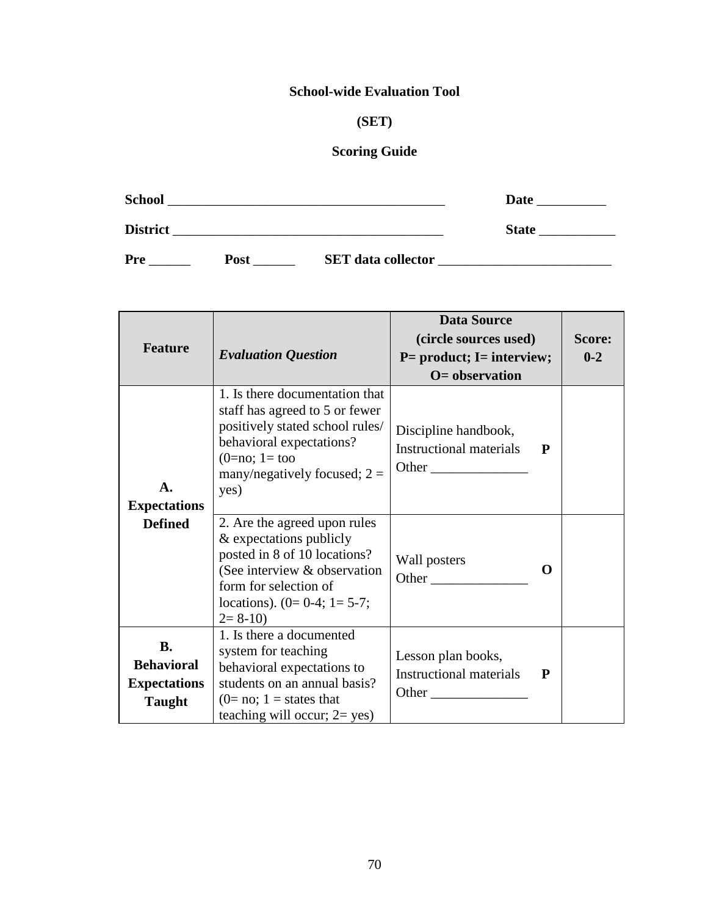# **School-wide Evaluation Tool**

# **(SET)**

# **Scoring Guide**

| <b>School</b>   |             |                           | Date         |  |
|-----------------|-------------|---------------------------|--------------|--|
| <b>District</b> |             |                           | <b>State</b> |  |
| Pre             | <b>Post</b> | <b>SET</b> data collector |              |  |

| <b>Feature</b>                                                         | <b>Evaluation Question</b>                                                                                                                                                                     | <b>Data Source</b><br>(circle sources used)<br>$P=$ product; I= interview;<br>$O=$ observation                                                                                                                                                                                              | Score:<br>$0 - 2$ |  |
|------------------------------------------------------------------------|------------------------------------------------------------------------------------------------------------------------------------------------------------------------------------------------|---------------------------------------------------------------------------------------------------------------------------------------------------------------------------------------------------------------------------------------------------------------------------------------------|-------------------|--|
| $\mathbf{A}$ .<br><b>Expectations</b>                                  | 1. Is there documentation that<br>staff has agreed to 5 or fewer<br>positively stated school rules/<br>behavioral expectations?<br>$(0=no; 1=too)$<br>many/negatively focused; $2 =$<br>yes)   | Discipline handbook,<br><b>Instructional materials</b><br>Other                                                                                                                                                                                                                             | P                 |  |
| <b>Defined</b>                                                         | 2. Are the agreed upon rules<br>& expectations publicly<br>posted in 8 of 10 locations?<br>(See interview & observation<br>form for selection of<br>locations). $(0=0-4; 1=5-7;$<br>$2 = 8-10$ | Wall posters<br>Other                                                                                                                                                                                                                                                                       | $\Omega$          |  |
| <b>B.</b><br><b>Behavioral</b><br><b>Expectations</b><br><b>Taught</b> | 1. Is there a documented<br>system for teaching<br>behavioral expectations to<br>students on an annual basis?<br>$(0=no; 1 = states that$<br>teaching will occur; $2 = yes$ )                  | Lesson plan books,<br><b>Instructional materials</b><br><b>Other</b> contracts the contract of the contract of the contract of the contract of the contract of the contract of the contract of the contract of the contract of the contract of the contract of the contract of the contract | $\mathbf{P}$      |  |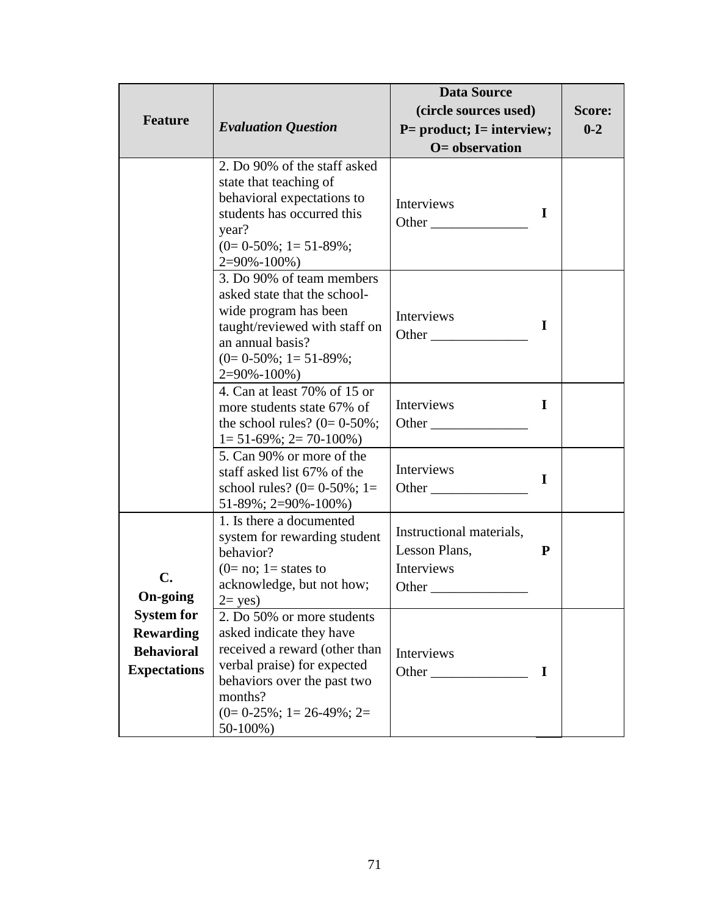|                                                                                   |                                                                                                                                                                                                             | <b>Data Source</b>                                                                                                                                                                                                                               |             |         |
|-----------------------------------------------------------------------------------|-------------------------------------------------------------------------------------------------------------------------------------------------------------------------------------------------------------|--------------------------------------------------------------------------------------------------------------------------------------------------------------------------------------------------------------------------------------------------|-------------|---------|
|                                                                                   |                                                                                                                                                                                                             | (circle sources used)                                                                                                                                                                                                                            |             | Score:  |
| <b>Feature</b>                                                                    | <b>Evaluation Question</b>                                                                                                                                                                                  | $P=$ product; I= interview;                                                                                                                                                                                                                      |             | $0 - 2$ |
|                                                                                   |                                                                                                                                                                                                             | $O=$ observation                                                                                                                                                                                                                                 |             |         |
|                                                                                   | 2. Do 90% of the staff asked<br>state that teaching of<br>behavioral expectations to<br>students has occurred this<br>year?<br>$(0=0-50\%; 1=51-89\%;$<br>$2=90\% - 100\%$                                  | Interviews<br>Other                                                                                                                                                                                                                              | $\mathbf I$ |         |
|                                                                                   | 3. Do 90% of team members<br>asked state that the school-<br>wide program has been<br>taught/reviewed with staff on<br>an annual basis?<br>$(0=0-50\%; 1=51-89\%;$<br>$2=90\% - 100\%$                      | Interviews<br><b>Other</b> and the other and the same of the same of the same of the same of the same of the same of the same of the same of the same of the same of the same of the same of the same of the same of the same of the same of the | I           |         |
|                                                                                   | 4. Can at least 70% of 15 or<br>more students state 67% of<br>the school rules? $(0=0-50\%;$<br>$1 = 51 - 69\%$ ; $2 = 70 - 100\%$ )                                                                        | Interviews                                                                                                                                                                                                                                       | I           |         |
|                                                                                   | 5. Can 90% or more of the<br>staff asked list 67% of the<br>school rules? $(0=0-50\%; 1=$<br>$51-89\%; 2=90\% - 100\%)$                                                                                     | Interviews<br>Other                                                                                                                                                                                                                              | $\mathbf I$ |         |
| C.<br><b>On-going</b>                                                             | 1. Is there a documented<br>system for rewarding student<br>behavior?<br>$(0=no; 1=states to$<br>acknowledge, but not how;<br>$2 = yes$ )                                                                   | Instructional materials,<br>Lesson Plans,<br>Interviews                                                                                                                                                                                          | P           |         |
| <b>System for</b><br><b>Rewarding</b><br><b>Behavioral</b><br><b>Expectations</b> | 2. Do 50% or more students<br>asked indicate they have<br>received a reward (other than<br>verbal praise) for expected<br>behaviors over the past two<br>months?<br>$(0=0-25\%; 1=26-49\%; 2=$<br>$50-100%$ | Interviews<br>Other                                                                                                                                                                                                                              | $\mathbf I$ |         |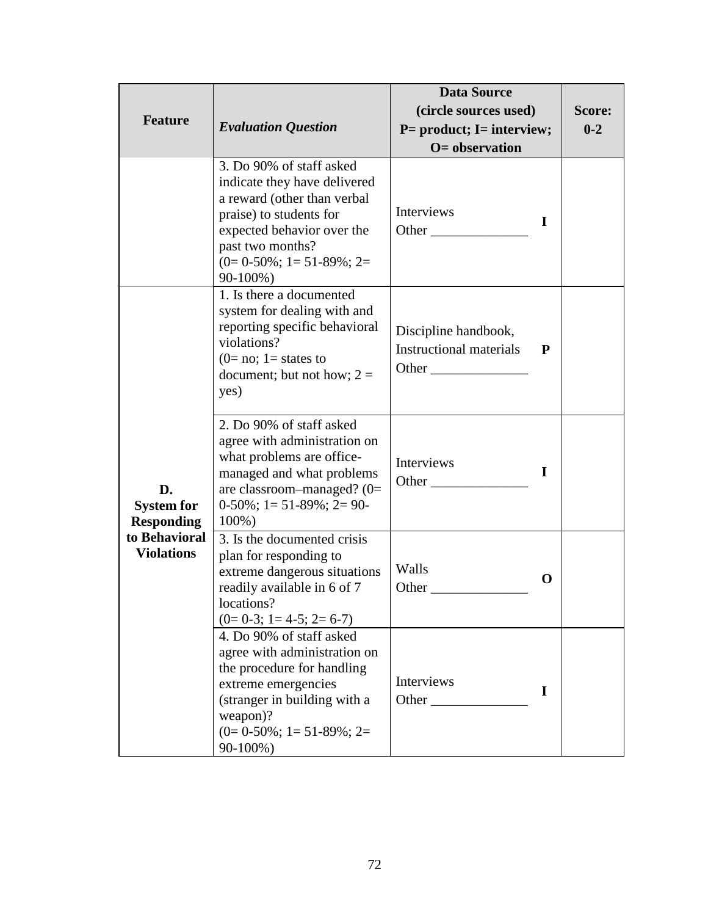|                                              |                                                                                                                                                                                                                  | <b>Data Source</b>                                       |          |         |
|----------------------------------------------|------------------------------------------------------------------------------------------------------------------------------------------------------------------------------------------------------------------|----------------------------------------------------------|----------|---------|
|                                              |                                                                                                                                                                                                                  | (circle sources used)                                    | Score:   |         |
| <b>Feature</b>                               | <b>Evaluation Question</b>                                                                                                                                                                                       | $P=$ product; I= interview;                              |          | $0 - 2$ |
|                                              |                                                                                                                                                                                                                  | $O=$ observation                                         |          |         |
|                                              | 3. Do 90% of staff asked<br>indicate they have delivered<br>a reward (other than verbal<br>praise) to students for<br>expected behavior over the<br>past two months?<br>$(0=0.50\%; 1=51-89\%; 2=$<br>$90-100\%$ | Interviews<br>Other                                      | I        |         |
|                                              | 1. Is there a documented<br>system for dealing with and<br>reporting specific behavioral<br>violations?<br>$(0=no; 1=states to$<br>document; but not how; $2 =$<br>yes)                                          | Discipline handbook,<br>Instructional materials<br>Other | P        |         |
| D.<br><b>System for</b><br><b>Responding</b> | 2. Do 90% of staff asked<br>agree with administration on<br>what problems are office-<br>managed and what problems<br>are classroom-managed? $(0=$<br>$0-50\%$ ; 1 = 51 - 89%; 2 = 90 -<br>$100\%$ )             | Interviews<br>Other                                      | $\bf{I}$ |         |
| to Behavioral<br><b>Violations</b>           | 3. Is the documented crisis<br>plan for responding to<br>extreme dangerous situations<br>readily available in 6 of 7<br>locations?<br>$(0=0-3; 1=4-5; 2=6-7)$                                                    | Walls<br>$\mathbf 0$<br>Other                            |          |         |
|                                              | 4. Do 90% of staff asked<br>agree with administration on<br>the procedure for handling<br>extreme emergencies<br>(stranger in building with a<br>weapon)?<br>$(0=0-50\%; 1=51-89\%; 2=$<br>90-100%)              | Interviews<br>Other                                      | I        |         |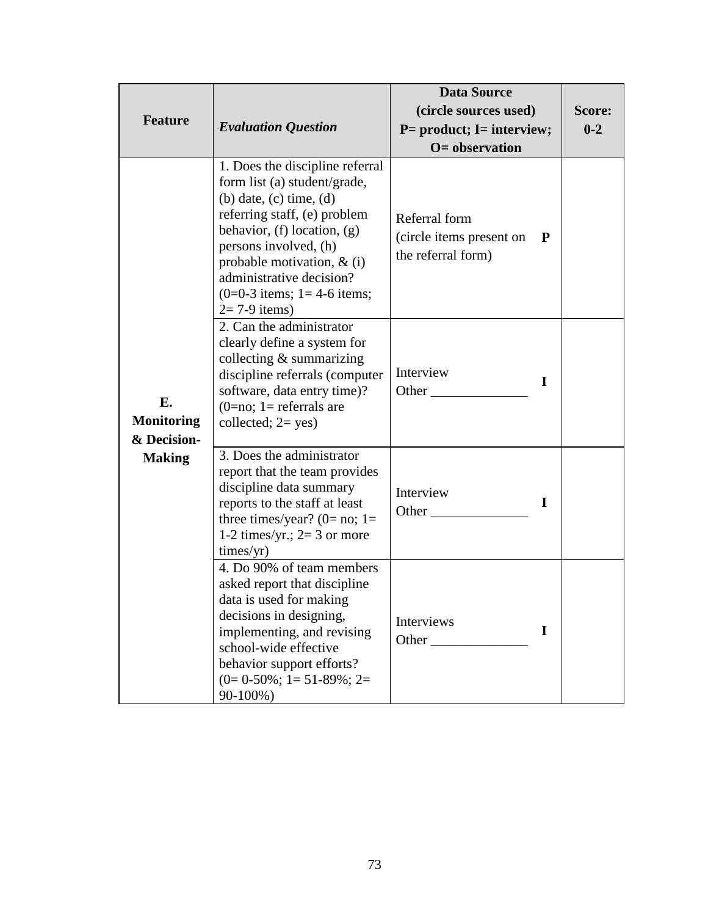|                                        |                                                                                                                                                                                                                                                                                                               | <b>Data Source</b>                                              |          |         |
|----------------------------------------|---------------------------------------------------------------------------------------------------------------------------------------------------------------------------------------------------------------------------------------------------------------------------------------------------------------|-----------------------------------------------------------------|----------|---------|
|                                        |                                                                                                                                                                                                                                                                                                               | (circle sources used)                                           |          | Score:  |
| <b>Feature</b>                         | <b>Evaluation Question</b>                                                                                                                                                                                                                                                                                    | $P=$ product; I= interview;                                     |          | $0 - 2$ |
|                                        |                                                                                                                                                                                                                                                                                                               | $O =$ observation                                               |          |         |
|                                        | 1. Does the discipline referral<br>form list (a) student/grade,<br>$(b)$ date, $(c)$ time, $(d)$<br>referring staff, (e) problem<br>behavior, $(f)$ location, $(g)$<br>persons involved, (h)<br>probable motivation, $\&$ (i)<br>administrative decision?<br>$(0=0-3$ items; 1 = 4-6 items;<br>$2=7-9$ items) | Referral form<br>(circle items present on<br>the referral form) | P        |         |
| Е.<br><b>Monitoring</b><br>& Decision- | 2. Can the administrator<br>clearly define a system for<br>collecting $&$ summarizing<br>discipline referrals (computer<br>software, data entry time)?<br>$(0=no; 1=referrals are$<br>collected; $2 = yes$ )                                                                                                  | Interview<br>Other $\_\_$                                       | $\bf{l}$ |         |
| <b>Making</b>                          | 3. Does the administrator<br>report that the team provides<br>discipline data summary<br>reports to the staff at least<br>three times/year? (0= no; 1=<br>1-2 times/yr.; $2=3$ or more<br>times/yr)                                                                                                           | Interview<br>Other                                              | L        |         |
|                                        | 4. Do 90% of team members<br>asked report that discipline<br>data is used for making<br>decisions in designing,<br>implementing, and revising<br>school-wide effective<br>behavior support efforts?<br>$(0=0-50\%; 1=51-89\%; 2=$<br>90-100%)                                                                 | Interviews<br>Other                                             | I        |         |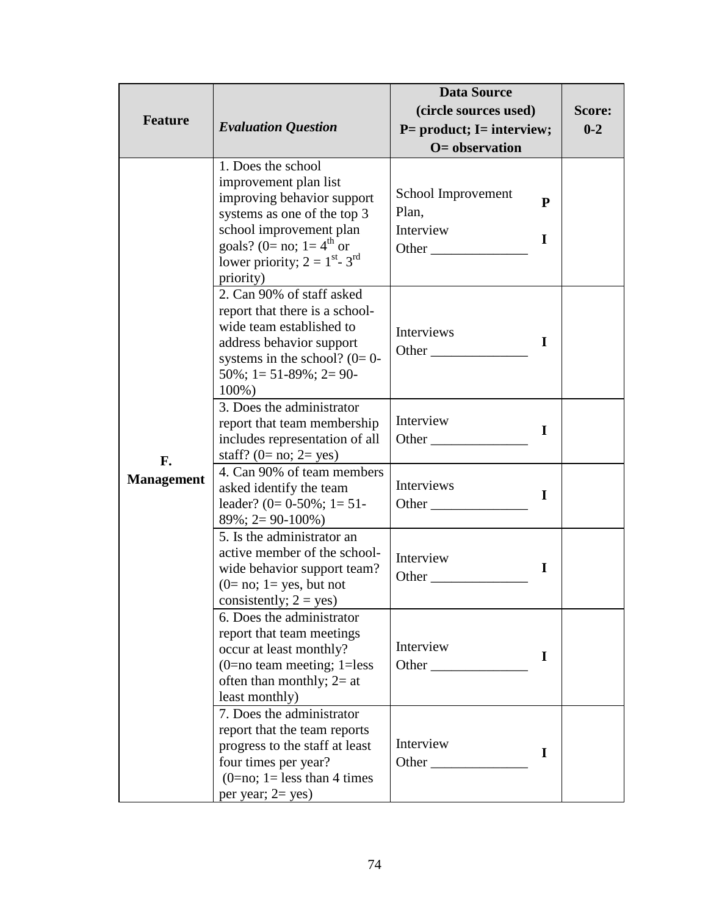| <b>Feature</b>    | <b>Evaluation Question</b>                                                                                                                                                                                                 | <b>Data Source</b><br>(circle sources used)<br>$P=$ product; I= interview;<br>$O=$ observation | Score:<br>$0 - 2$ |  |
|-------------------|----------------------------------------------------------------------------------------------------------------------------------------------------------------------------------------------------------------------------|------------------------------------------------------------------------------------------------|-------------------|--|
|                   | 1. Does the school<br>improvement plan list<br>improving behavior support<br>systems as one of the top 3<br>school improvement plan<br>goals? (0= no; 1= $4^{th}$ or<br>lower priority; $2 = 1^{st} - 3^{rd}$<br>priority) | School Improvement<br>Plan,<br>Interview                                                       | P<br>I            |  |
|                   | 2. Can 90% of staff asked<br>report that there is a school-<br>wide team established to<br>address behavior support<br>systems in the school? $(0=0-$<br>$50\%$ ; 1 = 51-89%; 2 = 90-<br>100%)                             | Interviews<br>Other                                                                            | $\bf{l}$          |  |
| F.                | 3. Does the administrator<br>report that team membership<br>includes representation of all<br>staff? $(0=no; 2=yes)$                                                                                                       | Interview<br>Other                                                                             | $\mathbf I$       |  |
| <b>Management</b> | 4. Can 90% of team members<br>asked identify the team<br>leader? $(0=0.50\%; 1=51$ -<br>$89\%; 2 = 90-100\%)$                                                                                                              | Interviews<br>Other                                                                            | I                 |  |
|                   | 5. Is the administrator an<br>active member of the school-<br>wide behavior support team?<br>$(0=no; 1=yes, but not)$<br>consistently; $2 = yes$ )                                                                         | Interview                                                                                      | I                 |  |
|                   | 6. Does the administrator<br>report that team meetings<br>occur at least monthly?<br>$(0=$ no team meeting; 1=less<br>often than monthly; $2=at$<br>least monthly)                                                         | Interview<br><b>Other</b>                                                                      | $\mathbf I$       |  |
|                   | 7. Does the administrator<br>report that the team reports<br>progress to the staff at least<br>four times per year?<br>$(0=no; 1=less than 4 times$<br>per year; $2 = yes$ )                                               | Interview<br>Other                                                                             | $\mathbf I$       |  |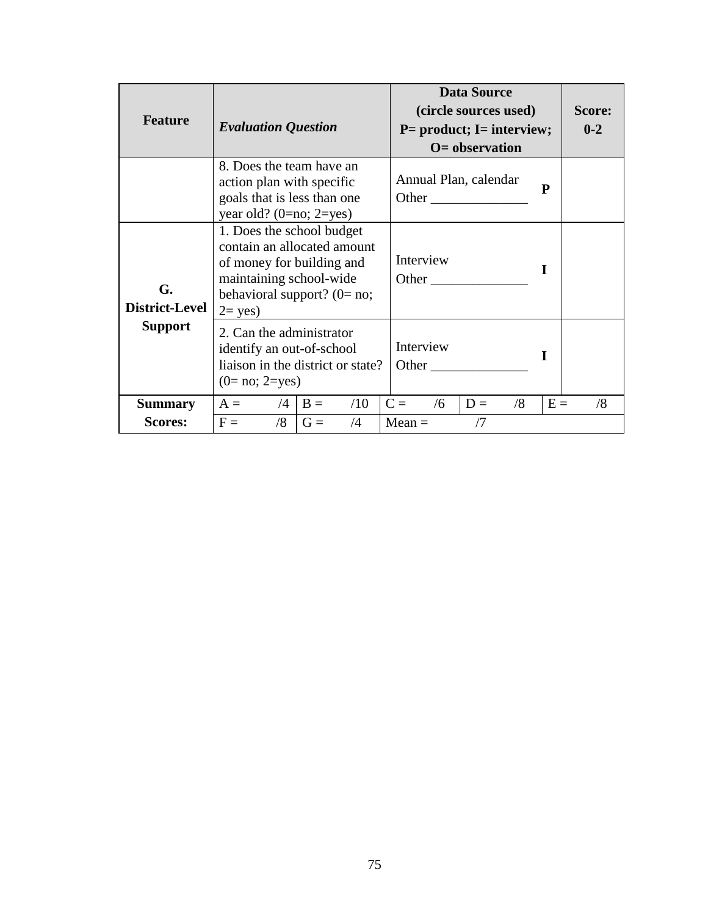| <b>Feature</b>                   | <b>Evaluation Question</b>                                                                                                                                               |           | <b>Data Source</b><br>(circle sources used)<br>$P=$ product; I= interview;<br>$O=$ observation | Score:<br>$0 - 2$ |       |    |
|----------------------------------|--------------------------------------------------------------------------------------------------------------------------------------------------------------------------|-----------|------------------------------------------------------------------------------------------------|-------------------|-------|----|
|                                  | 8. Does the team have an<br>action plan with specific<br>goals that is less than one<br>year old? $(0=no; 2=yes)$                                                        |           | Annual Plan, calendar                                                                          | Other $\qquad$    | P     |    |
| G.<br>District-Level             | 1. Does the school budget<br>contain an allocated amount<br>of money for building and<br>maintaining school-wide<br>behavioral support? ( $0 = \text{no}$ ;<br>$2 = yes$ |           | Interview<br>Other                                                                             |                   | I     |    |
| <b>Support</b>                   | 2. Can the administrator<br>identify an out-of-school<br>liaison in the district or state?<br>$(0=no; 2=yes)$                                                            |           | Interview<br>Other                                                                             |                   | L     |    |
| <b>Summary</b><br><b>Scores:</b> | $A = \sqrt{4}$<br>$B =$<br>/8<br>$F =$<br>$G =$                                                                                                                          | /10<br>/4 | $C =$<br>/6<br>$Mean =$                                                                        | $D =$<br>/8<br>/7 | $E =$ | /8 |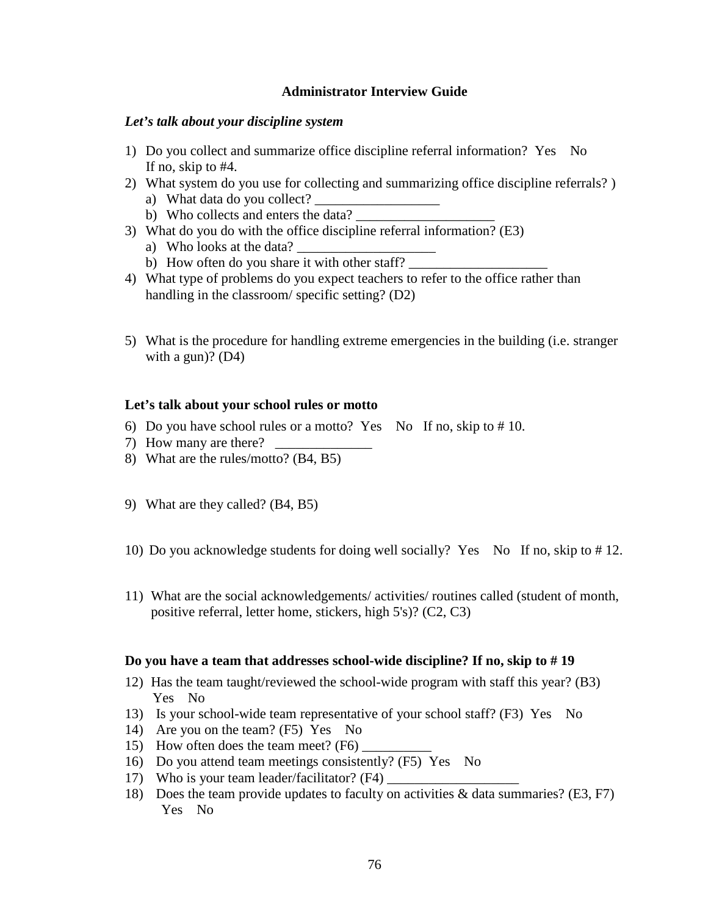### **Administrator Interview Guide**

### *Let's talk about your discipline system*

- 1) Do you collect and summarize office discipline referral information? Yes No If no, skip to #4.
- 2) What system do you use for collecting and summarizing office discipline referrals? )
	- a) What data do you collect?
	- b) Who collects and enters the data?
- 3) What do you do with the office discipline referral information? (E3)
	- a) Who looks at the data?
	- b) How often do you share it with other staff?
- 4) What type of problems do you expect teachers to refer to the office rather than handling in the classroom/ specific setting? (D2)
- 5) What is the procedure for handling extreme emergencies in the building (i.e. stranger with a gun)?  $(D4)$

#### **Let's talk about your school rules or motto**

- 6) Do you have school rules or a motto? Yes No If no, skip to  $# 10$ .
- 7) How many are there?
- 8) What are the rules/motto? (B4, B5)
- 9) What are they called? (B4, B5)
- 10) Do you acknowledge students for doing well socially? Yes No If no, skip to # 12.
- 11) What are the social acknowledgements/ activities/ routines called (student of month, positive referral, letter home, stickers, high 5's)? (C2, C3)

#### **Do you have a team that addresses school-wide discipline? If no, skip to # 19**

- 12) Has the team taught/reviewed the school-wide program with staff this year? (B3) Yes No
- 13) Is your school-wide team representative of your school staff? (F3) Yes No
- 14) Are you on the team? (F5) Yes No
- 15) How often does the team meet? (F6)
- 16) Do you attend team meetings consistently? (F5) Yes No
- 17) Who is your team leader/facilitator? (F4)
- 18) Does the team provide updates to faculty on activities & data summaries? (E3, F7) Yes No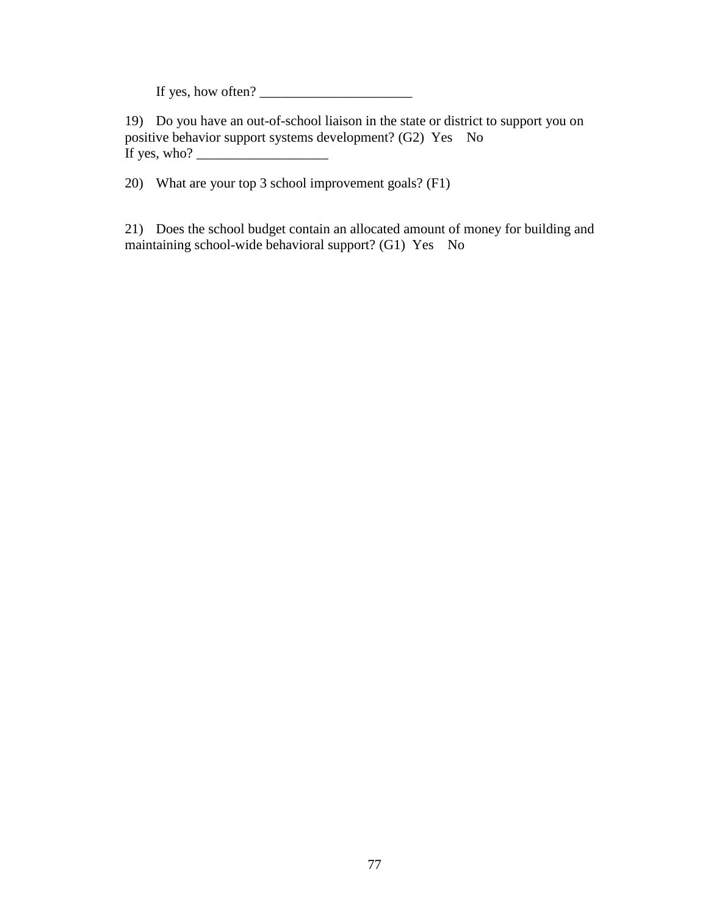If yes, how often? \_\_\_\_\_\_\_\_\_\_\_\_\_\_\_\_\_\_\_\_\_\_

19) Do you have an out-of-school liaison in the state or district to support you on positive behavior support systems development? (G2) Yes No If yes, who?  $\frac{1}{\sqrt{1-\frac{1}{2}} \cdot \frac{1}{\sqrt{1-\frac{1}{2}}}}$ 

20) What are your top 3 school improvement goals? (F1)

21) Does the school budget contain an allocated amount of money for building and maintaining school-wide behavioral support? (G1) Yes No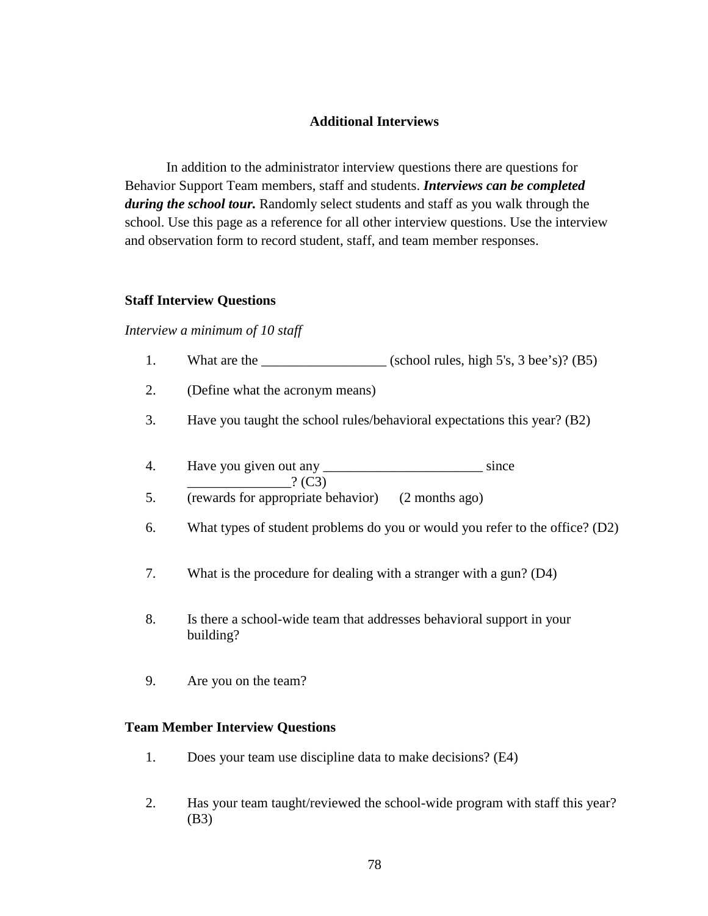#### **Additional Interviews**

In addition to the administrator interview questions there are questions for Behavior Support Team members, staff and students. *Interviews can be completed during the school tour.* Randomly select students and staff as you walk through the school. Use this page as a reference for all other interview questions. Use the interview and observation form to record student, staff, and team member responses.

#### **Staff Interview Questions**

#### *Interview a minimum of 10 staff*

- 1. What are the  $\qquad \qquad$  (school rules, high 5's, 3 bee's)? (B5)
- 2. (Define what the acronym means)
- 3. Have you taught the school rules/behavioral expectations this year? (B2)
- 4. Have you given out any \_\_\_\_\_\_\_\_\_\_\_\_\_\_\_\_\_\_\_\_\_\_\_\_\_\_\_\_\_\_\_ since  $.2(C3)$
- 5. (rewards for appropriate behavior) (2 months ago)
- 6. What types of student problems do you or would you refer to the office? (D2)
- 7. What is the procedure for dealing with a stranger with a gun? (D4)
- 8. Is there a school-wide team that addresses behavioral support in your building?
- 9. Are you on the team?

#### **Team Member Interview Questions**

- 1. Does your team use discipline data to make decisions? (E4)
- 2. Has your team taught/reviewed the school-wide program with staff this year? (B3)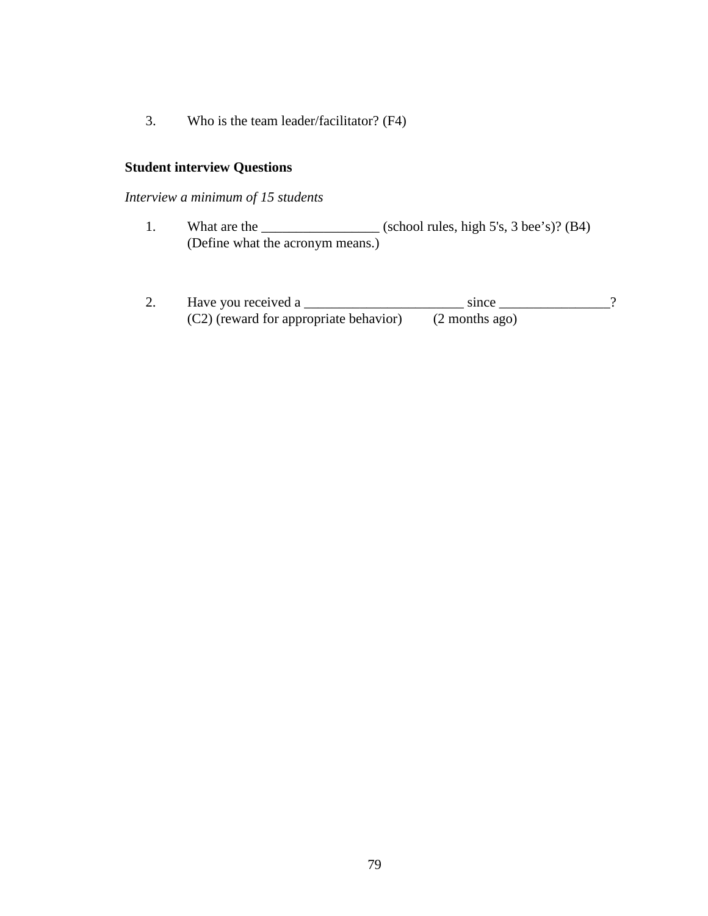3. Who is the team leader/facilitator? (F4)

# **Student interview Questions**

*Interview a minimum of 15 students*

- 1. What are the \_\_\_\_\_\_\_\_\_\_\_\_\_\_\_\_\_\_\_\_ (school rules, high 5's, 3 bee's)? (B4) (Define what the acronym means.)
- 2. Have you received a \_\_\_\_\_\_\_\_\_\_\_\_\_\_\_\_\_\_\_\_\_\_\_ since \_\_\_\_\_\_\_\_\_\_\_\_\_\_\_\_?  $(C2)$  (reward for appropriate behavior) (2 months ago)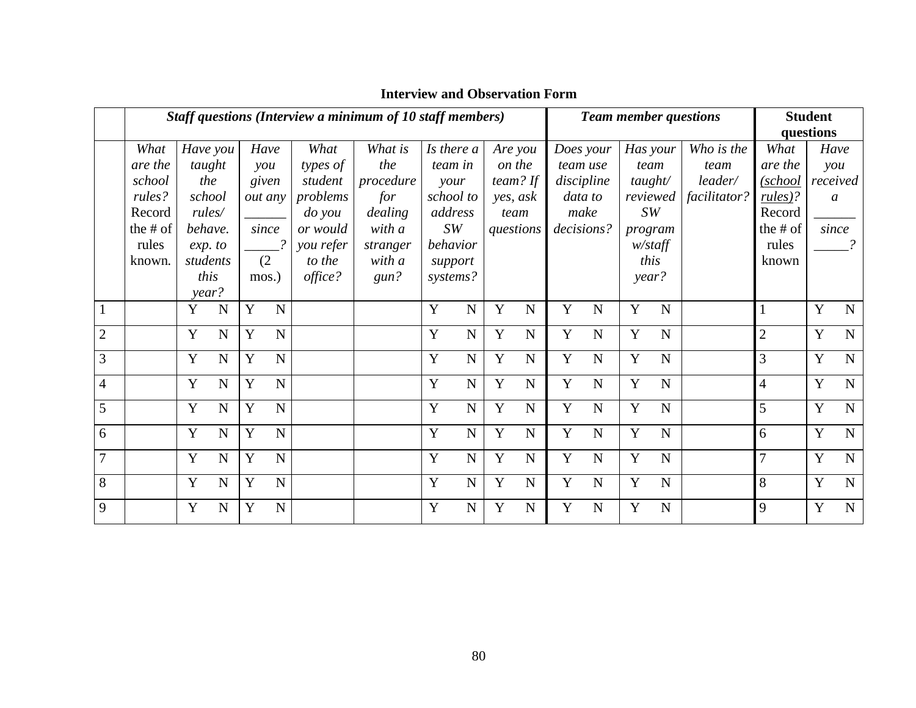|                | Staff questions (Interview a minimum of 10 staff members) |                  |  |       |                |               |           |   |                | <b>Team member questions</b> |             |           |             | <b>Student</b> |             |              |                |           |                  |            |      |  |      |
|----------------|-----------------------------------------------------------|------------------|--|-------|----------------|---------------|-----------|---|----------------|------------------------------|-------------|-----------|-------------|----------------|-------------|--------------|----------------|-----------|------------------|------------|------|--|------|
|                |                                                           |                  |  |       |                |               |           |   |                |                              |             |           |             |                |             |              |                | questions |                  |            |      |  |      |
|                | What                                                      | Have you         |  | Have  |                | What          | What is   |   | Is there a     | Are you                      |             | Does your |             |                |             |              |                | Has your  |                  | Who is the | What |  | Have |
|                | are the                                                   | taught           |  |       | $\mathit{you}$ | types of      | the       |   | team in        | on the                       |             | team use  |             |                | team        | team         | are the        |           | $\mathit{you}$   |            |      |  |      |
|                | school                                                    | the              |  |       | given          | student       | procedure |   | your           |                              | team? If    |           | discipline  |                | tau/        | leader/      | (school        |           | received         |            |      |  |      |
|                | rules?                                                    | school           |  |       | out any        | problems      | for       |   | school to      | yes, ask                     |             | data to   |             |                | reviewed    | facilitator? | rules)?        |           | $\boldsymbol{a}$ |            |      |  |      |
|                | Record                                                    | rules/           |  |       |                | <i>do</i> you | dealing   |   | address        | team                         |             | make      |             |                | SW          |              | Record         |           |                  |            |      |  |      |
|                | the # of                                                  | behave.          |  | since |                | or would      | with a    |   | SW             |                              | questions   |           | decisions?  |                | program     |              | the # of       |           | since            |            |      |  |      |
|                | rules                                                     | exp. to          |  |       |                | you refer     | stranger  |   | behavior       |                              |             |           |             |                | $w$ /staff  |              | rules          |           |                  |            |      |  |      |
|                | known.                                                    | students         |  |       | (2)            | to the        | with a    |   | support        |                              |             |           |             |                | this        |              | known          |           |                  |            |      |  |      |
|                |                                                           | this             |  | mos.) |                | office?       | gun?      |   | systems?       |                              |             |           |             | year?          |             |              |                |           |                  |            |      |  |      |
|                |                                                           | year?            |  |       |                |               |           |   |                |                              |             |           |             |                |             |              |                |           |                  |            |      |  |      |
|                |                                                           | Y<br>N           |  | Y     | $\mathbf N$    |               |           | Y | $\mathbf N$    | Y                            | ${\bf N}$   | Y         | $\mathbf N$ | Y              | N           |              |                | Y         | ${\bf N}$        |            |      |  |      |
| $\overline{2}$ |                                                           | Y<br>N           |  | Y     | N              |               |           | Y | N              | Y                            | ${\bf N}$   | Y         | $\mathbf N$ | Y              | N           |              | $\overline{2}$ | Y         | $\mathbf N$      |            |      |  |      |
| $\mathfrak{Z}$ |                                                           | Y<br>N           |  | Y     | $\overline{N}$ |               |           | Y | $\overline{N}$ | Y                            | ${\bf N}$   | Y         | $\mathbf N$ | Y              | N           |              | 3              | Y         | $\overline{N}$   |            |      |  |      |
| $\overline{4}$ |                                                           | Y<br>N           |  | Y     | $\mathbf N$    |               |           | Y | $\mathbf N$    | Y                            | ${\bf N}$   | Y         | $\mathbf N$ | Y              | N           |              | $\overline{4}$ | Y         | $\mathbf N$      |            |      |  |      |
| 5              |                                                           | Y<br>$\mathbf N$ |  | Y     | $\mathbf N$    |               |           | Y | $\mathbf N$    | Y                            | ${\bf N}$   | Y         | $\mathbf N$ | Y              | N           |              | 5              | Y         | $\mathbf N$      |            |      |  |      |
| 6              |                                                           | Y<br>N           |  | Y     | $\mathbf N$    |               |           | Y | $\mathbf N$    | Y                            | ${\bf N}$   | Y         | $\mathbf N$ | Y              | N           |              | 6              | Y         | ${\bf N}$        |            |      |  |      |
| $\overline{7}$ |                                                           | Y<br>N           |  | Y     | $\mathbf N$    |               |           | Y | $\mathbf N$    | Y                            | ${\bf N}$   | Y         | N           | Y              | N           |              | 7              | Y         | $\mathbf N$      |            |      |  |      |
| 8              |                                                           | Y<br>N           |  | Y     | $\mathbf N$    |               |           | Y | $\mathbf N$    | Y                            | $\mathbf N$ | Y         | $\mathbf N$ | Y              | $\mathbf N$ |              | 8              | Y         | $\mathbf N$      |            |      |  |      |
| 9              |                                                           | Y<br>N           |  | Y     | $\mathbf N$    |               |           | Y | $\mathbf N$    | Y                            | $\mathbf N$ | Y         | N           | Y              | N           |              | 9              | Y         | ${\bf N}$        |            |      |  |      |

# **Interview and Observation Form**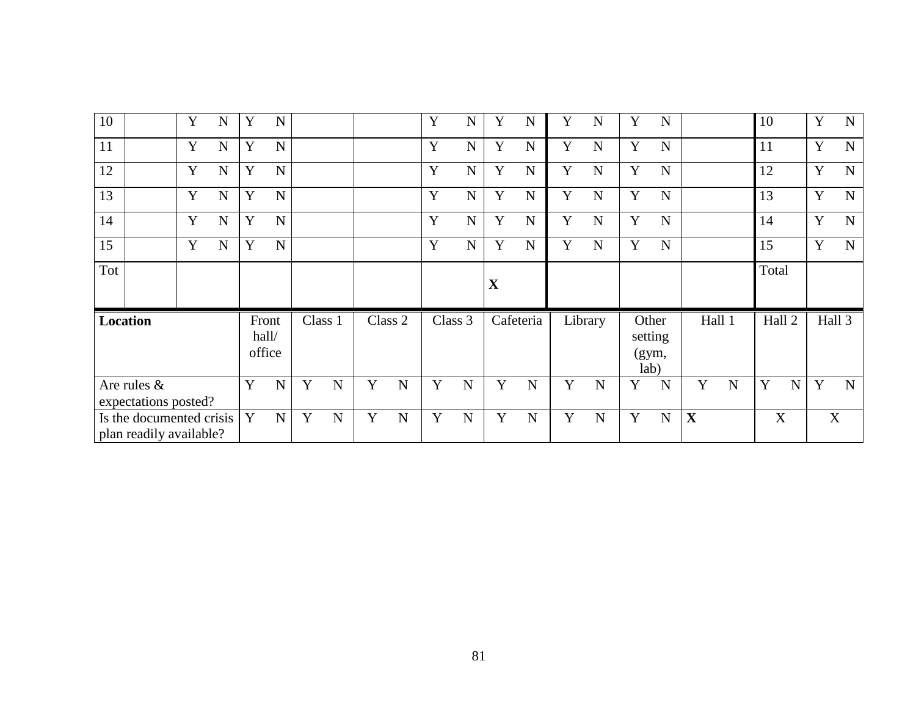| 10                                  |                                                     | Y | $\mathbf N$ | Y           | N                        |             |             |             |             | Y           | N           | Y           | N           | Y           | N           | Y           | $\mathbf N$                       |             |        | 10        |   | Y | $\mathbf N$ |
|-------------------------------------|-----------------------------------------------------|---|-------------|-------------|--------------------------|-------------|-------------|-------------|-------------|-------------|-------------|-------------|-------------|-------------|-------------|-------------|-----------------------------------|-------------|--------|-----------|---|---|-------------|
| 11                                  |                                                     | Y | $\mathbf N$ | Y           | $\mathbf N$              |             |             |             |             | Y           | $\mathbf N$ | Y           | N           | Y           | $\mathbf N$ | $\mathbf Y$ | $\mathbf N$                       |             |        | 11        |   | Y | $\mathbf N$ |
| 12                                  |                                                     | Y | $\mathbf N$ | Y           | $\mathbf N$              |             |             |             |             | Y           | $\mathbf N$ | Y           | $\mathbf N$ | Y           | N           | $\mathbf Y$ | $\mathbf N$                       |             |        | 12        |   | Y | $\mathbf N$ |
| 13                                  |                                                     | Y | $\mathbf N$ | Y           | $\mathbf N$              |             |             |             |             | Y           | $\mathbf N$ | Y           | N           | Y           | $\mathbf N$ | Y           | $\mathbf N$                       |             |        | 13        |   | Y | $\mathbf N$ |
| 14                                  |                                                     | Y | $\mathbf N$ | Y           | $\mathbf N$              |             |             |             |             | Y           | ${\bf N}$   | Y           | N           | Y           | N           | Y           | $\mathbf N$                       |             |        | 14        |   | Y | ${\bf N}$   |
| 15                                  |                                                     | Y | $\mathbf N$ | Y           | $\mathbf N$              |             |             |             |             | Y           | $\mathbf N$ | Y           | $\mathbf N$ | Y           | N           | Y           | $\mathbf N$                       |             |        | 15        |   | Y | $\mathbf N$ |
| Tot                                 |                                                     |   |             |             |                          |             |             |             |             |             |             | X           |             |             |             |             |                                   |             |        | Total     |   |   |             |
|                                     | Location                                            |   |             |             | Front<br>hall/<br>office |             | Class 1     |             | Class 2     |             | Class 3     |             | Cafeteria   |             | Library     |             | Other<br>setting<br>(gym,<br>lab) |             | Hall 1 | Hall 2    |   |   | Hall 3      |
| Are rules &<br>expectations posted? |                                                     |   | Y           | $\mathbf N$ | Y                        | $\mathbf N$ | Y           | $\mathbf N$ | Y           | $\mathbf N$ | Y           | $\mathbf N$ | Y           | N           | Y           | $\mathbf N$ | Y                                 | $\mathbf N$ | Y      | ${\bf N}$ | Y | N |             |
|                                     | Is the documented crisis<br>plan readily available? |   |             | Y           | $\mathbf N$              | Y           | $\mathbf N$ | Y           | $\mathbf N$ | Y           | $\mathbf N$ | Y           | $\mathbf N$ | $\mathbf Y$ | $\mathbf N$ | Y           | N                                 | $\mathbf X$ |        | X         |   |   | $\mathbf X$ |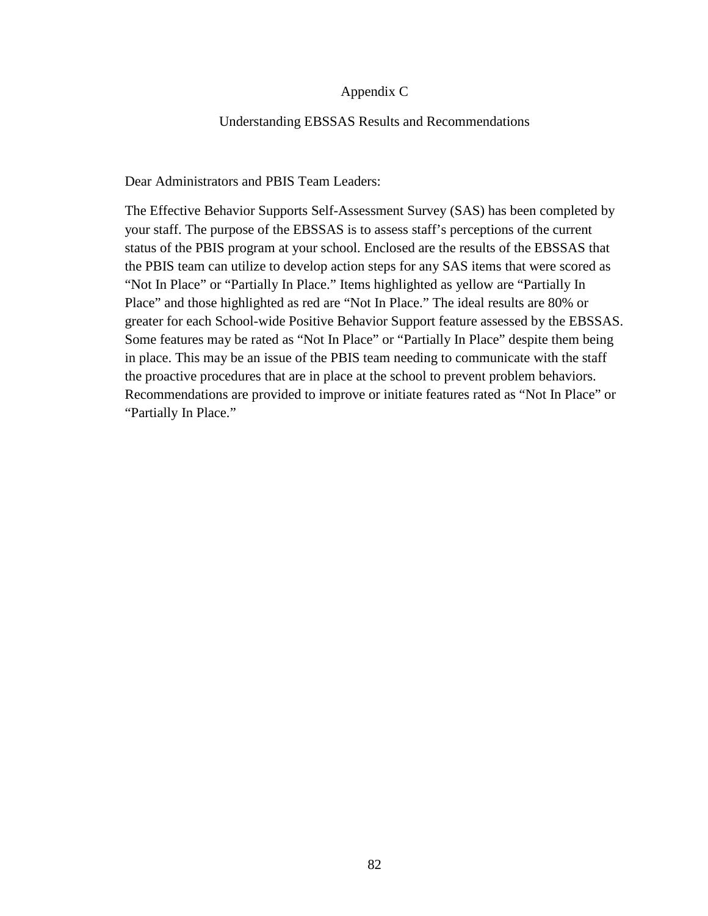#### Appendix C

#### Understanding EBSSAS Results and Recommendations

#### Dear Administrators and PBIS Team Leaders:

The Effective Behavior Supports Self-Assessment Survey (SAS) has been completed by your staff. The purpose of the EBSSAS is to assess staff's perceptions of the current status of the PBIS program at your school. Enclosed are the results of the EBSSAS that the PBIS team can utilize to develop action steps for any SAS items that were scored as "Not In Place" or "Partially In Place." Items highlighted as yellow are "Partially In Place" and those highlighted as red are "Not In Place." The ideal results are 80% or greater for each School-wide Positive Behavior Support feature assessed by the EBSSAS. Some features may be rated as "Not In Place" or "Partially In Place" despite them being in place. This may be an issue of the PBIS team needing to communicate with the staff the proactive procedures that are in place at the school to prevent problem behaviors. Recommendations are provided to improve or initiate features rated as "Not In Place" or "Partially In Place."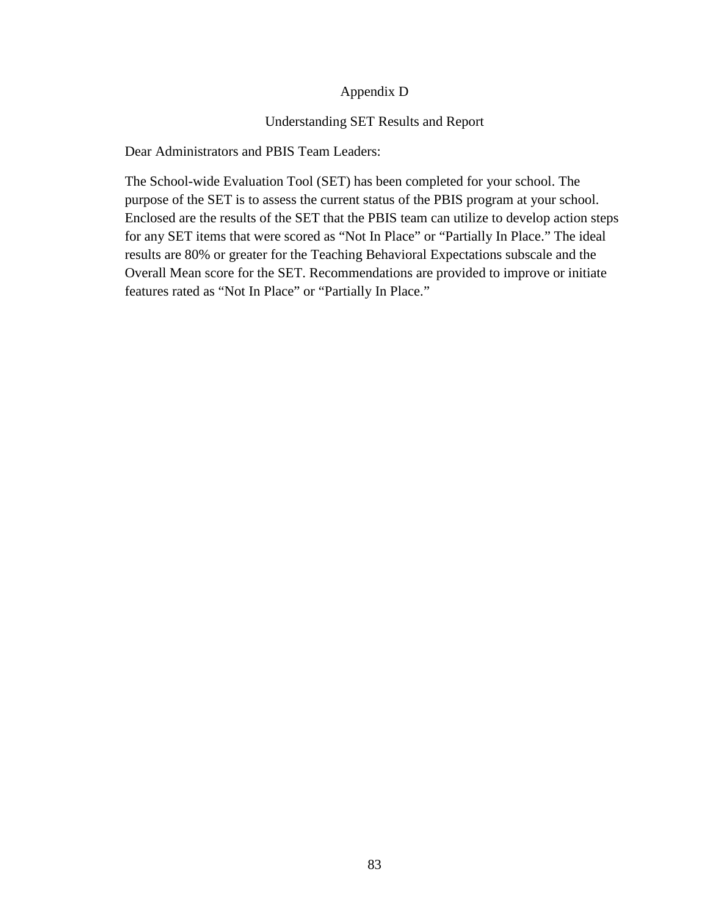### Appendix D

### Understanding SET Results and Report

Dear Administrators and PBIS Team Leaders:

The School-wide Evaluation Tool (SET) has been completed for your school. The purpose of the SET is to assess the current status of the PBIS program at your school. Enclosed are the results of the SET that the PBIS team can utilize to develop action steps for any SET items that were scored as "Not In Place" or "Partially In Place." The ideal results are 80% or greater for the Teaching Behavioral Expectations subscale and the Overall Mean score for the SET. Recommendations are provided to improve or initiate features rated as "Not In Place" or "Partially In Place."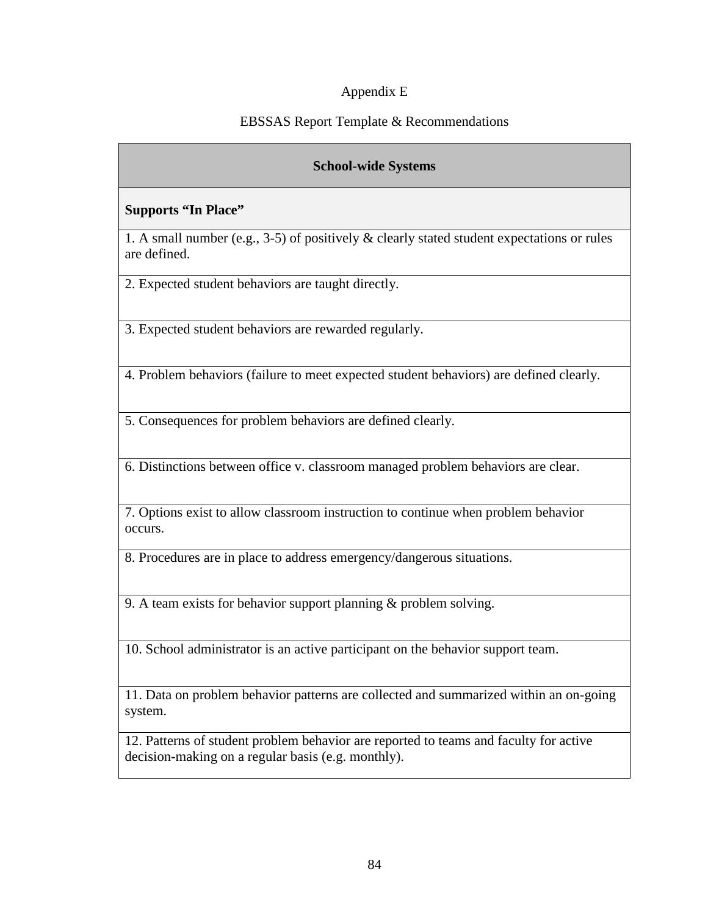# Appendix E

# EBSSAS Report Template & Recommendations

# **School-wide Systems**

# **Supports "In Place"**

1. A small number (e.g., 3-5) of positively & clearly stated student expectations or rules are defined.

2. Expected student behaviors are taught directly.

3. Expected student behaviors are rewarded regularly.

4. Problem behaviors (failure to meet expected student behaviors) are defined clearly.

5. Consequences for problem behaviors are defined clearly.

6. Distinctions between office v. classroom managed problem behaviors are clear.

7. Options exist to allow classroom instruction to continue when problem behavior occurs.

8. Procedures are in place to address emergency/dangerous situations.

9. A team exists for behavior support planning & problem solving.

10. School administrator is an active participant on the behavior support team.

11. Data on problem behavior patterns are collected and summarized within an on-going system.

12. Patterns of student problem behavior are reported to teams and faculty for active decision-making on a regular basis (e.g. monthly).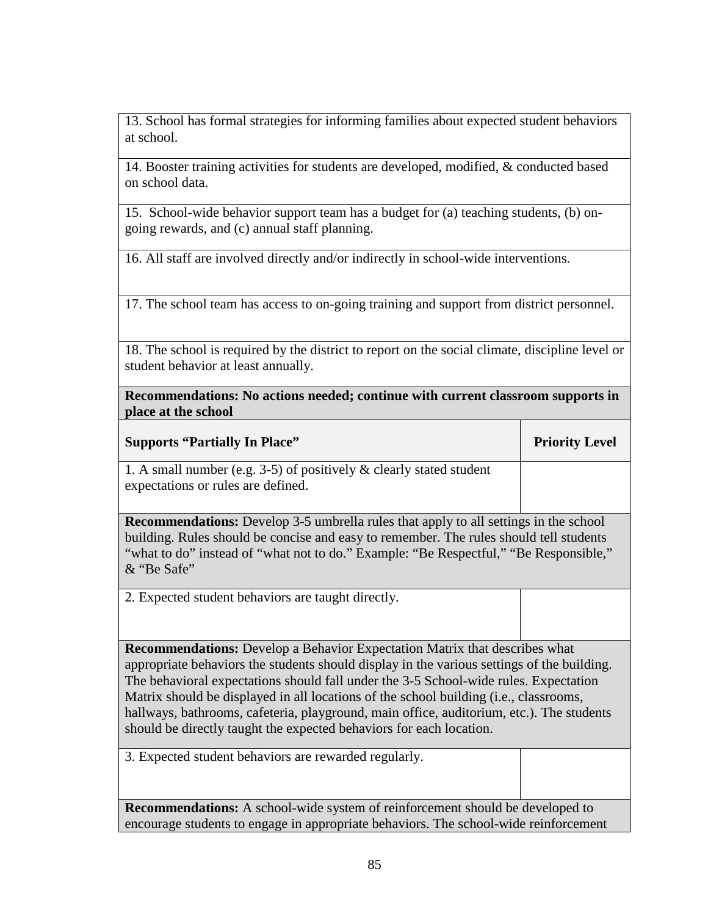13. School has formal strategies for informing families about expected student behaviors at school.

14. Booster training activities for students are developed, modified, & conducted based on school data.

15. School-wide behavior support team has a budget for (a) teaching students, (b) ongoing rewards, and (c) annual staff planning.

16. All staff are involved directly and/or indirectly in school-wide interventions.

17. The school team has access to on-going training and support from district personnel.

18. The school is required by the district to report on the social climate, discipline level or student behavior at least annually.

**Recommendations: No actions needed; continue with current classroom supports in place at the school**

| <b>Supports "Partially In Place"</b>                                                        | <b>Priority Level</b> |  |  |  |
|---------------------------------------------------------------------------------------------|-----------------------|--|--|--|
| 1. A small number (e.g. 3-5) of positively $\&$ clearly stated student                      |                       |  |  |  |
| expectations or rules are defined.                                                          |                       |  |  |  |
|                                                                                             |                       |  |  |  |
| <b>Recommendations:</b> Develop 3-5 umbrella rules that apply to all settings in the school |                       |  |  |  |
| building. Rules should be concise and easy to remember. The rules should tell students      |                       |  |  |  |
| "what to do" instead of "what not to do." Example: "Be Respectful," "Be Responsible,"       |                       |  |  |  |
| & "Be Safe"                                                                                 |                       |  |  |  |
|                                                                                             |                       |  |  |  |

2. Expected student behaviors are taught directly.

**Recommendations:** Develop a Behavior Expectation Matrix that describes what appropriate behaviors the students should display in the various settings of the building. The behavioral expectations should fall under the 3-5 School-wide rules. Expectation Matrix should be displayed in all locations of the school building (i.e., classrooms, hallways, bathrooms, cafeteria, playground, main office, auditorium, etc.). The students should be directly taught the expected behaviors for each location.

| 3. Expected student behaviors are rewarded regularly.                                |  |  |  |  |  |
|--------------------------------------------------------------------------------------|--|--|--|--|--|
|                                                                                      |  |  |  |  |  |
| <b>Recommendations:</b> A school-wide system of reinforcement should be developed to |  |  |  |  |  |
| encourage students to engage in appropriate behaviors. The school-wide reinforcement |  |  |  |  |  |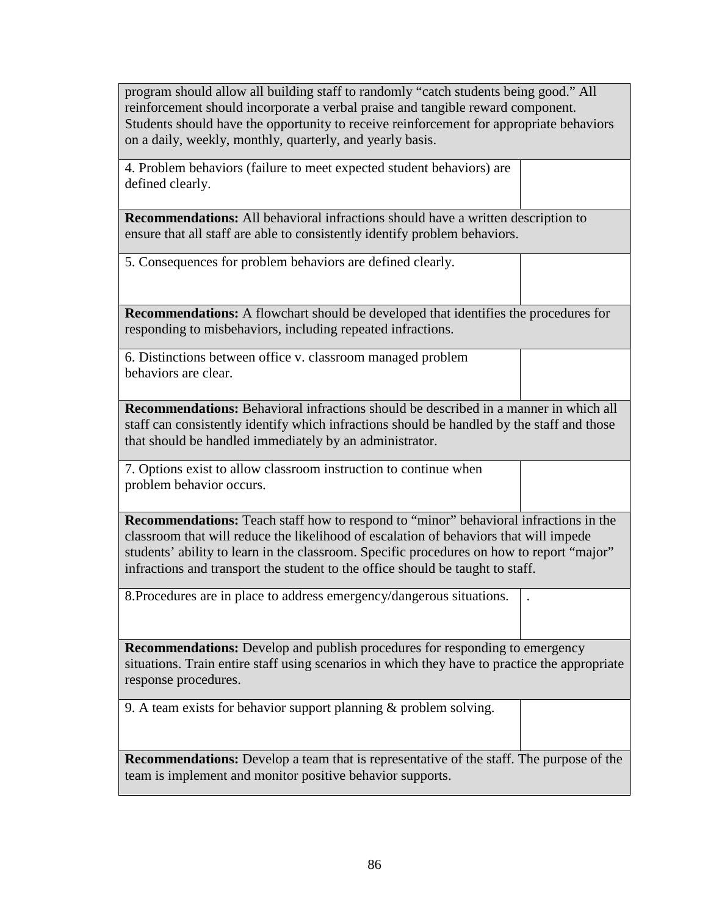program should allow all building staff to randomly "catch students being good." All reinforcement should incorporate a verbal praise and tangible reward component. Students should have the opportunity to receive reinforcement for appropriate behaviors on a daily, weekly, monthly, quarterly, and yearly basis.

4. Problem behaviors (failure to meet expected student behaviors) are defined clearly.

**Recommendations:** All behavioral infractions should have a written description to

| <b>inchuations.</b> An ochaviolal inflactions should have a written description to<br>ensure that all staff are able to consistently identify problem behaviors.                                                                                                                                                                                             |  |  |  |  |  |  |
|--------------------------------------------------------------------------------------------------------------------------------------------------------------------------------------------------------------------------------------------------------------------------------------------------------------------------------------------------------------|--|--|--|--|--|--|
| 5. Consequences for problem behaviors are defined clearly.                                                                                                                                                                                                                                                                                                   |  |  |  |  |  |  |
| <b>Recommendations:</b> A flowchart should be developed that identifies the procedures for<br>responding to misbehaviors, including repeated infractions.                                                                                                                                                                                                    |  |  |  |  |  |  |
| 6. Distinctions between office v. classroom managed problem<br>behaviors are clear.                                                                                                                                                                                                                                                                          |  |  |  |  |  |  |
| <b>Recommendations:</b> Behavioral infractions should be described in a manner in which all<br>staff can consistently identify which infractions should be handled by the staff and those<br>that should be handled immediately by an administrator.                                                                                                         |  |  |  |  |  |  |
| 7. Options exist to allow classroom instruction to continue when<br>problem behavior occurs.                                                                                                                                                                                                                                                                 |  |  |  |  |  |  |
| Recommendations: Teach staff how to respond to "minor" behavioral infractions in the<br>classroom that will reduce the likelihood of escalation of behaviors that will impede<br>students' ability to learn in the classroom. Specific procedures on how to report "major"<br>infractions and transport the student to the office should be taught to staff. |  |  |  |  |  |  |
| 8. Procedures are in place to address emergency/dangerous situations.                                                                                                                                                                                                                                                                                        |  |  |  |  |  |  |
| <b>Recommendations:</b> Develop and publish procedures for responding to emergency<br>situations. Train entire staff using scenarios in which they have to practice the appropriate<br>response procedures.                                                                                                                                                  |  |  |  |  |  |  |
| 9. A team exists for behavior support planning $\&$ problem solving.                                                                                                                                                                                                                                                                                         |  |  |  |  |  |  |
| <b>Recommendations:</b> Develop a team that is representative of the staff. The purpose of the<br>team is implement and monitor positive behavior supports.                                                                                                                                                                                                  |  |  |  |  |  |  |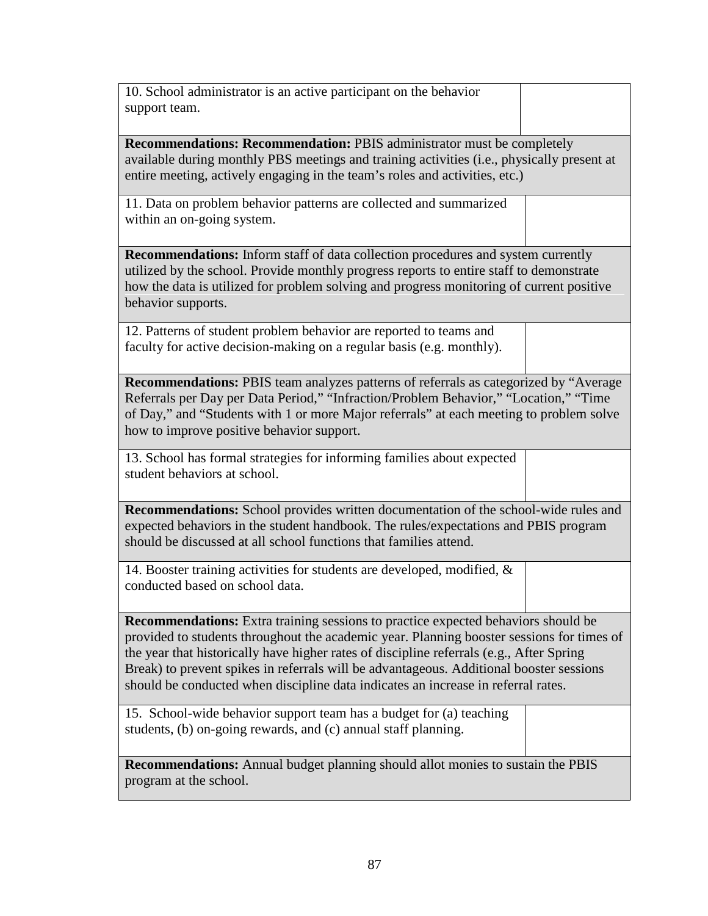| 10. School administrator is an active participant on the behavior<br>support team.                                                                                                                                                                                                                                                                                                                                                                         |  |  |  |  |  |  |  |
|------------------------------------------------------------------------------------------------------------------------------------------------------------------------------------------------------------------------------------------------------------------------------------------------------------------------------------------------------------------------------------------------------------------------------------------------------------|--|--|--|--|--|--|--|
| <b>Recommendations: Recommendation: PBIS administrator must be completely</b><br>available during monthly PBS meetings and training activities (i.e., physically present at<br>entire meeting, actively engaging in the team's roles and activities, etc.)                                                                                                                                                                                                 |  |  |  |  |  |  |  |
| 11. Data on problem behavior patterns are collected and summarized<br>within an on-going system.                                                                                                                                                                                                                                                                                                                                                           |  |  |  |  |  |  |  |
| <b>Recommendations:</b> Inform staff of data collection procedures and system currently<br>utilized by the school. Provide monthly progress reports to entire staff to demonstrate<br>how the data is utilized for problem solving and progress monitoring of current positive<br>behavior supports.                                                                                                                                                       |  |  |  |  |  |  |  |
| 12. Patterns of student problem behavior are reported to teams and<br>faculty for active decision-making on a regular basis (e.g. monthly).                                                                                                                                                                                                                                                                                                                |  |  |  |  |  |  |  |
| <b>Recommendations:</b> PBIS team analyzes patterns of referrals as categorized by "Average"<br>Referrals per Day per Data Period," "Infraction/Problem Behavior," "Location," "Time<br>of Day," and "Students with 1 or more Major referrals" at each meeting to problem solve<br>how to improve positive behavior support.                                                                                                                               |  |  |  |  |  |  |  |
| 13. School has formal strategies for informing families about expected<br>student behaviors at school.                                                                                                                                                                                                                                                                                                                                                     |  |  |  |  |  |  |  |
| Recommendations: School provides written documentation of the school-wide rules and<br>expected behaviors in the student handbook. The rules/expectations and PBIS program<br>should be discussed at all school functions that families attend.                                                                                                                                                                                                            |  |  |  |  |  |  |  |
| 14. Booster training activities for students are developed, modified, $\&$<br>conducted based on school data.                                                                                                                                                                                                                                                                                                                                              |  |  |  |  |  |  |  |
| Recommendations: Extra training sessions to practice expected behaviors should be<br>provided to students throughout the academic year. Planning booster sessions for times of<br>the year that historically have higher rates of discipline referrals (e.g., After Spring<br>Break) to prevent spikes in referrals will be advantageous. Additional booster sessions<br>should be conducted when discipline data indicates an increase in referral rates. |  |  |  |  |  |  |  |
| 15. School-wide behavior support team has a budget for (a) teaching<br>students, (b) on-going rewards, and (c) annual staff planning.                                                                                                                                                                                                                                                                                                                      |  |  |  |  |  |  |  |
| <b>Recommendations:</b> Annual budget planning should allot monies to sustain the PBIS<br>program at the school.                                                                                                                                                                                                                                                                                                                                           |  |  |  |  |  |  |  |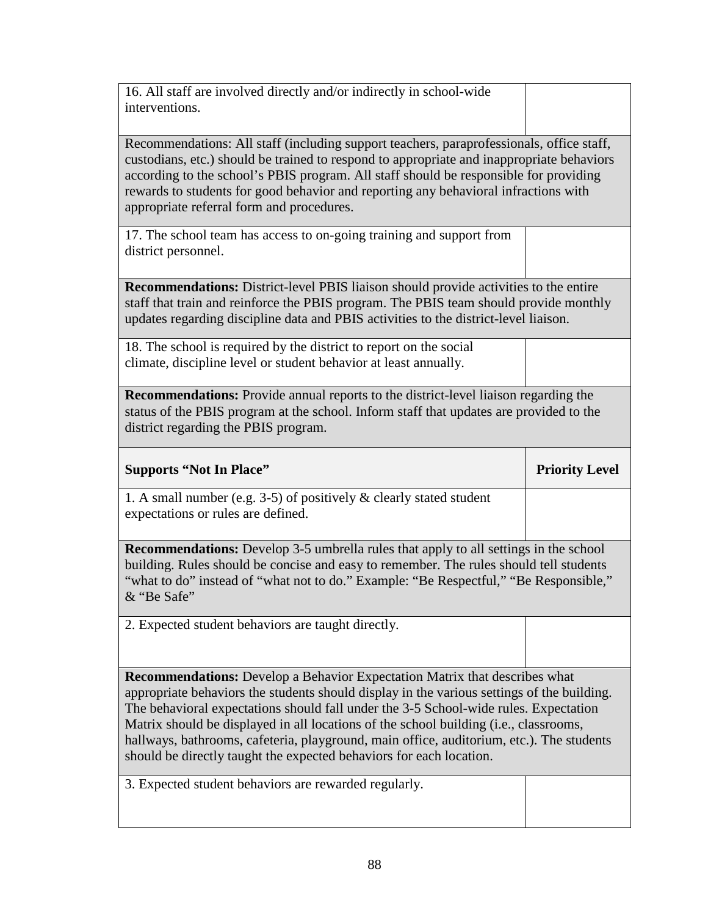| 16. All staff are involved directly and/or indirectly in school-wide<br>interventions.                                                                                                                                                                                                                                                                                                                                                                                                                                              |                       |  |  |  |  |  |  |  |
|-------------------------------------------------------------------------------------------------------------------------------------------------------------------------------------------------------------------------------------------------------------------------------------------------------------------------------------------------------------------------------------------------------------------------------------------------------------------------------------------------------------------------------------|-----------------------|--|--|--|--|--|--|--|
| Recommendations: All staff (including support teachers, paraprofessionals, office staff,<br>custodians, etc.) should be trained to respond to appropriate and inappropriate behaviors<br>according to the school's PBIS program. All staff should be responsible for providing<br>rewards to students for good behavior and reporting any behavioral infractions with<br>appropriate referral form and procedures.                                                                                                                  |                       |  |  |  |  |  |  |  |
| 17. The school team has access to on-going training and support from<br>district personnel.                                                                                                                                                                                                                                                                                                                                                                                                                                         |                       |  |  |  |  |  |  |  |
| <b>Recommendations:</b> District-level PBIS liaison should provide activities to the entire<br>staff that train and reinforce the PBIS program. The PBIS team should provide monthly<br>updates regarding discipline data and PBIS activities to the district-level liaison.                                                                                                                                                                                                                                                        |                       |  |  |  |  |  |  |  |
| 18. The school is required by the district to report on the social<br>climate, discipline level or student behavior at least annually.                                                                                                                                                                                                                                                                                                                                                                                              |                       |  |  |  |  |  |  |  |
| <b>Recommendations:</b> Provide annual reports to the district-level liaison regarding the<br>status of the PBIS program at the school. Inform staff that updates are provided to the<br>district regarding the PBIS program.                                                                                                                                                                                                                                                                                                       |                       |  |  |  |  |  |  |  |
|                                                                                                                                                                                                                                                                                                                                                                                                                                                                                                                                     |                       |  |  |  |  |  |  |  |
| <b>Supports "Not In Place"</b>                                                                                                                                                                                                                                                                                                                                                                                                                                                                                                      | <b>Priority Level</b> |  |  |  |  |  |  |  |
| 1. A small number (e.g. $3-5$ ) of positively & clearly stated student<br>expectations or rules are defined.                                                                                                                                                                                                                                                                                                                                                                                                                        |                       |  |  |  |  |  |  |  |
| Recommendations: Develop 3-5 umbrella rules that apply to all settings in the school<br>building. Rules should be concise and easy to remember. The rules should tell students<br>"what to do" instead of "what not to do." Example: "Be Respectful," "Be Responsible,"<br>& "Be Safe"                                                                                                                                                                                                                                              |                       |  |  |  |  |  |  |  |
| 2. Expected student behaviors are taught directly.                                                                                                                                                                                                                                                                                                                                                                                                                                                                                  |                       |  |  |  |  |  |  |  |
| <b>Recommendations:</b> Develop a Behavior Expectation Matrix that describes what<br>appropriate behaviors the students should display in the various settings of the building.<br>The behavioral expectations should fall under the 3-5 School-wide rules. Expectation<br>Matrix should be displayed in all locations of the school building (i.e., classrooms,<br>hallways, bathrooms, cafeteria, playground, main office, auditorium, etc.). The students<br>should be directly taught the expected behaviors for each location. |                       |  |  |  |  |  |  |  |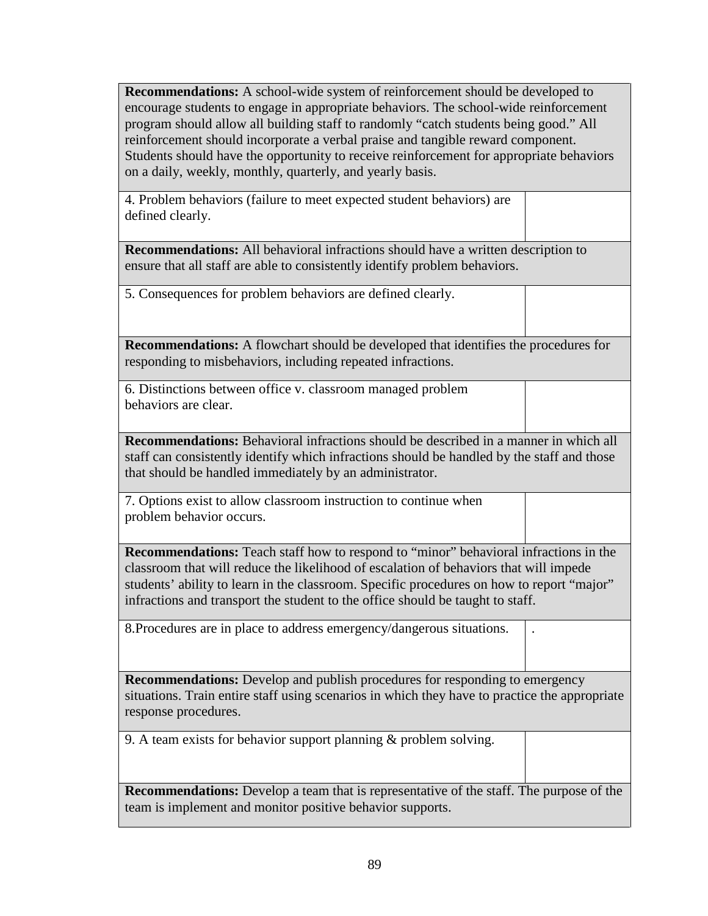**Recommendations:** A school-wide system of reinforcement should be developed to encourage students to engage in appropriate behaviors. The school-wide reinforcement program should allow all building staff to randomly "catch students being good." All reinforcement should incorporate a verbal praise and tangible reward component. Students should have the opportunity to receive reinforcement for appropriate behaviors on a daily, weekly, monthly, quarterly, and yearly basis.

4. Problem behaviors (failure to meet expected student behaviors) are defined clearly.

**Recommendations:** All behavioral infractions should have a written description to ensure that all staff are able to consistently identify problem behaviors.

5. Consequences for problem behaviors are defined clearly.

**Recommendations:** A flowchart should be developed that identifies the procedures for responding to misbehaviors, including repeated infractions.

6. Distinctions between office v. classroom managed problem behaviors are clear.

**Recommendations:** Behavioral infractions should be described in a manner in which all staff can consistently identify which infractions should be handled by the staff and those that should be handled immediately by an administrator.

7. Options exist to allow classroom instruction to continue when problem behavior occurs.

**Recommendations:** Teach staff how to respond to "minor" behavioral infractions in the classroom that will reduce the likelihood of escalation of behaviors that will impede students' ability to learn in the classroom. Specific procedures on how to report "major" infractions and transport the student to the office should be taught to staff.

8.Procedures are in place to address emergency/dangerous situations. .

**Recommendations:** Develop and publish procedures for responding to emergency situations. Train entire staff using scenarios in which they have to practice the appropriate response procedures.

9. A team exists for behavior support planning & problem solving.

**Recommendations:** Develop a team that is representative of the staff. The purpose of the team is implement and monitor positive behavior supports.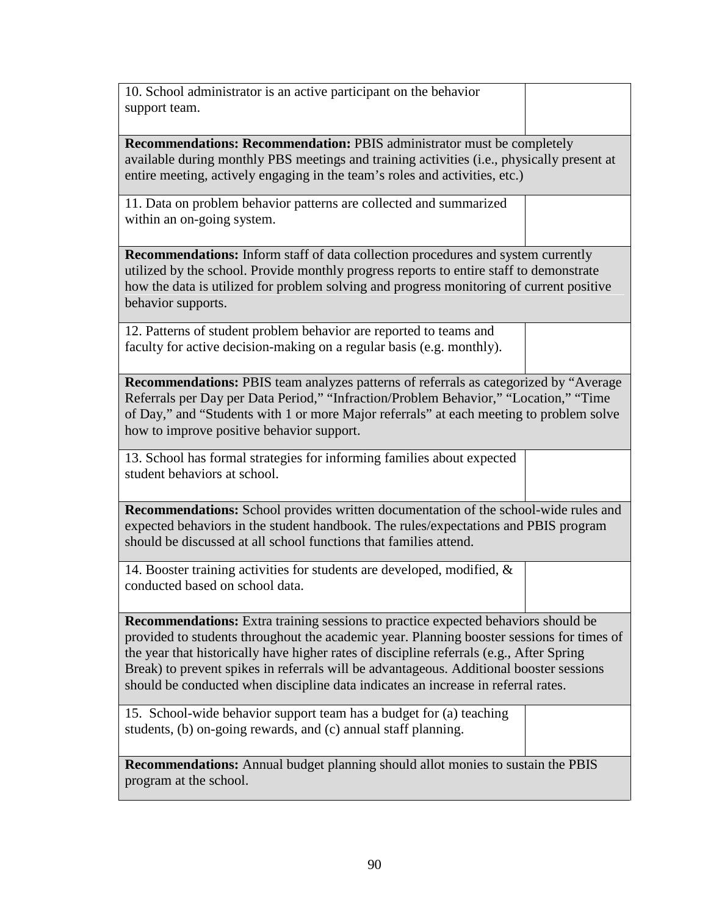| 10. School administrator is an active participant on the behavior<br>support team.                                                                                                                                                                                                                                                                                                                                                                         |  |  |  |  |  |  |  |
|------------------------------------------------------------------------------------------------------------------------------------------------------------------------------------------------------------------------------------------------------------------------------------------------------------------------------------------------------------------------------------------------------------------------------------------------------------|--|--|--|--|--|--|--|
| <b>Recommendations: Recommendation: PBIS administrator must be completely</b><br>available during monthly PBS meetings and training activities (i.e., physically present at<br>entire meeting, actively engaging in the team's roles and activities, etc.)                                                                                                                                                                                                 |  |  |  |  |  |  |  |
| 11. Data on problem behavior patterns are collected and summarized<br>within an on-going system.                                                                                                                                                                                                                                                                                                                                                           |  |  |  |  |  |  |  |
| <b>Recommendations:</b> Inform staff of data collection procedures and system currently<br>utilized by the school. Provide monthly progress reports to entire staff to demonstrate<br>how the data is utilized for problem solving and progress monitoring of current positive<br>behavior supports.                                                                                                                                                       |  |  |  |  |  |  |  |
| 12. Patterns of student problem behavior are reported to teams and<br>faculty for active decision-making on a regular basis (e.g. monthly).                                                                                                                                                                                                                                                                                                                |  |  |  |  |  |  |  |
| <b>Recommendations:</b> PBIS team analyzes patterns of referrals as categorized by "Average"<br>Referrals per Day per Data Period," "Infraction/Problem Behavior," "Location," "Time<br>of Day," and "Students with 1 or more Major referrals" at each meeting to problem solve<br>how to improve positive behavior support.                                                                                                                               |  |  |  |  |  |  |  |
| 13. School has formal strategies for informing families about expected<br>student behaviors at school.                                                                                                                                                                                                                                                                                                                                                     |  |  |  |  |  |  |  |
| Recommendations: School provides written documentation of the school-wide rules and<br>expected behaviors in the student handbook. The rules/expectations and PBIS program<br>should be discussed at all school functions that families attend.                                                                                                                                                                                                            |  |  |  |  |  |  |  |
| 14. Booster training activities for students are developed, modified, $\&$<br>conducted based on school data.                                                                                                                                                                                                                                                                                                                                              |  |  |  |  |  |  |  |
| Recommendations: Extra training sessions to practice expected behaviors should be<br>provided to students throughout the academic year. Planning booster sessions for times of<br>the year that historically have higher rates of discipline referrals (e.g., After Spring<br>Break) to prevent spikes in referrals will be advantageous. Additional booster sessions<br>should be conducted when discipline data indicates an increase in referral rates. |  |  |  |  |  |  |  |
| 15. School-wide behavior support team has a budget for (a) teaching<br>students, (b) on-going rewards, and (c) annual staff planning.                                                                                                                                                                                                                                                                                                                      |  |  |  |  |  |  |  |
| <b>Recommendations:</b> Annual budget planning should allot monies to sustain the PBIS<br>program at the school.                                                                                                                                                                                                                                                                                                                                           |  |  |  |  |  |  |  |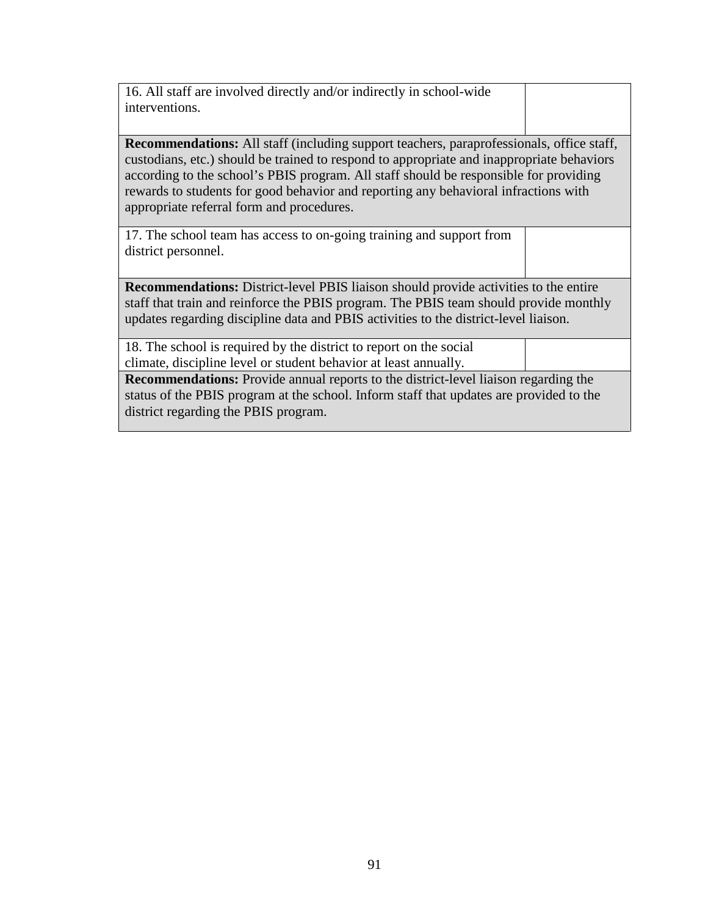| 16. All staff are involved directly and/or indirectly in school-wide<br>interventions.                                                                                                                                                                                                                                                                                                                                    |  |  |  |  |  |  |
|---------------------------------------------------------------------------------------------------------------------------------------------------------------------------------------------------------------------------------------------------------------------------------------------------------------------------------------------------------------------------------------------------------------------------|--|--|--|--|--|--|
| <b>Recommendations:</b> All staff (including support teachers, paraprofessionals, office staff,<br>custodians, etc.) should be trained to respond to appropriate and inappropriate behaviors<br>according to the school's PBIS program. All staff should be responsible for providing<br>rewards to students for good behavior and reporting any behavioral infractions with<br>appropriate referral form and procedures. |  |  |  |  |  |  |
| 17. The school team has access to on-going training and support from<br>district personnel.                                                                                                                                                                                                                                                                                                                               |  |  |  |  |  |  |
| <b>Recommendations:</b> District-level PBIS liaison should provide activities to the entire<br>staff that train and reinforce the PBIS program. The PBIS team should provide monthly<br>updates regarding discipline data and PBIS activities to the district-level liaison.                                                                                                                                              |  |  |  |  |  |  |
| 18. The school is required by the district to report on the social<br>climate, discipline level or student behavior at least annually.                                                                                                                                                                                                                                                                                    |  |  |  |  |  |  |
| <b>Recommendations:</b> Provide annual reports to the district-level liaison regarding the<br>status of the PBIS program at the school. Inform staff that updates are provided to the<br>district regarding the PBIS program.                                                                                                                                                                                             |  |  |  |  |  |  |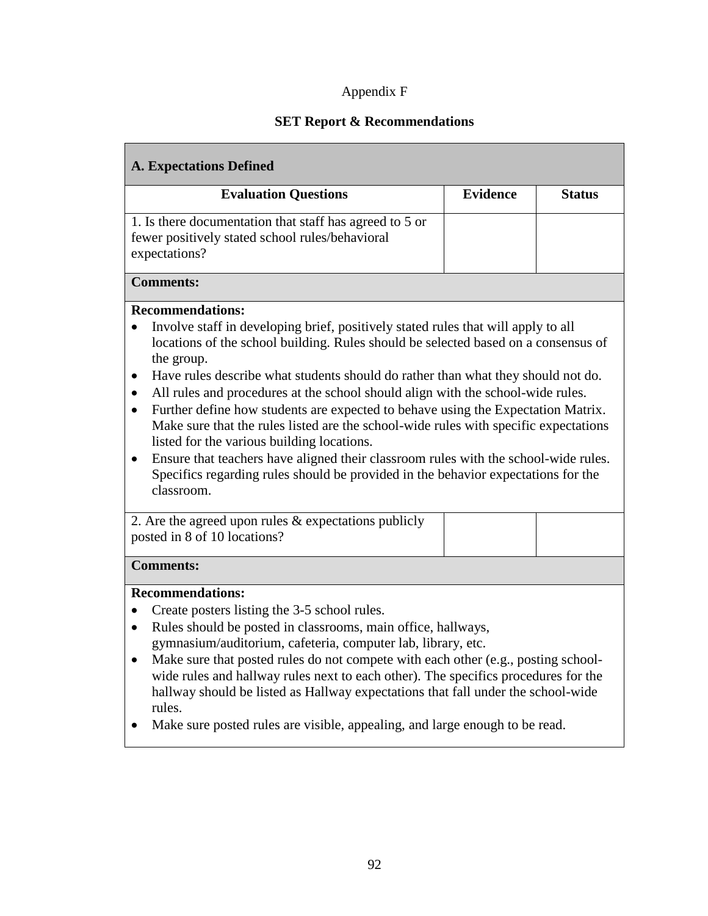# Appendix F

# **SET Report & Recommendations**

| <b>A. Expectations Defined</b>                                                                                                                                                                                                                                                                                                                                                                                                                                                                                                                                                                                                                                                                                                                                                                                                                                  |                 |               |  |  |  |  |
|-----------------------------------------------------------------------------------------------------------------------------------------------------------------------------------------------------------------------------------------------------------------------------------------------------------------------------------------------------------------------------------------------------------------------------------------------------------------------------------------------------------------------------------------------------------------------------------------------------------------------------------------------------------------------------------------------------------------------------------------------------------------------------------------------------------------------------------------------------------------|-----------------|---------------|--|--|--|--|
| <b>Evaluation Questions</b>                                                                                                                                                                                                                                                                                                                                                                                                                                                                                                                                                                                                                                                                                                                                                                                                                                     | <b>Evidence</b> | <b>Status</b> |  |  |  |  |
| 1. Is there documentation that staff has agreed to 5 or<br>fewer positively stated school rules/behavioral<br>expectations?                                                                                                                                                                                                                                                                                                                                                                                                                                                                                                                                                                                                                                                                                                                                     |                 |               |  |  |  |  |
| <b>Comments:</b>                                                                                                                                                                                                                                                                                                                                                                                                                                                                                                                                                                                                                                                                                                                                                                                                                                                |                 |               |  |  |  |  |
| <b>Recommendations:</b><br>Involve staff in developing brief, positively stated rules that will apply to all<br>locations of the school building. Rules should be selected based on a consensus of<br>the group.<br>Have rules describe what students should do rather than what they should not do.<br>$\bullet$<br>All rules and procedures at the school should align with the school-wide rules.<br>$\bullet$<br>Further define how students are expected to behave using the Expectation Matrix.<br>$\bullet$<br>Make sure that the rules listed are the school-wide rules with specific expectations<br>listed for the various building locations.<br>Ensure that teachers have aligned their classroom rules with the school-wide rules.<br>$\bullet$<br>Specifics regarding rules should be provided in the behavior expectations for the<br>classroom. |                 |               |  |  |  |  |
| 2. Are the agreed upon rules $&$ expectations publicly<br>posted in 8 of 10 locations?                                                                                                                                                                                                                                                                                                                                                                                                                                                                                                                                                                                                                                                                                                                                                                          |                 |               |  |  |  |  |
| <b>Comments:</b>                                                                                                                                                                                                                                                                                                                                                                                                                                                                                                                                                                                                                                                                                                                                                                                                                                                |                 |               |  |  |  |  |
| <b>Recommendations:</b><br>Create posters listing the 3-5 school rules.<br>Rules should be posted in classrooms, main office, hallways,<br>$\bullet$<br>gymnasium/auditorium, cafeteria, computer lab, library, etc.<br>Make sure that posted rules do not compete with each other (e.g., posting school-<br>$\bullet$<br>wide rules and hallway rules next to each other). The specifics procedures for the<br>hallway should be listed as Hallway expectations that fall under the school-wide<br>rules.<br>Make sure posted rules are visible, appealing, and large enough to be read.                                                                                                                                                                                                                                                                       |                 |               |  |  |  |  |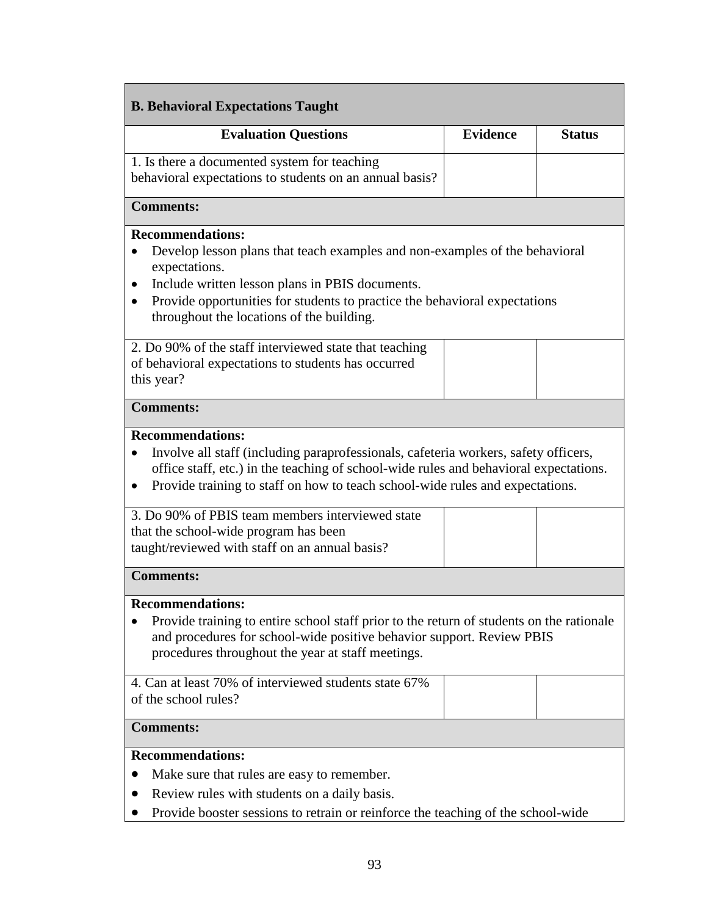| <b>B. Behavioral Expectations Taught</b>                                                                                                                                                                                                                                                                                                     |                 |               |  |  |  |  |  |
|----------------------------------------------------------------------------------------------------------------------------------------------------------------------------------------------------------------------------------------------------------------------------------------------------------------------------------------------|-----------------|---------------|--|--|--|--|--|
| <b>Evaluation Questions</b>                                                                                                                                                                                                                                                                                                                  | <b>Evidence</b> | <b>Status</b> |  |  |  |  |  |
| 1. Is there a documented system for teaching<br>behavioral expectations to students on an annual basis?                                                                                                                                                                                                                                      |                 |               |  |  |  |  |  |
| <b>Comments:</b>                                                                                                                                                                                                                                                                                                                             |                 |               |  |  |  |  |  |
| <b>Recommendations:</b><br>Develop lesson plans that teach examples and non-examples of the behavioral<br>expectations.<br>Include written lesson plans in PBIS documents.<br>Provide opportunities for students to practice the behavioral expectations<br>throughout the locations of the building.                                        |                 |               |  |  |  |  |  |
| 2. Do 90% of the staff interviewed state that teaching<br>of behavioral expectations to students has occurred<br>this year?                                                                                                                                                                                                                  |                 |               |  |  |  |  |  |
| <b>Comments:</b>                                                                                                                                                                                                                                                                                                                             |                 |               |  |  |  |  |  |
| <b>Recommendations:</b><br>Involve all staff (including paraprofessionals, cafeteria workers, safety officers,<br>office staff, etc.) in the teaching of school-wide rules and behavioral expectations.<br>Provide training to staff on how to teach school-wide rules and expectations.<br>3. Do 90% of PBIS team members interviewed state |                 |               |  |  |  |  |  |
| that the school-wide program has been<br>taught/reviewed with staff on an annual basis?                                                                                                                                                                                                                                                      |                 |               |  |  |  |  |  |
| <b>Comments:</b>                                                                                                                                                                                                                                                                                                                             |                 |               |  |  |  |  |  |
| <b>Recommendations:</b><br>Provide training to entire school staff prior to the return of students on the rationale<br>and procedures for school-wide positive behavior support. Review PBIS<br>procedures throughout the year at staff meetings.                                                                                            |                 |               |  |  |  |  |  |
| 4. Can at least 70% of interviewed students state 67%<br>of the school rules?                                                                                                                                                                                                                                                                |                 |               |  |  |  |  |  |
| <b>Comments:</b>                                                                                                                                                                                                                                                                                                                             |                 |               |  |  |  |  |  |
| <b>Recommendations:</b><br>Make sure that rules are easy to remember.<br>Review rules with students on a daily basis.<br>Provide booster sessions to retrain or reinforce the teaching of the school-wide                                                                                                                                    |                 |               |  |  |  |  |  |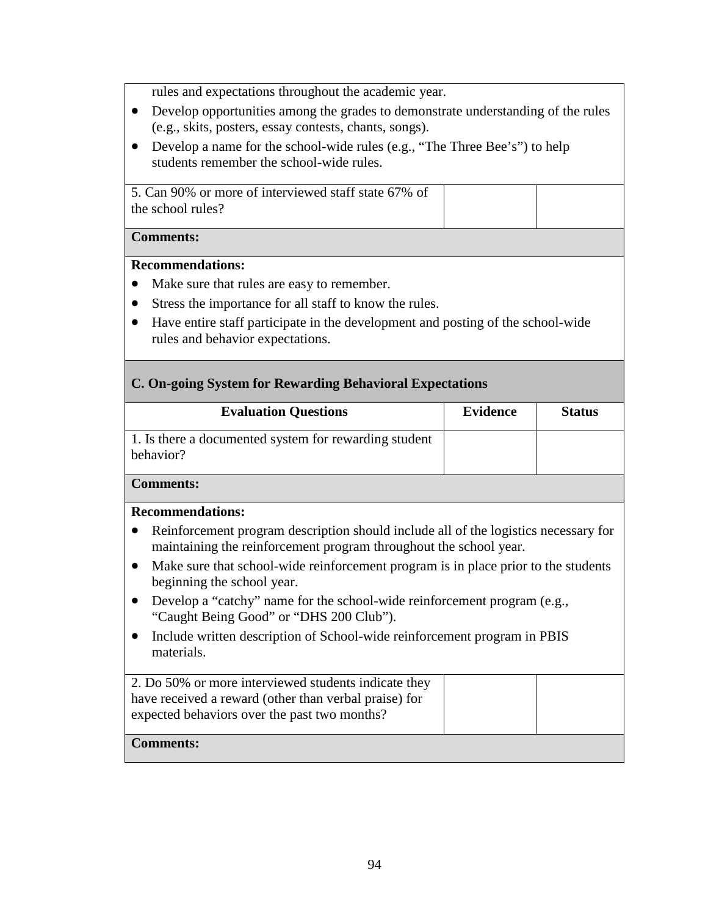rules and expectations throughout the academic year.

- Develop opportunities among the grades to demonstrate understanding of the rules (e.g., skits, posters, essay contests, chants, songs).
- Develop a name for the school-wide rules (e.g., "The Three Bee's") to help students remember the school-wide rules.

5. Can 90% or more of interviewed staff state 67% of the school rules?

### **Comments:**

### **Recommendations:**

- Make sure that rules are easy to remember.
- Stress the importance for all staff to know the rules.
- Have entire staff participate in the development and posting of the school-wide rules and behavior expectations.

# **C. On-going System for Rewarding Behavioral Expectations**

| <b>Evaluation Questions</b>                                        | <b>Evidence</b> | <b>Status</b> |
|--------------------------------------------------------------------|-----------------|---------------|
| 1. Is there a documented system for rewarding student<br>behavior? |                 |               |
| <b>Comments:</b>                                                   |                 |               |

#### **Recommendations:**

- Reinforcement program description should include all of the logistics necessary for maintaining the reinforcement program throughout the school year.
- Make sure that school-wide reinforcement program is in place prior to the students beginning the school year.
- Develop a "catchy" name for the school-wide reinforcement program (e.g., "Caught Being Good" or "DHS 200 Club").
- Include written description of School-wide reinforcement program in PBIS materials.

| 2. Do 50% or more interviewed students indicate they<br>have received a reward (other than verbal praise) for<br>expected behaviors over the past two months? |  |
|---------------------------------------------------------------------------------------------------------------------------------------------------------------|--|
| <b>Comments:</b>                                                                                                                                              |  |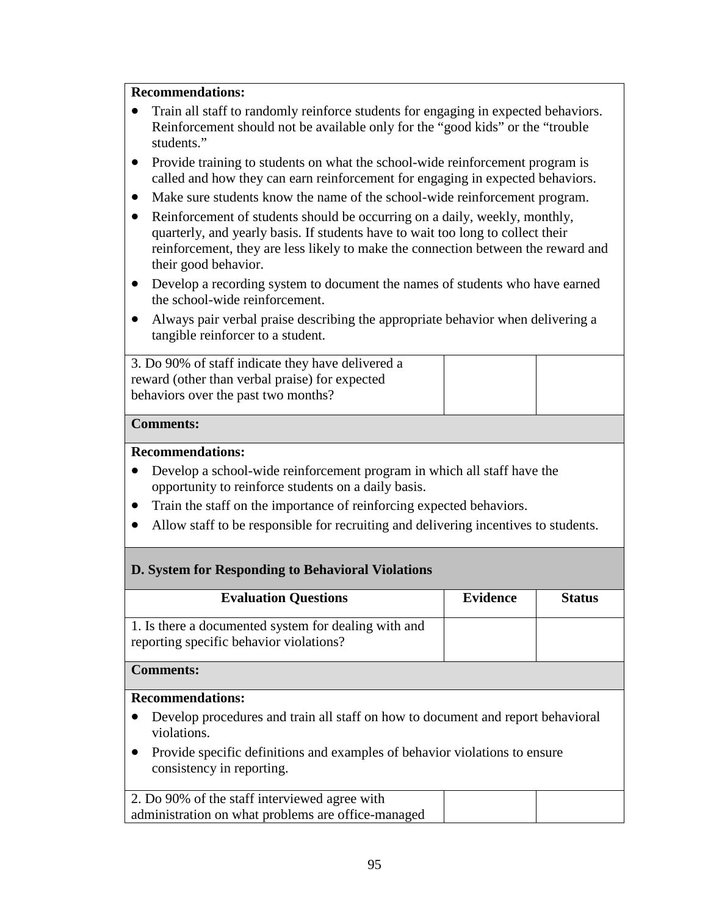# **Recommendations:**

- Train all staff to randomly reinforce students for engaging in expected behaviors. Reinforcement should not be available only for the "good kids" or the "trouble students."
- Provide training to students on what the school-wide reinforcement program is called and how they can earn reinforcement for engaging in expected behaviors.
- Make sure students know the name of the school-wide reinforcement program.
- Reinforcement of students should be occurring on a daily, weekly, monthly, quarterly, and yearly basis. If students have to wait too long to collect their reinforcement, they are less likely to make the connection between the reward and their good behavior.
- Develop a recording system to document the names of students who have earned the school-wide reinforcement.
- Always pair verbal praise describing the appropriate behavior when delivering a tangible reinforcer to a student.

3. Do 90% of staff indicate they have delivered a reward (other than verbal praise) for expected behaviors over the past two months?

### **Comments:**

## **Recommendations:**

- Develop a school-wide reinforcement program in which all staff have the opportunity to reinforce students on a daily basis.
- Train the staff on the importance of reinforcing expected behaviors.
- Allow staff to be responsible for recruiting and delivering incentives to students.

# **D. System for Responding to Behavioral Violations**

| <b>Evaluation Questions</b>                                                                                          | <b>Evidence</b> | <b>Status</b> |  |
|----------------------------------------------------------------------------------------------------------------------|-----------------|---------------|--|
| 1. Is there a documented system for dealing with and<br>reporting specific behavior violations?                      |                 |               |  |
| <b>Comments:</b>                                                                                                     |                 |               |  |
| <b>Recommendations:</b>                                                                                              |                 |               |  |
| Develop procedures and train all staff on how to document and report behavioral<br>violations.                       |                 |               |  |
| Provide specific definitions and examples of behavior violations to ensure<br>$\bullet$<br>consistency in reporting. |                 |               |  |
| 2. Do 90% of the staff interviewed agree with                                                                        |                 |               |  |
| administration on what problems are office-managed                                                                   |                 |               |  |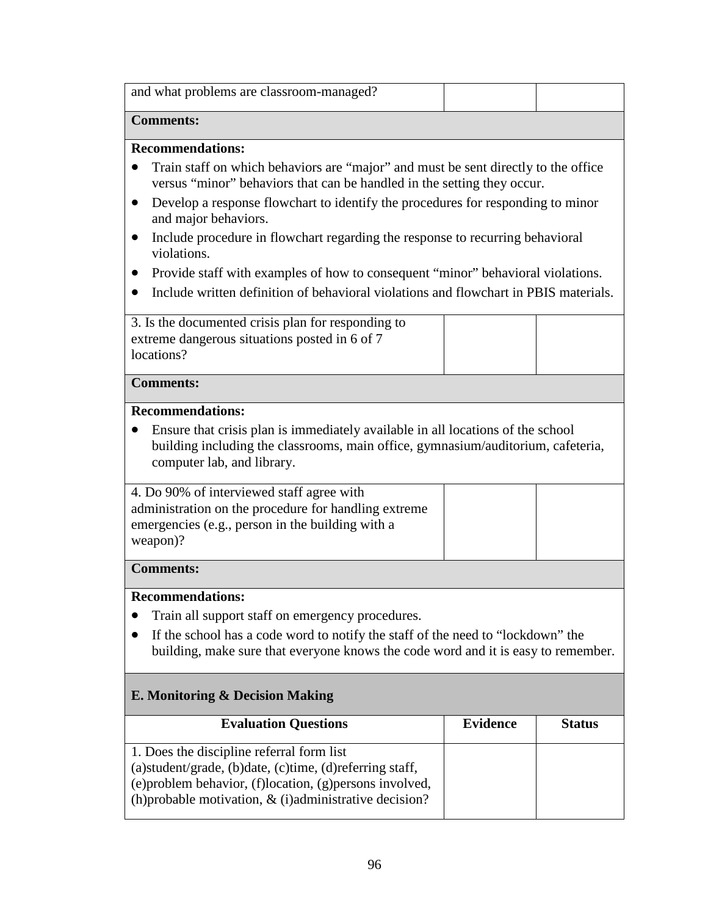| and what problems are classroom-managed?                                                                                                                                                                                                                                                                                                                                                                                                                                                                                                                                                                                                        |                 |               |
|-------------------------------------------------------------------------------------------------------------------------------------------------------------------------------------------------------------------------------------------------------------------------------------------------------------------------------------------------------------------------------------------------------------------------------------------------------------------------------------------------------------------------------------------------------------------------------------------------------------------------------------------------|-----------------|---------------|
| <b>Comments:</b>                                                                                                                                                                                                                                                                                                                                                                                                                                                                                                                                                                                                                                |                 |               |
| <b>Recommendations:</b><br>Train staff on which behaviors are "major" and must be sent directly to the office<br>$\bullet$<br>versus "minor" behaviors that can be handled in the setting they occur.<br>Develop a response flowchart to identify the procedures for responding to minor<br>$\bullet$<br>and major behaviors.<br>Include procedure in flowchart regarding the response to recurring behavioral<br>$\bullet$<br>violations.<br>Provide staff with examples of how to consequent "minor" behavioral violations.<br>$\bullet$<br>Include written definition of behavioral violations and flowchart in PBIS materials.<br>$\bullet$ |                 |               |
| 3. Is the documented crisis plan for responding to<br>extreme dangerous situations posted in 6 of 7<br>locations?                                                                                                                                                                                                                                                                                                                                                                                                                                                                                                                               |                 |               |
| <b>Comments:</b>                                                                                                                                                                                                                                                                                                                                                                                                                                                                                                                                                                                                                                |                 |               |
| <b>Recommendations:</b><br>Ensure that crisis plan is immediately available in all locations of the school<br>building including the classrooms, main office, gymnasium/auditorium, cafeteria,<br>computer lab, and library.<br>4. Do 90% of interviewed staff agree with<br>administration on the procedure for handling extreme<br>emergencies (e.g., person in the building with a                                                                                                                                                                                                                                                           |                 |               |
| weapon)?                                                                                                                                                                                                                                                                                                                                                                                                                                                                                                                                                                                                                                        |                 |               |
| <b>Comments:</b>                                                                                                                                                                                                                                                                                                                                                                                                                                                                                                                                                                                                                                |                 |               |
| <b>Recommendations:</b><br>Train all support staff on emergency procedures.<br>$\bullet$<br>If the school has a code word to notify the staff of the need to "lockdown" the<br>$\bullet$<br>building, make sure that everyone knows the code word and it is easy to remember.                                                                                                                                                                                                                                                                                                                                                                   |                 |               |
| <b>E. Monitoring &amp; Decision Making</b>                                                                                                                                                                                                                                                                                                                                                                                                                                                                                                                                                                                                      |                 |               |
| <b>Evaluation Questions</b>                                                                                                                                                                                                                                                                                                                                                                                                                                                                                                                                                                                                                     | <b>Evidence</b> | <b>Status</b> |
| 1. Does the discipline referral form list<br>(a) student/grade, (b) date, (c) time, (d) referring staff,<br>(e) problem behavior, (f) location, (g) persons involved,<br>(h) probable motivation, $\&$ (i) administrative decision?                                                                                                                                                                                                                                                                                                                                                                                                             |                 |               |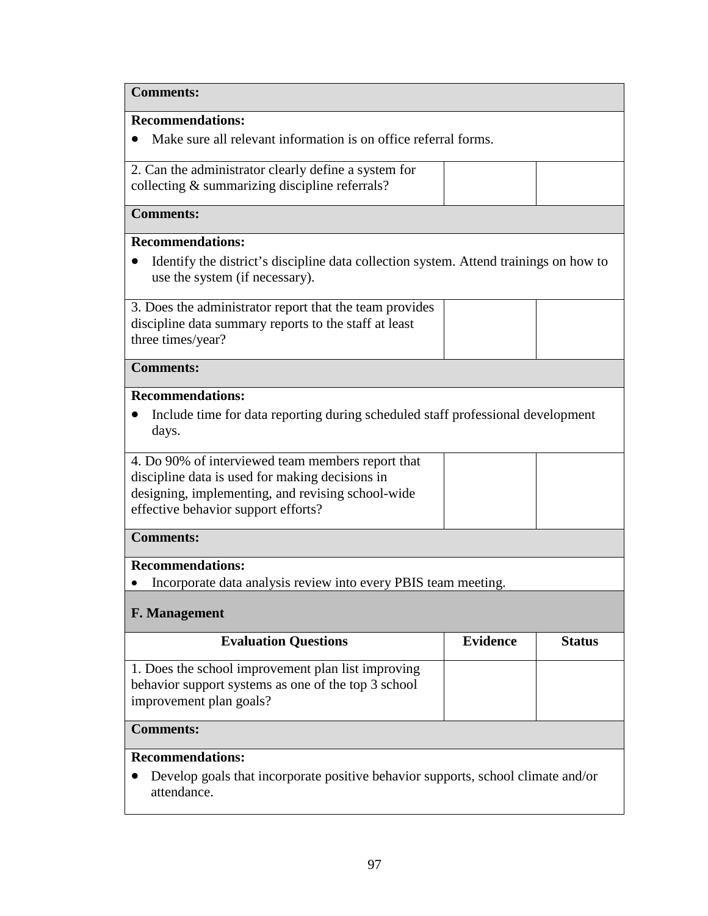| <b>Comments:</b>                                                                                                                                                                                 |                 |               |  |
|--------------------------------------------------------------------------------------------------------------------------------------------------------------------------------------------------|-----------------|---------------|--|
| <b>Recommendations:</b>                                                                                                                                                                          |                 |               |  |
| Make sure all relevant information is on office referral forms.                                                                                                                                  |                 |               |  |
| 2. Can the administrator clearly define a system for                                                                                                                                             |                 |               |  |
| collecting & summarizing discipline referrals?                                                                                                                                                   |                 |               |  |
| <b>Comments:</b>                                                                                                                                                                                 |                 |               |  |
| <b>Recommendations:</b>                                                                                                                                                                          |                 |               |  |
| Identify the district's discipline data collection system. Attend trainings on how to<br>use the system (if necessary).                                                                          |                 |               |  |
| 3. Does the administrator report that the team provides                                                                                                                                          |                 |               |  |
| discipline data summary reports to the staff at least                                                                                                                                            |                 |               |  |
| three times/year?                                                                                                                                                                                |                 |               |  |
| <b>Comments:</b>                                                                                                                                                                                 |                 |               |  |
| <b>Recommendations:</b>                                                                                                                                                                          |                 |               |  |
| Include time for data reporting during scheduled staff professional development                                                                                                                  |                 |               |  |
| days.                                                                                                                                                                                            |                 |               |  |
| 4. Do 90% of interviewed team members report that<br>discipline data is used for making decisions in<br>designing, implementing, and revising school-wide<br>effective behavior support efforts? |                 |               |  |
| <b>Comments:</b>                                                                                                                                                                                 |                 |               |  |
| <b>Recommendations:</b>                                                                                                                                                                          |                 |               |  |
| Incorporate data analysis review into every PBIS team meeting.                                                                                                                                   |                 |               |  |
| F. Management                                                                                                                                                                                    |                 |               |  |
| <b>Evaluation Questions</b>                                                                                                                                                                      | <b>Evidence</b> | <b>Status</b> |  |
| 1. Does the school improvement plan list improving<br>behavior support systems as one of the top 3 school<br>improvement plan goals?                                                             |                 |               |  |
| <b>Comments:</b>                                                                                                                                                                                 |                 |               |  |
| <b>Recommendations:</b>                                                                                                                                                                          |                 |               |  |
| Develop goals that incorporate positive behavior supports, school climate and/or<br>attendance.                                                                                                  |                 |               |  |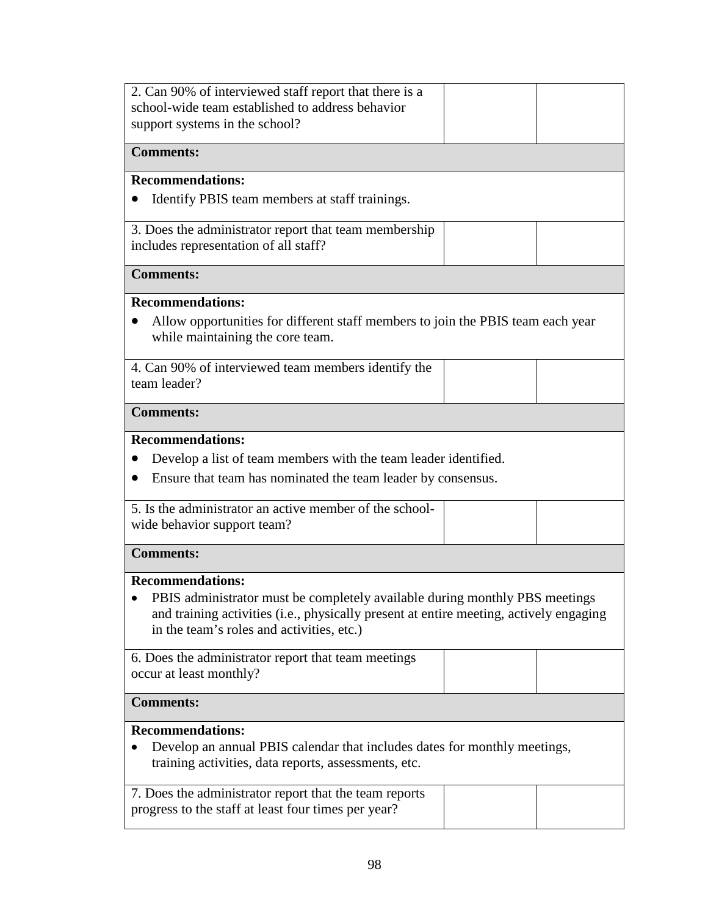| 2. Can 90% of interviewed staff report that there is a                                                                                                                                                             |  |  |  |
|--------------------------------------------------------------------------------------------------------------------------------------------------------------------------------------------------------------------|--|--|--|
| school-wide team established to address behavior                                                                                                                                                                   |  |  |  |
| support systems in the school?                                                                                                                                                                                     |  |  |  |
| <b>Comments:</b>                                                                                                                                                                                                   |  |  |  |
| <b>Recommendations:</b>                                                                                                                                                                                            |  |  |  |
| Identify PBIS team members at staff trainings.                                                                                                                                                                     |  |  |  |
| 3. Does the administrator report that team membership                                                                                                                                                              |  |  |  |
| includes representation of all staff?                                                                                                                                                                              |  |  |  |
| <b>Comments:</b>                                                                                                                                                                                                   |  |  |  |
| <b>Recommendations:</b>                                                                                                                                                                                            |  |  |  |
| Allow opportunities for different staff members to join the PBIS team each year<br>while maintaining the core team.                                                                                                |  |  |  |
| 4. Can 90% of interviewed team members identify the<br>team leader?                                                                                                                                                |  |  |  |
| <b>Comments:</b>                                                                                                                                                                                                   |  |  |  |
| <b>Recommendations:</b>                                                                                                                                                                                            |  |  |  |
| Develop a list of team members with the team leader identified.                                                                                                                                                    |  |  |  |
| Ensure that team has nominated the team leader by consensus.                                                                                                                                                       |  |  |  |
| 5. Is the administrator an active member of the school-                                                                                                                                                            |  |  |  |
| wide behavior support team?                                                                                                                                                                                        |  |  |  |
| <b>Comments:</b>                                                                                                                                                                                                   |  |  |  |
| <b>Recommendations:</b>                                                                                                                                                                                            |  |  |  |
| PBIS administrator must be completely available during monthly PBS meetings<br>and training activities (i.e., physically present at entire meeting, actively engaging<br>in the team's roles and activities, etc.) |  |  |  |
| 6. Does the administrator report that team meetings<br>occur at least monthly?                                                                                                                                     |  |  |  |
| <b>Comments:</b>                                                                                                                                                                                                   |  |  |  |
| <b>Recommendations:</b>                                                                                                                                                                                            |  |  |  |
| Develop an annual PBIS calendar that includes dates for monthly meetings,<br>training activities, data reports, assessments, etc.                                                                                  |  |  |  |
| 7. Does the administrator report that the team reports                                                                                                                                                             |  |  |  |
| progress to the staff at least four times per year?                                                                                                                                                                |  |  |  |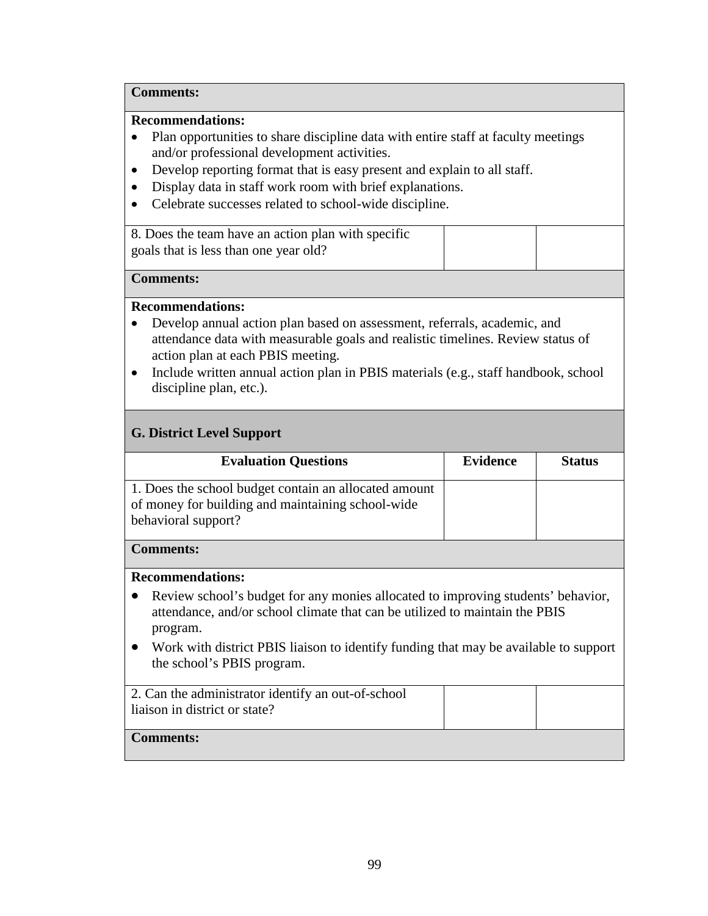## **Comments:**

## **Recommendations:**

- Plan opportunities to share discipline data with entire staff at faculty meetings and/or professional development activities.
- Develop reporting format that is easy present and explain to all staff.
- Display data in staff work room with brief explanations.
- Celebrate successes related to school-wide discipline.

8. Does the team have an action plan with specific goals that is less than one year old?

#### **Comments:**

### **Recommendations:**

- Develop annual action plan based on assessment, referrals, academic, and attendance data with measurable goals and realistic timelines. Review status of action plan at each PBIS meeting.
- Include written annual action plan in PBIS materials (e.g., staff handbook, school discipline plan, etc.).

# **G. District Level Support**

| <b>Evaluation Questions</b>                                                                                                                                                 | <b>Evidence</b> | <b>Status</b> |  |
|-----------------------------------------------------------------------------------------------------------------------------------------------------------------------------|-----------------|---------------|--|
|                                                                                                                                                                             |                 |               |  |
| 1. Does the school budget contain an allocated amount                                                                                                                       |                 |               |  |
| of money for building and maintaining school-wide                                                                                                                           |                 |               |  |
| behavioral support?                                                                                                                                                         |                 |               |  |
|                                                                                                                                                                             |                 |               |  |
| <b>Comments:</b>                                                                                                                                                            |                 |               |  |
|                                                                                                                                                                             |                 |               |  |
| <b>Recommendations:</b>                                                                                                                                                     |                 |               |  |
| Review school's budget for any monies allocated to improving students' behavior,<br>attendance, and/or school climate that can be utilized to maintain the PBIS<br>program. |                 |               |  |
| • Work with district PBIS liaison to identify funding that may be available to support<br>the school's PBIS program.                                                        |                 |               |  |
| 2. Can the administrator identify an out-of-school                                                                                                                          |                 |               |  |
| liaison in district or state?                                                                                                                                               |                 |               |  |
|                                                                                                                                                                             |                 |               |  |
| <b>Comments:</b>                                                                                                                                                            |                 |               |  |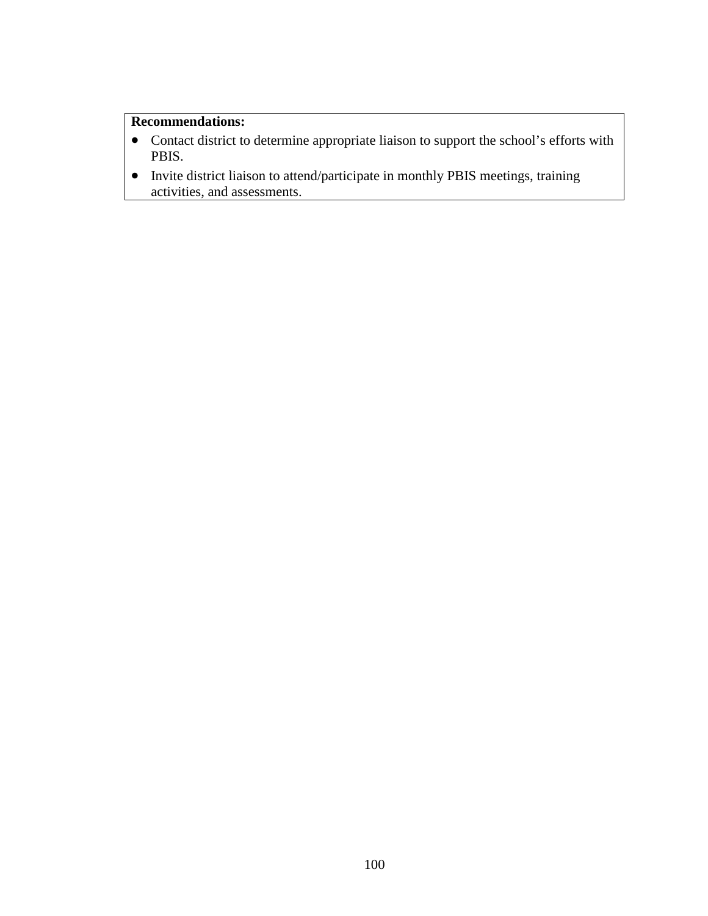### **Recommendations:**

- Contact district to determine appropriate liaison to support the school's efforts with PBIS.
- Invite district liaison to attend/participate in monthly PBIS meetings, training activities, and assessments.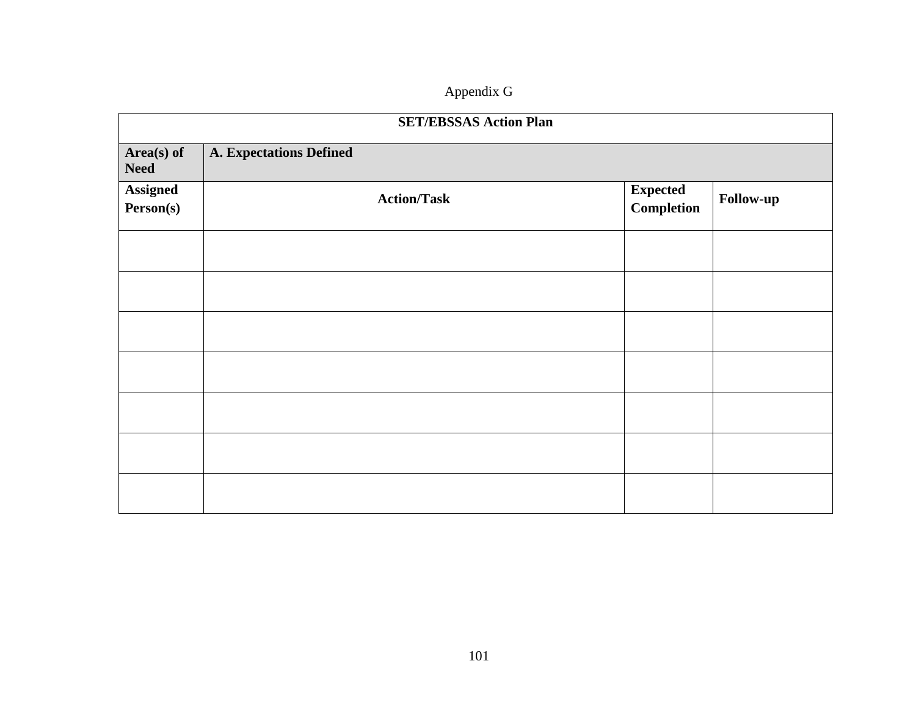# Appendix G

|                              | <b>SET/EBSSAS Action Plan</b>  |                                       |           |  |
|------------------------------|--------------------------------|---------------------------------------|-----------|--|
| Area(s) of<br><b>Need</b>    | <b>A. Expectations Defined</b> |                                       |           |  |
| <b>Assigned</b><br>Person(s) | <b>Action/Task</b>             | <b>Expected</b><br>${\bf Completion}$ | Follow-up |  |
|                              |                                |                                       |           |  |
|                              |                                |                                       |           |  |
|                              |                                |                                       |           |  |
|                              |                                |                                       |           |  |
|                              |                                |                                       |           |  |
|                              |                                |                                       |           |  |
|                              |                                |                                       |           |  |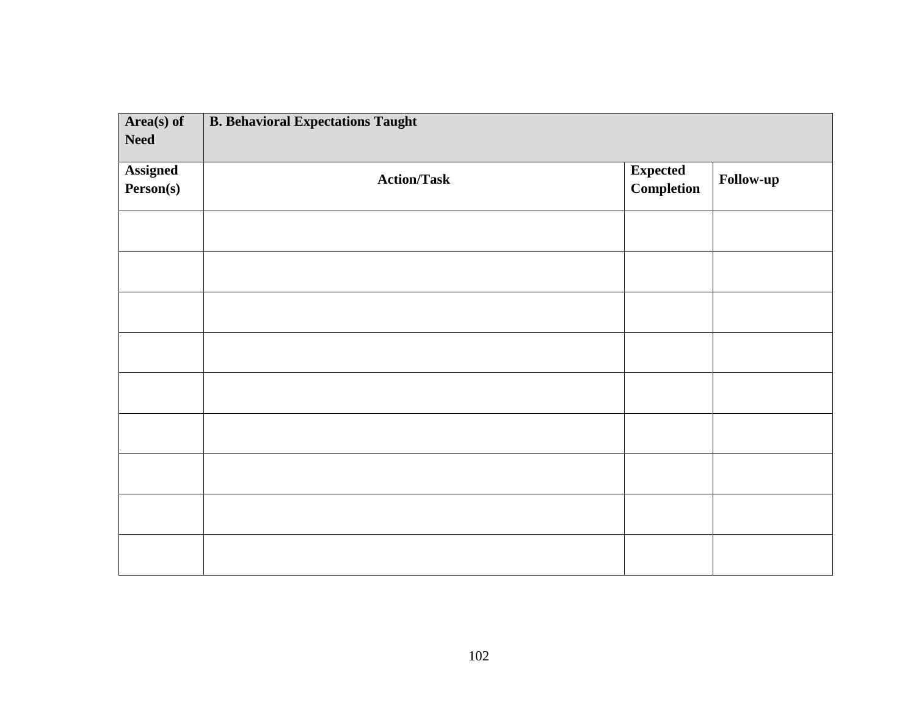| Area(s) of<br><b>Need</b>    | <b>B. Behavioral Expectations Taught</b> |                                      |           |
|------------------------------|------------------------------------------|--------------------------------------|-----------|
| <b>Assigned</b><br>Person(s) | <b>Action/Task</b>                       | <b>Expected</b><br><b>Completion</b> | Follow-up |
|                              |                                          |                                      |           |
|                              |                                          |                                      |           |
|                              |                                          |                                      |           |
|                              |                                          |                                      |           |
|                              |                                          |                                      |           |
|                              |                                          |                                      |           |
|                              |                                          |                                      |           |
|                              |                                          |                                      |           |
|                              |                                          |                                      |           |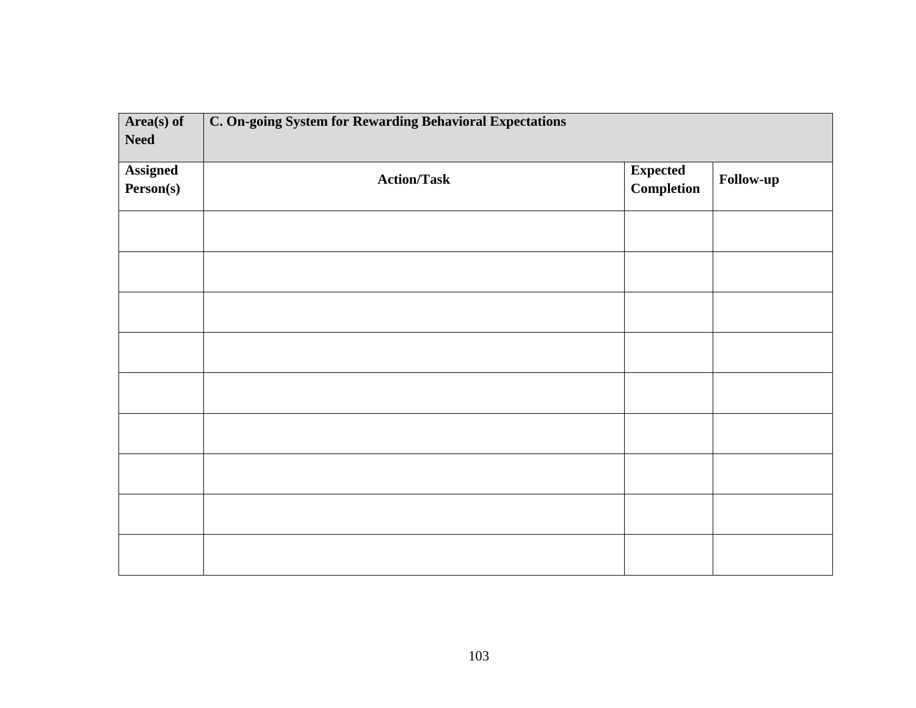| Area(s) of<br><b>Need</b>    | C. On-going System for Rewarding Behavioral Expectations |                               |                  |
|------------------------------|----------------------------------------------------------|-------------------------------|------------------|
| <b>Assigned</b><br>Person(s) | <b>Action/Task</b>                                       | <b>Expected</b><br>Completion | <b>Follow-up</b> |
|                              |                                                          |                               |                  |
|                              |                                                          |                               |                  |
|                              |                                                          |                               |                  |
|                              |                                                          |                               |                  |
|                              |                                                          |                               |                  |
|                              |                                                          |                               |                  |
|                              |                                                          |                               |                  |
|                              |                                                          |                               |                  |
|                              |                                                          |                               |                  |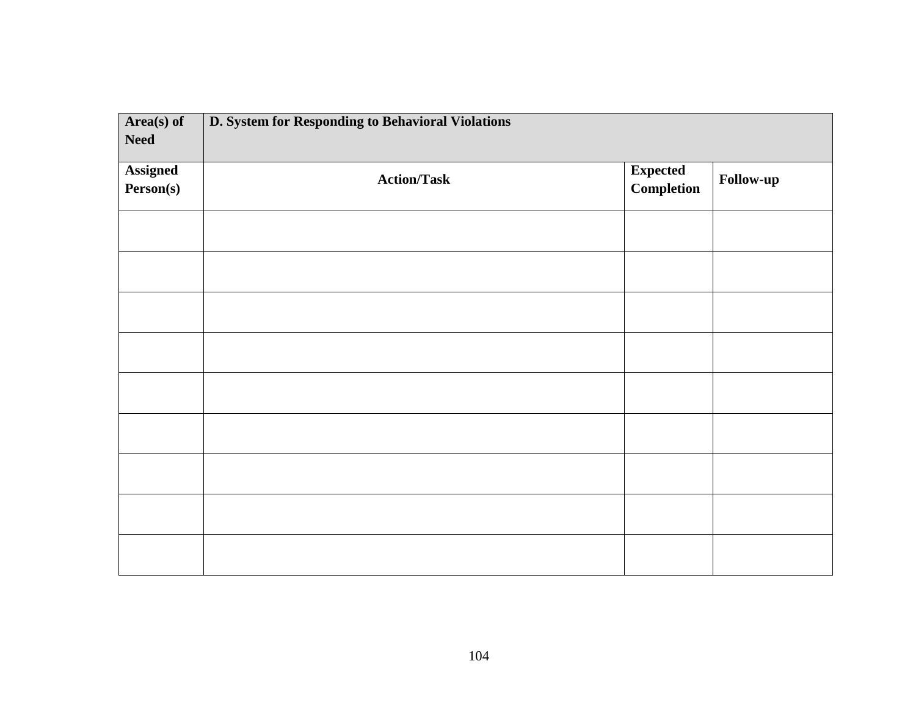| Area(s) of<br><b>Need</b>    | D. System for Responding to Behavioral Violations |                                      |           |
|------------------------------|---------------------------------------------------|--------------------------------------|-----------|
| <b>Assigned</b><br>Person(s) | <b>Action/Task</b>                                | <b>Expected</b><br><b>Completion</b> | Follow-up |
|                              |                                                   |                                      |           |
|                              |                                                   |                                      |           |
|                              |                                                   |                                      |           |
|                              |                                                   |                                      |           |
|                              |                                                   |                                      |           |
|                              |                                                   |                                      |           |
|                              |                                                   |                                      |           |
|                              |                                                   |                                      |           |
|                              |                                                   |                                      |           |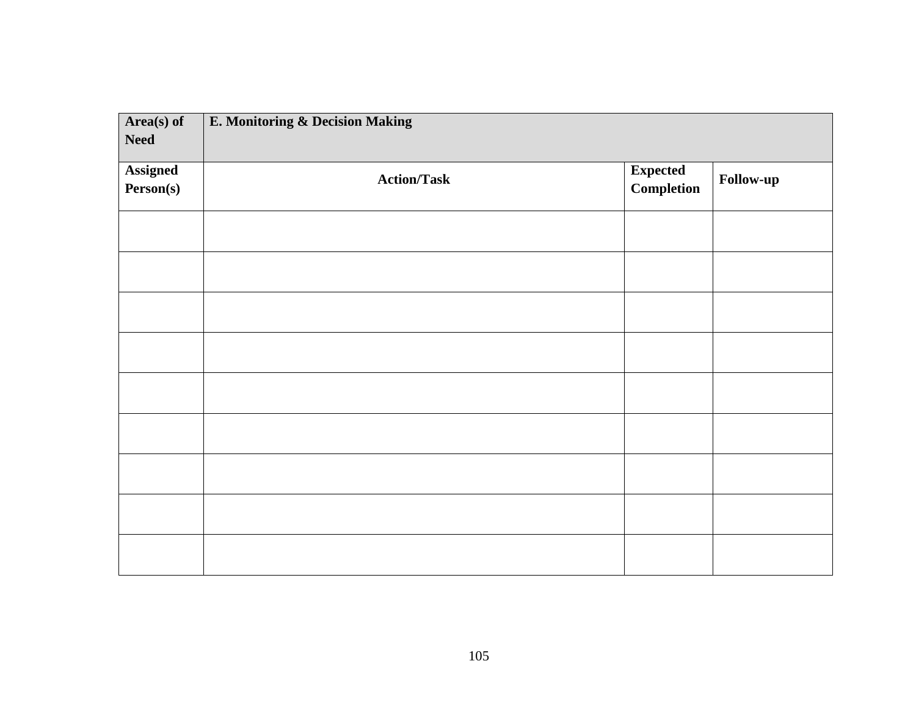| Area(s) of<br><b>Need</b>    | E. Monitoring & Decision Making |                                      |           |
|------------------------------|---------------------------------|--------------------------------------|-----------|
| <b>Assigned</b><br>Person(s) | <b>Action/Task</b>              | <b>Expected</b><br><b>Completion</b> | Follow-up |
|                              |                                 |                                      |           |
|                              |                                 |                                      |           |
|                              |                                 |                                      |           |
|                              |                                 |                                      |           |
|                              |                                 |                                      |           |
|                              |                                 |                                      |           |
|                              |                                 |                                      |           |
|                              |                                 |                                      |           |
|                              |                                 |                                      |           |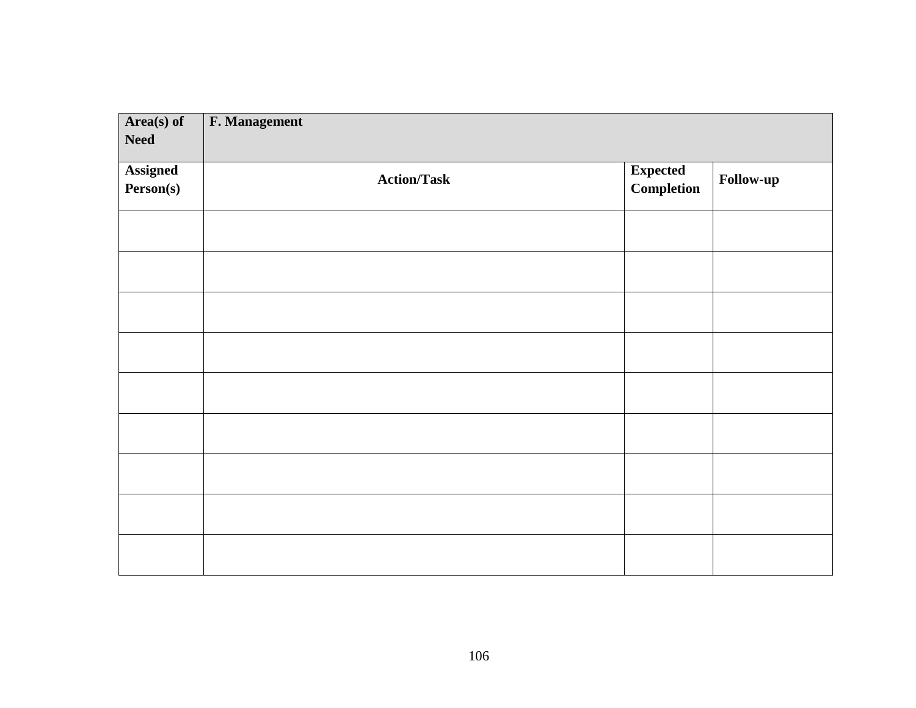| $Area(s)$ of<br><b>Need</b>  | F. Management      |                               |           |
|------------------------------|--------------------|-------------------------------|-----------|
| <b>Assigned</b><br>Person(s) | <b>Action/Task</b> | <b>Expected</b><br>Completion | Follow-up |
|                              |                    |                               |           |
|                              |                    |                               |           |
|                              |                    |                               |           |
|                              |                    |                               |           |
|                              |                    |                               |           |
|                              |                    |                               |           |
|                              |                    |                               |           |
|                              |                    |                               |           |
|                              |                    |                               |           |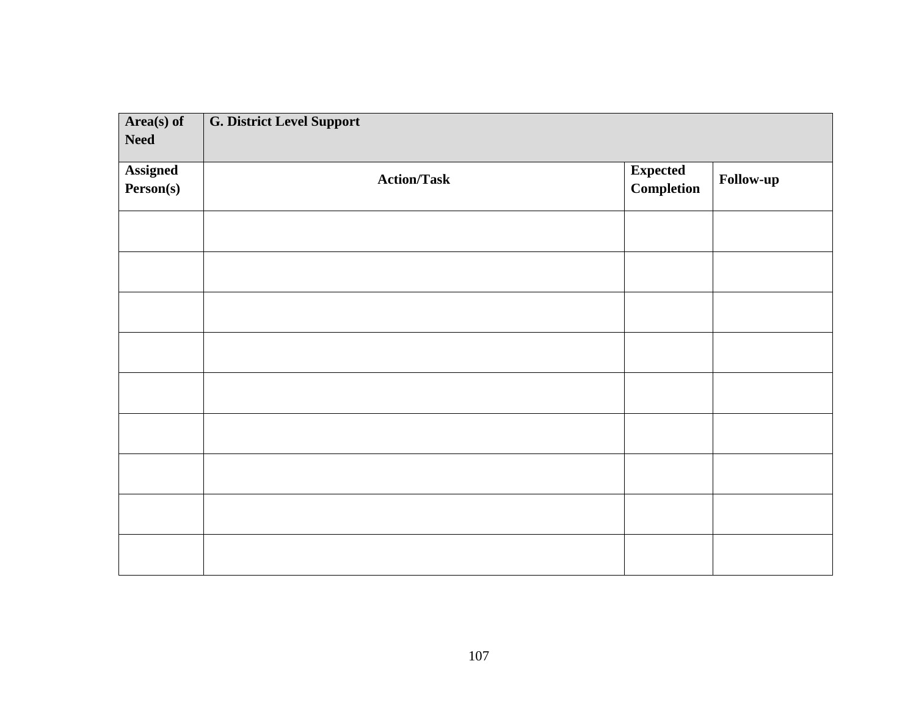| Area(s) of<br><b>Need</b>    | <b>G. District Level Support</b> |                               |           |
|------------------------------|----------------------------------|-------------------------------|-----------|
| <b>Assigned</b><br>Person(s) | <b>Action/Task</b>               | <b>Expected</b><br>Completion | Follow-up |
|                              |                                  |                               |           |
|                              |                                  |                               |           |
|                              |                                  |                               |           |
|                              |                                  |                               |           |
|                              |                                  |                               |           |
|                              |                                  |                               |           |
|                              |                                  |                               |           |
|                              |                                  |                               |           |
|                              |                                  |                               |           |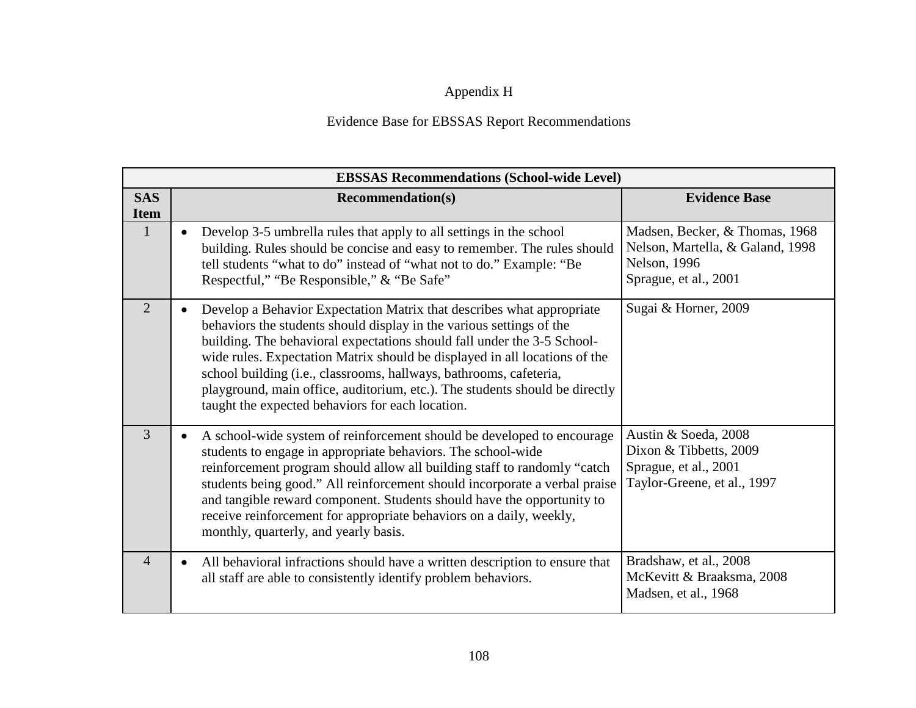## Appendix H

## Evidence Base for EBSSAS Report Recommendations

|                           | <b>EBSSAS Recommendations (School-wide Level)</b>                                                                                                                                                                                                                                                                                                                                                                                                                                                                            |                                                                                                             |  |  |
|---------------------------|------------------------------------------------------------------------------------------------------------------------------------------------------------------------------------------------------------------------------------------------------------------------------------------------------------------------------------------------------------------------------------------------------------------------------------------------------------------------------------------------------------------------------|-------------------------------------------------------------------------------------------------------------|--|--|
| <b>SAS</b><br><b>Item</b> | <b>Recommendation(s)</b>                                                                                                                                                                                                                                                                                                                                                                                                                                                                                                     | <b>Evidence Base</b>                                                                                        |  |  |
| $\mathbf{1}$              | Develop 3-5 umbrella rules that apply to all settings in the school<br>$\bullet$<br>building. Rules should be concise and easy to remember. The rules should<br>tell students "what to do" instead of "what not to do." Example: "Be<br>Respectful," "Be Responsible," & "Be Safe"                                                                                                                                                                                                                                           | Madsen, Becker, & Thomas, 1968<br>Nelson, Martella, & Galand, 1998<br>Nelson, 1996<br>Sprague, et al., 2001 |  |  |
| 2                         | Develop a Behavior Expectation Matrix that describes what appropriate<br>$\bullet$<br>behaviors the students should display in the various settings of the<br>building. The behavioral expectations should fall under the 3-5 School-<br>wide rules. Expectation Matrix should be displayed in all locations of the<br>school building (i.e., classrooms, hallways, bathrooms, cafeteria,<br>playground, main office, auditorium, etc.). The students should be directly<br>taught the expected behaviors for each location. | Sugai & Horner, 2009                                                                                        |  |  |
| $\overline{3}$            | A school-wide system of reinforcement should be developed to encourage<br>students to engage in appropriate behaviors. The school-wide<br>reinforcement program should allow all building staff to randomly "catch<br>students being good." All reinforcement should incorporate a verbal praise<br>and tangible reward component. Students should have the opportunity to<br>receive reinforcement for appropriate behaviors on a daily, weekly,<br>monthly, quarterly, and yearly basis.                                   | Austin & Soeda, 2008<br>Dixon & Tibbetts, 2009<br>Sprague, et al., 2001<br>Taylor-Greene, et al., 1997      |  |  |
| $\overline{4}$            | All behavioral infractions should have a written description to ensure that<br>٠<br>all staff are able to consistently identify problem behaviors.                                                                                                                                                                                                                                                                                                                                                                           | Bradshaw, et al., 2008<br>McKevitt & Braaksma, 2008<br>Madsen, et al., 1968                                 |  |  |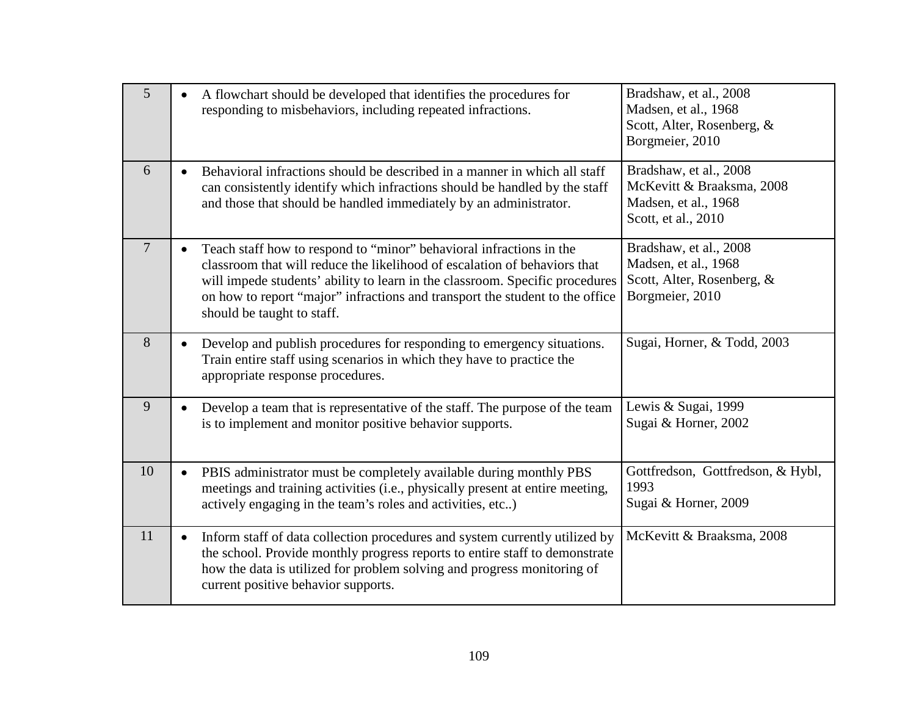| $5\overline{)}$ | A flowchart should be developed that identifies the procedures for<br>responding to misbehaviors, including repeated infractions.                                                                                                                                                                                                                           | Bradshaw, et al., 2008<br>Madsen, et al., 1968<br>Scott, Alter, Rosenberg, &<br>Borgmeier, 2010    |
|-----------------|-------------------------------------------------------------------------------------------------------------------------------------------------------------------------------------------------------------------------------------------------------------------------------------------------------------------------------------------------------------|----------------------------------------------------------------------------------------------------|
| 6               | Behavioral infractions should be described in a manner in which all staff<br>$\bullet$<br>can consistently identify which infractions should be handled by the staff<br>and those that should be handled immediately by an administrator.                                                                                                                   | Bradshaw, et al., 2008<br>McKevitt & Braaksma, 2008<br>Madsen, et al., 1968<br>Scott, et al., 2010 |
| $\overline{7}$  | Teach staff how to respond to "minor" behavioral infractions in the<br>$\bullet$<br>classroom that will reduce the likelihood of escalation of behaviors that<br>will impede students' ability to learn in the classroom. Specific procedures<br>on how to report "major" infractions and transport the student to the office<br>should be taught to staff. | Bradshaw, et al., 2008<br>Madsen, et al., 1968<br>Scott, Alter, Rosenberg, &<br>Borgmeier, 2010    |
| 8               | Develop and publish procedures for responding to emergency situations.<br>$\bullet$<br>Train entire staff using scenarios in which they have to practice the<br>appropriate response procedures.                                                                                                                                                            | Sugai, Horner, & Todd, 2003                                                                        |
| 9               | Develop a team that is representative of the staff. The purpose of the team<br>$\bullet$<br>is to implement and monitor positive behavior supports.                                                                                                                                                                                                         | Lewis & Sugai, 1999<br>Sugai & Horner, 2002                                                        |
| 10              | PBIS administrator must be completely available during monthly PBS<br>$\bullet$<br>meetings and training activities (i.e., physically present at entire meeting,<br>actively engaging in the team's roles and activities, etc)                                                                                                                              | Gottfredson, Gottfredson, & Hybl,<br>1993<br>Sugai & Horner, 2009                                  |
| 11              | Inform staff of data collection procedures and system currently utilized by<br>$\bullet$<br>the school. Provide monthly progress reports to entire staff to demonstrate<br>how the data is utilized for problem solving and progress monitoring of<br>current positive behavior supports.                                                                   | McKevitt & Braaksma, 2008                                                                          |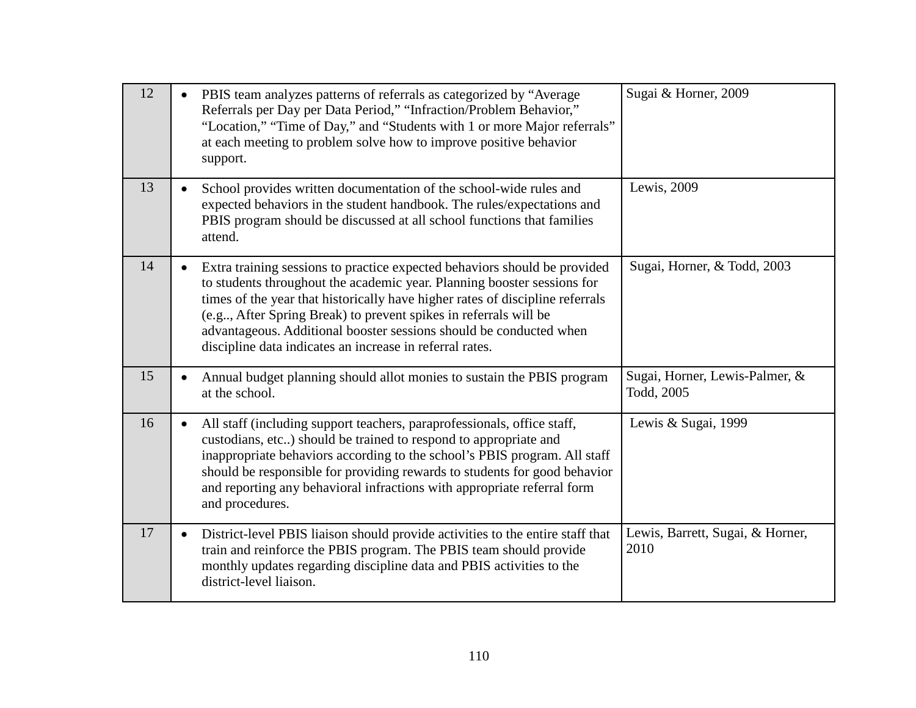| 12 | PBIS team analyzes patterns of referrals as categorized by "Average<br>Referrals per Day per Data Period," "Infraction/Problem Behavior,"<br>"Location," "Time of Day," and "Students with 1 or more Major referrals"<br>at each meeting to problem solve how to improve positive behavior<br>support.                                                                                                                                                    | Sugai & Horner, 2009                         |
|----|-----------------------------------------------------------------------------------------------------------------------------------------------------------------------------------------------------------------------------------------------------------------------------------------------------------------------------------------------------------------------------------------------------------------------------------------------------------|----------------------------------------------|
| 13 | School provides written documentation of the school-wide rules and<br>$\bullet$<br>expected behaviors in the student handbook. The rules/expectations and<br>PBIS program should be discussed at all school functions that families<br>attend.                                                                                                                                                                                                            | Lewis, 2009                                  |
| 14 | Extra training sessions to practice expected behaviors should be provided<br>$\bullet$<br>to students throughout the academic year. Planning booster sessions for<br>times of the year that historically have higher rates of discipline referrals<br>(e.g., After Spring Break) to prevent spikes in referrals will be<br>advantageous. Additional booster sessions should be conducted when<br>discipline data indicates an increase in referral rates. | Sugai, Horner, & Todd, 2003                  |
| 15 | Annual budget planning should allot monies to sustain the PBIS program<br>$\bullet$<br>at the school.                                                                                                                                                                                                                                                                                                                                                     | Sugai, Horner, Lewis-Palmer, &<br>Todd, 2005 |
| 16 | All staff (including support teachers, paraprofessionals, office staff,<br>$\bullet$<br>custodians, etc) should be trained to respond to appropriate and<br>inappropriate behaviors according to the school's PBIS program. All staff<br>should be responsible for providing rewards to students for good behavior<br>and reporting any behavioral infractions with appropriate referral form<br>and procedures.                                          | Lewis & Sugai, 1999                          |
| 17 | District-level PBIS liaison should provide activities to the entire staff that<br>$\bullet$<br>train and reinforce the PBIS program. The PBIS team should provide<br>monthly updates regarding discipline data and PBIS activities to the<br>district-level liaison.                                                                                                                                                                                      | Lewis, Barrett, Sugai, & Horner,<br>2010     |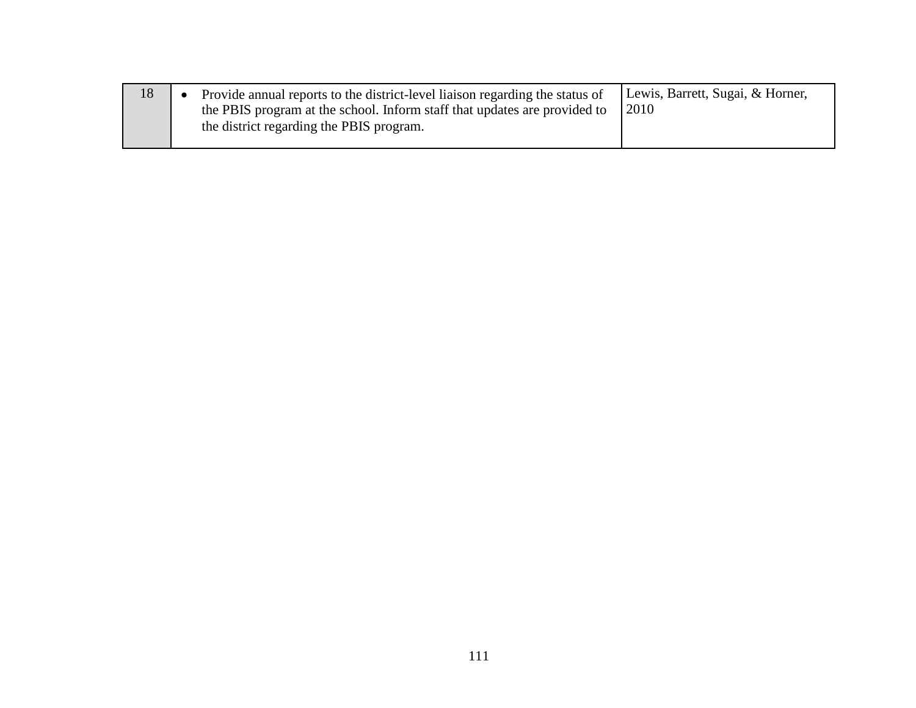| 18 | Provide annual reports to the district-level liaison regarding the status of<br>the PBIS program at the school. Inform staff that updates are provided to | Lewis, Barrett, Sugai, & Horner,<br>2010 |
|----|-----------------------------------------------------------------------------------------------------------------------------------------------------------|------------------------------------------|
|    | the district regarding the PBIS program.                                                                                                                  |                                          |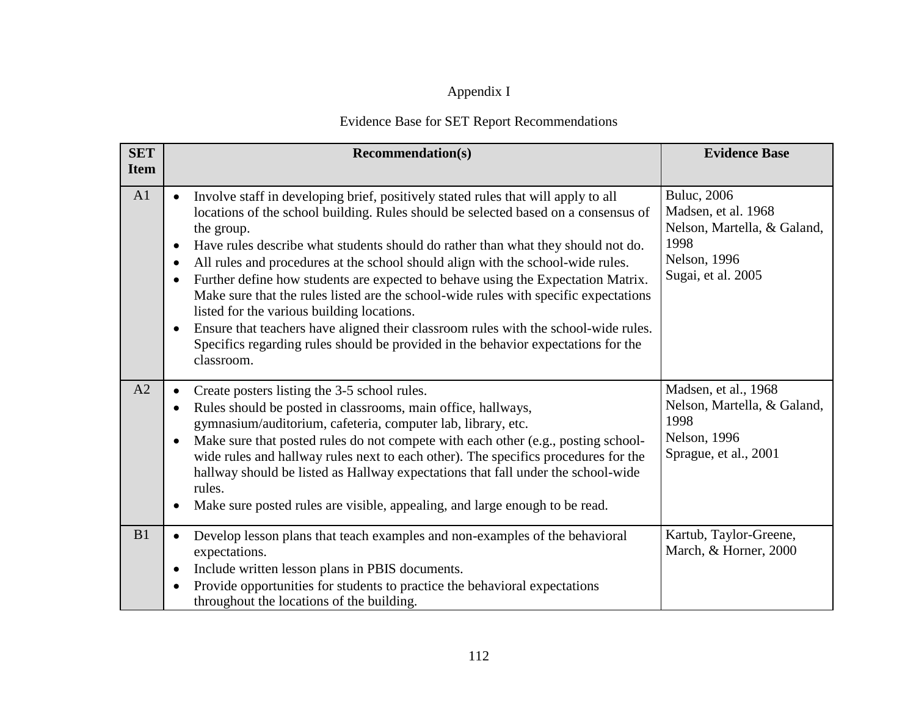# Appendix I

## Evidence Base for SET Report Recommendations

| <b>SET</b><br><b>Item</b> | <b>Recommendation(s)</b>                                                                                                                                                                                                                                                                                                                                                                                                                                                                                                                                                                                                                                                                                                                                                                                                             | <b>Evidence Base</b>                                                                                                    |
|---------------------------|--------------------------------------------------------------------------------------------------------------------------------------------------------------------------------------------------------------------------------------------------------------------------------------------------------------------------------------------------------------------------------------------------------------------------------------------------------------------------------------------------------------------------------------------------------------------------------------------------------------------------------------------------------------------------------------------------------------------------------------------------------------------------------------------------------------------------------------|-------------------------------------------------------------------------------------------------------------------------|
| A1                        | Involve staff in developing brief, positively stated rules that will apply to all<br>locations of the school building. Rules should be selected based on a consensus of<br>the group.<br>Have rules describe what students should do rather than what they should not do.<br>$\bullet$<br>All rules and procedures at the school should align with the school-wide rules.<br>$\bullet$<br>Further define how students are expected to behave using the Expectation Matrix.<br>$\bullet$<br>Make sure that the rules listed are the school-wide rules with specific expectations<br>listed for the various building locations.<br>Ensure that teachers have aligned their classroom rules with the school-wide rules.<br>$\bullet$<br>Specifics regarding rules should be provided in the behavior expectations for the<br>classroom. | <b>Buluc</b> , 2006<br>Madsen, et al. 1968<br>Nelson, Martella, & Galand,<br>1998<br>Nelson, 1996<br>Sugai, et al. 2005 |
| A2                        | Create posters listing the 3-5 school rules.<br>$\bullet$<br>Rules should be posted in classrooms, main office, hallways,<br>$\bullet$<br>gymnasium/auditorium, cafeteria, computer lab, library, etc.<br>Make sure that posted rules do not compete with each other (e.g., posting school-<br>$\bullet$<br>wide rules and hallway rules next to each other). The specifics procedures for the<br>hallway should be listed as Hallway expectations that fall under the school-wide<br>rules.<br>Make sure posted rules are visible, appealing, and large enough to be read.                                                                                                                                                                                                                                                          | Madsen, et al., 1968<br>Nelson, Martella, & Galand,<br>1998<br>Nelson, 1996<br>Sprague, et al., 2001                    |
| B1                        | Develop lesson plans that teach examples and non-examples of the behavioral<br>$\bullet$<br>expectations.<br>Include written lesson plans in PBIS documents.<br>$\bullet$<br>Provide opportunities for students to practice the behavioral expectations<br>$\bullet$<br>throughout the locations of the building.                                                                                                                                                                                                                                                                                                                                                                                                                                                                                                                    | Kartub, Taylor-Greene,<br>March, & Horner, 2000                                                                         |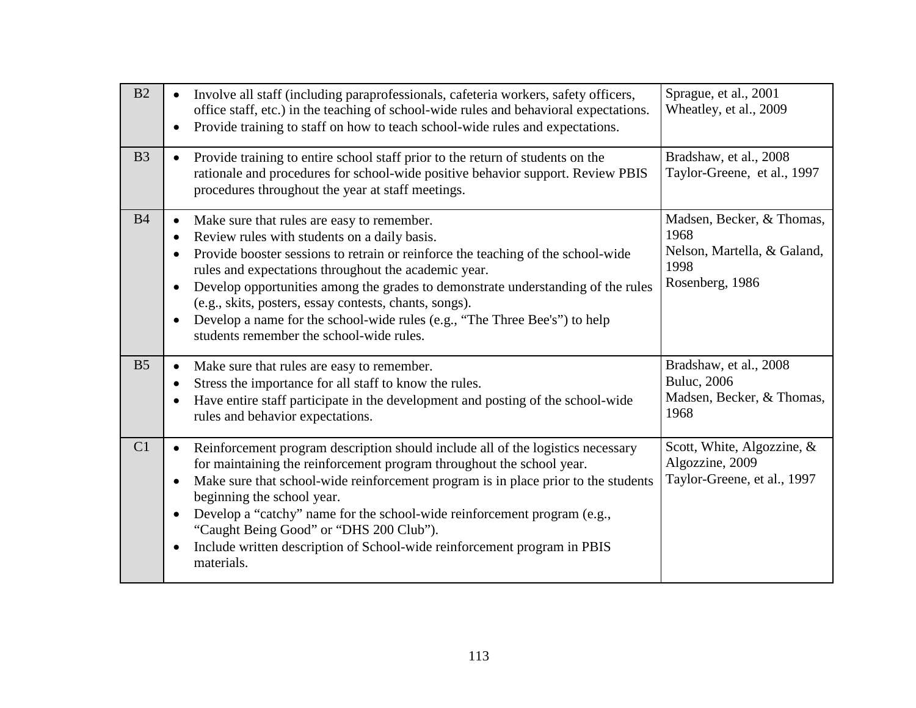| B2             | Involve all staff (including paraprofessionals, cafeteria workers, safety officers,<br>office staff, etc.) in the teaching of school-wide rules and behavioral expectations.<br>Provide training to staff on how to teach school-wide rules and expectations.                                                                                                                                                                                                                                                                                         | Sprague, et al., 2001<br>Wheatley, et al., 2009                                             |
|----------------|-------------------------------------------------------------------------------------------------------------------------------------------------------------------------------------------------------------------------------------------------------------------------------------------------------------------------------------------------------------------------------------------------------------------------------------------------------------------------------------------------------------------------------------------------------|---------------------------------------------------------------------------------------------|
| B <sub>3</sub> | Provide training to entire school staff prior to the return of students on the<br>$\bullet$<br>rationale and procedures for school-wide positive behavior support. Review PBIS<br>procedures throughout the year at staff meetings.                                                                                                                                                                                                                                                                                                                   | Bradshaw, et al., 2008<br>Taylor-Greene, et al., 1997                                       |
| B <sub>4</sub> | Make sure that rules are easy to remember.<br>$\bullet$<br>Review rules with students on a daily basis.<br>Provide booster sessions to retrain or reinforce the teaching of the school-wide<br>rules and expectations throughout the academic year.<br>Develop opportunities among the grades to demonstrate understanding of the rules<br>$\bullet$<br>(e.g., skits, posters, essay contests, chants, songs).<br>Develop a name for the school-wide rules (e.g., "The Three Bee's") to help<br>$\bullet$<br>students remember the school-wide rules. | Madsen, Becker, & Thomas,<br>1968<br>Nelson, Martella, & Galand,<br>1998<br>Rosenberg, 1986 |
| B <sub>5</sub> | Make sure that rules are easy to remember.<br>$\bullet$<br>Stress the importance for all staff to know the rules.<br>Have entire staff participate in the development and posting of the school-wide<br>rules and behavior expectations.                                                                                                                                                                                                                                                                                                              | Bradshaw, et al., 2008<br><b>Buluc</b> , 2006<br>Madsen, Becker, & Thomas,<br>1968          |
| C1             | Reinforcement program description should include all of the logistics necessary<br>$\bullet$<br>for maintaining the reinforcement program throughout the school year.<br>Make sure that school-wide reinforcement program is in place prior to the students<br>beginning the school year.<br>Develop a "catchy" name for the school-wide reinforcement program (e.g.,<br>$\bullet$<br>"Caught Being Good" or "DHS 200 Club").<br>Include written description of School-wide reinforcement program in PBIS<br>$\bullet$<br>materials.                  | Scott, White, Algozzine, &<br>Algozzine, 2009<br>Taylor-Greene, et al., 1997                |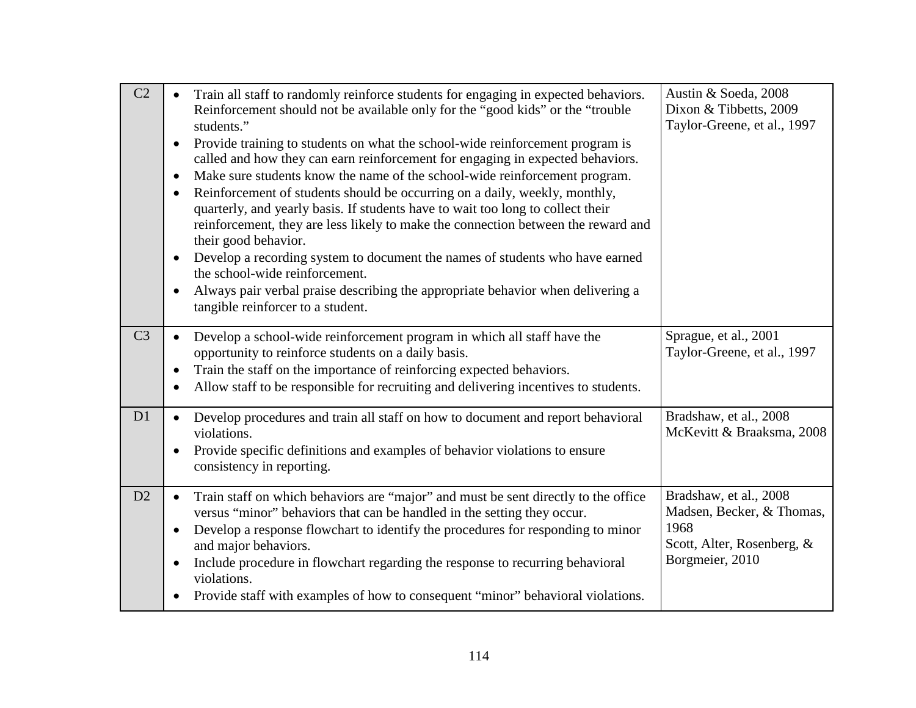| C2             | Train all staff to randomly reinforce students for engaging in expected behaviors.<br>Reinforcement should not be available only for the "good kids" or the "trouble<br>students."<br>Provide training to students on what the school-wide reinforcement program is<br>$\bullet$<br>called and how they can earn reinforcement for engaging in expected behaviors.<br>Make sure students know the name of the school-wide reinforcement program.<br>$\bullet$<br>Reinforcement of students should be occurring on a daily, weekly, monthly,<br>$\bullet$<br>quarterly, and yearly basis. If students have to wait too long to collect their<br>reinforcement, they are less likely to make the connection between the reward and<br>their good behavior.<br>Develop a recording system to document the names of students who have earned<br>$\bullet$<br>the school-wide reinforcement.<br>Always pair verbal praise describing the appropriate behavior when delivering a<br>$\bullet$<br>tangible reinforcer to a student. | Austin & Soeda, 2008<br>Dixon & Tibbetts, 2009<br>Taylor-Greene, et al., 1997                                |
|----------------|------------------------------------------------------------------------------------------------------------------------------------------------------------------------------------------------------------------------------------------------------------------------------------------------------------------------------------------------------------------------------------------------------------------------------------------------------------------------------------------------------------------------------------------------------------------------------------------------------------------------------------------------------------------------------------------------------------------------------------------------------------------------------------------------------------------------------------------------------------------------------------------------------------------------------------------------------------------------------------------------------------------------------|--------------------------------------------------------------------------------------------------------------|
| C <sub>3</sub> | Develop a school-wide reinforcement program in which all staff have the<br>opportunity to reinforce students on a daily basis.<br>Train the staff on the importance of reinforcing expected behaviors.<br>Allow staff to be responsible for recruiting and delivering incentives to students.                                                                                                                                                                                                                                                                                                                                                                                                                                                                                                                                                                                                                                                                                                                                | Sprague, et al., 2001<br>Taylor-Greene, et al., 1997                                                         |
| D1             | Develop procedures and train all staff on how to document and report behavioral<br>violations.<br>Provide specific definitions and examples of behavior violations to ensure<br>consistency in reporting.                                                                                                                                                                                                                                                                                                                                                                                                                                                                                                                                                                                                                                                                                                                                                                                                                    | Bradshaw, et al., 2008<br>McKevitt & Braaksma, 2008                                                          |
| D2             | Train staff on which behaviors are "major" and must be sent directly to the office<br>$\bullet$<br>versus "minor" behaviors that can be handled in the setting they occur.<br>Develop a response flowchart to identify the procedures for responding to minor<br>and major behaviors.<br>Include procedure in flowchart regarding the response to recurring behavioral<br>violations.<br>Provide staff with examples of how to consequent "minor" behavioral violations.<br>$\bullet$                                                                                                                                                                                                                                                                                                                                                                                                                                                                                                                                        | Bradshaw, et al., 2008<br>Madsen, Becker, & Thomas,<br>1968<br>Scott, Alter, Rosenberg, &<br>Borgmeier, 2010 |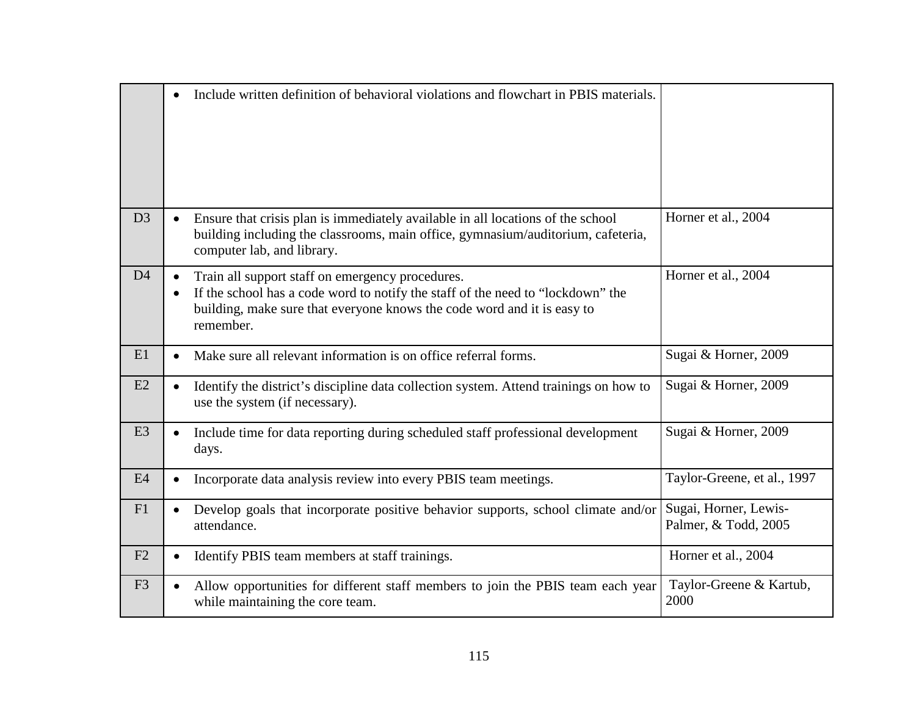|                |           | Include written definition of behavioral violations and flowchart in PBIS materials.                                                                                                                                        |                                               |
|----------------|-----------|-----------------------------------------------------------------------------------------------------------------------------------------------------------------------------------------------------------------------------|-----------------------------------------------|
| D <sub>3</sub> |           | Ensure that crisis plan is immediately available in all locations of the school<br>building including the classrooms, main office, gymnasium/auditorium, cafeteria,<br>computer lab, and library.                           | Horner et al., 2004                           |
| D <sub>4</sub> | $\bullet$ | Train all support staff on emergency procedures.<br>If the school has a code word to notify the staff of the need to "lockdown" the<br>building, make sure that everyone knows the code word and it is easy to<br>remember. | Horner et al., 2004                           |
| E1             |           | Make sure all relevant information is on office referral forms.                                                                                                                                                             | Sugai & Horner, 2009                          |
| E2             |           | Identify the district's discipline data collection system. Attend trainings on how to<br>use the system (if necessary).                                                                                                     | Sugai & Horner, 2009                          |
| E <sub>3</sub> | $\bullet$ | Include time for data reporting during scheduled staff professional development<br>days.                                                                                                                                    | Sugai & Horner, 2009                          |
| E4             |           | Incorporate data analysis review into every PBIS team meetings.                                                                                                                                                             | Taylor-Greene, et al., 1997                   |
| F1             | $\bullet$ | Develop goals that incorporate positive behavior supports, school climate and/or<br>attendance.                                                                                                                             | Sugai, Horner, Lewis-<br>Palmer, & Todd, 2005 |
| F2             |           | Identify PBIS team members at staff trainings.                                                                                                                                                                              | Horner et al., 2004                           |
| F <sub>3</sub> |           | Allow opportunities for different staff members to join the PBIS team each year<br>while maintaining the core team.                                                                                                         | Taylor-Greene & Kartub,<br>2000               |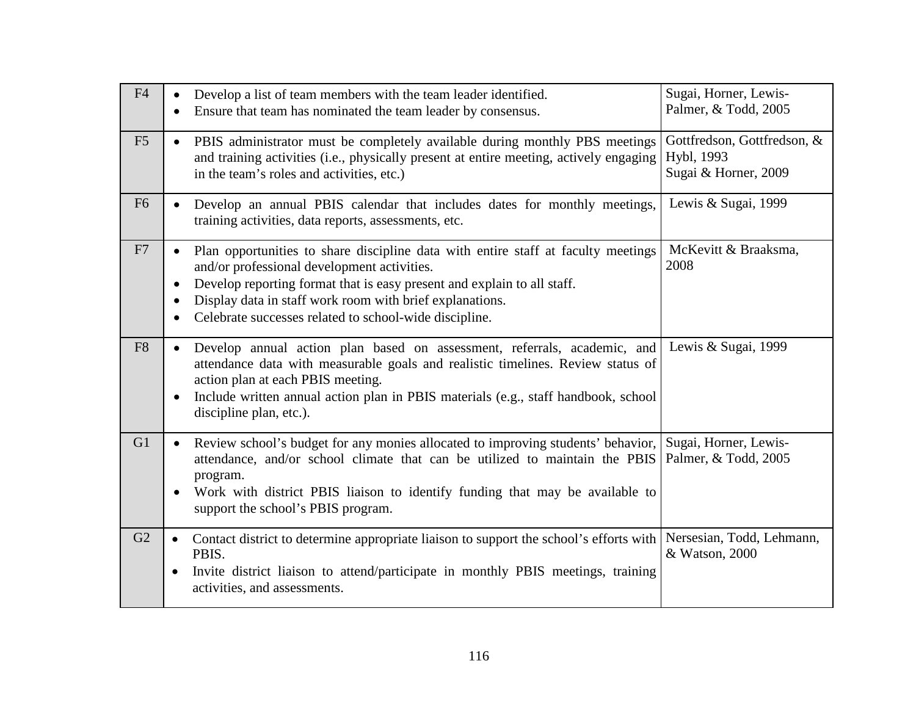| F4             | Develop a list of team members with the team leader identified.<br>$\bullet$<br>Ensure that team has nominated the team leader by consensus.                                                                                                                                                                                                   | Sugai, Horner, Lewis-<br>Palmer, & Todd, 2005                     |
|----------------|------------------------------------------------------------------------------------------------------------------------------------------------------------------------------------------------------------------------------------------------------------------------------------------------------------------------------------------------|-------------------------------------------------------------------|
| F <sub>5</sub> | PBIS administrator must be completely available during monthly PBS meetings<br>$\bullet$<br>and training activities (i.e., physically present at entire meeting, actively engaging<br>in the team's roles and activities, etc.)                                                                                                                | Gottfredson, Gottfredson, &<br>Hybl, 1993<br>Sugai & Horner, 2009 |
| F <sub>6</sub> | Develop an annual PBIS calendar that includes dates for monthly meetings,<br>training activities, data reports, assessments, etc.                                                                                                                                                                                                              | Lewis & Sugai, 1999                                               |
| F7             | Plan opportunities to share discipline data with entire staff at faculty meetings<br>and/or professional development activities.<br>Develop reporting format that is easy present and explain to all staff.<br>$\bullet$<br>Display data in staff work room with brief explanations.<br>Celebrate successes related to school-wide discipline. | McKevitt & Braaksma,<br>2008                                      |
| F <sub>8</sub> | Develop annual action plan based on assessment, referrals, academic, and<br>$\bullet$<br>attendance data with measurable goals and realistic timelines. Review status of<br>action plan at each PBIS meeting.<br>Include written annual action plan in PBIS materials (e.g., staff handbook, school<br>discipline plan, etc.).                 | Lewis & Sugai, 1999                                               |
| G1             | Review school's budget for any monies allocated to improving students' behavior,<br>attendance, and/or school climate that can be utilized to maintain the PBIS<br>program.<br>Work with district PBIS liaison to identify funding that may be available to<br>support the school's PBIS program.                                              | Sugai, Horner, Lewis-<br>Palmer, & Todd, 2005                     |
| G2             | Contact district to determine appropriate liaison to support the school's efforts with<br>$\bullet$<br>PBIS.<br>Invite district liaison to attend/participate in monthly PBIS meetings, training<br>$\bullet$<br>activities, and assessments.                                                                                                  | Nersesian, Todd, Lehmann,<br>& Watson, 2000                       |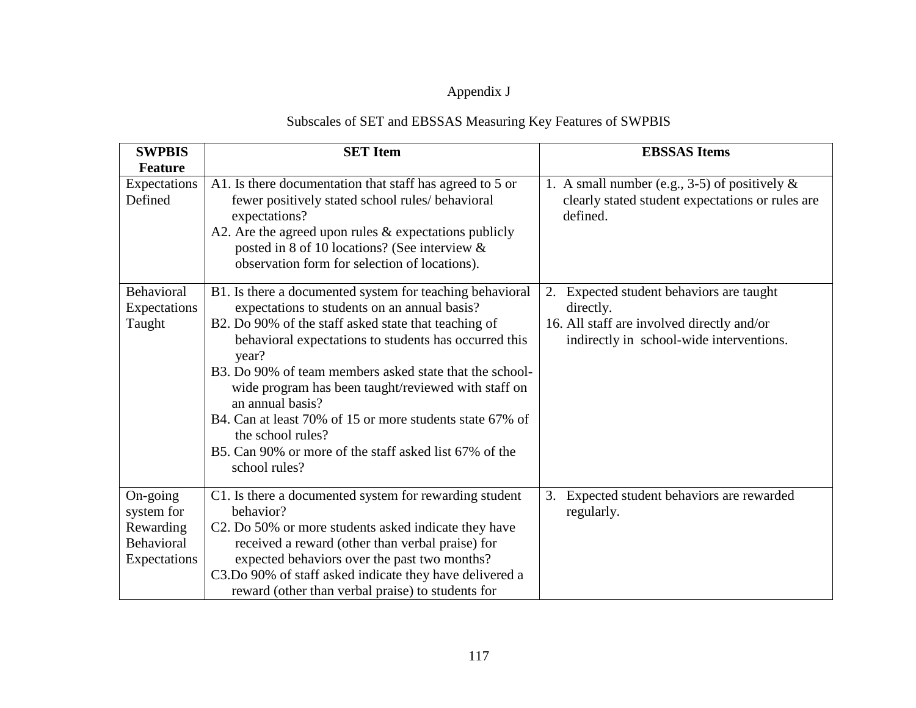## Appendix J

## Subscales of SET and EBSSAS Measuring Key Features of SWPBIS

| <b>SWPBIS</b>           | <b>SET</b> Item                                                                                                                                                                                                                                                                                                                                                                                                          | <b>EBSSAS</b> Items                                                                                              |
|-------------------------|--------------------------------------------------------------------------------------------------------------------------------------------------------------------------------------------------------------------------------------------------------------------------------------------------------------------------------------------------------------------------------------------------------------------------|------------------------------------------------------------------------------------------------------------------|
| <b>Feature</b>          |                                                                                                                                                                                                                                                                                                                                                                                                                          |                                                                                                                  |
| Expectations<br>Defined | A1. Is there documentation that staff has agreed to 5 or<br>fewer positively stated school rules/ behavioral<br>expectations?<br>A2. Are the agreed upon rules $&$ expectations publicly<br>posted in 8 of 10 locations? (See interview &<br>observation form for selection of locations).                                                                                                                               | 1. A small number (e.g., 3-5) of positively $\&$<br>clearly stated student expectations or rules are<br>defined. |
| Behavioral              | B1. Is there a documented system for teaching behavioral                                                                                                                                                                                                                                                                                                                                                                 | Expected student behaviors are taught<br>2.                                                                      |
| Expectations            | expectations to students on an annual basis?                                                                                                                                                                                                                                                                                                                                                                             | directly.                                                                                                        |
| Taught                  | B2. Do 90% of the staff asked state that teaching of<br>behavioral expectations to students has occurred this<br>year?<br>B3. Do 90% of team members asked state that the school-<br>wide program has been taught/reviewed with staff on<br>an annual basis?<br>B4. Can at least 70% of 15 or more students state 67% of<br>the school rules?<br>B5. Can 90% or more of the staff asked list 67% of the<br>school rules? | 16. All staff are involved directly and/or<br>indirectly in school-wide interventions.                           |
| On-going                | C1. Is there a documented system for rewarding student                                                                                                                                                                                                                                                                                                                                                                   | Expected student behaviors are rewarded<br>3.                                                                    |
| system for              | behavior?                                                                                                                                                                                                                                                                                                                                                                                                                | regularly.                                                                                                       |
| Rewarding               | C2. Do 50% or more students asked indicate they have                                                                                                                                                                                                                                                                                                                                                                     |                                                                                                                  |
| Behavioral              | received a reward (other than verbal praise) for                                                                                                                                                                                                                                                                                                                                                                         |                                                                                                                  |
| Expectations            | expected behaviors over the past two months?                                                                                                                                                                                                                                                                                                                                                                             |                                                                                                                  |
|                         | C3.Do 90% of staff asked indicate they have delivered a                                                                                                                                                                                                                                                                                                                                                                  |                                                                                                                  |
|                         | reward (other than verbal praise) to students for                                                                                                                                                                                                                                                                                                                                                                        |                                                                                                                  |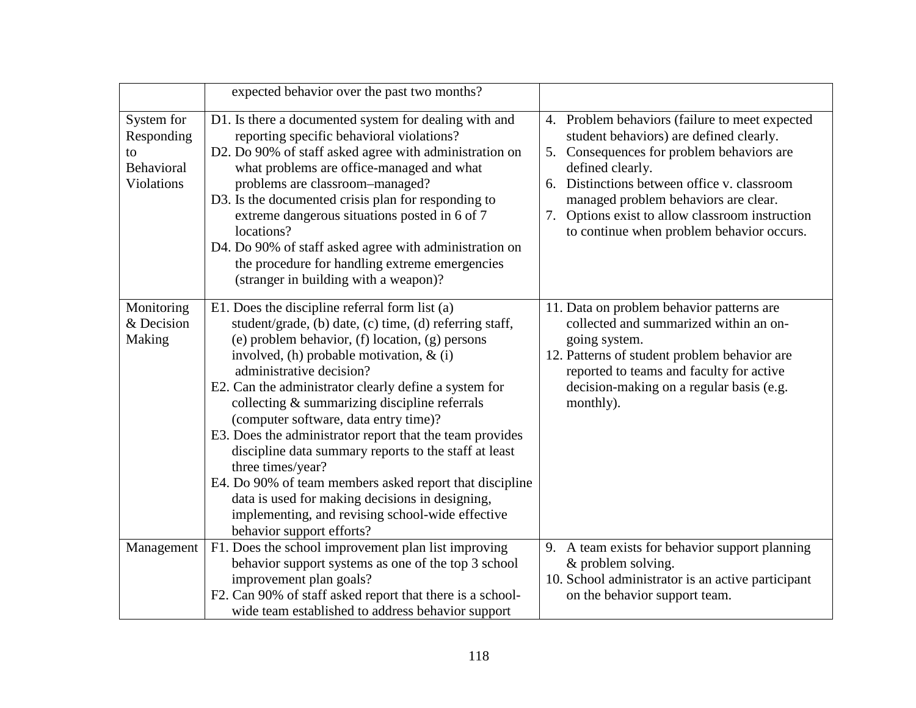|                                                                   | expected behavior over the past two months?                                                                                                                                                                                                                                                                                                                                                                                                                                                                                                                                                                                                                                                                                         |                                                                                                                                                                                                                                                                                                                                                      |
|-------------------------------------------------------------------|-------------------------------------------------------------------------------------------------------------------------------------------------------------------------------------------------------------------------------------------------------------------------------------------------------------------------------------------------------------------------------------------------------------------------------------------------------------------------------------------------------------------------------------------------------------------------------------------------------------------------------------------------------------------------------------------------------------------------------------|------------------------------------------------------------------------------------------------------------------------------------------------------------------------------------------------------------------------------------------------------------------------------------------------------------------------------------------------------|
| System for<br>Responding<br>to<br>Behavioral<br><b>Violations</b> | D1. Is there a documented system for dealing with and<br>reporting specific behavioral violations?<br>D2. Do 90% of staff asked agree with administration on<br>what problems are office-managed and what<br>problems are classroom-managed?<br>D3. Is the documented crisis plan for responding to<br>extreme dangerous situations posted in 6 of 7<br>locations?<br>D4. Do 90% of staff asked agree with administration on<br>the procedure for handling extreme emergencies<br>(stranger in building with a weapon)?                                                                                                                                                                                                             | 4. Problem behaviors (failure to meet expected<br>student behaviors) are defined clearly.<br>5. Consequences for problem behaviors are<br>defined clearly.<br>6. Distinctions between office v. classroom<br>managed problem behaviors are clear.<br>Options exist to allow classroom instruction<br>7.<br>to continue when problem behavior occurs. |
| Monitoring<br>& Decision<br>Making                                | E1. Does the discipline referral form list (a)<br>student/grade, (b) date, (c) time, (d) referring staff,<br>(e) problem behavior, (f) location, (g) persons<br>involved, (h) probable motivation, $\&$ (i)<br>administrative decision?<br>E2. Can the administrator clearly define a system for<br>collecting & summarizing discipline referrals<br>(computer software, data entry time)?<br>E3. Does the administrator report that the team provides<br>discipline data summary reports to the staff at least<br>three times/year?<br>E4. Do 90% of team members asked report that discipline<br>data is used for making decisions in designing,<br>implementing, and revising school-wide effective<br>behavior support efforts? | 11. Data on problem behavior patterns are<br>collected and summarized within an on-<br>going system.<br>12. Patterns of student problem behavior are<br>reported to teams and faculty for active<br>decision-making on a regular basis (e.g.<br>monthly).                                                                                            |
| Management                                                        | F1. Does the school improvement plan list improving<br>behavior support systems as one of the top 3 school<br>improvement plan goals?<br>F2. Can 90% of staff asked report that there is a school-<br>wide team established to address behavior support                                                                                                                                                                                                                                                                                                                                                                                                                                                                             | 9. A team exists for behavior support planning<br>& problem solving.<br>10. School administrator is an active participant<br>on the behavior support team.                                                                                                                                                                                           |